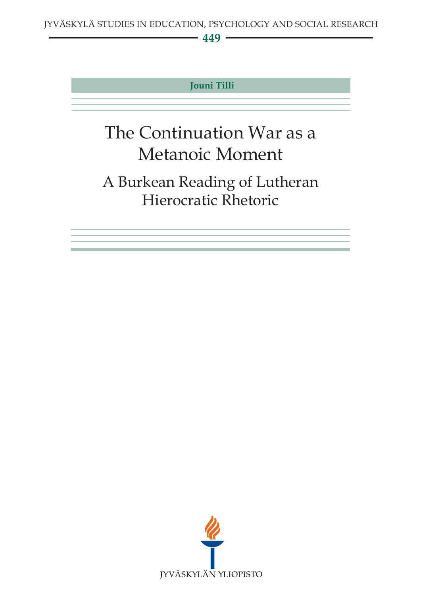## **449**

## **Jouni Tilli**

# The Continuation War as a Metanoic Moment

## A Burkean Reading of Lutheran Hierocratic Rhetoric

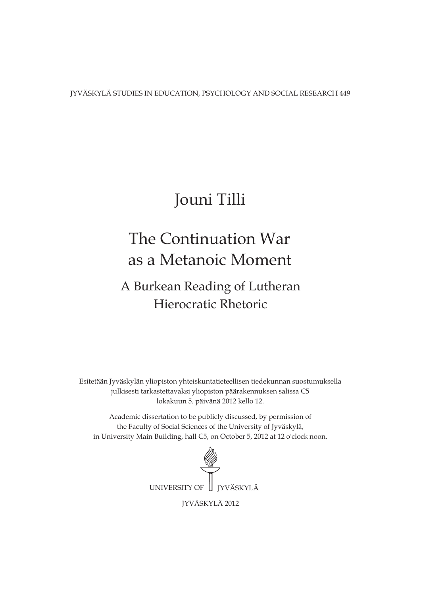JYVÄSKYLÄ STUDIES IN EDUCATION, PSYCHOLOGY AND SOCIAL RESEARCH 449

## Jouni Tilli

## as a Metanoic Moment The Continuation War

## Hierocratic Rhetoric A Burkean Reading of Lutheran

Esitetään Jyväskylän yliopiston yhteiskuntatieteellisen tiedekunnan suostumuksella julkisesti tarkastettavaksi yliopiston päärakennuksen salissa C5 lokakuun 5. päivänä 2012 kello 12.

Academic dissertation to be publicly discussed, by permission of the Faculty of Social Sciences of the University of Jyväskylä, in University Main Building, hall C5, on October 5, 2012 at 12 o'clock noon.

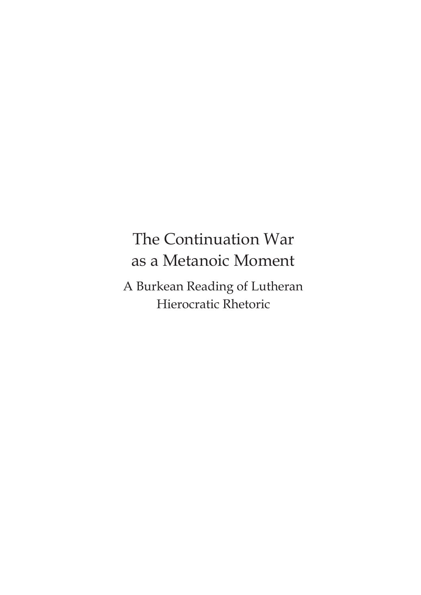## The Continuation War as a Metanoic Moment

A Burkean Reading of Lutheran Hierocratic Rhetoric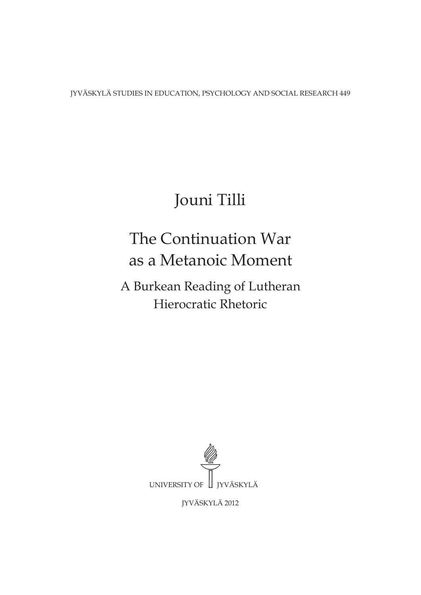JYVÄSKYLÄ STUDIES IN EDUCATION, PSYCHOLOGY AND SOCIAL RESEARCH 449

# Jouni Tilli

# The Continuation War as a Metanoic Moment

A Burkean Reading of Lutheran Hierocratic Rhetoric



JYVÄSKYLÄ 2012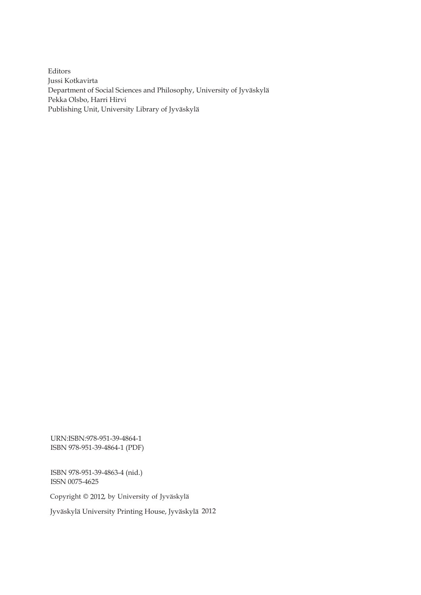Editors Jussi Kotkavirta Department of Social Sciences and Philosophy, University of Jyväskylä Pekka Olsbo, Harri Hirvi Publishing Unit, University Library of Jyväskylä

URN:ISBN:978-951-39-4864-1 ISBN 978-951-39-4864-1 (PDF)

ISBN 978-951-39-4863-4 (nid.) ISSN 0075-4625

Copyright © 2012, by University of Jyväskylä

Jyväskylä University Printing House, Jyväskylä 2012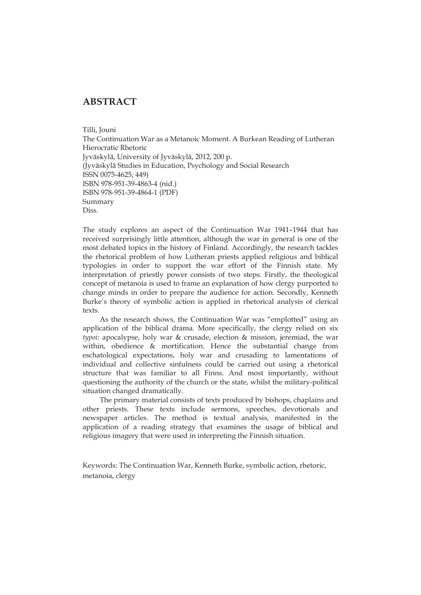### **ABSTRACT**

Tilli, Jouni

The Continuation War as a Metanoic Moment. A Burkean Reading of Lutheran Hierocratic Rhetoric Jyväskylä, University of Jyväskylä, 2012, 200 p. (Jyväskylä Studies in Education, Psychology and Social Research ISSN 0075-4625; 449) ISBN 978-951-39-4863-4 (nid.) ISBN 978-951-39-4864-1 (PDF) Summary Diss.

The study explores an aspect of the Continuation War 1941–1944 that has received surprisingly little attention, although the war in general is one of the most debated topics in the history of Finland. Accordingly, the research tackles the rhetorical problem of how Lutheran priests applied religious and biblical typologies in order to support the war effort of the Finnish state. My interpretation of priestly power consists of two steps. Firstly, the theological concept of metanoia is used to frame an explanation of how clergy purported to change minds in order to prepare the audience for action. Secondly, Kenneth Burke's theory of symbolic action is applied in rhetorical analysis of clerical texts.

As the research shows, the Continuation War was "emplotted" using an application of the biblical drama. More specifically, the clergy relied on six *typoi*: apocalypse, holy war & crusade, election & mission, jeremiad, the war within, obedience & mortification. Hence the substantial change from eschatological expectations, holy war and crusading to lamentations of individual and collective sinfulness could be carried out using a rhetorical structure that was familiar to all Finns. And most importantly, without questioning the authority of the church or the state, whilst the military-political situation changed dramatically.

The primary material consists of texts produced by bishops, chaplains and other priests. These texts include sermons, speeches, devotionals and newspaper articles. The method is textual analysis, manifested in the application of a reading strategy that examines the usage of biblical and religious imagery that were used in interpreting the Finnish situation.

Keywords: The Continuation War, Kenneth Burke, symbolic action, rhetoric, metanoia, clergy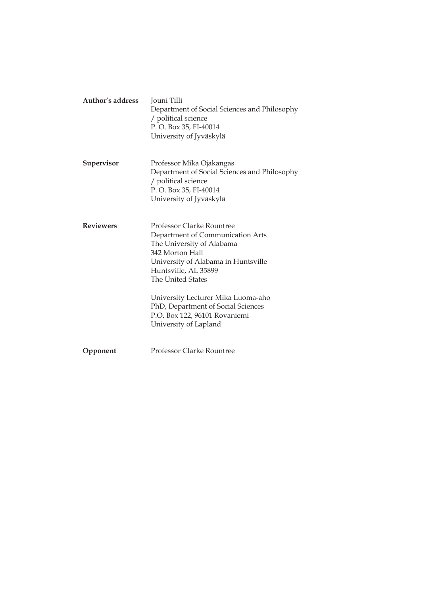| Author's address | Jouni Tilli<br>Department of Social Sciences and Philosophy<br>/ political science<br>P.O. Box 35, FI-40014<br>University of Jyväskylä                                                                                                                                                                                                         |
|------------------|------------------------------------------------------------------------------------------------------------------------------------------------------------------------------------------------------------------------------------------------------------------------------------------------------------------------------------------------|
| Supervisor       | Professor Mika Ojakangas<br>Department of Social Sciences and Philosophy<br>/ political science<br>P.O. Box 35, FI-40014<br>University of Jyväskylä                                                                                                                                                                                            |
| <b>Reviewers</b> | <b>Professor Clarke Rountree</b><br>Department of Communication Arts<br>The University of Alabama<br>342 Morton Hall<br>University of Alabama in Huntsville<br>Huntsville, AL 35899<br>The United States<br>University Lecturer Mika Luoma-aho<br>PhD, Department of Social Sciences<br>P.O. Box 122, 96101 Rovaniemi<br>University of Lapland |
| Opponent         | Professor Clarke Rountree                                                                                                                                                                                                                                                                                                                      |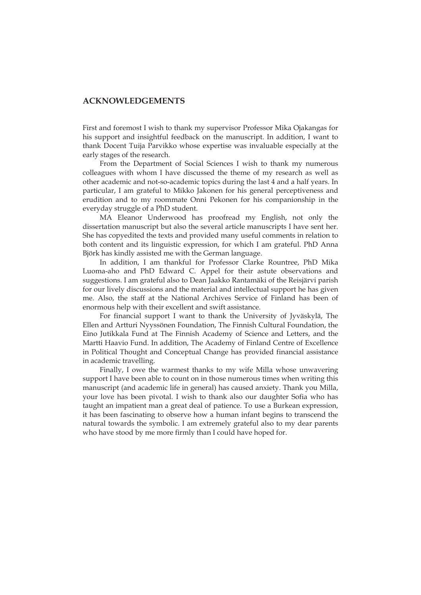#### **ACKNOWLEDGEMENTS**

First and foremost I wish to thank my supervisor Professor Mika Ojakangas for his support and insightful feedback on the manuscript. In addition, I want to thank Docent Tuija Parvikko whose expertise was invaluable especially at the early stages of the research.

 From the Department of Social Sciences I wish to thank my numerous colleagues with whom I have discussed the theme of my research as well as other academic and not-so-academic topics during the last 4 and a half years. In particular, I am grateful to Mikko Jakonen for his general perceptiveness and erudition and to my roommate Onni Pekonen for his companionship in the everyday struggle of a PhD student.

 MA Eleanor Underwood has proofread my English, not only the dissertation manuscript but also the several article manuscripts I have sent her. She has copyedited the texts and provided many useful comments in relation to both content and its linguistic expression, for which I am grateful. PhD Anna Björk has kindly assisted me with the German language.

In addition, I am thankful for Professor Clarke Rountree, PhD Mika Luoma-aho and PhD Edward C. Appel for their astute observations and suggestions. I am grateful also to Dean Jaakko Rantamäki of the Reisjärvi parish for our lively discussions and the material and intellectual support he has given me. Also, the staff at the National Archives Service of Finland has been of enormous help with their excellent and swift assistance.

For financial support I want to thank the University of Jyväskylä, The Ellen and Artturi Nyyssönen Foundation, The Finnish Cultural Foundation, the Eino Jutikkala Fund at The Finnish Academy of Science and Letters, and the Martti Haavio Fund. In addition, The Academy of Finland Centre of Excellence in Political Thought and Conceptual Change has provided financial assistance in academic travelling.

 Finally, I owe the warmest thanks to my wife Milla whose unwavering support I have been able to count on in those numerous times when writing this manuscript (and academic life in general) has caused anxiety. Thank you Milla, your love has been pivotal. I wish to thank also our daughter Sofia who has taught an impatient man a great deal of patience. To use a Burkean expression, it has been fascinating to observe how a human infant begins to transcend the natural towards the symbolic. I am extremely grateful also to my dear parents who have stood by me more firmly than I could have hoped for.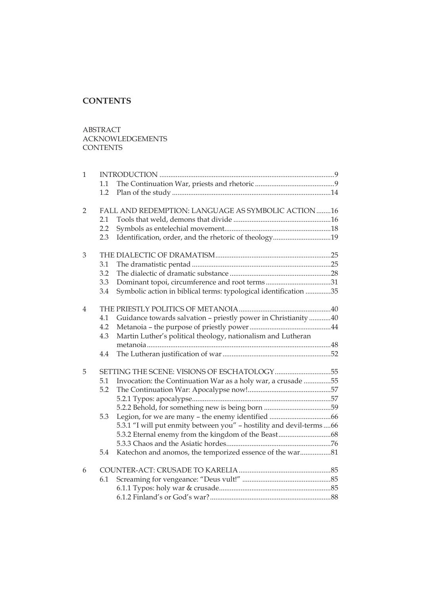## **CONTENTS**

ABSTRACT ACKNOWLEDGEMENTS **CONTENTS** 

| $\mathbf{1}$   |     |                                                                     |  |
|----------------|-----|---------------------------------------------------------------------|--|
|                | 1.1 |                                                                     |  |
|                | 1.2 |                                                                     |  |
| $\overline{2}$ |     | FALL AND REDEMPTION: LANGUAGE AS SYMBOLIC ACTION 16                 |  |
|                | 2.1 |                                                                     |  |
|                | 2.2 |                                                                     |  |
|                | 2.3 | Identification, order, and the rhetoric of theology19               |  |
| 3              |     |                                                                     |  |
|                | 3.1 |                                                                     |  |
|                | 3.2 |                                                                     |  |
|                | 3.3 | Dominant topoi, circumference and root terms31                      |  |
|                | 3.4 | Symbolic action in biblical terms: typological identification 35    |  |
| 4              |     |                                                                     |  |
|                | 4.1 | Guidance towards salvation - priestly power in Christianity 40      |  |
|                | 4.2 |                                                                     |  |
|                | 4.3 | Martin Luther's political theology, nationalism and Lutheran        |  |
|                |     |                                                                     |  |
|                | 4.4 |                                                                     |  |
| 5              |     | SETTING THE SCENE: VISIONS OF ESCHATOLOGY55                         |  |
|                | 5.1 | Invocation: the Continuation War as a holy war, a crusade 55        |  |
|                | 5.2 |                                                                     |  |
|                |     |                                                                     |  |
|                |     |                                                                     |  |
|                | 5.3 |                                                                     |  |
|                |     | 5.3.1 "I will put enmity between you" - hostility and devil-terms66 |  |
|                |     |                                                                     |  |
|                |     |                                                                     |  |
|                | 5.4 | Katechon and anomos, the temporized essence of the war81            |  |
| 6              |     |                                                                     |  |
|                | 6.1 |                                                                     |  |
|                |     |                                                                     |  |
|                |     |                                                                     |  |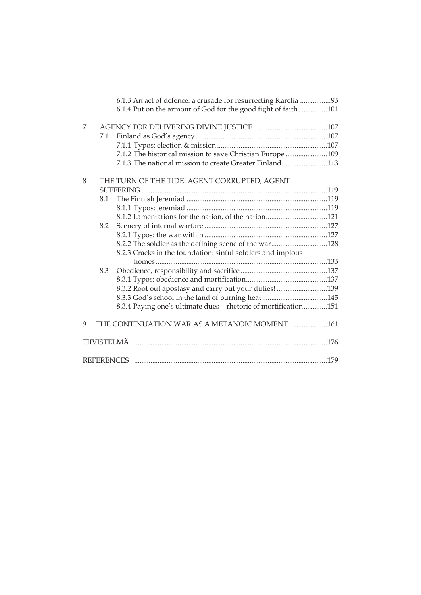|   |     | 6.1.3 An act of defence: a crusade for resurrecting Karelia 93<br>6.1.4 Put on the armour of God for the good fight of faith101 |  |
|---|-----|---------------------------------------------------------------------------------------------------------------------------------|--|
| 7 | 7.1 |                                                                                                                                 |  |
|   |     |                                                                                                                                 |  |
|   |     | 7.1.2 The historical mission to save Christian Europe 109                                                                       |  |
|   |     | 7.1.3 The national mission to create Greater Finland113                                                                         |  |
|   |     |                                                                                                                                 |  |
| 8 |     | THE TURN OF THE TIDE: AGENT CORRUPTED, AGENT                                                                                    |  |
|   |     |                                                                                                                                 |  |
|   | 8.1 |                                                                                                                                 |  |
|   |     |                                                                                                                                 |  |
|   |     | 8.1.2 Lamentations for the nation, of the nation121                                                                             |  |
|   | 8.2 |                                                                                                                                 |  |
|   |     |                                                                                                                                 |  |
|   |     | 8.2.2 The soldier as the defining scene of the war128                                                                           |  |
|   |     | 8.2.3 Cracks in the foundation: sinful soldiers and impious                                                                     |  |
|   |     |                                                                                                                                 |  |
|   | 8.3 |                                                                                                                                 |  |
|   |     |                                                                                                                                 |  |
|   |     | 8.3.2 Root out apostasy and carry out your duties! 139                                                                          |  |
|   |     |                                                                                                                                 |  |
|   |     | 8.3.4 Paying one's ultimate dues - rhetoric of mortification151                                                                 |  |
| 9 |     | THE CONTINUATION WAR AS A METANOIC MOMENT 161                                                                                   |  |
|   |     |                                                                                                                                 |  |
|   |     |                                                                                                                                 |  |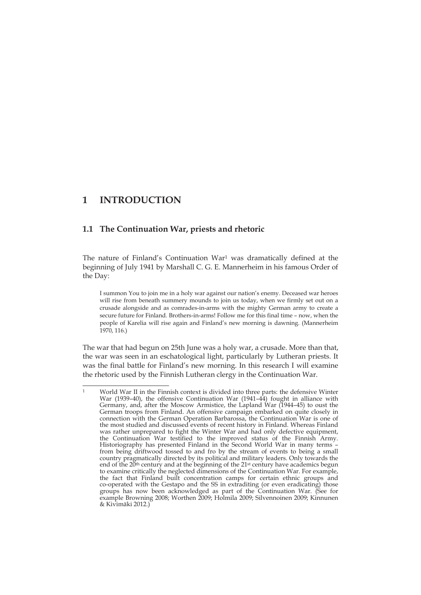## **1 INTRODUCTION**

<u>.</u>

### **1.1 The Continuation War, priests and rhetoric**

The nature of Finland's Continuation War<sup>1</sup> was dramatically defined at the beginning of July 1941 by Marshall C. G. E. Mannerheim in his famous Order of the Day:

I summon You to join me in a holy war against our nation's enemy. Deceased war heroes will rise from beneath summery mounds to join us today, when we firmly set out on a crusade alongside and as comrades-in-arms with the mighty German army to create a secure future for Finland. Brothers-in-arms! Follow me for this final time – now, when the people of Karelia will rise again and Finland's new morning is dawning. (Mannerheim 1970, 116.)

The war that had begun on 25th June was a holy war, a crusade. More than that, the war was seen in an eschatological light, particularly by Lutheran priests. It was the final battle for Finland's new morning. In this research I will examine the rhetoric used by the Finnish Lutheran clergy in the Continuation War.

World War II in the Finnish context is divided into three parts: the defensive Winter War (1939–40), the offensive Continuation War (1941– $44$ ) fought in alliance with Germany, and, after the Moscow Armistice, the Lapland War (1944–45) to oust the German troops from Finland. An offensive campaign embarked on quite closely in connection with the German Operation Barbarossa, the Continuation War is one of the most studied and discussed events of recent history in Finland. Whereas Finland was rather unprepared to fight the Winter War and had only defective equipment, the Continuation War testified to the improved status of the Finnish Army. Historiography has presented Finland in the Second World War in many terms – from being driftwood tossed to and fro by the stream of events to being a small country pragmatically directed by its political and military leaders. Only towards the end of the 20<sup>th</sup> century and at the beginning of the 21<sup>st</sup> century have academics begun to examine critically the neglected dimensions of the Continuation War. For example, the fact that Finland built concentration camps for certain ethnic groups and co-operated with the Gestapo and the SS in extraditing (or even eradicating) those groups has now been acknowledged as part of the Continuation War. (See for example Browning 2008; Worthen 2009; Holmila 2009; Silvennoinen 2009; Kinnunen & Kivimäki 2012.)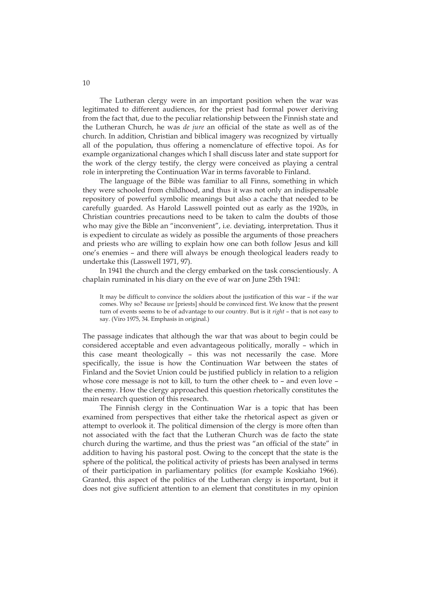The Lutheran clergy were in an important position when the war was legitimated to different audiences, for the priest had formal power deriving from the fact that, due to the peculiar relationship between the Finnish state and the Lutheran Church, he was *de jure* an official of the state as well as of the church. In addition, Christian and biblical imagery was recognized by virtually all of the population, thus offering a nomenclature of effective topoi. As for example organizational changes which I shall discuss later and state support for the work of the clergy testify, the clergy were conceived as playing a central role in interpreting the Continuation War in terms favorable to Finland.

The language of the Bible was familiar to all Finns, something in which they were schooled from childhood, and thus it was not only an indispensable repository of powerful symbolic meanings but also a cache that needed to be carefully guarded. As Harold Lasswell pointed out as early as the 1920s, in Christian countries precautions need to be taken to calm the doubts of those who may give the Bible an "inconvenient", i.e. deviating, interpretation. Thus it is expedient to circulate as widely as possible the arguments of those preachers and priests who are willing to explain how one can both follow Jesus and kill one's enemies – and there will always be enough theological leaders ready to undertake this (Lasswell 1971, 97).

In 1941 the church and the clergy embarked on the task conscientiously. A chaplain ruminated in his diary on the eve of war on June 25th 1941:

It may be difficult to convince the soldiers about the justification of this war – if the war comes. Why so? Because *we* [priests] should be convinced first. We know that the present turn of events seems to be of advantage to our country. But is it *right* – that is not easy to say. (Viro 1975, 34. Emphasis in original.)

The passage indicates that although the war that was about to begin could be considered acceptable and even advantageous politically, morally – which in this case meant theologically – this was not necessarily the case. More specifically, the issue is how the Continuation War between the states of Finland and the Soviet Union could be justified publicly in relation to a religion whose core message is not to kill, to turn the other cheek to – and even love – the enemy. How the clergy approached this question rhetorically constitutes the main research question of this research.

The Finnish clergy in the Continuation War is a topic that has been examined from perspectives that either take the rhetorical aspect as given or attempt to overlook it. The political dimension of the clergy is more often than not associated with the fact that the Lutheran Church was de facto the state church during the wartime, and thus the priest was "an official of the state" in addition to having his pastoral post. Owing to the concept that the state is the sphere of the political, the political activity of priests has been analysed in terms of their participation in parliamentary politics (for example Koskiaho 1966). Granted, this aspect of the politics of the Lutheran clergy is important, but it does not give sufficient attention to an element that constitutes in my opinion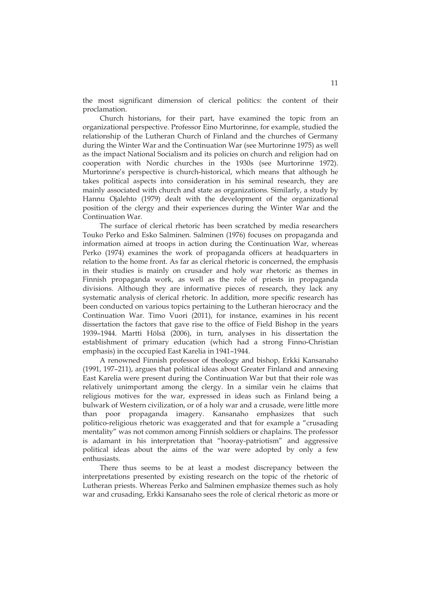the most significant dimension of clerical politics: the content of their proclamation.

Church historians, for their part, have examined the topic from an organizational perspective. Professor Eino Murtorinne, for example, studied the relationship of the Lutheran Church of Finland and the churches of Germany during the Winter War and the Continuation War (see Murtorinne 1975) as well as the impact National Socialism and its policies on church and religion had on cooperation with Nordic churches in the 1930s (see Murtorinne 1972). Murtorinne's perspective is church-historical, which means that although he takes political aspects into consideration in his seminal research, they are mainly associated with church and state as organizations. Similarly, a study by Hannu Ojalehto (1979) dealt with the development of the organizational position of the clergy and their experiences during the Winter War and the Continuation War.

The surface of clerical rhetoric has been scratched by media researchers Touko Perko and Esko Salminen. Salminen (1976) focuses on propaganda and information aimed at troops in action during the Continuation War, whereas Perko (1974) examines the work of propaganda officers at headquarters in relation to the home front. As far as clerical rhetoric is concerned, the emphasis in their studies is mainly on crusader and holy war rhetoric as themes in Finnish propaganda work, as well as the role of priests in propaganda divisions. Although they are informative pieces of research, they lack any systematic analysis of clerical rhetoric. In addition, more specific research has been conducted on various topics pertaining to the Lutheran hierocracy and the Continuation War. Timo Vuori (2011), for instance, examines in his recent dissertation the factors that gave rise to the office of Field Bishop in the years 1939–1944. Martti Hölsä (2006), in turn, analyses in his dissertation the establishment of primary education (which had a strong Finno-Christian emphasis) in the occupied East Karelia in 1941–1944.

A renowned Finnish professor of theology and bishop, Erkki Kansanaho (1991, 197–211), argues that political ideas about Greater Finland and annexing East Karelia were present during the Continuation War but that their role was relatively unimportant among the clergy. In a similar vein he claims that religious motives for the war, expressed in ideas such as Finland being a bulwark of Western civilization, or of a holy war and a crusade, were little more than poor propaganda imagery. Kansanaho emphasizes that such politico-religious rhetoric was exaggerated and that for example a "crusading mentality" was not common among Finnish soldiers or chaplains. The professor is adamant in his interpretation that "hooray-patriotism" and aggressive political ideas about the aims of the war were adopted by only a few enthusiasts.

There thus seems to be at least a modest discrepancy between the interpretations presented by existing research on the topic of the rhetoric of Lutheran priests. Whereas Perko and Salminen emphasize themes such as holy war and crusading, Erkki Kansanaho sees the role of clerical rhetoric as more or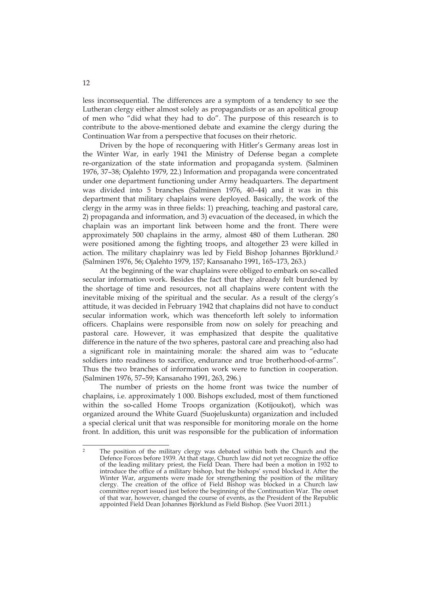less inconsequential. The differences are a symptom of a tendency to see the Lutheran clergy either almost solely as propagandists or as an apolitical group of men who "did what they had to do". The purpose of this research is to contribute to the above-mentioned debate and examine the clergy during the Continuation War from a perspective that focuses on their rhetoric.

Driven by the hope of reconquering with Hitler's Germany areas lost in the Winter War, in early 1941 the Ministry of Defense began a complete re-organization of the state information and propaganda system. (Salminen 1976, 37–38; Ojalehto 1979, 22.) Information and propaganda were concentrated under one department functioning under Army headquarters. The department was divided into 5 branches (Salminen 1976, 40–44) and it was in this department that military chaplains were deployed. Basically, the work of the clergy in the army was in three fields: 1) preaching, teaching and pastoral care, 2) propaganda and information, and 3) evacuation of the deceased, in which the chaplain was an important link between home and the front. There were approximately 500 chaplains in the army, almost 480 of them Lutheran. 280 were positioned among the fighting troops, and altogether 23 were killed in action. The military chaplainry was led by Field Bishop Johannes Björklund.2 (Salminen 1976, 56; Ojalehto 1979, 157; Kansanaho 1991, 165–173, 263.)

At the beginning of the war chaplains were obliged to embark on so-called secular information work. Besides the fact that they already felt burdened by the shortage of time and resources, not all chaplains were content with the inevitable mixing of the spiritual and the secular. As a result of the clergy's attitude, it was decided in February 1942 that chaplains did not have to conduct secular information work, which was thenceforth left solely to information officers. Chaplains were responsible from now on solely for preaching and pastoral care. However, it was emphasized that despite the qualitative difference in the nature of the two spheres, pastoral care and preaching also had a significant role in maintaining morale: the shared aim was to "educate soldiers into readiness to sacrifice, endurance and true brotherhood-of-arms". Thus the two branches of information work were to function in cooperation. (Salminen 1976, 57–59; Kansanaho 1991, 263, 296.)

The number of priests on the home front was twice the number of chaplains, i.e. approximately 1 000. Bishops excluded, most of them functioned within the so-called Home Troops organization (Kotijoukot), which was organized around the White Guard (Suojeluskunta) organization and included a special clerical unit that was responsible for monitoring morale on the home front. In addition, this unit was responsible for the publication of information

<u>.</u>

The position of the military clergy was debated within both the Church and the Defence Forces before 1939. At that stage, Church law did not yet recognize the office of the leading military priest, the Field Dean. There had been a motion in 1932 to introduce the office of a military bishop, but the bishops' synod blocked it. After the Winter War, arguments were made for strengthening the position of the military clergy. The creation of the office of Field Bishop was blocked in a Church law committee report issued just before the beginning of the Continuation War. The onset of that war, however, changed the course of events, as the President of the Republic appointed Field Dean Johannes Björklund as Field Bishop. (See Vuori 2011.)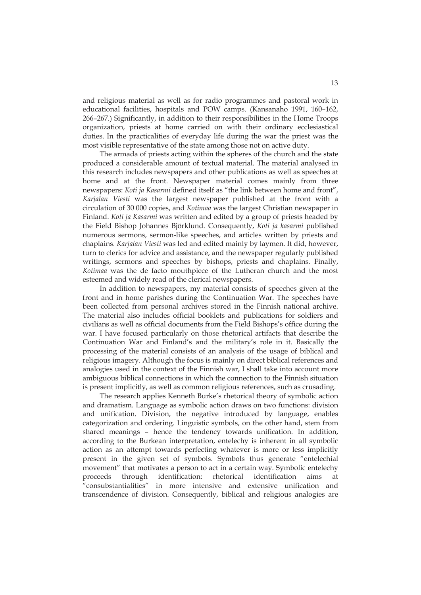and religious material as well as for radio programmes and pastoral work in educational facilities, hospitals and POW camps. (Kansanaho 1991, 160–162, 266–267.) Significantly, in addition to their responsibilities in the Home Troops organization, priests at home carried on with their ordinary ecclesiastical duties. In the practicalities of everyday life during the war the priest was the most visible representative of the state among those not on active duty.

The armada of priests acting within the spheres of the church and the state produced a considerable amount of textual material. The material analysed in this research includes newspapers and other publications as well as speeches at home and at the front. Newspaper material comes mainly from three newspapers: *Koti ja Kasarmi* defined itself as "the link between home and front", *Karjalan Viesti* was the largest newspaper published at the front with a circulation of 30 000 copies, and *Kotimaa* was the largest Christian newspaper in Finland. *Koti ja Kasarmi* was written and edited by a group of priests headed by the Field Bishop Johannes Björklund. Consequently, *Koti ja kasarmi* published numerous sermons, sermon-like speeches, and articles written by priests and chaplains. *Karjalan Viesti* was led and edited mainly by laymen. It did, however, turn to clerics for advice and assistance, and the newspaper regularly published writings, sermons and speeches by bishops, priests and chaplains. Finally, *Kotimaa* was the de facto mouthpiece of the Lutheran church and the most esteemed and widely read of the clerical newspapers.

In addition to newspapers, my material consists of speeches given at the front and in home parishes during the Continuation War. The speeches have been collected from personal archives stored in the Finnish national archive. The material also includes official booklets and publications for soldiers and civilians as well as official documents from the Field Bishops's office during the war. I have focused particularly on those rhetorical artifacts that describe the Continuation War and Finland's and the military's role in it. Basically the processing of the material consists of an analysis of the usage of biblical and religious imagery. Although the focus is mainly on direct biblical references and analogies used in the context of the Finnish war, I shall take into account more ambiguous biblical connections in which the connection to the Finnish situation is present implicitly, as well as common religious references, such as crusading.

The research applies Kenneth Burke's rhetorical theory of symbolic action and dramatism. Language as symbolic action draws on two functions: division and unification. Division, the negative introduced by language, enables categorization and ordering. Linguistic symbols, on the other hand, stem from shared meanings – hence the tendency towards unification. In addition, according to the Burkean interpretation, entelechy is inherent in all symbolic action as an attempt towards perfecting whatever is more or less implicitly present in the given set of symbols. Symbols thus generate "entelechial movement" that motivates a person to act in a certain way. Symbolic entelechy proceeds through identification: rhetorical identification aims at "consubstantialities" in more intensive and extensive unification and transcendence of division. Consequently, biblical and religious analogies are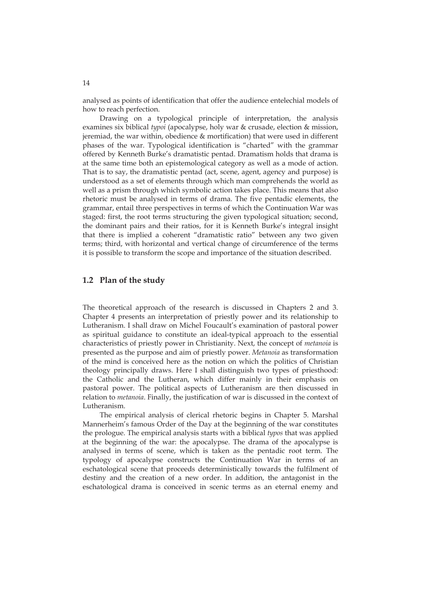analysed as points of identification that offer the audience entelechial models of how to reach perfection.

Drawing on a typological principle of interpretation, the analysis examines six biblical *typoi* (apocalypse, holy war & crusade, election & mission, jeremiad, the war within, obedience & mortification) that were used in different phases of the war. Typological identification is "charted" with the grammar offered by Kenneth Burke's dramatistic pentad. Dramatism holds that drama is at the same time both an epistemological category as well as a mode of action. That is to say, the dramatistic pentad (act, scene, agent, agency and purpose) is understood as a set of elements through which man comprehends the world as well as a prism through which symbolic action takes place. This means that also rhetoric must be analysed in terms of drama. The five pentadic elements, the grammar, entail three perspectives in terms of which the Continuation War was staged: first, the root terms structuring the given typological situation; second, the dominant pairs and their ratios, for it is Kenneth Burke's integral insight that there is implied a coherent "dramatistic ratio" between any two given terms; third, with horizontal and vertical change of circumference of the terms it is possible to transform the scope and importance of the situation described.

#### **1.2 Plan of the study**

The theoretical approach of the research is discussed in Chapters 2 and 3. Chapter 4 presents an interpretation of priestly power and its relationship to Lutheranism. I shall draw on Michel Foucault's examination of pastoral power as spiritual guidance to constitute an ideal-typical approach to the essential characteristics of priestly power in Christianity. Next, the concept of *metanoia* is presented as the purpose and aim of priestly power. *Metanoia* as transformation of the mind is conceived here as the notion on which the politics of Christian theology principally draws. Here I shall distinguish two types of priesthood: the Catholic and the Lutheran, which differ mainly in their emphasis on pastoral power. The political aspects of Lutheranism are then discussed in relation to *metanoia*. Finally, the justification of war is discussed in the context of Lutheranism.

The empirical analysis of clerical rhetoric begins in Chapter 5. Marshal Mannerheim's famous Order of the Day at the beginning of the war constitutes the prologue. The empirical analysis starts with a biblical *typos* that was applied at the beginning of the war: the apocalypse. The drama of the apocalypse is analysed in terms of scene, which is taken as the pentadic root term. The typology of apocalypse constructs the Continuation War in terms of an eschatological scene that proceeds deterministically towards the fulfilment of destiny and the creation of a new order. In addition, the antagonist in the eschatological drama is conceived in scenic terms as an eternal enemy and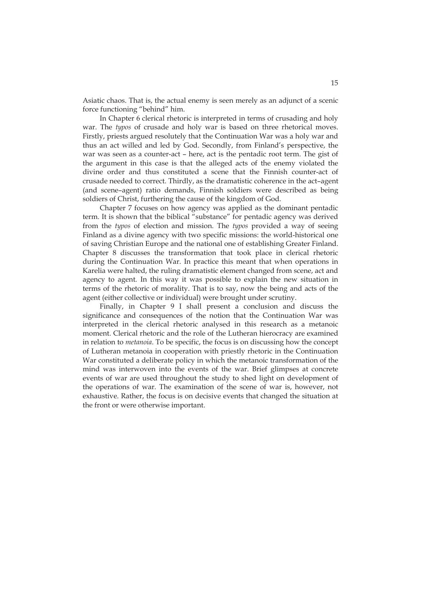Asiatic chaos. That is, the actual enemy is seen merely as an adjunct of a scenic force functioning "behind" him.

In Chapter 6 clerical rhetoric is interpreted in terms of crusading and holy war. The *typos* of crusade and holy war is based on three rhetorical moves. Firstly, priests argued resolutely that the Continuation War was a holy war and thus an act willed and led by God. Secondly, from Finland's perspective, the war was seen as a counter-act – here, act is the pentadic root term. The gist of the argument in this case is that the alleged acts of the enemy violated the divine order and thus constituted a scene that the Finnish counter-act of crusade needed to correct. Thirdly, as the dramatistic coherence in the act–agent (and scene–agent) ratio demands, Finnish soldiers were described as being soldiers of Christ, furthering the cause of the kingdom of God.

Chapter 7 focuses on how agency was applied as the dominant pentadic term. It is shown that the biblical "substance" for pentadic agency was derived from the *typos* of election and mission. The *typos* provided a way of seeing Finland as a divine agency with two specific missions: the world-historical one of saving Christian Europe and the national one of establishing Greater Finland. Chapter 8 discusses the transformation that took place in clerical rhetoric during the Continuation War. In practice this meant that when operations in Karelia were halted, the ruling dramatistic element changed from scene, act and agency to agent. In this way it was possible to explain the new situation in terms of the rhetoric of morality. That is to say, now the being and acts of the agent (either collective or individual) were brought under scrutiny.

Finally, in Chapter 9 I shall present a conclusion and discuss the significance and consequences of the notion that the Continuation War was interpreted in the clerical rhetoric analysed in this research as a metanoic moment. Clerical rhetoric and the role of the Lutheran hierocracy are examined in relation to *metanoia*. To be specific, the focus is on discussing how the concept of Lutheran metanoia in cooperation with priestly rhetoric in the Continuation War constituted a deliberate policy in which the metanoic transformation of the mind was interwoven into the events of the war. Brief glimpses at concrete events of war are used throughout the study to shed light on development of the operations of war. The examination of the scene of war is, however, not exhaustive. Rather, the focus is on decisive events that changed the situation at the front or were otherwise important.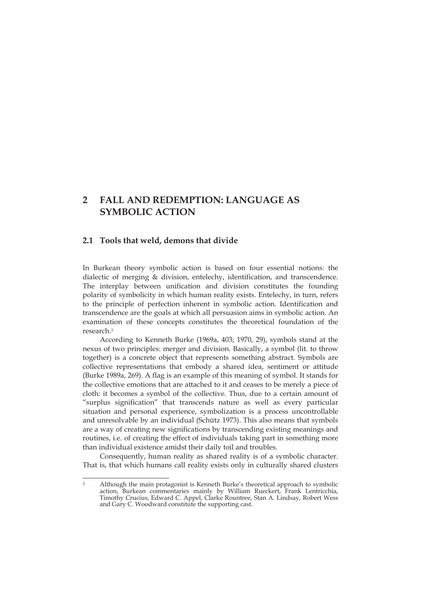## **2 FALL AND REDEMPTION: LANGUAGE AS SYMBOLIC ACTION**

#### **2.1 Tools that weld, demons that divide**

In Burkean theory symbolic action is based on four essential notions: the dialectic of merging & division, entelechy, identification, and transcendence. The interplay between unification and division constitutes the founding polarity of symbolicity in which human reality exists. Entelechy, in turn, refers to the principle of perfection inherent in symbolic action. Identification and transcendence are the goals at which all persuasion aims in symbolic action. An examination of these concepts constitutes the theoretical foundation of the research.3

According to Kenneth Burke (1969a, 403; 1970, 29), symbols stand at the nexus of two principles: merger and division. Basically, a symbol (lit. to throw together) is a concrete object that represents something abstract. Symbols are collective representations that embody a shared idea, sentiment or attitude (Burke 1989a, 269). A flag is an example of this meaning of symbol. It stands for the collective emotions that are attached to it and ceases to be merely a piece of cloth: it becomes a symbol of the collective. Thus, due to a certain amount of "surplus signification" that transcends nature as well as every particular situation and personal experience, symbolization is a process uncontrollable and unresolvable by an individual (Schütz 1973). This also means that symbols are a way of creating new significations by transcending existing meanings and routines, i.e. of creating the effect of individuals taking part in something more than individual existence amidst their daily toil and troubles.

Consequently, human reality as shared reality is of a symbolic character. That is, that which humans call reality exists only in culturally shared clusters

<sup>&</sup>lt;u>.</u> 3 Although the main protagonist is Kenneth Burke's theoretical approach to symbolic action, Burkean commentaries mainly by William Rueckert, Frank Lentricchia, Timothy Crucius, Edward C. Appel, Clarke Rountree, Stan A. Lindsay, Robert Wess and Gary C. Woodward constitute the supporting cast.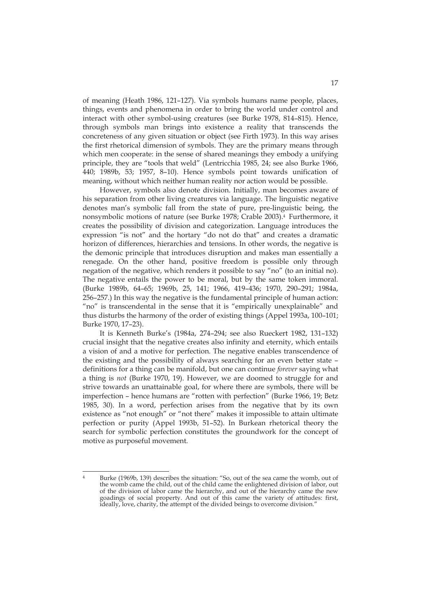of meaning (Heath 1986, 121–127). Via symbols humans name people, places, things, events and phenomena in order to bring the world under control and interact with other symbol-using creatures (see Burke 1978, 814–815). Hence, through symbols man brings into existence a reality that transcends the concreteness of any given situation or object (see Firth 1973). In this way arises the first rhetorical dimension of symbols. They are the primary means through which men cooperate: in the sense of shared meanings they embody a unifying principle, they are "tools that weld" (Lentricchia 1985, 24; see also Burke 1966, 440; 1989b, 53; 1957, 8–10). Hence symbols point towards unification of meaning, without which neither human reality nor action would be possible.

However, symbols also denote division. Initially, man becomes aware of his separation from other living creatures via language. The linguistic negative denotes man's symbolic fall from the state of pure, pre-linguistic being, the nonsymbolic motions of nature (see Burke 1978; Crable 2003).4 Furthermore, it creates the possibility of division and categorization. Language introduces the expression "is not" and the hortary "do not do that" and creates a dramatic horizon of differences, hierarchies and tensions. In other words, the negative is the demonic principle that introduces disruption and makes man essentially a renegade. On the other hand, positive freedom is possible only through negation of the negative, which renders it possible to say "no" (to an initial no). The negative entails the power to be moral, but by the same token immoral. (Burke 1989b, 64–65; 1969b, 25, 141; 1966, 419–436; 1970, 290–291; 1984a, 256–257.) In this way the negative is the fundamental principle of human action: "no" is transcendental in the sense that it is "empirically unexplainable" and thus disturbs the harmony of the order of existing things (Appel 1993a, 100–101; Burke 1970, 17–23).

It is Kenneth Burke's (1984a, 274–294; see also Rueckert 1982, 131–132) crucial insight that the negative creates also infinity and eternity, which entails a vision of and a motive for perfection. The negative enables transcendence of the existing and the possibility of always searching for an even better state – definitions for a thing can be manifold, but one can continue *forever* saying what a thing is *not* (Burke 1970, 19). However, we are doomed to struggle for and strive towards an unattainable goal, for where there are symbols, there will be imperfection – hence humans are "rotten with perfection" (Burke 1966, 19; Betz 1985, 30). In a word, perfection arises from the negative that by its own existence as "not enough" or "not there" makes it impossible to attain ultimate perfection or purity (Appel 1993b, 51–52). In Burkean rhetorical theory the search for symbolic perfection constitutes the groundwork for the concept of motive as purposeful movement.

 $\overline{A}$ 4 Burke (1969b, 139) describes the situation: "So, out of the sea came the womb, out of the womb came the child, out of the child came the enlightened division of labor, out of the division of labor came the hierarchy, and out of the hierarchy came the new goadings of social property. And out of this came the variety of attitudes: first, ideally, love, charity, the attempt of the divided beings to overcome division."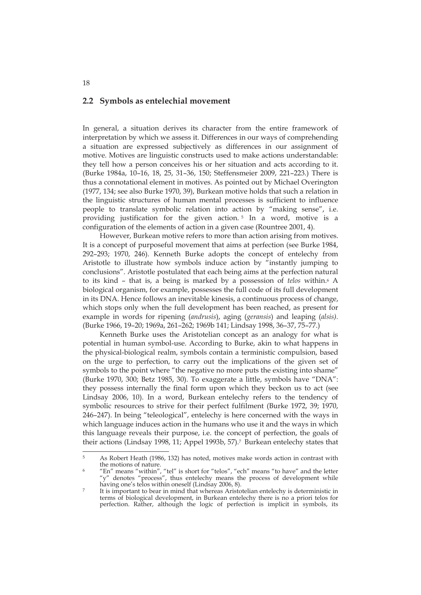#### **2.2 Symbols as entelechial movement**

In general, a situation derives its character from the entire framework of interpretation by which we assess it. Differences in our ways of comprehending a situation are expressed subjectively as differences in our assignment of motive. Motives are linguistic constructs used to make actions understandable: they tell how a person conceives his or her situation and acts according to it. (Burke 1984a, 10–16, 18, 25, 31–36, 150; Steffensmeier 2009, 221–223.) There is thus a connotational element in motives. As pointed out by Michael Overington (1977, 134; see also Burke 1970, 39), Burkean motive holds that such a relation in the linguistic structures of human mental processes is sufficient to influence people to translate symbolic relation into action by "making sense", i.e. providing justification for the given action. 5 In a word, motive is a configuration of the elements of action in a given case (Rountree 2001, 4).

However, Burkean motive refers to more than action arising from motives. It is a concept of purposeful movement that aims at perfection (see Burke 1984, 292–293; 1970, 246). Kenneth Burke adopts the concept of entelechy from Aristotle to illustrate how symbols induce action by "instantly jumping to conclusions". Aristotle postulated that each being aims at the perfection natural to its kind – that is, a being is marked by a possession of *telos* within.6 A biological organism, for example, possesses the full code of its full development in its DNA. Hence follows an inevitable kinesis, a continuous process of change, which stops only when the full development has been reached, as present for example in words for ripening (*andrusis*), aging (*geransis*) and leaping (*alsis).* (Burke 1966, 19–20; 1969a, 261–262; 1969b 141; Lindsay 1998, 36–37, 75–77.)

Kenneth Burke uses the Aristotelian concept as an analogy for what is potential in human symbol-use. According to Burke, akin to what happens in the physical-biological realm, symbols contain a terministic compulsion, based on the urge to perfection, to carry out the implications of the given set of symbols to the point where "the negative no more puts the existing into shame" (Burke 1970, 300; Betz 1985, 30). To exaggerate a little, symbols have "DNA": they possess internally the final form upon which they beckon us to act (see Lindsay 2006, 10). In a word, Burkean entelechy refers to the tendency of symbolic resources to strive for their perfect fulfilment (Burke 1972, 39; 1970, 246–247). In being "teleological", entelechy is here concerned with the ways in which language induces action in the humans who use it and the ways in which this language reveals their purpose, i.e. the concept of perfection, the goals of their actions (Lindsay 1998, 11; Appel 1993b, 57).7 Burkean entelechy states that

<u>.</u>

<sup>5</sup> As Robert Heath (1986, 132) has noted, motives make words action in contrast with the motions of nature.<br>
<sup>6</sup> "En" means "within", "tel" is short for "telos", "ech" means "to have" and the letter

<sup>&</sup>quot;y" denotes "process", thus entelechy means the process of development while having one's telos within oneself (Lindsay 2006, 8).<br>It is important to bear in mind that whereas Aristotelian entelechy is deterministic in

terms of biological development, in Burkean entelechy there is no a priori telos for perfection. Rather, although the logic of perfection is implicit in symbols, its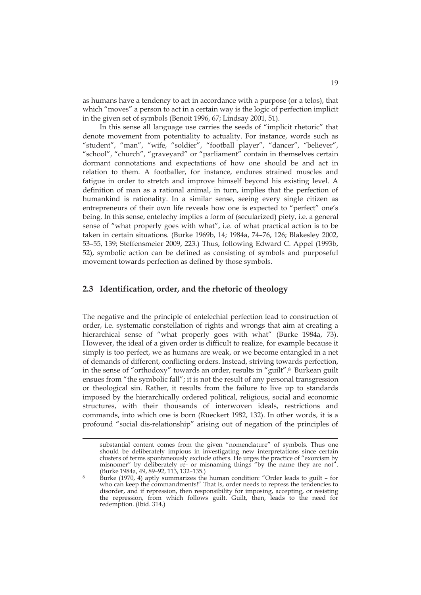as humans have a tendency to act in accordance with a purpose (or a telos), that which "moves" a person to act in a certain way is the logic of perfection implicit in the given set of symbols (Benoit 1996, 67; Lindsay 2001, 51).

In this sense all language use carries the seeds of "implicit rhetoric" that denote movement from potentiality to actuality. For instance, words such as "student", "man", "wife, "soldier", "football player", "dancer", "believer", "school", "church", "graveyard" or "parliament" contain in themselves certain dormant connotations and expectations of how one should be and act in relation to them. A footballer, for instance, endures strained muscles and fatigue in order to stretch and improve himself beyond his existing level. A definition of man as a rational animal, in turn, implies that the perfection of humankind is rationality. In a similar sense, seeing every single citizen as entrepreneurs of their own life reveals how one is expected to "perfect" one's being. In this sense, entelechy implies a form of (secularized) piety, i.e. a general sense of "what properly goes with what", i.e. of what practical action is to be taken in certain situations. (Burke 1969b, 14; 1984a, 74–76, 126; Blakesley 2002, 53–55, 139; Steffensmeier 2009, 223.) Thus, following Edward C. Appel (1993b, 52), symbolic action can be defined as consisting of symbols and purposeful movement towards perfection as defined by those symbols.

### **2.3 Identification, order, and the rhetoric of theology**

<u>.</u>

The negative and the principle of entelechial perfection lead to construction of order, i.e. systematic constellation of rights and wrongs that aim at creating a hierarchical sense of "what properly goes with what" (Burke 1984a, 73). However, the ideal of a given order is difficult to realize, for example because it simply is too perfect, we as humans are weak, or we become entangled in a net of demands of different, conflicting orders. Instead, striving towards perfection, in the sense of "orthodoxy" towards an order, results in "guilt".8 Burkean guilt ensues from "the symbolic fall"; it is not the result of any personal transgression or theological sin. Rather, it results from the failure to live up to standards imposed by the hierarchically ordered political, religious, social and economic structures, with their thousands of interwoven ideals, restrictions and commands, into which one is born (Rueckert 1982, 132). In other words, it is a profound "social dis-relationship" arising out of negation of the principles of

substantial content comes from the given "nomenclature" of symbols. Thus one should be deliberately impious in investigating new interpretations since certain clusters of terms spontaneously exclude others. He urges the practice of "exorcism by misnomer" by deliberately re- or misnaming things "by the name they are not".<br>(Burke 1984a, 49, 89-92, 113, 132-135.)

Burke (1970, 4) aptly summarizes the human condition: "Order leads to guilt – for who can keep the commandments!" That is, order needs to repress the tendencies to disorder, and if repression, then responsibility for imposing, accepting, or resisting the repression, from which follows guilt. Guilt, then, leads to the need for redemption. (Ibid. 314.)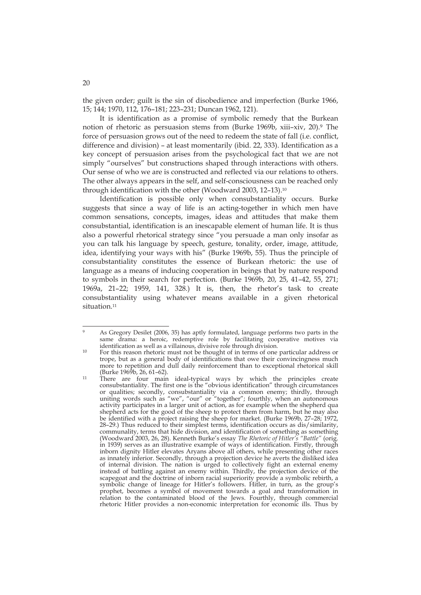the given order; guilt is the sin of disobedience and imperfection (Burke 1966, 15; 144; 1970, 112, 176–181; 223–231; Duncan 1962, 121).

It is identification as a promise of symbolic remedy that the Burkean notion of rhetoric as persuasion stems from (Burke 1969b, xiii–xiv, 20).9 The force of persuasion grows out of the need to redeem the state of fall (i.e. conflict, difference and division) – at least momentarily (ibid. 22, 333). Identification as a key concept of persuasion arises from the psychological fact that we are not simply "ourselves" but constructions shaped through interactions with others. Our sense of who we are is constructed and reflected via our relations to others. The other always appears in the self, and self-consciousness can be reached only through identification with the other (Woodward 2003, 12–13).10

Identification is possible only when consubstantiality occurs. Burke suggests that since a way of life is an acting-together in which men have common sensations, concepts, images, ideas and attitudes that make them consubstantial, identification is an inescapable element of human life. It is thus also a powerful rhetorical strategy since "you persuade a man only insofar as you can talk his language by speech, gesture, tonality, order, image, attitude, idea, identifying your ways with his" (Burke 1969b, 55). Thus the principle of consubstantiality constitutes the essence of Burkean rhetoric: the use of language as a means of inducing cooperation in beings that by nature respond to symbols in their search for perfection. (Burke 1969b, 20, 25, 41–42, 55, 271; 1969a, 21–22; 1959, 141, 328.) It is, then, the rhetor's task to create consubstantiality using whatever means available in a given rhetorical situation.<sup>11</sup>

<u>.</u>

<sup>9</sup> As Gregory Desilet (2006, 35) has aptly formulated, language performs two parts in the same drama: a heroic, redemptive role by facilitating cooperative motives via identification as well as a villainous, divisive role through division.

<sup>&</sup>lt;sup>10</sup> For this reason rhetoric must not be thought of in terms of one particular address or trope, but as a general body of identifications that owe their convincingness much more to repetition and dull daily reinforcement than to exceptional rhetorical skill (Burke 1969b, 26, 61–62).<br><sup>11</sup> There are four main ideal-typical ways by which the principles create

consubstantiality. The first one is the "obvious identification" through circumstances or qualities; secondly, consubstantiality via a common enemy; thirdly, through uniting words such as "we", "our" or "together"; fourthly, when an autonomous activity participates in a larger unit of action, as for example when the shepherd qua shepherd acts for the good of the sheep to protect them from harm, but he may also be identified with a project raising the sheep for market. (Burke 1969b, 27–28; 1972, 28–29.) Thus reduced to their simplest terms, identification occurs as dis/similarity, communality, terms that hide division, and identification of something as something (Woodward 2003, 26, 28). Kenneth Burke's essay *The Rhetoric of Hitler's "Battle"* (orig. in 1939) serves as an illustrative example of ways of identification. Firstly, through inborn dignity Hitler elevates Aryans above all others, while presenting other races as innately inferior. Secondly, through a projection device he averts the disliked idea of internal division. The nation is urged to collectively fight an external enemy instead of battling against an enemy within. Thirdly, the projection device of the scapegoat and the doctrine of inborn racial superiority provide a symbolic rebirth, a symbolic change of lineage for Hitler's followers. Hitler, in turn, as the group's prophet, becomes a symbol of movement towards a goal and transformation in relation to the contaminated blood of the Jews. Fourthly, through commercial rhetoric Hitler provides a non-economic interpretation for economic ills. Thus by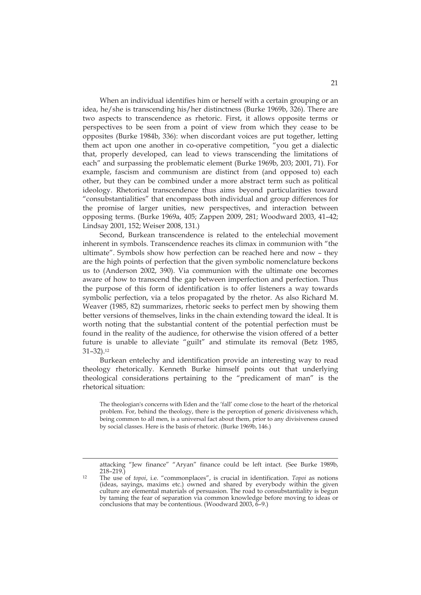When an individual identifies him or herself with a certain grouping or an idea, he/she is transcending his/her distinctness (Burke 1969b, 326). There are two aspects to transcendence as rhetoric. First, it allows opposite terms or perspectives to be seen from a point of view from which they cease to be opposites (Burke 1984b, 336): when discordant voices are put together, letting them act upon one another in co-operative competition, "you get a dialectic that, properly developed, can lead to views transcending the limitations of each" and surpassing the problematic element (Burke 1969b, 203; 2001, 71). For example, fascism and communism are distinct from (and opposed to) each other, but they can be combined under a more abstract term such as political ideology. Rhetorical transcendence thus aims beyond particularities toward "consubstantialities" that encompass both individual and group differences for the promise of larger unities, new perspectives, and interaction between opposing terms. (Burke 1969a, 405; Zappen 2009, 281; Woodward 2003, 41–42; Lindsay 2001, 152; Weiser 2008, 131.)

Second, Burkean transcendence is related to the entelechial movement inherent in symbols. Transcendence reaches its climax in communion with "the ultimate". Symbols show how perfection can be reached here and now – they are the high points of perfection that the given symbolic nomenclature beckons us to (Anderson 2002, 390). Via communion with the ultimate one becomes aware of how to transcend the gap between imperfection and perfection. Thus the purpose of this form of identification is to offer listeners a way towards symbolic perfection, via a telos propagated by the rhetor. As also Richard M. Weaver (1985, 82) summarizes, rhetoric seeks to perfect men by showing them better versions of themselves, links in the chain extending toward the ideal. It is worth noting that the substantial content of the potential perfection must be found in the reality of the audience, for otherwise the vision offered of a better future is unable to alleviate "guilt" and stimulate its removal (Betz 1985, 31–32).12

Burkean entelechy and identification provide an interesting way to read theology rhetorically. Kenneth Burke himself points out that underlying theological considerations pertaining to the "predicament of man" is the rhetorical situation:

The theologian's concerns with Eden and the 'fall' come close to the heart of the rhetorical problem. For, behind the theology, there is the perception of generic divisiveness which, being common to all men, is a universal fact about them, prior to any divisiveness caused by social classes. Here is the basis of rhetoric. (Burke 1969b, 146.)

<u>.</u>

attacking "Jew finance" "Aryan" finance could be left intact. (See Burke 1989b,

<sup>218–219.) 12</sup> The use of *topoi*, i.e. "commonplaces", is crucial in identification. *Topoi* as notions (ideas, sayings, maxims etc.) owned and shared by everybody within the given culture are elemental materials of persuasion. The road to consubstantiality is begun by taming the fear of separation via common knowledge before moving to ideas or conclusions that may be contentious. (Woodward 2003, 6–9.)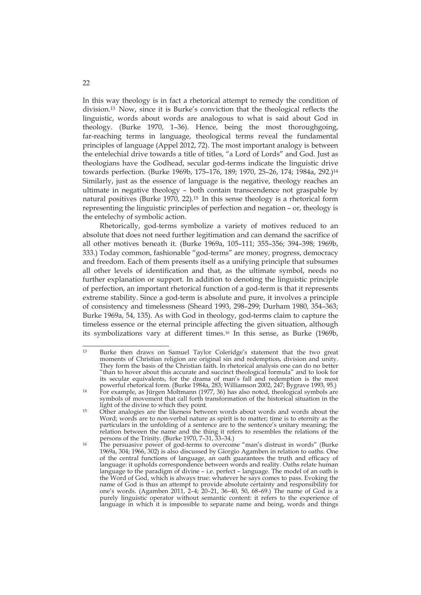In this way theology is in fact a rhetorical attempt to remedy the condition of division.13 Now, since it is Burke's conviction that the theological reflects the linguistic, words about words are analogous to what is said about God in theology. (Burke 1970, 1–36). Hence, being the most thoroughgoing, far-reaching terms in language, theological terms reveal the fundamental principles of language (Appel 2012, 72). The most important analogy is between the entelechial drive towards a title of titles, "a Lord of Lords" and God. Just as theologians have the Godhead, secular god-terms indicate the linguistic drive towards perfection. (Burke 1969b, 175–176, 189; 1970, 25–26, 174; 1984a, 292.)14 Similarly, just as the essence of language is the negative, theology reaches an ultimate in negative theology – both contain transcendence not graspable by natural positives (Burke 1970, 22).15 In this sense theology is a rhetorical form representing the linguistic principles of perfection and negation – or, theology is the entelechy of symbolic action.

Rhetorically, god-terms symbolize a variety of motives reduced to an absolute that does not need further legitimation and can demand the sacrifice of all other motives beneath it. (Burke 1969a, 105–111; 355–356; 394–398; 1969b, 333.) Today common, fashionable "god-terms" are money, progress, democracy and freedom. Each of them presents itself as a unifying principle that subsumes all other levels of identification and that, as the ultimate symbol, needs no further explanation or support. In addition to denoting the linguistic principle of perfection, an important rhetorical function of a god-term is that it represents extreme stability. Since a god-term is absolute and pure, it involves a principle of consistency and timelessness (Sheard 1993, 298–299; Durham 1980, 354–363; Burke 1969a, 54, 135). As with God in theology, god-terms claim to capture the timeless essence or the eternal principle affecting the given situation, although its symbolizations vary at different times.16 In this sense, as Burke (1969b,

 $13$ 13 Burke then draws on Samuel Taylor Coleridge's statement that the two great moments of Christian religion are original sin and redemption, division and unity. They form the basis of the Christian faith. In rhetorical analysis one can do no better "than to hover about this accurate and succinct theological formula" and to look for its secular equivalents, for the drama of man's fall and redemption is the most

powerful rhetorical form. (Burke 1984a, 283; Williamson 2002, 247; Bygrave 1993, 95.) 14 For example, as Jürgen Moltmann (1977, 36) has also noted, theological symbols are symbols of movement that call forth transformation of the historical situation in the light of the divine to which they point.

<sup>15</sup> Other analogies are the likeness between words about words and words about the Word; words are to non-verbal nature as spirit is to matter; time is to eternity as the particulars in the unfolding of a sentence are to the sentence's unitary meaning; the relation between the name and the thing it refers to resembles the relations of the

<sup>&</sup>lt;sup>16</sup> The persuasive power of god-terms to overcome "man's distrust in words" (Burke 1969a, 304; 1966, 302) is also discussed by Giorgio Agamben in relation to oaths. One of the central functions of language, an oath guarantees the truth and efficacy of language: it upholds correspondence between words and reality. Oaths relate human language to the paradigm of divine – i.e. perfect – language. The model of an oath is the Word of God, which is always true: whatever he says comes to pass. Evoking the name of God is thus an attempt to provide absolute certainty and responsibility for one's words. (Agamben 2011, 2–4; 20–21, 36–40, 50, 68–69.) The name of God is a purely linguistic operator without semantic content: it refers to the experience of language in which it is impossible to separate name and being, words and things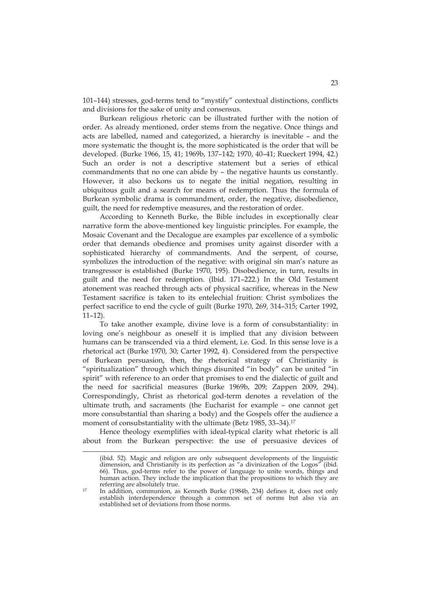101–144) stresses, god-terms tend to "mystify" contextual distinctions, conflicts and divisions for the sake of unity and consensus.

Burkean religious rhetoric can be illustrated further with the notion of order. As already mentioned, order stems from the negative. Once things and acts are labelled, named and categorized, a hierarchy is inevitable – and the more systematic the thought is, the more sophisticated is the order that will be developed. (Burke 1966, 15, 41; 1969b, 137–142; 1970, 40–41; Rueckert 1994, 42.) Such an order is not a descriptive statement but a series of ethical commandments that no one can abide by – the negative haunts us constantly. However, it also beckons us to negate the initial negation, resulting in ubiquitous guilt and a search for means of redemption. Thus the formula of Burkean symbolic drama is commandment, order, the negative, disobedience, guilt, the need for redemptive measures, and the restoration of order.

According to Kenneth Burke, the Bible includes in exceptionally clear narrative form the above-mentioned key linguistic principles. For example, the Mosaic Covenant and the Decalogue are examples par excellence of a symbolic order that demands obedience and promises unity against disorder with a sophisticated hierarchy of commandments. And the serpent, of course, symbolizes the introduction of the negative: with original sin man's nature as transgressor is established (Burke 1970, 195). Disobedience, in turn, results in guilt and the need for redemption. (Ibid. 171–222.) In the Old Testament atonement was reached through acts of physical sacrifice, whereas in the New Testament sacrifice is taken to its entelechial fruition: Christ symbolizes the perfect sacrifice to end the cycle of guilt (Burke 1970, 269, 314–315; Carter 1992, 11–12).

To take another example, divine love is a form of consubstantiality: in loving one's neighbour as oneself it is implied that any division between humans can be transcended via a third element, i.e. God. In this sense love is a rhetorical act (Burke 1970, 30; Carter 1992, 4). Considered from the perspective of Burkean persuasion, then, the rhetorical strategy of Christianity is "spiritualization" through which things disunited "in body" can be united "in spirit" with reference to an order that promises to end the dialectic of guilt and the need for sacrificial measures (Burke 1969b, 209; Zappen 2009, 294). Correspondingly, Christ as rhetorical god-term denotes a revelation of the ultimate truth, and sacraments (the Eucharist for example – one cannot get more consubstantial than sharing a body) and the Gospels offer the audience a moment of consubstantiality with the ultimate (Betz 1985, 33-34).<sup>17</sup>

Hence theology exemplifies with ideal-typical clarity what rhetoric is all about from the Burkean perspective: the use of persuasive devices of

<u>.</u>

<sup>(</sup>ibid. 52). Magic and religion are only subsequent developments of the linguistic dimension, and Christianity is its perfection as "a divinization of the Logos" (ibid. 66). Thus, god-terms refer to the power of language to unite words, things and human action. They include the implication that the propositions to which they are referring are absolutely true.

<sup>&</sup>lt;sup>17</sup> In addition, communion, as Kenneth Burke (1984b, 234) defines it, does not only establish interdependence through a common set of norms but also via an established set of deviations from those norms.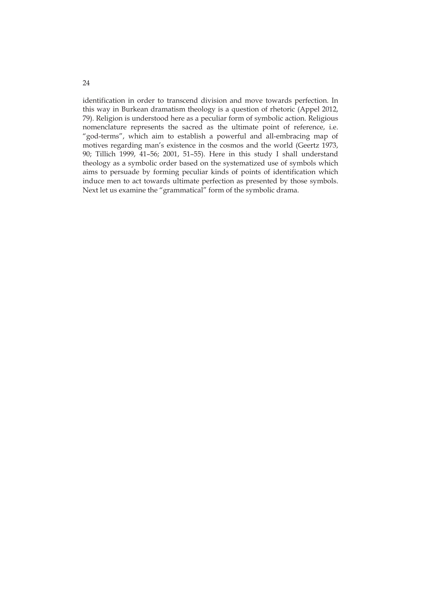identification in order to transcend division and move towards perfection. In this way in Burkean dramatism theology is a question of rhetoric (Appel 2012, 79). Religion is understood here as a peculiar form of symbolic action. Religious nomenclature represents the sacred as the ultimate point of reference, i.e. "god-terms", which aim to establish a powerful and all-embracing map of motives regarding man's existence in the cosmos and the world (Geertz 1973, 90; Tillich 1999, 41–56; 2001, 51–55). Here in this study I shall understand theology as a symbolic order based on the systematized use of symbols which aims to persuade by forming peculiar kinds of points of identification which induce men to act towards ultimate perfection as presented by those symbols. Next let us examine the "grammatical" form of the symbolic drama.

24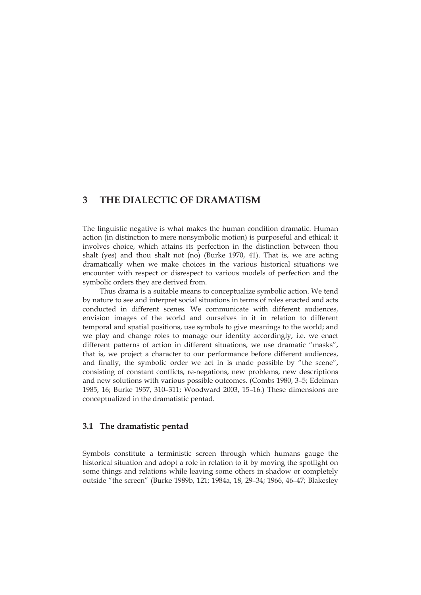### **3 THE DIALECTIC OF DRAMATISM**

The linguistic negative is what makes the human condition dramatic. Human action (in distinction to mere nonsymbolic motion) is purposeful and ethical: it involves choice, which attains its perfection in the distinction between thou shalt (yes) and thou shalt not (no) (Burke 1970, 41). That is, we are acting dramatically when we make choices in the various historical situations we encounter with respect or disrespect to various models of perfection and the symbolic orders they are derived from.

Thus drama is a suitable means to conceptualize symbolic action. We tend by nature to see and interpret social situations in terms of roles enacted and acts conducted in different scenes. We communicate with different audiences, envision images of the world and ourselves in it in relation to different temporal and spatial positions, use symbols to give meanings to the world; and we play and change roles to manage our identity accordingly, i.e. we enact different patterns of action in different situations, we use dramatic "masks", that is, we project a character to our performance before different audiences, and finally, the symbolic order we act in is made possible by "the scene", consisting of constant conflicts, re-negations, new problems, new descriptions and new solutions with various possible outcomes. (Combs 1980, 3–5; Edelman 1985, 16; Burke 1957, 310–311; Woodward 2003, 15–16.) These dimensions are conceptualized in the dramatistic pentad.

#### **3.1 The dramatistic pentad**

Symbols constitute a terministic screen through which humans gauge the historical situation and adopt a role in relation to it by moving the spotlight on some things and relations while leaving some others in shadow or completely outside "the screen" (Burke 1989b, 121; 1984a, 18, 29–34; 1966, 46–47; Blakesley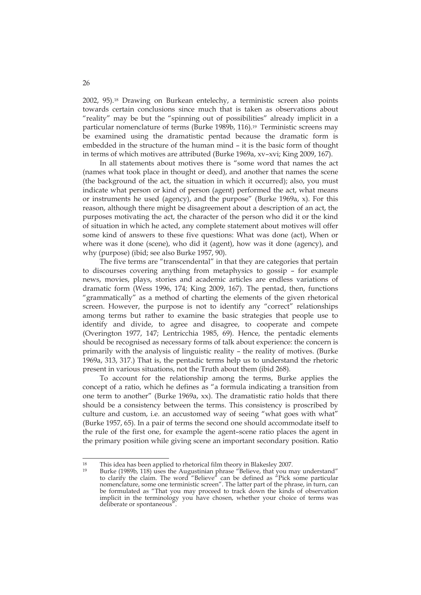2002, 95).18 Drawing on Burkean entelechy, a terministic screen also points towards certain conclusions since much that is taken as observations about "reality" may be but the "spinning out of possibilities" already implicit in a particular nomenclature of terms (Burke 1989b, 116).<sup>19</sup> Terministic screens may be examined using the dramatistic pentad because the dramatic form is embedded in the structure of the human mind – it is the basic form of thought in terms of which motives are attributed (Burke 1969a, xv–xvi; King 2009, 167).

In all statements about motives there is "some word that names the act (names what took place in thought or deed), and another that names the scene (the background of the act, the situation in which it occurred); also, you must indicate what person or kind of person (agent) performed the act, what means or instruments he used (agency), and the purpose" (Burke 1969a, x). For this reason, although there might be disagreement about a description of an act, the purposes motivating the act, the character of the person who did it or the kind of situation in which he acted, any complete statement about motives will offer some kind of answers to these five questions: What was done (act), When or where was it done (scene), who did it (agent), how was it done (agency), and why (purpose) (ibid; see also Burke 1957, 90).

The five terms are "transcendental" in that they are categories that pertain to discourses covering anything from metaphysics to gossip – for example news, movies, plays, stories and academic articles are endless variations of dramatic form (Wess 1996, 174; King 2009, 167). The pentad, then, functions "grammatically" as a method of charting the elements of the given rhetorical screen. However, the purpose is not to identify any "correct" relationships among terms but rather to examine the basic strategies that people use to identify and divide, to agree and disagree, to cooperate and compete (Overington 1977, 147; Lentricchia 1985, 69). Hence, the pentadic elements should be recognised as necessary forms of talk about experience: the concern is primarily with the analysis of linguistic reality – the reality of motives. (Burke 1969a, 313, 317.) That is, the pentadic terms help us to understand the rhetoric present in various situations, not the Truth about them (ibid 268).

To account for the relationship among the terms, Burke applies the concept of a ratio, which he defines as "a formula indicating a transition from one term to another" (Burke 1969a, xx). The dramatistic ratio holds that there should be a consistency between the terms. This consistency is proscribed by culture and custom, i.e. an accustomed way of seeing "what goes with what" (Burke 1957, 65). In a pair of terms the second one should accommodate itself to the rule of the first one, for example the agent–scene ratio places the agent in the primary position while giving scene an important secondary position. Ratio

 $18$ <sup>18</sup> This idea has been applied to rhetorical film theory in Blakesley 2007.

<sup>&</sup>lt;sup>19</sup> Burke (1989b, 118) uses the Augustinian phrase "Believe, that you may understand" to clarify the claim. The word "Believe" can be defined as "Pick some particular nomenclature, some one terministic screen". The latter part of the phrase, in turn, can be formulated as "That you may proceed to track down the kinds of observation implicit in the terminology you have chosen, whether your choice of terms was deliberate or spontaneous"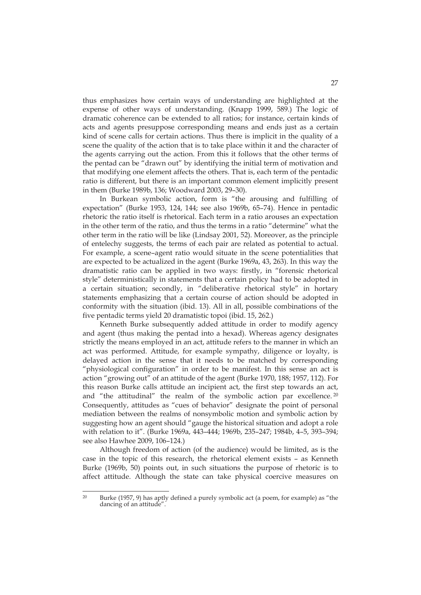thus emphasizes how certain ways of understanding are highlighted at the expense of other ways of understanding. (Knapp 1999, 589.) The logic of dramatic coherence can be extended to all ratios; for instance, certain kinds of acts and agents presuppose corresponding means and ends just as a certain kind of scene calls for certain actions. Thus there is implicit in the quality of a scene the quality of the action that is to take place within it and the character of the agents carrying out the action. From this it follows that the other terms of the pentad can be "drawn out" by identifying the initial term of motivation and that modifying one element affects the others. That is, each term of the pentadic ratio is different, but there is an important common element implicitly present in them (Burke 1989b, 136; Woodward 2003, 29–30).

In Burkean symbolic action, form is "the arousing and fulfilling of expectation" (Burke 1953, 124, 144; see also 1969b, 65–74). Hence in pentadic rhetoric the ratio itself is rhetorical. Each term in a ratio arouses an expectation in the other term of the ratio, and thus the terms in a ratio "determine" what the other term in the ratio will be like (Lindsay 2001, 52). Moreover, as the principle of entelechy suggests, the terms of each pair are related as potential to actual. For example, a scene–agent ratio would situate in the scene potentialities that are expected to be actualized in the agent (Burke 1969a, 43, 263). In this way the dramatistic ratio can be applied in two ways: firstly, in "forensic rhetorical style" deterministically in statements that a certain policy had to be adopted in a certain situation; secondly, in "deliberative rhetorical style" in hortary statements emphasizing that a certain course of action should be adopted in conformity with the situation (ibid. 13). All in all, possible combinations of the five pentadic terms yield 20 dramatistic topoi (ibid. 15, 262.)

Kenneth Burke subsequently added attitude in order to modify agency and agent (thus making the pentad into a hexad). Whereas agency designates strictly the means employed in an act, attitude refers to the manner in which an act was performed. Attitude, for example sympathy, diligence or loyalty, is delayed action in the sense that it needs to be matched by corresponding "physiological configuration" in order to be manifest. In this sense an act is action "growing out" of an attitude of the agent (Burke 1970, 188; 1957, 112). For this reason Burke calls attitude an incipient act, the first step towards an act, and "the attitudinal" the realm of the symbolic action par excellence. <sup>20</sup> Consequently, attitudes as "cues of behavior" designate the point of personal mediation between the realms of nonsymbolic motion and symbolic action by suggesting how an agent should "gauge the historical situation and adopt a role with relation to it". (Burke 1969a, 443–444; 1969b, 235–247; 1984b, 4–5, 393–394; see also Hawhee 2009, 106–124.)

Although freedom of action (of the audience) would be limited, as is the case in the topic of this research, the rhetorical element exists – as Kenneth Burke (1969b, 50) points out, in such situations the purpose of rhetoric is to affect attitude. Although the state can take physical coercive measures on

<sup>&</sup>lt;u>.</u> <sup>20</sup> Burke (1957, 9) has aptly defined a purely symbolic act (a poem, for example) as "the dancing of an attitude".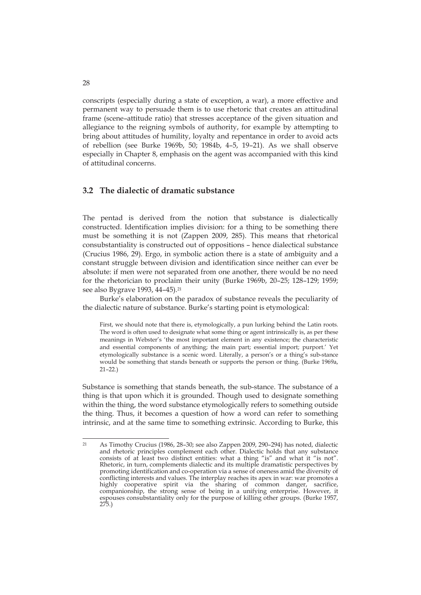conscripts (especially during a state of exception, a war), a more effective and permanent way to persuade them is to use rhetoric that creates an attitudinal frame (scene–attitude ratio) that stresses acceptance of the given situation and allegiance to the reigning symbols of authority, for example by attempting to bring about attitudes of humility, loyalty and repentance in order to avoid acts of rebellion (see Burke 1969b, 50; 1984b, 4–5, 19–21). As we shall observe especially in Chapter 8, emphasis on the agent was accompanied with this kind of attitudinal concerns.

### **3.2 The dialectic of dramatic substance**

The pentad is derived from the notion that substance is dialectically constructed. Identification implies division: for a thing to be something there must be something it is not (Zappen 2009, 285). This means that rhetorical consubstantiality is constructed out of oppositions – hence dialectical substance (Crucius 1986, 29). Ergo, in symbolic action there is a state of ambiguity and a constant struggle between division and identification since neither can ever be absolute: if men were not separated from one another, there would be no need for the rhetorician to proclaim their unity (Burke 1969b, 20–25; 128–129; 1959; see also Bygrave 1993, 44-45).<sup>21</sup>

Burke's elaboration on the paradox of substance reveals the peculiarity of the dialectic nature of substance. Burke's starting point is etymological:

First, we should note that there is, etymologically, a pun lurking behind the Latin roots. The word is often used to designate what some thing or agent intrinsically is, as per these meanings in Webster's 'the most important element in any existence; the characteristic and essential components of anything; the main part; essential import; purport.' Yet etymologically substance is a scenic word. Literally, a person's or a thing's sub-stance would be something that stands beneath or supports the person or thing. (Burke 1969a,  $21 - 22.$ 

Substance is something that stands beneath, the sub-stance. The substance of a thing is that upon which it is grounded. Though used to designate something within the thing, the word substance etymologically refers to something outside the thing. Thus, it becomes a question of how a word can refer to something intrinsic, and at the same time to something extrinsic. According to Burke, this

 $\overline{21}$ 21 As Timothy Crucius (1986, 28–30; see also Zappen 2009, 290–294) has noted, dialectic and rhetoric principles complement each other. Dialectic holds that any substance consists of at least two distinct entities: what a thing "is" and what it "is not". Rhetoric, in turn, complements dialectic and its multiple dramatistic perspectives by promoting identification and co-operation via a sense of oneness amid the diversity of conflicting interests and values. The interplay reaches its apex in war: war promotes a highly cooperative spirit via the sharing of common danger, sacrifice, companionship, the strong sense of being in a unifying enterprise. However, it espouses consubstantiality only for the purpose of killing other groups. (Burke 1957, 275.)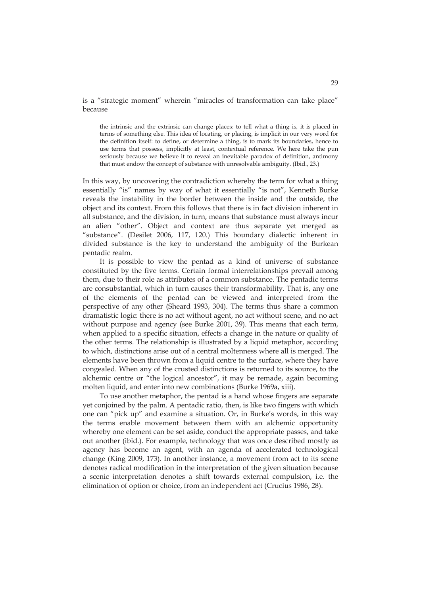#### is a "strategic moment" wherein "miracles of transformation can take place" because

the intrinsic and the extrinsic can change places: to tell what a thing is, it is placed in terms of something else. This idea of locating, or placing, is implicit in our very word for the definition itself: to define, or determine a thing, is to mark its boundaries, hence to use terms that possess, implicitly at least, contextual reference. We here take the pun seriously because we believe it to reveal an inevitable paradox of definition, antimony that must endow the concept of substance with unresolvable ambiguity. (Ibid., 23.)

In this way, by uncovering the contradiction whereby the term for what a thing essentially "is" names by way of what it essentially "is not", Kenneth Burke reveals the instability in the border between the inside and the outside, the object and its context. From this follows that there is in fact division inherent in all substance, and the division, in turn, means that substance must always incur an alien "other". Object and context are thus separate yet merged as "substance". (Desilet 2006, 117, 120.) This boundary dialectic inherent in divided substance is the key to understand the ambiguity of the Burkean pentadic realm.

It is possible to view the pentad as a kind of universe of substance constituted by the five terms. Certain formal interrelationships prevail among them, due to their role as attributes of a common substance. The pentadic terms are consubstantial, which in turn causes their transformability. That is, any one of the elements of the pentad can be viewed and interpreted from the perspective of any other (Sheard 1993, 304). The terms thus share a common dramatistic logic: there is no act without agent, no act without scene, and no act without purpose and agency (see Burke 2001, 39). This means that each term, when applied to a specific situation, effects a change in the nature or quality of the other terms. The relationship is illustrated by a liquid metaphor, according to which, distinctions arise out of a central moltenness where all is merged. The elements have been thrown from a liquid centre to the surface, where they have congealed. When any of the crusted distinctions is returned to its source, to the alchemic centre or "the logical ancestor", it may be remade, again becoming molten liquid, and enter into new combinations (Burke 1969a, xiii).

To use another metaphor, the pentad is a hand whose fingers are separate yet conjoined by the palm. A pentadic ratio, then, is like two fingers with which one can "pick up" and examine a situation. Or, in Burke's words, in this way the terms enable movement between them with an alchemic opportunity whereby one element can be set aside, conduct the appropriate passes, and take out another (ibid.). For example, technology that was once described mostly as agency has become an agent, with an agenda of accelerated technological change (King 2009, 173). In another instance, a movement from act to its scene denotes radical modification in the interpretation of the given situation because a scenic interpretation denotes a shift towards external compulsion, i.e. the elimination of option or choice, from an independent act (Crucius 1986, 28).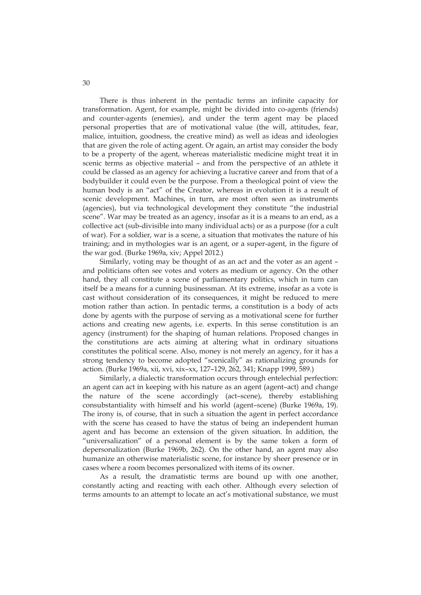There is thus inherent in the pentadic terms an infinite capacity for transformation. Agent, for example, might be divided into co-agents (friends) and counter-agents (enemies), and under the term agent may be placed personal properties that are of motivational value (the will, attitudes, fear, malice, intuition, goodness, the creative mind) as well as ideas and ideologies that are given the role of acting agent. Or again, an artist may consider the body to be a property of the agent, whereas materialistic medicine might treat it in scenic terms as objective material – and from the perspective of an athlete it could be classed as an agency for achieving a lucrative career and from that of a bodybuilder it could even be the purpose. From a theological point of view the human body is an "act" of the Creator, whereas in evolution it is a result of scenic development. Machines, in turn, are most often seen as instruments (agencies), but via technological development they constitute "the industrial scene". War may be treated as an agency, insofar as it is a means to an end, as a collective act (sub-divisible into many individual acts) or as a purpose (for a cult of war). For a soldier, war is a scene, a situation that motivates the nature of his training; and in mythologies war is an agent, or a super-agent, in the figure of the war god. (Burke 1969a, xiv; Appel 2012.)

Similarly, voting may be thought of as an act and the voter as an agent – and politicians often see votes and voters as medium or agency. On the other hand, they all constitute a scene of parliamentary politics, which in turn can itself be a means for a cunning businessman. At its extreme, insofar as a vote is cast without consideration of its consequences, it might be reduced to mere motion rather than action. In pentadic terms, a constitution is a body of acts done by agents with the purpose of serving as a motivational scene for further actions and creating new agents, i.e. experts. In this sense constitution is an agency (instrument) for the shaping of human relations. Proposed changes in the constitutions are acts aiming at altering what in ordinary situations constitutes the political scene. Also, money is not merely an agency, for it has a strong tendency to become adopted "scenically" as rationalizing grounds for action. (Burke 1969a, xii, xvi, xix–xx, 127–129, 262, 341; Knapp 1999, 589.)

Similarly, a dialectic transformation occurs through entelechial perfection: an agent can act in keeping with his nature as an agent (agent–act) and change the nature of the scene accordingly (act–scene), thereby establishing consubstantiality with himself and his world (agent–scene) (Burke 1969a, 19). The irony is, of course, that in such a situation the agent in perfect accordance with the scene has ceased to have the status of being an independent human agent and has become an extension of the given situation. In addition, the "universalization" of a personal element is by the same token a form of depersonalization (Burke 1969b, 262). On the other hand, an agent may also humanize an otherwise materialistic scene, for instance by sheer presence or in cases where a room becomes personalized with items of its owner.

As a result, the dramatistic terms are bound up with one another, constantly acting and reacting with each other. Although every selection of terms amounts to an attempt to locate an act's motivational substance, we must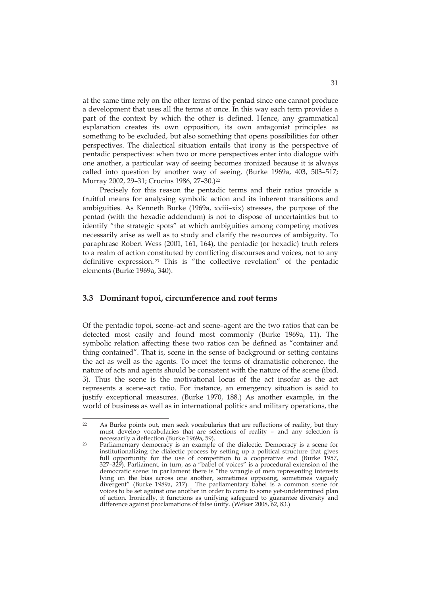at the same time rely on the other terms of the pentad since one cannot produce a development that uses all the terms at once. In this way each term provides a part of the context by which the other is defined. Hence, any grammatical explanation creates its own opposition, its own antagonist principles as something to be excluded, but also something that opens possibilities for other perspectives. The dialectical situation entails that irony is the perspective of pentadic perspectives: when two or more perspectives enter into dialogue with one another, a particular way of seeing becomes ironized because it is always called into question by another way of seeing. (Burke 1969a, 403, 503–517; Murray 2002, 29-31; Crucius 1986, 27-30.)<sup>22</sup>

Precisely for this reason the pentadic terms and their ratios provide a fruitful means for analysing symbolic action and its inherent transitions and ambiguities. As Kenneth Burke (1969a, xviii–xix) stresses, the purpose of the pentad (with the hexadic addendum) is not to dispose of uncertainties but to identify "the strategic spots" at which ambiguities among competing motives necessarily arise as well as to study and clarify the resources of ambiguity. To paraphrase Robert Wess (2001, 161, 164), the pentadic (or hexadic) truth refers to a realm of action constituted by conflicting discourses and voices, not to any definitive expression. 23 This is "the collective revelation" of the pentadic elements (Burke 1969a, 340).

### **3.3 Dominant topoi, circumference and root terms**

Of the pentadic topoi, scene–act and scene–agent are the two ratios that can be detected most easily and found most commonly (Burke 1969a, 11). The symbolic relation affecting these two ratios can be defined as "container and thing contained". That is, scene in the sense of background or setting contains the act as well as the agents. To meet the terms of dramatistic coherence, the nature of acts and agents should be consistent with the nature of the scene (ibid. 3). Thus the scene is the motivational locus of the act insofar as the act represents a scene–act ratio. For instance, an emergency situation is said to justify exceptional measures. (Burke 1970, 188.) As another example, in the world of business as well as in international politics and military operations, the

 $22$ As Burke points out, men seek vocabularies that are reflections of reality, but they must develop vocabularies that are selections of reality – and any selection is necessarily a deflection (Burke 1969a, 59).

<sup>23</sup> Parliamentary democracy is an example of the dialectic. Democracy is a scene for institutionalizing the dialectic process by setting up a political structure that gives full opportunity for the use of competition to a cooperative end (Burke 1957, 327–329). Parliament, in turn, as a "babel of voices" is a procedural extension of the democratic scene: in parliament there is "the wrangle of men representing interests lying on the bias across one another, sometimes opposing, sometimes vaguely divergent" (Burke 1989a, 217). The parliamentary babel is a common scene for voices to be set against one another in order to come to some yet-undetermined plan of action. Ironically, it functions as unifying safeguard to guarantee diversity and difference against proclamations of false unity. (Weiser 2008, 62, 83.)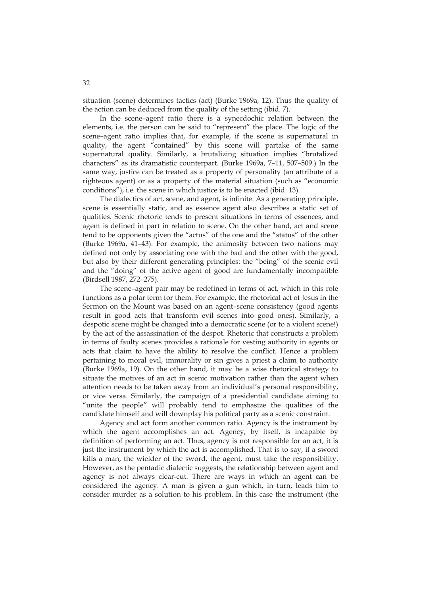situation (scene) determines tactics (act) (Burke 1969a, 12). Thus the quality of the action can be deduced from the quality of the setting (ibid. 7).

In the scene–agent ratio there is a synecdochic relation between the elements, i.e. the person can be said to "represent" the place. The logic of the scene–agent ratio implies that, for example, if the scene is supernatural in quality, the agent "contained" by this scene will partake of the same supernatural quality. Similarly, a brutalizing situation implies "brutalized characters" as its dramatistic counterpart. (Burke 1969a, 7–11, 507–509.) In the same way, justice can be treated as a property of personality (an attribute of a righteous agent) or as a property of the material situation (such as "economic conditions"), i.e. the scene in which justice is to be enacted (ibid. 13).

The dialectics of act, scene, and agent, is infinite. As a generating principle, scene is essentially static, and as essence agent also describes a static set of qualities. Scenic rhetoric tends to present situations in terms of essences, and agent is defined in part in relation to scene. On the other hand, act and scene tend to be opponents given the "actus" of the one and the "status" of the other (Burke 1969a, 41–43). For example, the animosity between two nations may defined not only by associating one with the bad and the other with the good, but also by their different generating principles: the "being" of the scenic evil and the "doing" of the active agent of good are fundamentally incompatible (Birdsell 1987, 272–275).

The scene–agent pair may be redefined in terms of act, which in this role functions as a polar term for them. For example, the rhetorical act of Jesus in the Sermon on the Mount was based on an agent–scene consistency (good agents result in good acts that transform evil scenes into good ones). Similarly, a despotic scene might be changed into a democratic scene (or to a violent scene!) by the act of the assassination of the despot. Rhetoric that constructs a problem in terms of faulty scenes provides a rationale for vesting authority in agents or acts that claim to have the ability to resolve the conflict. Hence a problem pertaining to moral evil, immorality or sin gives a priest a claim to authority (Burke 1969a, 19). On the other hand, it may be a wise rhetorical strategy to situate the motives of an act in scenic motivation rather than the agent when attention needs to be taken away from an individual's personal responsibility, or vice versa. Similarly, the campaign of a presidential candidate aiming to "unite the people" will probably tend to emphasize the qualities of the candidate himself and will downplay his political party as a scenic constraint.

Agency and act form another common ratio. Agency is the instrument by which the agent accomplishes an act. Agency, by itself, is incapable by definition of performing an act. Thus, agency is not responsible for an act, it is just the instrument by which the act is accomplished. That is to say, if a sword kills a man, the wielder of the sword, the agent, must take the responsibility. However, as the pentadic dialectic suggests, the relationship between agent and agency is not always clear-cut. There are ways in which an agent can be considered the agency. A man is given a gun which, in turn, leads him to consider murder as a solution to his problem. In this case the instrument (the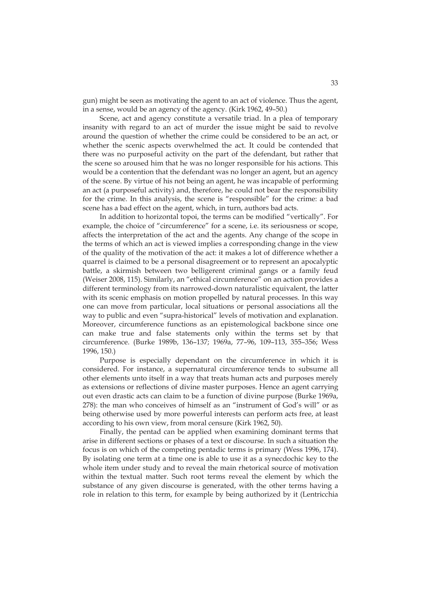gun) might be seen as motivating the agent to an act of violence. Thus the agent, in a sense, would be an agency of the agency. (Kirk 1962, 49–50.)

Scene, act and agency constitute a versatile triad. In a plea of temporary insanity with regard to an act of murder the issue might be said to revolve around the question of whether the crime could be considered to be an act, or whether the scenic aspects overwhelmed the act. It could be contended that there was no purposeful activity on the part of the defendant, but rather that the scene so aroused him that he was no longer responsible for his actions. This would be a contention that the defendant was no longer an agent, but an agency of the scene. By virtue of his not being an agent, he was incapable of performing an act (a purposeful activity) and, therefore, he could not bear the responsibility for the crime. In this analysis, the scene is "responsible" for the crime: a bad scene has a bad effect on the agent, which, in turn, authors bad acts.

In addition to horizontal topoi, the terms can be modified "vertically". For example, the choice of "circumference" for a scene, i.e. its seriousness or scope, affects the interpretation of the act and the agents. Any change of the scope in the terms of which an act is viewed implies a corresponding change in the view of the quality of the motivation of the act: it makes a lot of difference whether a quarrel is claimed to be a personal disagreement or to represent an apocalyptic battle, a skirmish between two belligerent criminal gangs or a family feud (Weiser 2008, 115). Similarly, an "ethical circumference" on an action provides a different terminology from its narrowed-down naturalistic equivalent, the latter with its scenic emphasis on motion propelled by natural processes. In this way one can move from particular, local situations or personal associations all the way to public and even "supra-historical" levels of motivation and explanation. Moreover, circumference functions as an epistemological backbone since one can make true and false statements only within the terms set by that circumference. (Burke 1989b, 136–137; 1969a, 77–96, 109–113, 355–356; Wess 1996, 150.)

Purpose is especially dependant on the circumference in which it is considered. For instance, a supernatural circumference tends to subsume all other elements unto itself in a way that treats human acts and purposes merely as extensions or reflections of divine master purposes. Hence an agent carrying out even drastic acts can claim to be a function of divine purpose (Burke 1969a, 278): the man who conceives of himself as an "instrument of God's will" or as being otherwise used by more powerful interests can perform acts free, at least according to his own view, from moral censure (Kirk 1962, 50).

Finally, the pentad can be applied when examining dominant terms that arise in different sections or phases of a text or discourse. In such a situation the focus is on which of the competing pentadic terms is primary (Wess 1996, 174). By isolating one term at a time one is able to use it as a synecdochic key to the whole item under study and to reveal the main rhetorical source of motivation within the textual matter. Such root terms reveal the element by which the substance of any given discourse is generated, with the other terms having a role in relation to this term, for example by being authorized by it (Lentricchia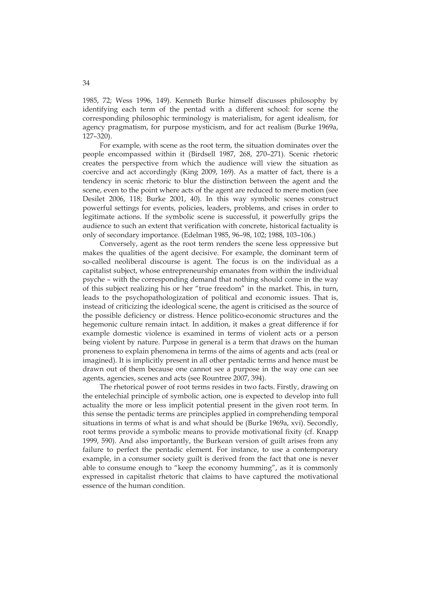1985, 72; Wess 1996, 149). Kenneth Burke himself discusses philosophy by identifying each term of the pentad with a different school: for scene the corresponding philosophic terminology is materialism, for agent idealism, for agency pragmatism, for purpose mysticism, and for act realism (Burke 1969a, 127–320).

For example, with scene as the root term, the situation dominates over the people encompassed within it (Birdsell 1987, 268, 270–271). Scenic rhetoric creates the perspective from which the audience will view the situation as coercive and act accordingly (King 2009, 169). As a matter of fact, there is a tendency in scenic rhetoric to blur the distinction between the agent and the scene, even to the point where acts of the agent are reduced to mere motion (see Desilet 2006, 118; Burke 2001, 40). In this way symbolic scenes construct powerful settings for events, policies, leaders, problems, and crises in order to legitimate actions. If the symbolic scene is successful, it powerfully grips the audience to such an extent that verification with concrete, historical factuality is only of secondary importance. (Edelman 1985, 96–98, 102; 1988, 103–106.)

Conversely, agent as the root term renders the scene less oppressive but makes the qualities of the agent decisive. For example, the dominant term of so-called neoliberal discourse is agent. The focus is on the individual as a capitalist subject, whose entrepreneurship emanates from within the individual psyche – with the corresponding demand that nothing should come in the way of this subject realizing his or her "true freedom" in the market. This, in turn, leads to the psychopathologization of political and economic issues. That is, instead of criticizing the ideological scene, the agent is criticised as the source of the possible deficiency or distress. Hence politico-economic structures and the hegemonic culture remain intact. In addition, it makes a great difference if for example domestic violence is examined in terms of violent acts or a person being violent by nature. Purpose in general is a term that draws on the human proneness to explain phenomena in terms of the aims of agents and acts (real or imagined). It is implicitly present in all other pentadic terms and hence must be drawn out of them because one cannot see a purpose in the way one can see agents, agencies, scenes and acts (see Rountree 2007, 394).

The rhetorical power of root terms resides in two facts. Firstly, drawing on the entelechial principle of symbolic action, one is expected to develop into full actuality the more or less implicit potential present in the given root term. In this sense the pentadic terms are principles applied in comprehending temporal situations in terms of what is and what should be (Burke 1969a, xvi). Secondly, root terms provide a symbolic means to provide motivational fixity (cf. Knapp 1999, 590). And also importantly, the Burkean version of guilt arises from any failure to perfect the pentadic element. For instance, to use a contemporary example, in a consumer society guilt is derived from the fact that one is never able to consume enough to "keep the economy humming", as it is commonly expressed in capitalist rhetoric that claims to have captured the motivational essence of the human condition.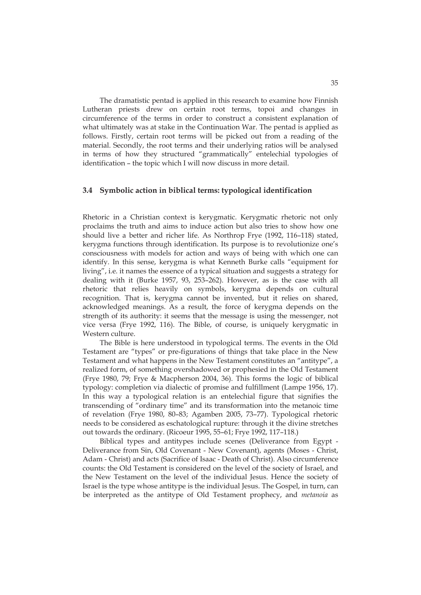The dramatistic pentad is applied in this research to examine how Finnish Lutheran priests drew on certain root terms, topoi and changes in circumference of the terms in order to construct a consistent explanation of what ultimately was at stake in the Continuation War. The pentad is applied as follows. Firstly, certain root terms will be picked out from a reading of the material. Secondly, the root terms and their underlying ratios will be analysed in terms of how they structured "grammatically" entelechial typologies of identification – the topic which I will now discuss in more detail.

#### **3.4 Symbolic action in biblical terms: typological identification**

Rhetoric in a Christian context is kerygmatic. Kerygmatic rhetoric not only proclaims the truth and aims to induce action but also tries to show how one should live a better and richer life. As Northrop Frye (1992, 116–118) stated, kerygma functions through identification. Its purpose is to revolutionize one's consciousness with models for action and ways of being with which one can identify. In this sense, kerygma is what Kenneth Burke calls "equipment for living", i.e. it names the essence of a typical situation and suggests a strategy for dealing with it (Burke 1957, 93, 253–262). However, as is the case with all rhetoric that relies heavily on symbols, kerygma depends on cultural recognition. That is, kerygma cannot be invented, but it relies on shared, acknowledged meanings. As a result, the force of kerygma depends on the strength of its authority: it seems that the message is using the messenger, not vice versa (Frye 1992, 116). The Bible, of course, is uniquely kerygmatic in Western culture.

The Bible is here understood in typological terms. The events in the Old Testament are "types" or pre-figurations of things that take place in the New Testament and what happens in the New Testament constitutes an "antitype", a realized form, of something overshadowed or prophesied in the Old Testament (Frye 1980, 79; Frye & Macpherson 2004, 36). This forms the logic of biblical typology: completion via dialectic of promise and fulfillment (Lampe 1956, 17). In this way a typological relation is an entelechial figure that signifies the transcending of "ordinary time" and its transformation into the metanoic time of revelation (Frye 1980, 80–83; Agamben 2005, 73–77). Typological rhetoric needs to be considered as eschatological rupture: through it the divine stretches out towards the ordinary. (Ricoeur 1995, 55–61; Frye 1992, 117–118.)

Biblical types and antitypes include scenes (Deliverance from Egypt - Deliverance from Sin, Old Covenant - New Covenant), agents (Moses - Christ, Adam - Christ) and acts (Sacrifice of Isaac - Death of Christ). Also circumference counts: the Old Testament is considered on the level of the society of Israel, and the New Testament on the level of the individual Jesus. Hence the society of Israel is the type whose antitype is the individual Jesus. The Gospel, in turn, can be interpreted as the antitype of Old Testament prophecy, and *metanoia* as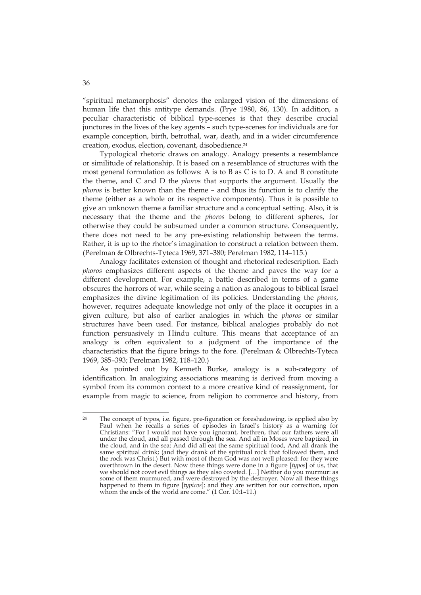"spiritual metamorphosis" denotes the enlarged vision of the dimensions of human life that this antitype demands. (Frye 1980, 86, 130). In addition, a peculiar characteristic of biblical type-scenes is that they describe crucial junctures in the lives of the key agents – such type-scenes for individuals are for example conception, birth, betrothal, war, death, and in a wider circumference creation, exodus, election, covenant, disobedience.24

Typological rhetoric draws on analogy. Analogy presents a resemblance or similitude of relationship. It is based on a resemblance of structures with the most general formulation as follows: A is to B as C is to D. A and B constitute the theme, and C and D the *phoros* that supports the argument. Usually the *phoros* is better known than the theme – and thus its function is to clarify the theme (either as a whole or its respective components). Thus it is possible to give an unknown theme a familiar structure and a conceptual setting. Also, it is necessary that the theme and the *phoros* belong to different spheres, for otherwise they could be subsumed under a common structure. Consequently, there does not need to be any pre-existing relationship between the terms. Rather, it is up to the rhetor's imagination to construct a relation between them. (Perelman & Olbrechts-Tyteca 1969, 371–380; Perelman 1982, 114–115.)

Analogy facilitates extension of thought and rhetorical redescription. Each *phoros* emphasizes different aspects of the theme and paves the way for a different development. For example, a battle described in terms of a game obscures the horrors of war, while seeing a nation as analogous to biblical Israel emphasizes the divine legitimation of its policies. Understanding the *phoros*, however, requires adequate knowledge not only of the place it occupies in a given culture, but also of earlier analogies in which the *phoros* or similar structures have been used. For instance, biblical analogies probably do not function persuasively in Hindu culture. This means that acceptance of an analogy is often equivalent to a judgment of the importance of the characteristics that the figure brings to the fore. (Perelman & Olbrechts-Tyteca 1969, 385–393; Perelman 1982, 118–120.)

As pointed out by Kenneth Burke, analogy is a sub-category of identification. In analogizing associations meaning is derived from moving a symbol from its common context to a more creative kind of reassignment, for example from magic to science, from religion to commerce and history, from

 $24$ The concept of typos, i.e. figure, pre-figuration or foreshadowing, is applied also by Paul when he recalls a series of episodes in Israel's history as a warning for Christians: "For I would not have you ignorant, brethren, that our fathers were all under the cloud, and all passed through the sea. And all in Moses were baptized, in the cloud, and in the sea: And did all eat the same spiritual food, And all drank the same spiritual drink; (and they drank of the spiritual rock that followed them, and the rock was Christ.) But with most of them God was not well pleased: for they were overthrown in the desert. Now these things were done in a figure [*typos*] of us, that we should not covet evil things as they also coveted. […] Neither do you murmur: as some of them murmured, and were destroyed by the destroyer. Now all these things happened to them in figure [*typicos*]: and they are written for our correction, upon whom the ends of the world are come." (1 Cor. 10:1–11.)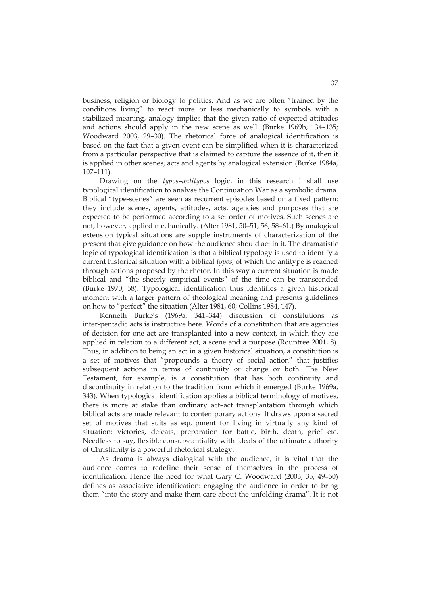business, religion or biology to politics. And as we are often "trained by the conditions living" to react more or less mechanically to symbols with a stabilized meaning, analogy implies that the given ratio of expected attitudes and actions should apply in the new scene as well. (Burke 1969b, 134–135; Woodward 2003, 29–30). The rhetorical force of analogical identification is based on the fact that a given event can be simplified when it is characterized from a particular perspective that is claimed to capture the essence of it, then it is applied in other scenes, acts and agents by analogical extension (Burke 1984a, 107–111).

Drawing on the *typos–antitypos* logic, in this research I shall use typological identification to analyse the Continuation War as a symbolic drama. Biblical "type-scenes" are seen as recurrent episodes based on a fixed pattern: they include scenes, agents, attitudes, acts, agencies and purposes that are expected to be performed according to a set order of motives. Such scenes are not, however, applied mechanically. (Alter 1981, 50–51, 56, 58–61.) By analogical extension typical situations are supple instruments of characterization of the present that give guidance on how the audience should act in it. The dramatistic logic of typological identification is that a biblical typology is used to identify a current historical situation with a biblical *typos*, of which the antitype is reached through actions proposed by the rhetor. In this way a current situation is made biblical and "the sheerly empirical events" of the time can be transcended (Burke 1970, 58). Typological identification thus identifies a given historical moment with a larger pattern of theological meaning and presents guidelines on how to "perfect" the situation (Alter 1981, 60; Collins 1984, 147).

Kenneth Burke's (1969a, 341–344) discussion of constitutions as inter-pentadic acts is instructive here. Words of a constitution that are agencies of decision for one act are transplanted into a new context, in which they are applied in relation to a different act, a scene and a purpose (Rountree 2001, 8). Thus, in addition to being an act in a given historical situation, a constitution is a set of motives that "propounds a theory of social action" that justifies subsequent actions in terms of continuity or change or both. The New Testament, for example, is a constitution that has both continuity and discontinuity in relation to the tradition from which it emerged (Burke 1969a, 343). When typological identification applies a biblical terminology of motives, there is more at stake than ordinary act–act transplantation through which biblical acts are made relevant to contemporary actions. It draws upon a sacred set of motives that suits as equipment for living in virtually any kind of situation: victories, defeats, preparation for battle, birth, death, grief etc. Needless to say, flexible consubstantiality with ideals of the ultimate authority of Christianity is a powerful rhetorical strategy.

As drama is always dialogical with the audience, it is vital that the audience comes to redefine their sense of themselves in the process of identification. Hence the need for what Gary C. Woodward (2003, 35, 49–50) defines as associative identification: engaging the audience in order to bring them "into the story and make them care about the unfolding drama". It is not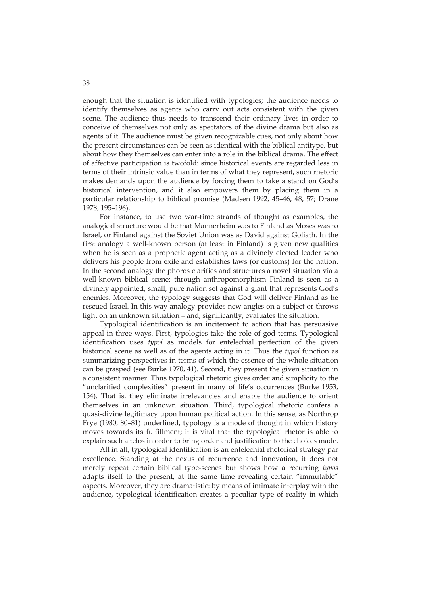enough that the situation is identified with typologies; the audience needs to identify themselves as agents who carry out acts consistent with the given scene. The audience thus needs to transcend their ordinary lives in order to conceive of themselves not only as spectators of the divine drama but also as agents of it. The audience must be given recognizable cues, not only about how the present circumstances can be seen as identical with the biblical antitype, but about how they themselves can enter into a role in the biblical drama. The effect of affective participation is twofold: since historical events are regarded less in terms of their intrinsic value than in terms of what they represent, such rhetoric makes demands upon the audience by forcing them to take a stand on God's historical intervention, and it also empowers them by placing them in a particular relationship to biblical promise (Madsen 1992, 45–46, 48, 57; Drane 1978, 195–196).

For instance, to use two war-time strands of thought as examples, the analogical structure would be that Mannerheim was to Finland as Moses was to Israel, or Finland against the Soviet Union was as David against Goliath. In the first analogy a well-known person (at least in Finland) is given new qualities when he is seen as a prophetic agent acting as a divinely elected leader who delivers his people from exile and establishes laws (or customs) for the nation. In the second analogy the phoros clarifies and structures a novel situation via a well-known biblical scene: through anthropomorphism Finland is seen as a divinely appointed, small, pure nation set against a giant that represents God's enemies. Moreover, the typology suggests that God will deliver Finland as he rescued Israel. In this way analogy provides new angles on a subject or throws light on an unknown situation – and, significantly, evaluates the situation.

Typological identification is an incitement to action that has persuasive appeal in three ways. First, typologies take the role of god-terms. Typological identification uses *typoi* as models for entelechial perfection of the given historical scene as well as of the agents acting in it. Thus the *typoi* function as summarizing perspectives in terms of which the essence of the whole situation can be grasped (see Burke 1970, 41). Second, they present the given situation in a consistent manner. Thus typological rhetoric gives order and simplicity to the "unclarified complexities" present in many of life's occurrences (Burke 1953, 154). That is, they eliminate irrelevancies and enable the audience to orient themselves in an unknown situation. Third, typological rhetoric confers a quasi-divine legitimacy upon human political action. In this sense, as Northrop Frye (1980, 80–81) underlined, typology is a mode of thought in which history moves towards its fulfillment; it is vital that the typological rhetor is able to explain such a telos in order to bring order and justification to the choices made.

All in all, typological identification is an entelechial rhetorical strategy par excellence. Standing at the nexus of recurrence and innovation, it does not merely repeat certain biblical type-scenes but shows how a recurring *typos*  adapts itself to the present, at the same time revealing certain "immutable" aspects. Moreover, they are dramatistic: by means of intimate interplay with the audience, typological identification creates a peculiar type of reality in which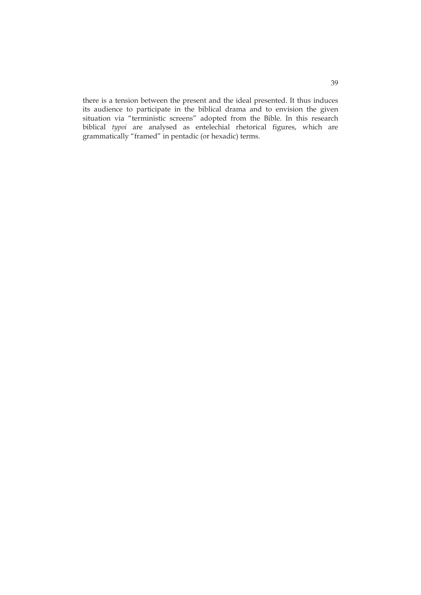there is a tension between the present and the ideal presented. It thus induces its audience to participate in the biblical drama and to envision the given situation via "terministic screens" adopted from the Bible. In this research biblical *typoi* are analysed as entelechial rhetorical figures, which are grammatically "framed" in pentadic (or hexadic) terms.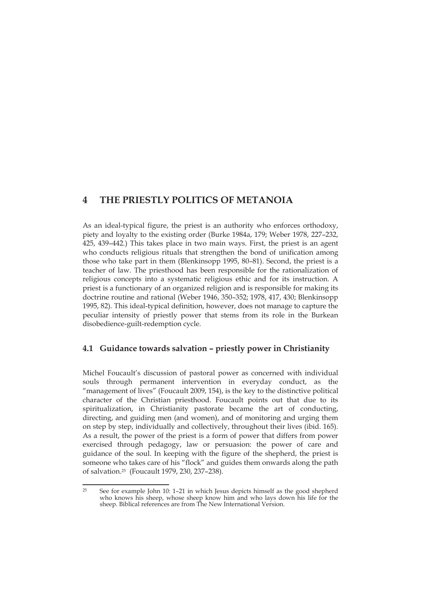# **4 THE PRIESTLY POLITICS OF METANOIA**

As an ideal-typical figure, the priest is an authority who enforces orthodoxy, piety and loyalty to the existing order (Burke 1984a, 179; Weber 1978, 227–232, 425, 439–442.) This takes place in two main ways. First, the priest is an agent who conducts religious rituals that strengthen the bond of unification among those who take part in them (Blenkinsopp 1995, 80–81). Second, the priest is a teacher of law. The priesthood has been responsible for the rationalization of religious concepts into a systematic religious ethic and for its instruction. A priest is a functionary of an organized religion and is responsible for making its doctrine routine and rational (Weber 1946, 350–352; 1978, 417, 430; Blenkinsopp 1995, 82). This ideal-typical definition, however, does not manage to capture the peculiar intensity of priestly power that stems from its role in the Burkean disobedience-guilt-redemption cycle.

## **4.1 Guidance towards salvation – priestly power in Christianity**

Michel Foucault's discussion of pastoral power as concerned with individual souls through permanent intervention in everyday conduct, as the "management of lives" (Foucault 2009, 154), is the key to the distinctive political character of the Christian priesthood. Foucault points out that due to its spiritualization, in Christianity pastorate became the art of conducting, directing, and guiding men (and women), and of monitoring and urging them on step by step, individually and collectively, throughout their lives (ibid. 165). As a result, the power of the priest is a form of power that differs from power exercised through pedagogy, law or persuasion: the power of care and guidance of the soul. In keeping with the figure of the shepherd, the priest is someone who takes care of his "flock" and guides them onwards along the path of salvation.25 (Foucault 1979, 230, 237–238).

 $25$ 25 See for example John 10: 1–21 in which Jesus depicts himself as the good shepherd who knows his sheep, whose sheep know him and who lays down his life for the sheep. Biblical references are from The New International Version.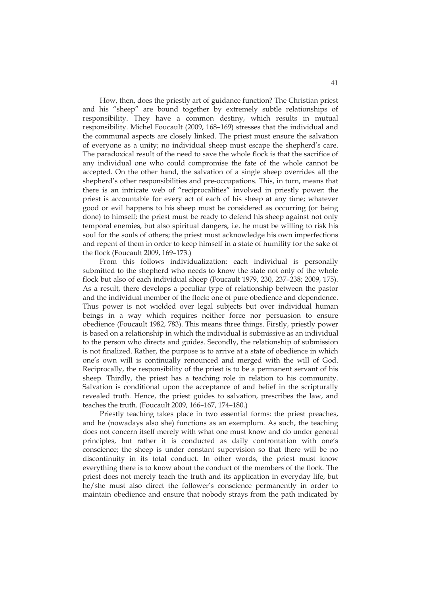How, then, does the priestly art of guidance function? The Christian priest and his "sheep" are bound together by extremely subtle relationships of responsibility. They have a common destiny, which results in mutual responsibility. Michel Foucault (2009, 168–169) stresses that the individual and the communal aspects are closely linked. The priest must ensure the salvation of everyone as a unity; no individual sheep must escape the shepherd's care. The paradoxical result of the need to save the whole flock is that the sacrifice of any individual one who could compromise the fate of the whole cannot be accepted. On the other hand, the salvation of a single sheep overrides all the shepherd's other responsibilities and pre-occupations. This, in turn, means that there is an intricate web of "reciprocalities" involved in priestly power: the priest is accountable for every act of each of his sheep at any time; whatever good or evil happens to his sheep must be considered as occurring (or being done) to himself; the priest must be ready to defend his sheep against not only temporal enemies, but also spiritual dangers, i.e. he must be willing to risk his soul for the souls of others; the priest must acknowledge his own imperfections and repent of them in order to keep himself in a state of humility for the sake of the flock (Foucault 2009, 169–173.)

From this follows individualization: each individual is personally submitted to the shepherd who needs to know the state not only of the whole flock but also of each individual sheep (Foucault 1979, 230, 237–238; 2009, 175). As a result, there develops a peculiar type of relationship between the pastor and the individual member of the flock: one of pure obedience and dependence. Thus power is not wielded over legal subjects but over individual human beings in a way which requires neither force nor persuasion to ensure obedience (Foucault 1982, 783). This means three things. Firstly, priestly power is based on a relationship in which the individual is submissive as an individual to the person who directs and guides. Secondly, the relationship of submission is not finalized. Rather, the purpose is to arrive at a state of obedience in which one's own will is continually renounced and merged with the will of God. Reciprocally, the responsibility of the priest is to be a permanent servant of his sheep. Thirdly, the priest has a teaching role in relation to his community. Salvation is conditional upon the acceptance of and belief in the scripturally revealed truth. Hence, the priest guides to salvation, prescribes the law, and teaches the truth. (Foucault 2009, 166–167, 174–180.)

Priestly teaching takes place in two essential forms: the priest preaches, and he (nowadays also she) functions as an exemplum. As such, the teaching does not concern itself merely with what one must know and do under general principles, but rather it is conducted as daily confrontation with one's conscience; the sheep is under constant supervision so that there will be no discontinuity in its total conduct. In other words, the priest must know everything there is to know about the conduct of the members of the flock. The priest does not merely teach the truth and its application in everyday life, but he/she must also direct the follower's conscience permanently in order to maintain obedience and ensure that nobody strays from the path indicated by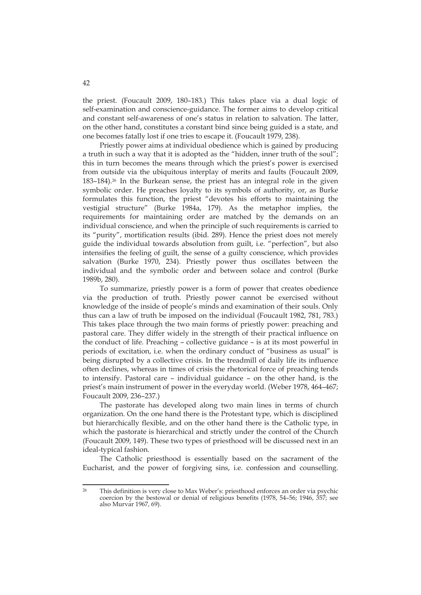the priest. (Foucault 2009, 180–183.) This takes place via a dual logic of self-examination and conscience-guidance. The former aims to develop critical and constant self-awareness of one's status in relation to salvation. The latter, on the other hand, constitutes a constant bind since being guided is a state, and one becomes fatally lost if one tries to escape it. (Foucault 1979, 238).

Priestly power aims at individual obedience which is gained by producing a truth in such a way that it is adopted as the "hidden, inner truth of the soul"; this in turn becomes the means through which the priest's power is exercised from outside via the ubiquitous interplay of merits and faults (Foucault 2009, 183–184).26 In the Burkean sense, the priest has an integral role in the given symbolic order. He preaches loyalty to its symbols of authority, or, as Burke formulates this function, the priest "devotes his efforts to maintaining the vestigial structure" (Burke 1984a, 179). As the metaphor implies, the requirements for maintaining order are matched by the demands on an individual conscience, and when the principle of such requirements is carried to its "purity", mortification results (ibid. 289). Hence the priest does not merely guide the individual towards absolution from guilt, i.e. "perfection", but also intensifies the feeling of guilt, the sense of a guilty conscience, which provides salvation (Burke 1970, 234). Priestly power thus oscillates between the individual and the symbolic order and between solace and control (Burke 1989b, 280).

To summarize, priestly power is a form of power that creates obedience via the production of truth. Priestly power cannot be exercised without knowledge of the inside of people's minds and examination of their souls. Only thus can a law of truth be imposed on the individual (Foucault 1982, 781, 783.) This takes place through the two main forms of priestly power: preaching and pastoral care. They differ widely in the strength of their practical influence on the conduct of life. Preaching – collective guidance – is at its most powerful in periods of excitation, i.e. when the ordinary conduct of "business as usual" is being disrupted by a collective crisis. In the treadmill of daily life its influence often declines, whereas in times of crisis the rhetorical force of preaching tends to intensify. Pastoral care – individual guidance – on the other hand, is the priest's main instrument of power in the everyday world. (Weber 1978, 464–467; Foucault 2009, 236–237.)

The pastorate has developed along two main lines in terms of church organization. On the one hand there is the Protestant type, which is disciplined but hierarchically flexible, and on the other hand there is the Catholic type, in which the pastorate is hierarchical and strictly under the control of the Church (Foucault 2009, 149). These two types of priesthood will be discussed next in an ideal-typical fashion.

The Catholic priesthood is essentially based on the sacrament of the Eucharist, and the power of forgiving sins, i.e. confession and counselling.

<u>.</u>

<sup>26</sup> This definition is very close to Max Weber's: priesthood enforces an order via psychic coercion by the bestowal or denial of religious benefits (1978, 54–56; 1946, 357; see also Murvar 1967, 69).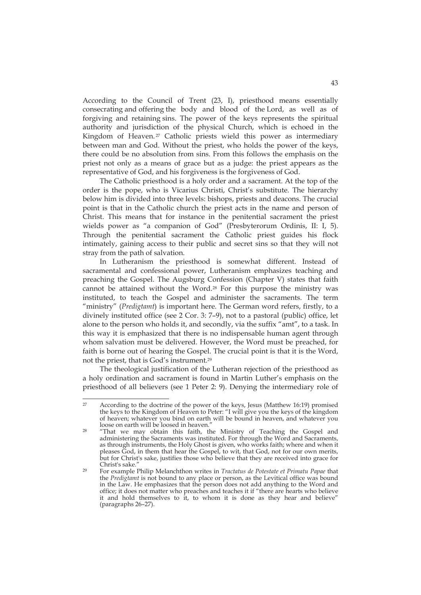According to the Council of Trent (23, I), priesthood means essentially consecrating and offering the body and blood of the Lord, as well as of forgiving and retaining sins. The power of the keys represents the spiritual authority and jurisdiction of the physical Church, which is echoed in the Kingdom of Heaven. 27 Catholic priests wield this power as intermediary between man and God. Without the priest, who holds the power of the keys, there could be no absolution from sins. From this follows the emphasis on the priest not only as a means of grace but as a judge: the priest appears as the representative of God, and his forgiveness is the forgiveness of God.

The Catholic priesthood is a holy order and a sacrament. At the top of the order is the pope, who is Vicarius Christi, Christ's substitute. The hierarchy below him is divided into three levels: bishops, priests and deacons. The crucial point is that in the Catholic church the priest acts in the name and person of Christ. This means that for instance in the penitential sacrament the priest wields power as "a companion of God" (Presbyterorum Ordinis, II: I, 5). Through the penitential sacrament the Catholic priest guides his flock intimately, gaining access to their public and secret sins so that they will not stray from the path of salvation.

In Lutheranism the priesthood is somewhat different. Instead of sacramental and confessional power, Lutheranism emphasizes teaching and preaching the Gospel. The Augsburg Confession (Chapter V) states that faith cannot be attained without the Word.28 For this purpose the ministry was instituted, to teach the Gospel and administer the sacraments. The term "ministry" (*Predigtamt*) is important here. The German word refers, firstly, to a divinely instituted office (see 2 Cor. 3: 7–9), not to a pastoral (public) office, let alone to the person who holds it, and secondly, via the suffix "amt", to a task. In this way it is emphasized that there is no indispensable human agent through whom salvation must be delivered. However, the Word must be preached, for faith is borne out of hearing the Gospel. The crucial point is that it is the Word, not the priest, that is God's instrument.29

The theological justification of the Lutheran rejection of the priesthood as a holy ordination and sacrament is found in Martin Luther's emphasis on the priesthood of all believers (see 1 Peter 2: 9). Denying the intermediary role of

 $27$ <sup>27</sup> According to the doctrine of the power of the keys, Jesus (Matthew 16:19) promised the keys to the Kingdom of Heaven to Peter: "I will give you the keys of the kingdom of heaven; whatever you bind on earth will be bound in heaven, and whatever you loose on earth will be loosed in heaven."

<sup>&</sup>lt;sup>28</sup> "That we may obtain this faith, the Ministry of Teaching the Gospel and administering the Sacraments was instituted. For through the Word and Sacraments, as through instruments, the Holy Ghost is given, who works faith; where and when it pleases God, in them that hear the Gospel, to wit, that God, not for our own merits, but for Christ's sake, justifies those who believe that they are received into grace for Christ's sake." 29 For example Philip Melanchthon writes in *Tractatus de Potestate et Primatu Papae* that

the *Predigtamt* is not bound to any place or person, as the Levitical office was bound in the Law. He emphasizes that the person does not add anything to the Word and office; it does not matter who preaches and teaches it if "there are hearts who believe it and hold themselves to it, to whom it is done as they hear and believe" (paragraphs 26–27).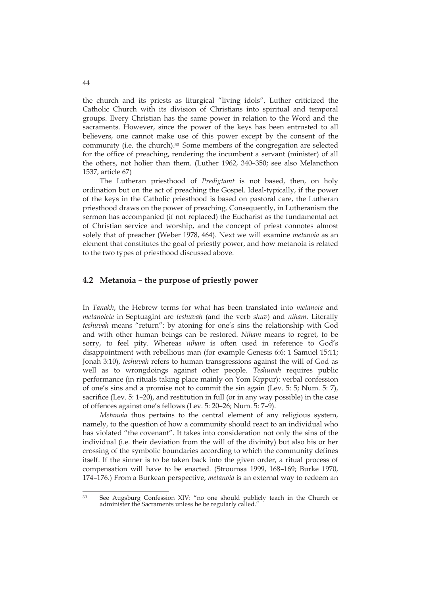the church and its priests as liturgical "living idols", Luther criticized the Catholic Church with its division of Christians into spiritual and temporal groups. Every Christian has the same power in relation to the Word and the sacraments. However, since the power of the keys has been entrusted to all believers, one cannot make use of this power except by the consent of the community (i.e. the church).30 Some members of the congregation are selected for the office of preaching, rendering the incumbent a servant (minister) of all the others, not holier than them. (Luther 1962, 340–350; see also Melancthon 1537, article 67)

The Lutheran priesthood of *Predigtamt* is not based, then, on holy ordination but on the act of preaching the Gospel. Ideal-typically, if the power of the keys in the Catholic priesthood is based on pastoral care, the Lutheran priesthood draws on the power of preaching. Consequently, in Lutheranism the sermon has accompanied (if not replaced) the Eucharist as the fundamental act of Christian service and worship, and the concept of priest connotes almost solely that of preacher (Weber 1978, 464). Next we will examine *metanoia* as an element that constitutes the goal of priestly power, and how metanoia is related to the two types of priesthood discussed above.

### **4.2 Metanoia – the purpose of priestly power**

In *Tanakh*, the Hebrew terms for what has been translated into *metanoia* and *metanoiete* in Septuagint are *teshuvah* (and the verb *shuv*) and *niham*. Literally *teshuvah* means "return": by atoning for one's sins the relationship with God and with other human beings can be restored. *Niham* means to regret, to be sorry, to feel pity. Whereas *niham* is often used in reference to God's disappointment with rebellious man (for example Genesis 6:6; 1 Samuel 15:11; Jonah 3:10), *teshuvah* refers to human transgressions against the will of God as well as to wrongdoings against other people. *Teshuvah* requires public performance (in rituals taking place mainly on Yom Kippur): verbal confession of one's sins and a promise not to commit the sin again (Lev. 5: 5; Num. 5: 7), sacrifice (Lev. 5: 1–20), and restitution in full (or in any way possible) in the case of offences against one's fellows (Lev. 5: 20–26; Num. 5: 7–9).

*Metanoia* thus pertains to the central element of any religious system, namely, to the question of how a community should react to an individual who has violated "the covenant". It takes into consideration not only the sins of the individual (i.e. their deviation from the will of the divinity) but also his or her crossing of the symbolic boundaries according to which the community defines itself. If the sinner is to be taken back into the given order, a ritual process of compensation will have to be enacted. (Stroumsa 1999, 168–169; Burke 1970, 174–176.) From a Burkean perspective, *metanoia* is an external way to redeem an

<sup>&</sup>lt;u>.</u> 30 See Augsburg Confession XIV: "no one should publicly teach in the Church or administer the Sacraments unless he be regularly called."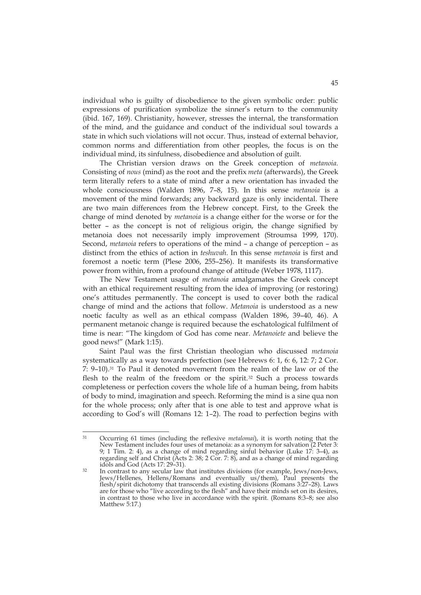individual who is guilty of disobedience to the given symbolic order: public expressions of purification symbolize the sinner's return to the community (ibid. 167, 169). Christianity, however, stresses the internal, the transformation of the mind, and the guidance and conduct of the individual soul towards a state in which such violations will not occur. Thus, instead of external behavior, common norms and differentiation from other peoples, the focus is on the individual mind, its sinfulness, disobedience and absolution of guilt.

The Christian version draws on the Greek conception of *metanoia.* Consisting of *nous* (mind) as the root and the prefix *meta* (afterwards), the Greek term literally refers to a state of mind after a new orientation has invaded the whole consciousness (Walden 1896, 7–8, 15). In this sense *metanoia* is a movement of the mind forwards; any backward gaze is only incidental. There are two main differences from the Hebrew concept. First, to the Greek the change of mind denoted by *metanoia* is a change either for the worse or for the better – as the concept is not of religious origin, the change signified by metanoia does not necessarily imply improvement (Stroumsa 1999, 170). Second, *metanoia* refers to operations of the mind – a change of perception – as distinct from the ethics of action in *teshuvah*. In this sense *metanoia* is first and foremost a noetic term (Plese 2006, 255–256). It manifests its transformative power from within, from a profound change of attitude (Weber 1978, 1117).

The New Testament usage of *metanoia* amalgamates the Greek concept with an ethical requirement resulting from the idea of improving (or restoring) one's attitudes permanently. The concept is used to cover both the radical change of mind and the actions that follow. *Metanoia* is understood as a new noetic faculty as well as an ethical compass (Walden 1896, 39–40, 46). A permanent metanoic change is required because the eschatological fulfilment of time is near: "The kingdom of God has come near. *Metanoiete* and believe the good news!" (Mark 1:15).

Saint Paul was the first Christian theologian who discussed *metanoia*  systematically as a way towards perfection (see Hebrews 6: 1, 6: 6, 12: 7; 2 Cor. 7: 9–10).31 To Paul it denoted movement from the realm of the law or of the flesh to the realm of the freedom or the spirit.32 Such a process towards completeness or perfection covers the whole life of a human being, from habits of body to mind, imagination and speech. Reforming the mind is a sine qua non for the whole process; only after that is one able to test and approve what is according to God's will (Romans 12: 1–2). The road to perfection begins with

 $31$ 31 Occurring 61 times (including the reflexive *metalomai*), it is worth noting that the New Testament includes four uses of metanoia: as a synonym for salvation (2 Peter 3: 9; 1 Tim. 2: 4), as a change of mind regarding sinful behavior (Luke 17: 3–4), as regarding self and Christ (Acts 2: 38; 2 Cor. 7: 8), and as a change of mind regarding

idols and God (Acts 17: 29–31).<br><sup>32</sup> In contrast to any secular law that institutes divisions (for example, Jews/non-Jews, Jews/Hellenes, Hellens/Romans and eventually us/them), Paul presents the flesh/spirit dichotomy that transcends all existing divisions (Romans 3:27–28). Laws are for those who "live according to the flesh" and have their minds set on its desires, in contrast to those who live in accordance with the spirit. (Romans 8:3–8; see also Matthew 5:17.)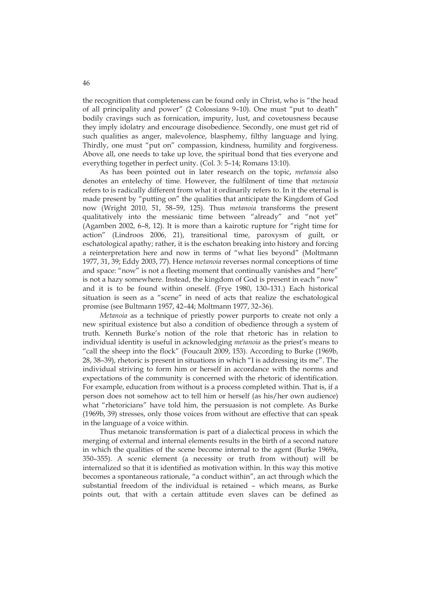the recognition that completeness can be found only in Christ, who is "the head of all principality and power" (2 Colossians 9–10). One must "put to death" bodily cravings such as fornication, impurity, lust, and covetousness because they imply idolatry and encourage disobedience. Secondly, one must get rid of such qualities as anger, malevolence, blasphemy, filthy language and lying. Thirdly, one must "put on" compassion, kindness, humility and forgiveness. Above all, one needs to take up love, the spiritual bond that ties everyone and everything together in perfect unity. (Col. 3: 5–14; Romans 13:10).

As has been pointed out in later research on the topic, *metanoia* also denotes an entelechy of time. However, the fulfilment of time that *metanoia*  refers to is radically different from what it ordinarily refers to. In it the eternal is made present by "putting on" the qualities that anticipate the Kingdom of God now (Wright 2010, 51, 58–59, 125). Thus *metanoia* transforms the present qualitatively into the messianic time between "already" and "not yet" (Agamben 2002, 6–8, 12). It is more than a kairotic rupture for "right time for action" (Lindroos 2006, 21), transitional time, paroxysm of guilt, or eschatological apathy; rather, it is the eschaton breaking into history and forcing a reinterpretation here and now in terms of "what lies beyond" (Moltmann 1977, 31, 39; Eddy 2003, 77). Hence *metanoia* reverses normal conceptions of time and space: "now" is not a fleeting moment that continually vanishes and "here" is not a hazy somewhere. Instead, the kingdom of God is present in each "now" and it is to be found within oneself. (Frye 1980, 130–131.) Each historical situation is seen as a "scene" in need of acts that realize the eschatological promise (see Bultmann 1957, 42–44; Moltmann 1977, 32–36).

*Metanoia* as a technique of priestly power purports to create not only a new spiritual existence but also a condition of obedience through a system of truth. Kenneth Burke's notion of the role that rhetoric has in relation to individual identity is useful in acknowledging *metanoia* as the priest's means to "call the sheep into the flock" (Foucault 2009, 153). According to Burke (1969b, 28, 38–39), rhetoric is present in situations in which "I is addressing its me". The individual striving to form him or herself in accordance with the norms and expectations of the community is concerned with the rhetoric of identification. For example, education from without is a process completed within. That is, if a person does not somehow act to tell him or herself (as his/her own audience) what "rhetoricians" have told him, the persuasion is not complete. As Burke (1969b, 39) stresses, only those voices from without are effective that can speak in the language of a voice within.

Thus metanoic transformation is part of a dialectical process in which the merging of external and internal elements results in the birth of a second nature in which the qualities of the scene become internal to the agent (Burke 1969a, 350–355). A scenic element (a necessity or truth from without) will be internalized so that it is identified as motivation within. In this way this motive becomes a spontaneous rationale, "a conduct within", an act through which the substantial freedom of the individual is retained – which means, as Burke points out, that with a certain attitude even slaves can be defined as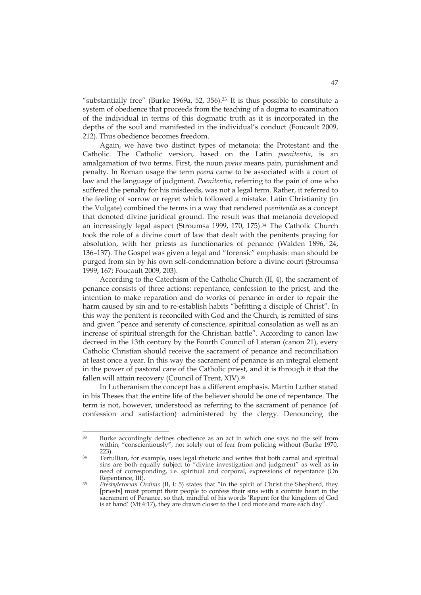"substantially free" (Burke 1969a, 52, 356). $33$  It is thus possible to constitute a system of obedience that proceeds from the teaching of a dogma to examination of the individual in terms of this dogmatic truth as it is incorporated in the depths of the soul and manifested in the individual's conduct (Foucault 2009, 212). Thus obedience becomes freedom.

Again, we have two distinct types of metanoia: the Protestant and the Catholic. The Catholic version, based on the Latin *poenitentia*, is an amalgamation of two terms. First, the noun *poena* means pain, punishment and penalty. In Roman usage the term *poena* came to be associated with a court of law and the language of judgment. *Poenitentia*, referring to the pain of one who suffered the penalty for his misdeeds, was not a legal term. Rather, it referred to the feeling of sorrow or regret which followed a mistake. Latin Christianity (in the Vulgate) combined the terms in a way that rendered *poenitentia* as a concept that denoted divine juridical ground. The result was that metanoia developed an increasingly legal aspect (Stroumsa 1999, 170, 175).34 The Catholic Church took the role of a divine court of law that dealt with the penitents praying for absolution, with her priests as functionaries of penance (Walden 1896, 24, 136–137). The Gospel was given a legal and "forensic" emphasis: man should be purged from sin by his own self-condemnation before a divine court (Stroumsa 1999, 167; Foucault 2009, 203).

According to the Catechism of the Catholic Church (II, 4), the sacrament of penance consists of three actions: repentance, confession to the priest, and the intention to make reparation and do works of penance in order to repair the harm caused by sin and to re-establish habits "befitting a disciple of Christ". In this way the penitent is reconciled with God and the Church, is remitted of sins and given "peace and serenity of conscience, spiritual consolation as well as an increase of spiritual strength for the Christian battle". According to canon law decreed in the 13th century by the Fourth Council of Lateran (canon 21), every Catholic Christian should receive the sacrament of penance and reconciliation at least once a year. In this way the sacrament of penance is an integral element in the power of pastoral care of the Catholic priest, and it is through it that the fallen will attain recovery (Council of Trent, XIV).35

In Lutheranism the concept has a different emphasis. Martin Luther stated in his Theses that the entire life of the believer should be one of repentance. The term is not, however, understood as referring to the sacrament of penance (of confession and satisfaction) administered by the clergy. Denouncing the

 $33$ Burke accordingly defines obedience as an act in which one says no the self from within, "conscientiously", not solely out of fear from policing without (Burke 1970, 223).

<sup>&</sup>lt;sup>34</sup> Tertullian, for example, uses legal rhetoric and writes that both carnal and spiritual sins are both equally subject to "divine investigation and judgment" as well as in need of corresponding, i.e. spiritual and corporal, expressions of repentance (On

<sup>&</sup>lt;sup>35</sup> *Presbyterorum Ordinis* (II, I: 5) states that "in the spirit of Christ the Shepherd, they [priests] must prompt their people to confess their sins with a contrite heart in the sacrament of Penance, so that, mindful of his words 'Repent for the kingdom of God is at hand' (Mt 4:17), they are drawn closer to the Lord more and more each day".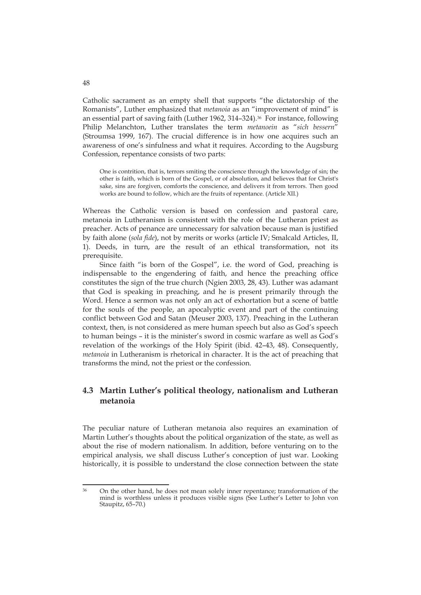Catholic sacrament as an empty shell that supports "the dictatorship of the Romanists", Luther emphasized that *metanoia* as an "improvement of mind" is an essential part of saving faith (Luther 1962, 314–324).36 For instance, following Philip Melanchton, Luther translates the term *metanoein* as "*sich bessern*" (Stroumsa 1999, 167). The crucial difference is in how one acquires such an awareness of one's sinfulness and what it requires. According to the Augsburg Confession, repentance consists of two parts:

One is contrition, that is, terrors smiting the conscience through the knowledge of sin; the other is faith, which is born of the Gospel, or of absolution, and believes that for Christ's sake, sins are forgiven, comforts the conscience, and delivers it from terrors. Then good works are bound to follow, which are the fruits of repentance. (Article XII.)

Whereas the Catholic version is based on confession and pastoral care, metanoia in Lutheranism is consistent with the role of the Lutheran priest as preacher. Acts of penance are unnecessary for salvation because man is justified by faith alone (*sola fide*), not by merits or works (article IV; Smalcald Articles, II, 1). Deeds, in turn, are the result of an ethical transformation, not its prerequisite.

Since faith "is born of the Gospel", i.e. the word of God, preaching is indispensable to the engendering of faith, and hence the preaching office constitutes the sign of the true church (Ngien 2003, 28, 43). Luther was adamant that God is speaking in preaching, and he is present primarily through the Word. Hence a sermon was not only an act of exhortation but a scene of battle for the souls of the people, an apocalyptic event and part of the continuing conflict between God and Satan (Meuser 2003, 137). Preaching in the Lutheran context, then, is not considered as mere human speech but also as God's speech to human beings – it is the minister's sword in cosmic warfare as well as God's revelation of the workings of the Holy Spirit (ibid. 42–43, 48). Consequently, *metanoia* in Lutheranism is rhetorical in character. It is the act of preaching that transforms the mind, not the priest or the confession.

## **4.3 Martin Luther's political theology, nationalism and Lutheran metanoia**

The peculiar nature of Lutheran metanoia also requires an examination of Martin Luther's thoughts about the political organization of the state, as well as about the rise of modern nationalism. In addition, before venturing on to the empirical analysis, we shall discuss Luther's conception of just war. Looking historically, it is possible to understand the close connection between the state

48

<sup>&</sup>lt;u>.</u> 36 On the other hand, he does not mean solely inner repentance; transformation of the mind is worthless unless it produces visible signs (See Luther's Letter to John von Staupitz, 65–70.)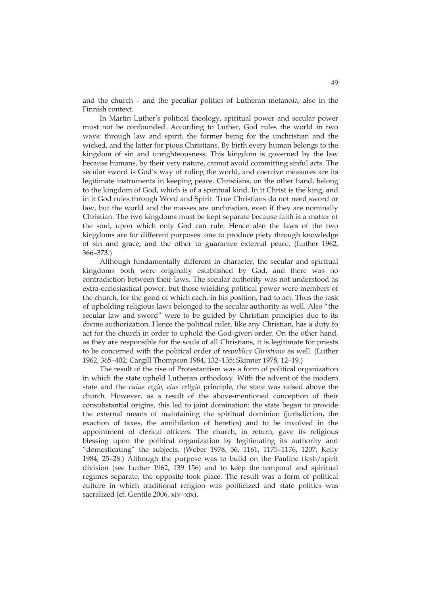and the church – and the peculiar politics of Lutheran metanoia, also in the Finnish context.

In Martin Luther's political theology, spiritual power and secular power must not be confounded. According to Luther, God rules the world in two ways: through law and spirit, the former being for the unchristian and the wicked, and the latter for pious Christians. By birth every human belongs to the kingdom of sin and unrighteousness. This kingdom is governed by the law because humans, by their very nature, cannot avoid committing sinful acts. The secular sword is God's way of ruling the world, and coercive measures are its legitimate instruments in keeping peace. Christians, on the other hand, belong to the kingdom of God, which is of a spiritual kind. In it Christ is the king, and in it God rules through Word and Spirit. True Christians do not need sword or law, but the world and the masses are unchristian, even if they are nominally Christian. The two kingdoms must be kept separate because faith is a matter of the soul, upon which only God can rule. Hence also the laws of the two kingdoms are for different purposes: one to produce piety through knowledge of sin and grace, and the other to guarantee external peace. (Luther 1962, 366–373.)

Although fundamentally different in character, the secular and spiritual kingdoms both were originally established by God, and there was no contradiction between their laws. The secular authority was not understood as extra-ecclesiastical power, but those wielding political power were members of the church, for the good of which each, in his position, had to act. Thus the task of upholding religious laws belonged to the secular authority as well. Also "the secular law and sword" were to be guided by Christian principles due to its divine authorization. Hence the political ruler, like any Christian, has a duty to act for the church in order to uphold the God-given order. On the other hand, as they are responsible for the souls of all Christians, it is legitimate for priests to be concerned with the political order of *respublica Christiana* as well. (Luther 1962, 365–402; Cargill Thompson 1984, 132–135; Skinner 1978, 12–19.)

The result of the rise of Protestantism was a form of political organization in which the state upheld Lutheran orthodoxy. With the advent of the modern state and the *cuius regio, eius religio* principle, the state was raised above the church. However, as a result of the above-mentioned conception of their consubstantial origins, this led to joint domination: the state began to provide the external means of maintaining the spiritual dominion (jurisdiction, the exaction of taxes, the annihilation of heretics) and to be involved in the appointment of clerical officers. The church, in return, gave its religious blessing upon the political organization by legitimating its authority and "domesticating" the subjects. (Weber 1978, 56, 1161, 1175–1176, 1207; Kelly 1984, 25–28.) Although the purpose was to build on the Pauline flesh/spirit division (see Luther 1962, 139 156) and to keep the temporal and spiritual regimes separate, the opposite took place. The result was a form of political culture in which traditional religion was politicized and state politics was sacralized (cf. Gentile 2006, xiv–xix).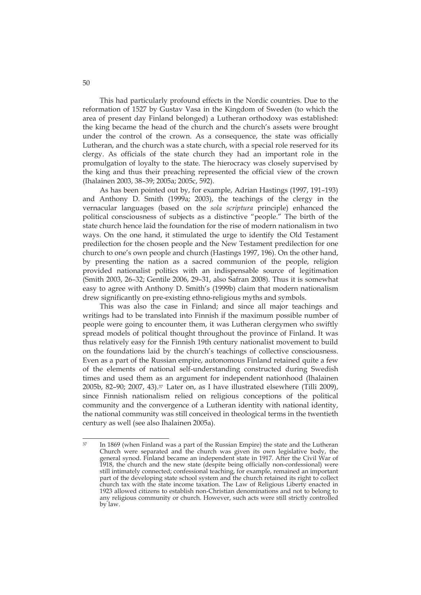This had particularly profound effects in the Nordic countries. Due to the reformation of 1527 by Gustav Vasa in the Kingdom of Sweden (to which the area of present day Finland belonged) a Lutheran orthodoxy was established: the king became the head of the church and the church's assets were brought under the control of the crown. As a consequence, the state was officially Lutheran, and the church was a state church, with a special role reserved for its clergy. As officials of the state church they had an important role in the promulgation of loyalty to the state. The hierocracy was closely supervised by the king and thus their preaching represented the official view of the crown (Ihalainen 2003, 38–39; 2005a; 2005c, 592).

As has been pointed out by, for example, Adrian Hastings (1997, 191–193) and Anthony D. Smith (1999a; 2003), the teachings of the clergy in the vernacular languages (based on the *sola scriptura* principle) enhanced the political consciousness of subjects as a distinctive "people." The birth of the state church hence laid the foundation for the rise of modern nationalism in two ways. On the one hand, it stimulated the urge to identify the Old Testament predilection for the chosen people and the New Testament predilection for one church to one's own people and church (Hastings 1997, 196). On the other hand, by presenting the nation as a sacred communion of the people, religion provided nationalist politics with an indispensable source of legitimation (Smith 2003, 26–32; Gentile 2006, 29–31, also Safran 2008). Thus it is somewhat easy to agree with Anthony D. Smith's (1999b) claim that modern nationalism drew significantly on pre-existing ethno-religious myths and symbols.

This was also the case in Finland; and since all major teachings and writings had to be translated into Finnish if the maximum possible number of people were going to encounter them, it was Lutheran clergymen who swiftly spread models of political thought throughout the province of Finland. It was thus relatively easy for the Finnish 19th century nationalist movement to build on the foundations laid by the church's teachings of collective consciousness. Even as a part of the Russian empire, autonomous Finland retained quite a few of the elements of national self-understanding constructed during Swedish times and used them as an argument for independent nationhood (Ihalainen 2005b, 82–90; 2007, 43).37 Later on, as I have illustrated elsewhere (Tilli 2009), since Finnish nationalism relied on religious conceptions of the political community and the convergence of a Lutheran identity with national identity, the national community was still conceived in theological terms in the twentieth century as well (see also Ihalainen 2005a).

<sup>37</sup>  $37$  In 1869 (when Finland was a part of the Russian Empire) the state and the Lutheran Church were separated and the church was given its own legislative body, the general synod. Finland became an independent state in 1917. After the Civil War of 1918, the church and the new state (despite being officially non-confessional) were still intimately connected; confessional teaching, for example, remained an important part of the developing state school system and the church retained its right to collect church tax with the state income taxation. The Law of Religious Liberty enacted in 1923 allowed citizens to establish non-Christian denominations and not to belong to any religious community or church. However, such acts were still strictly controlled by law.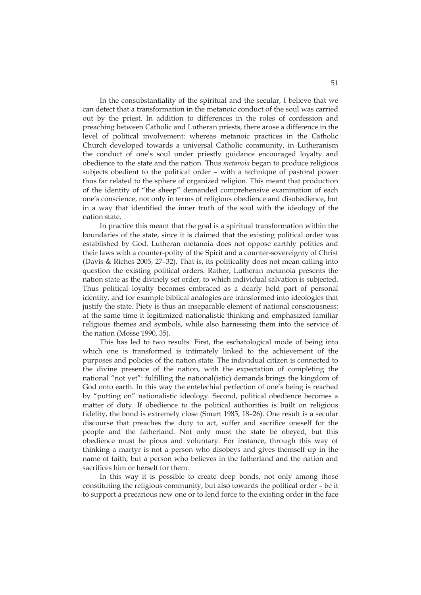In the consubstantiality of the spiritual and the secular, I believe that we can detect that a transformation in the metanoic conduct of the soul was carried out by the priest. In addition to differences in the roles of confession and preaching between Catholic and Lutheran priests, there arose a difference in the level of political involvement: whereas metanoic practices in the Catholic Church developed towards a universal Catholic community, in Lutheranism the conduct of one's soul under priestly guidance encouraged loyalty and obedience to the state and the nation. Thus *metanoia* began to produce religious subjects obedient to the political order – with a technique of pastoral power thus far related to the sphere of organized religion. This meant that production of the identity of "the sheep" demanded comprehensive examination of each one's conscience, not only in terms of religious obedience and disobedience, but in a way that identified the inner truth of the soul with the ideology of the nation state.

In practice this meant that the goal is a spiritual transformation within the boundaries of the state, since it is claimed that the existing political order was established by God. Lutheran metanoia does not oppose earthly polities and their laws with a counter-polity of the Spirit and a counter-sovereignty of Christ (Davis & Riches 2005, 27–32). That is, its politicality does not mean calling into question the existing political orders. Rather, Lutheran metanoia presents the nation state as the divinely set order, to which individual salvation is subjected. Thus political loyalty becomes embraced as a dearly held part of personal identity, and for example biblical analogies are transformed into ideologies that justify the state. Piety is thus an inseparable element of national consciousness: at the same time it legitimized nationalistic thinking and emphasized familiar religious themes and symbols, while also harnessing them into the service of the nation (Mosse 1990, 35).

This has led to two results. First, the eschatological mode of being into which one is transformed is intimately linked to the achievement of the purposes and policies of the nation state. The individual citizen is connected to the divine presence of the nation, with the expectation of completing the national "not yet": fulfilling the national(istic) demands brings the kingdom of God onto earth. In this way the entelechial perfection of one's being is reached by "putting on" nationalistic ideology. Second, political obedience becomes a matter of duty. If obedience to the political authorities is built on religious fidelity, the bond is extremely close (Smart 1985, 18–26). One result is a secular discourse that preaches the duty to act, suffer and sacrifice oneself for the people and the fatherland. Not only must the state be obeyed, but this obedience must be pious and voluntary. For instance, through this way of thinking a martyr is not a person who disobeys and gives themself up in the name of faith, but a person who believes in the fatherland and the nation and sacrifices him or herself for them.

In this way it is possible to create deep bonds, not only among those constituting the religious community, but also towards the political order – be it to support a precarious new one or to lend force to the existing order in the face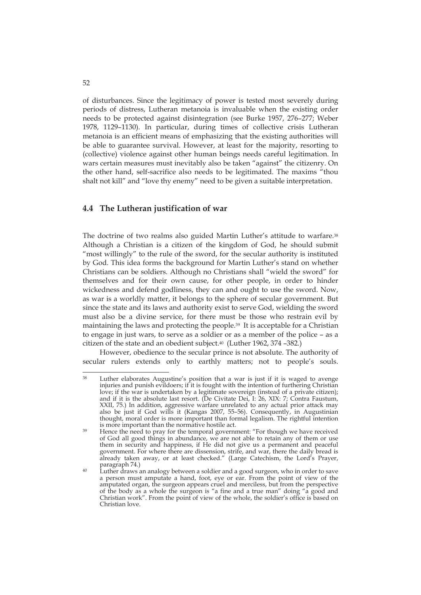of disturbances. Since the legitimacy of power is tested most severely during periods of distress, Lutheran metanoia is invaluable when the existing order needs to be protected against disintegration (see Burke 1957, 276–277; Weber 1978, 1129–1130). In particular, during times of collective crisis Lutheran metanoia is an efficient means of emphasizing that the existing authorities will be able to guarantee survival. However, at least for the majority, resorting to (collective) violence against other human beings needs careful legitimation. In wars certain measures must inevitably also be taken "against" the citizenry. On the other hand, self-sacrifice also needs to be legitimated. The maxims "thou shalt not kill" and "love thy enemy" need to be given a suitable interpretation.

### **4.4 The Lutheran justification of war**

The doctrine of two realms also guided Martin Luther's attitude to warfare.38 Although a Christian is a citizen of the kingdom of God, he should submit "most willingly" to the rule of the sword, for the secular authority is instituted by God. This idea forms the background for Martin Luther's stand on whether Christians can be soldiers. Although no Christians shall "wield the sword" for themselves and for their own cause, for other people, in order to hinder wickedness and defend godliness, they can and ought to use the sword. Now, as war is a worldly matter, it belongs to the sphere of secular government. But since the state and its laws and authority exist to serve God, wielding the sword must also be a divine service, for there must be those who restrain evil by maintaining the laws and protecting the people.39 It is acceptable for a Christian to engage in just wars, to serve as a soldier or as a member of the police – as a citizen of the state and an obedient subject.40 (Luther 1962, 374 –382.)

However, obedience to the secular prince is not absolute. The authority of secular rulers extends only to earthly matters; not to people's souls.

<sup>&</sup>lt;u>.</u> 38 Luther elaborates Augustine's position that a war is just if it is waged to avenge injuries and punish evildoers; if it is fought with the intention of furthering Christian love; if the war is undertaken by a legitimate sovereign (instead of a private citizen); and if it is the absolute last resort. (De Civitate Dei, I:  $26$ , XIX: 7; Contra Faustum, XXII, 75.) In addition, aggressive warfare unrelated to any actual prior attack may also be just if God wills it (Kangas 2007, 55–56). Consequently, in Augustinian thought, moral order is more important than formal legalism. The rightful intention is more important than the normative hostile act.<br><sup>39</sup> Hence the need to pray for the temporal government: "For though we have received

of God all good things in abundance, we are not able to retain any of them or use them in security and happiness, if He did not give us a permanent and peaceful government. For where there are dissension, strife, and war, there the daily bread is already taken away, or at least checked." (Large Catechism, the Lord's Prayer, paragraph 74.)<br><sup>40</sup> Luther draws an analogy between a soldier and a good surgeon, who in order to save

a person must amputate a hand, foot, eye or ear. From the point of view of the amputated organ, the surgeon appears cruel and merciless, but from the perspective of the body as a whole the surgeon is "a fine and a true man" doing "a good and Christian work". From the point of view of the whole, the soldier's office is based on Christian love.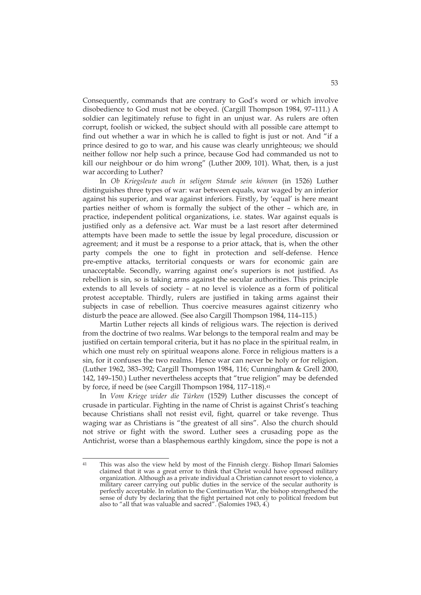Consequently, commands that are contrary to God's word or which involve disobedience to God must not be obeyed. (Cargill Thompson 1984, 97–111.) A soldier can legitimately refuse to fight in an unjust war. As rulers are often corrupt, foolish or wicked, the subject should with all possible care attempt to find out whether a war in which he is called to fight is just or not. And "if a prince desired to go to war, and his cause was clearly unrighteous; we should neither follow nor help such a prince, because God had commanded us not to kill our neighbour or do him wrong" (Luther 2009, 101). What, then, is a just war according to Luther?

In *Ob Kriegsleute auch in seligem Stande sein können* (in 1526) Luther distinguishes three types of war: war between equals, war waged by an inferior against his superior, and war against inferiors. Firstly, by 'equal' is here meant parties neither of whom is formally the subject of the other – which are, in practice, independent political organizations, i.e. states. War against equals is justified only as a defensive act. War must be a last resort after determined attempts have been made to settle the issue by legal procedure, discussion or agreement; and it must be a response to a prior attack, that is, when the other party compels the one to fight in protection and self-defense. Hence pre-emptive attacks, territorial conquests or wars for economic gain are unacceptable. Secondly, warring against one's superiors is not justified. As rebellion is sin, so is taking arms against the secular authorities. This principle extends to all levels of society – at no level is violence as a form of political protest acceptable. Thirdly, rulers are justified in taking arms against their subjects in case of rebellion. Thus coercive measures against citizenry who disturb the peace are allowed. (See also Cargill Thompson 1984, 114–115.)

Martin Luther rejects all kinds of religious wars. The rejection is derived from the doctrine of two realms. War belongs to the temporal realm and may be justified on certain temporal criteria, but it has no place in the spiritual realm, in which one must rely on spiritual weapons alone. Force in religious matters is a sin, for it confuses the two realms. Hence war can never be holy or for religion. (Luther 1962, 383–392; Cargill Thompson 1984, 116; Cunningham & Grell 2000, 142, 149–150.) Luther nevertheless accepts that "true religion" may be defended by force, if need be (see Cargill Thompson 1984, 117-118).<sup>41</sup>

In *Vom Kriege wider die Türken* (1529) Luther discusses the concept of crusade in particular. Fighting in the name of Christ is against Christ's teaching because Christians shall not resist evil, fight, quarrel or take revenge. Thus waging war as Christians is "the greatest of all sins". Also the church should not strive or fight with the sword. Luther sees a crusading pope as the Antichrist, worse than a blasphemous earthly kingdom, since the pope is not a

 $\overline{41}$ 41 This was also the view held by most of the Finnish clergy. Bishop Ilmari Salomies claimed that it was a great error to think that Christ would have opposed military organization. Although as a private individual a Christian cannot resort to violence, a military career carrying out public duties in the service of the secular authority is perfectly acceptable. In relation to the Continuation War, the bishop strengthened the sense of duty by declaring that the fight pertained not only to political freedom but also to "all that was valuable and sacred". (Salomies 1943, 4.)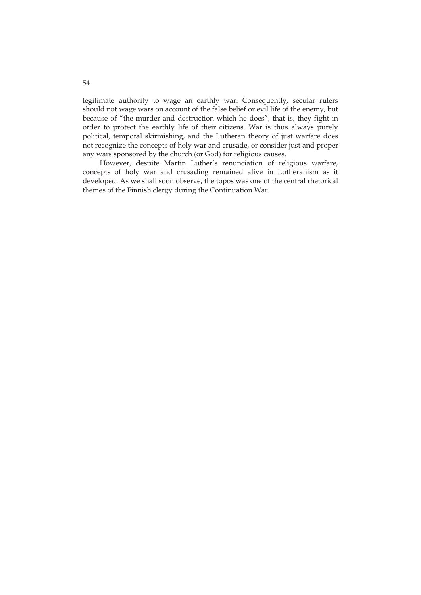legitimate authority to wage an earthly war. Consequently, secular rulers should not wage wars on account of the false belief or evil life of the enemy, but because of "the murder and destruction which he does", that is, they fight in order to protect the earthly life of their citizens. War is thus always purely political, temporal skirmishing, and the Lutheran theory of just warfare does not recognize the concepts of holy war and crusade, or consider just and proper any wars sponsored by the church (or God) for religious causes.

However, despite Martin Luther's renunciation of religious warfare, concepts of holy war and crusading remained alive in Lutheranism as it developed. As we shall soon observe, the topos was one of the central rhetorical themes of the Finnish clergy during the Continuation War.

54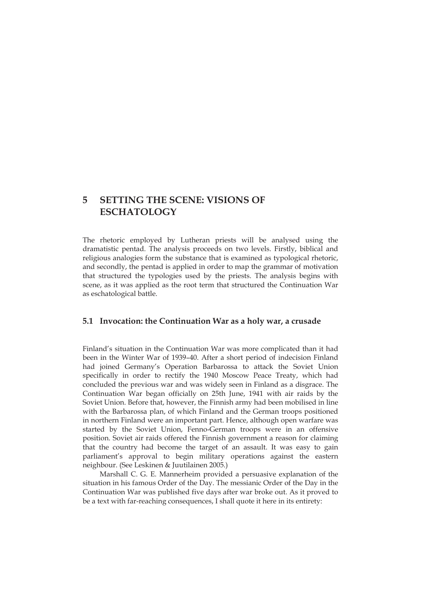# **5 SETTING THE SCENE: VISIONS OF ESCHATOLOGY**

The rhetoric employed by Lutheran priests will be analysed using the dramatistic pentad. The analysis proceeds on two levels. Firstly, biblical and religious analogies form the substance that is examined as typological rhetoric, and secondly, the pentad is applied in order to map the grammar of motivation that structured the typologies used by the priests. The analysis begins with scene, as it was applied as the root term that structured the Continuation War as eschatological battle.

### **5.1 Invocation: the Continuation War as a holy war, a crusade**

Finland's situation in the Continuation War was more complicated than it had been in the Winter War of 1939–40. After a short period of indecision Finland had joined Germany's Operation Barbarossa to attack the Soviet Union specifically in order to rectify the 1940 Moscow Peace Treaty, which had concluded the previous war and was widely seen in Finland as a disgrace. The Continuation War began officially on 25th June, 1941 with air raids by the Soviet Union. Before that, however, the Finnish army had been mobilised in line with the Barbarossa plan, of which Finland and the German troops positioned in northern Finland were an important part. Hence, although open warfare was started by the Soviet Union, Fenno-German troops were in an offensive position. Soviet air raids offered the Finnish government a reason for claiming that the country had become the target of an assault. It was easy to gain parliament's approval to begin military operations against the eastern neighbour. (See Leskinen & Juutilainen 2005.)

Marshall C. G. E. Mannerheim provided a persuasive explanation of the situation in his famous Order of the Day. The messianic Order of the Day in the Continuation War was published five days after war broke out. As it proved to be a text with far-reaching consequences, I shall quote it here in its entirety: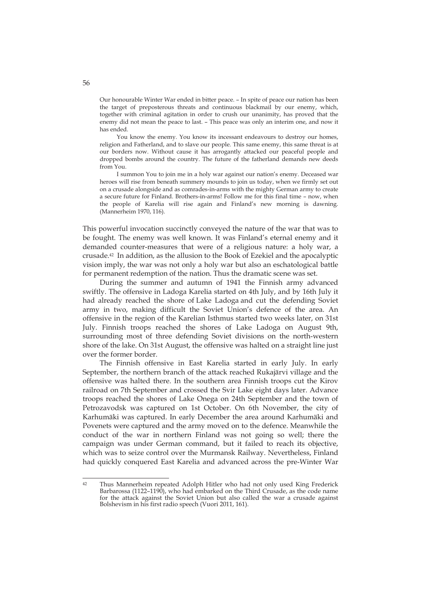Our honourable Winter War ended in bitter peace. – In spite of peace our nation has been the target of preposterous threats and continuous blackmail by our enemy, which, together with criminal agitation in order to crush our unanimity, has proved that the enemy did not mean the peace to last. – This peace was only an interim one, and now it has ended.

You know the enemy. You know its incessant endeavours to destroy our homes, religion and Fatherland, and to slave our people. This same enemy, this same threat is at our borders now. Without cause it has arrogantly attacked our peaceful people and dropped bombs around the country. The future of the fatherland demands new deeds from You.

I summon You to join me in a holy war against our nation's enemy. Deceased war heroes will rise from beneath summery mounds to join us today, when we firmly set out on a crusade alongside and as comrades-in-arms with the mighty German army to create a secure future for Finland. Brothers-in-arms! Follow me for this final time – now, when the people of Karelia will rise again and Finland's new morning is dawning. (Mannerheim 1970, 116).

This powerful invocation succinctly conveyed the nature of the war that was to be fought. The enemy was well known. It was Finland's eternal enemy and it demanded counter-measures that were of a religious nature: a holy war, a crusade.42 In addition, as the allusion to the Book of Ezekiel and the apocalyptic vision imply, the war was not only a holy war but also an eschatological battle for permanent redemption of the nation. Thus the dramatic scene was set.

During the summer and autumn of 1941 the Finnish army advanced swiftly. The offensive in Ladoga Karelia started on 4th July, and by 16th July it had already reached the shore of Lake Ladoga and cut the defending Soviet army in two, making difficult the Soviet Union's defence of the area. An offensive in the region of the Karelian Isthmus started two weeks later, on 31st July. Finnish troops reached the shores of Lake Ladoga on August 9th, surrounding most of three defending Soviet divisions on the north-western shore of the lake. On 31st August, the offensive was halted on a straight line just over the former border.

The Finnish offensive in East Karelia started in early July. In early September, the northern branch of the attack reached Rukajärvi village and the offensive was halted there. In the southern area Finnish troops cut the Kirov railroad on 7th September and crossed the Svir Lake eight days later. Advance troops reached the shores of Lake Onega on 24th September and the town of Petrozavodsk was captured on 1st October. On 6th November, the city of Karhumäki was captured. In early December the area around Karhumäki and Povenets were captured and the army moved on to the defence. Meanwhile the conduct of the war in northern Finland was not going so well; there the campaign was under German command, but it failed to reach its objective, which was to seize control over the Murmansk Railway. Nevertheless, Finland had quickly conquered East Karelia and advanced across the pre-Winter War

 $42$ 42 Thus Mannerheim repeated Adolph Hitler who had not only used King Frederick Barbarossa (1122–1190), who had embarked on the Third Crusade, as the code name for the attack against the Soviet Union but also called the war a crusade against Bolshevism in his first radio speech (Vuori 2011, 161).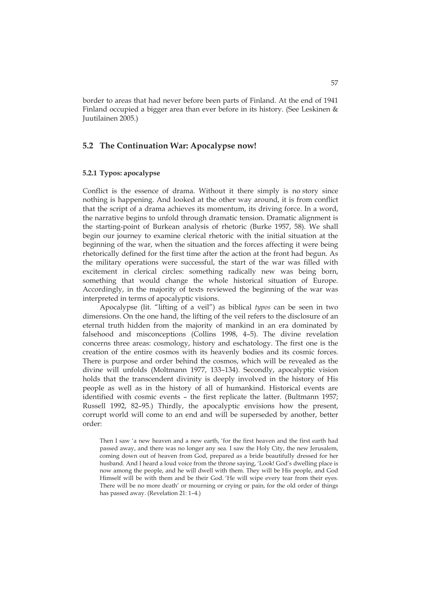border to areas that had never before been parts of Finland. At the end of 1941 Finland occupied a bigger area than ever before in its history. (See Leskinen & Juutilainen 2005.)

### **5.2 The Continuation War: Apocalypse now!**

#### **5.2.1 Typos: apocalypse**

Conflict is the essence of drama. Without it there simply is no story since nothing is happening. And looked at the other way around, it is from conflict that the script of a drama achieves its momentum, its driving force. In a word, the narrative begins to unfold through dramatic tension. Dramatic alignment is the starting-point of Burkean analysis of rhetoric (Burke 1957, 58). We shall begin our journey to examine clerical rhetoric with the initial situation at the beginning of the war, when the situation and the forces affecting it were being rhetorically defined for the first time after the action at the front had begun. As the military operations were successful, the start of the war was filled with excitement in clerical circles: something radically new was being born, something that would change the whole historical situation of Europe. Accordingly, in the majority of texts reviewed the beginning of the war was interpreted in terms of apocalyptic visions.

Apocalypse (lit. "lifting of a veil") as biblical *typos* can be seen in two dimensions. On the one hand, the lifting of the veil refers to the disclosure of an eternal truth hidden from the majority of mankind in an era dominated by falsehood and misconceptions (Collins 1998, 4–5). The divine revelation concerns three areas: cosmology, history and eschatology. The first one is the creation of the entire cosmos with its heavenly bodies and its cosmic forces. There is purpose and order behind the cosmos, which will be revealed as the divine will unfolds (Moltmann 1977, 133–134). Secondly, apocalyptic vision holds that the transcendent divinity is deeply involved in the history of His people as well as in the history of all of humankind. Historical events are identified with cosmic events – the first replicate the latter. (Bultmann 1957; Russell 1992, 82–95.) Thirdly, the apocalyptic envisions how the present, corrupt world will come to an end and will be superseded by another, better order:

Then I saw 'a new heaven and a new earth, 'for the first heaven and the first earth had passed away, and there was no longer any sea. I saw the Holy City, the new Jerusalem, coming down out of heaven from God, prepared as a bride beautifully dressed for her husband. And I heard a loud voice from the throne saying, 'Look! God's dwelling place is now among the people, and he will dwell with them. They will be His people, and God Himself will be with them and be their God. 'He will wipe every tear from their eyes. There will be no more death' or mourning or crying or pain, for the old order of things has passed away. (Revelation 21: 1–4.)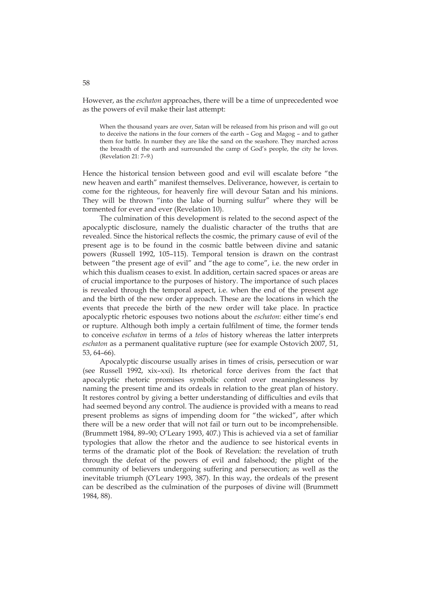However, as the *eschaton* approaches, there will be a time of unprecedented woe as the powers of evil make their last attempt:

When the thousand years are over, Satan will be released from his prison and will go out to deceive the nations in the four corners of the earth – Gog and Magog – and to gather them for battle. In number they are like the sand on the seashore. They marched across the breadth of the earth and surrounded the camp of God's people, the city he loves. (Revelation 21: 7–9.)

Hence the historical tension between good and evil will escalate before "the new heaven and earth" manifest themselves. Deliverance, however, is certain to come for the righteous, for heavenly fire will devour Satan and his minions. They will be thrown "into the lake of burning sulfur" where they will be tormented for ever and ever (Revelation 10).

The culmination of this development is related to the second aspect of the apocalyptic disclosure, namely the dualistic character of the truths that are revealed. Since the historical reflects the cosmic, the primary cause of evil of the present age is to be found in the cosmic battle between divine and satanic powers (Russell 1992, 105–115). Temporal tension is drawn on the contrast between "the present age of evil" and "the age to come", i.e. the new order in which this dualism ceases to exist. In addition, certain sacred spaces or areas are of crucial importance to the purposes of history. The importance of such places is revealed through the temporal aspect, i.e. when the end of the present age and the birth of the new order approach. These are the locations in which the events that precede the birth of the new order will take place. In practice apocalyptic rhetoric espouses two notions about the *eschaton*: either time's end or rupture. Although both imply a certain fulfilment of time, the former tends to conceive *eschaton* in terms of a *telos* of history whereas the latter interprets *eschaton* as a permanent qualitative rupture (see for example Ostovich 2007, 51, 53, 64–66).

Apocalyptic discourse usually arises in times of crisis, persecution or war (see Russell 1992, xix–xxi). Its rhetorical force derives from the fact that apocalyptic rhetoric promises symbolic control over meaninglessness by naming the present time and its ordeals in relation to the great plan of history. It restores control by giving a better understanding of difficulties and evils that had seemed beyond any control. The audience is provided with a means to read present problems as signs of impending doom for "the wicked", after which there will be a new order that will not fail or turn out to be incomprehensible. (Brummett 1984, 89–90; O'Leary 1993, 407.) This is achieved via a set of familiar typologies that allow the rhetor and the audience to see historical events in terms of the dramatic plot of the Book of Revelation: the revelation of truth through the defeat of the powers of evil and falsehood; the plight of the community of believers undergoing suffering and persecution; as well as the inevitable triumph (O'Leary 1993, 387). In this way, the ordeals of the present can be described as the culmination of the purposes of divine will (Brummett 1984, 88).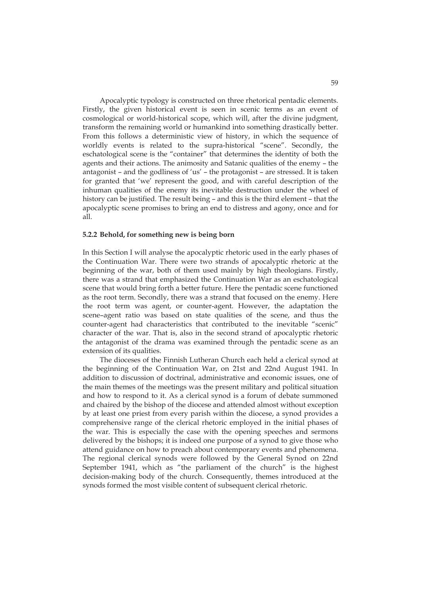Apocalyptic typology is constructed on three rhetorical pentadic elements. Firstly, the given historical event is seen in scenic terms as an event of cosmological or world-historical scope, which will, after the divine judgment, transform the remaining world or humankind into something drastically better. From this follows a deterministic view of history, in which the sequence of worldly events is related to the supra-historical "scene". Secondly, the eschatological scene is the "container" that determines the identity of both the agents and their actions. The animosity and Satanic qualities of the enemy – the antagonist – and the godliness of 'us' – the protagonist – are stressed. It is taken for granted that 'we' represent the good, and with careful description of the inhuman qualities of the enemy its inevitable destruction under the wheel of history can be justified. The result being – and this is the third element – that the apocalyptic scene promises to bring an end to distress and agony, once and for all.

#### **5.2.2 Behold, for something new is being born**

In this Section I will analyse the apocalyptic rhetoric used in the early phases of the Continuation War. There were two strands of apocalyptic rhetoric at the beginning of the war, both of them used mainly by high theologians. Firstly, there was a strand that emphasized the Continuation War as an eschatological scene that would bring forth a better future. Here the pentadic scene functioned as the root term. Secondly, there was a strand that focused on the enemy. Here the root term was agent, or counter-agent. However, the adaptation the scene–agent ratio was based on state qualities of the scene, and thus the counter-agent had characteristics that contributed to the inevitable "scenic" character of the war. That is, also in the second strand of apocalyptic rhetoric the antagonist of the drama was examined through the pentadic scene as an extension of its qualities.

The dioceses of the Finnish Lutheran Church each held a clerical synod at the beginning of the Continuation War, on 21st and 22nd August 1941. In addition to discussion of doctrinal, administrative and economic issues, one of the main themes of the meetings was the present military and political situation and how to respond to it. As a clerical synod is a forum of debate summoned and chaired by the bishop of the diocese and attended almost without exception by at least one priest from every parish within the diocese, a synod provides a comprehensive range of the clerical rhetoric employed in the initial phases of the war. This is especially the case with the opening speeches and sermons delivered by the bishops; it is indeed one purpose of a synod to give those who attend guidance on how to preach about contemporary events and phenomena. The regional clerical synods were followed by the General Synod on 22nd September 1941, which as "the parliament of the church" is the highest decision-making body of the church. Consequently, themes introduced at the synods formed the most visible content of subsequent clerical rhetoric.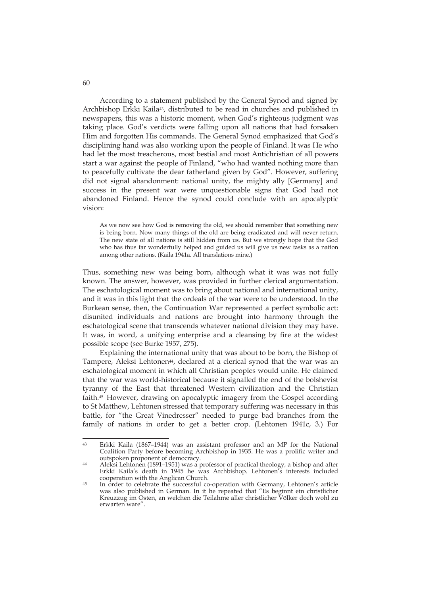According to a statement published by the General Synod and signed by Archbishop Erkki Kaila<sup>43</sup>, distributed to be read in churches and published in newspapers, this was a historic moment, when God's righteous judgment was taking place. God's verdicts were falling upon all nations that had forsaken Him and forgotten His commands. The General Synod emphasized that God's disciplining hand was also working upon the people of Finland. It was He who had let the most treacherous, most bestial and most Antichristian of all powers start a war against the people of Finland, "who had wanted nothing more than to peacefully cultivate the dear fatherland given by God". However, suffering did not signal abandonment: national unity, the mighty ally [Germany] and success in the present war were unquestionable signs that God had not abandoned Finland. Hence the synod could conclude with an apocalyptic vision:

As we now see how God is removing the old, we should remember that something new is being born. Now many things of the old are being eradicated and will never return. The new state of all nations is still hidden from us. But we strongly hope that the God who has thus far wonderfully helped and guided us will give us new tasks as a nation among other nations. (Kaila 1941a. All translations mine.)

Thus, something new was being born, although what it was was not fully known. The answer, however, was provided in further clerical argumentation. The eschatological moment was to bring about national and international unity, and it was in this light that the ordeals of the war were to be understood. In the Burkean sense, then, the Continuation War represented a perfect symbolic act: disunited individuals and nations are brought into harmony through the eschatological scene that transcends whatever national division they may have. It was, in word, a unifying enterprise and a cleansing by fire at the widest possible scope (see Burke 1957, 275).

Explaining the international unity that was about to be born, the Bishop of Tampere, Aleksi Lehtonen<sup>44</sup>, declared at a clerical synod that the war was an eschatological moment in which all Christian peoples would unite. He claimed that the war was world-historical because it signalled the end of the bolshevist tyranny of the East that threatened Western civilization and the Christian faith.45 However, drawing on apocalyptic imagery from the Gospel according to St Matthew, Lehtonen stressed that temporary suffering was necessary in this battle, for "the Great Vinedresser" needed to purge bad branches from the family of nations in order to get a better crop. (Lehtonen 1941c, 3.) For

 $43$ Erkki Kaila (1867-1944) was an assistant professor and an MP for the National Coalition Party before becoming Archbishop in 1935. He was a prolific writer and

outspoken proponent of democracy. 44 Aleksi Lehtonen (1891–1951) was a professor of practical theology, a bishop and after Erkki Kaila's death in 1945 he was Archbishop. Lehtonen's interests included

 $45$  In order to celebrate the successful co-operation with Germany, Lehtonen's article was also published in German. In it he repeated that "Es beginnt ein christlicher Kreuzzug im Osten, an welchen die Teilahme aller christlicher Völker doch wohl zu erwarten ware".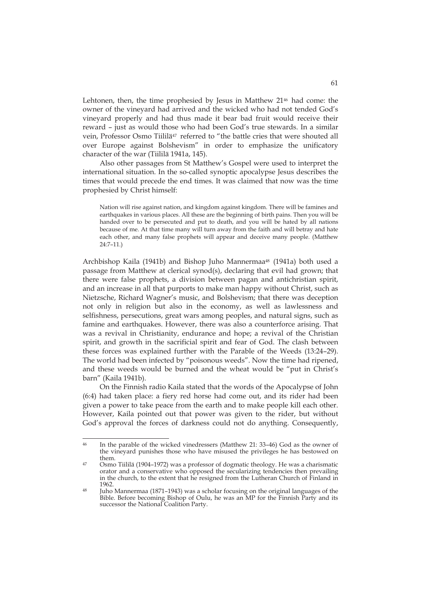Lehtonen, then, the time prophesied by Jesus in Matthew 2146 had come: the owner of the vineyard had arrived and the wicked who had not tended God's vineyard properly and had thus made it bear bad fruit would receive their reward – just as would those who had been God's true stewards. In a similar vein, Professor Osmo Tiililä<sup>47</sup> referred to "the battle cries that were shouted all over Europe against Bolshevism" in order to emphasize the unificatory character of the war (Tiililä 1941a, 145).

Also other passages from St Matthew's Gospel were used to interpret the international situation. In the so-called synoptic apocalypse Jesus describes the times that would precede the end times. It was claimed that now was the time prophesied by Christ himself:

Nation will rise against nation, and kingdom against kingdom. There will be famines and earthquakes in various places. All these are the beginning of birth pains. Then you will be handed over to be persecuted and put to death, and you will be hated by all nations because of me. At that time many will turn away from the faith and will betray and hate each other, and many false prophets will appear and deceive many people. (Matthew 24:7–11.)

Archbishop Kaila (1941b) and Bishop Juho Mannermaa48 (1941a) both used a passage from Matthew at clerical synod(s), declaring that evil had grown; that there were false prophets, a division between pagan and antichristian spirit, and an increase in all that purports to make man happy without Christ, such as Nietzsche, Richard Wagner's music, and Bolshevism; that there was deception not only in religion but also in the economy, as well as lawlessness and selfishness, persecutions, great wars among peoples, and natural signs, such as famine and earthquakes. However, there was also a counterforce arising. That was a revival in Christianity, endurance and hope; a revival of the Christian spirit, and growth in the sacrificial spirit and fear of God. The clash between these forces was explained further with the Parable of the Weeds (13:24–29). The world had been infected by "poisonous weeds". Now the time had ripened, and these weeds would be burned and the wheat would be "put in Christ's barn" (Kaila 1941b).

On the Finnish radio Kaila stated that the words of the Apocalypse of John (6:4) had taken place: a fiery red horse had come out, and its rider had been given a power to take peace from the earth and to make people kill each other. However, Kaila pointed out that power was given to the rider, but without God's approval the forces of darkness could not do anything. Consequently,

 $\frac{46}{3}$ 46 In the parable of the wicked vinedressers (Matthew 21: 33–46) God as the owner of the vineyard punishes those who have misused the privileges he has bestowed on

them. 47 Osmo Tiililä (1904–1972) was a professor of dogmatic theology. He was a charismatic orator and a conservative who opposed the secularizing tendencies then prevailing in the church, to the extent that he resigned from the Lutheran Church of Finland in

<sup>1962. 48</sup> Juho Mannermaa (1871–1943) was a scholar focusing on the original languages of the Bible. Before becoming Bishop of Oulu, he was an MP for the Finnish Party and its successor the National Coalition Party.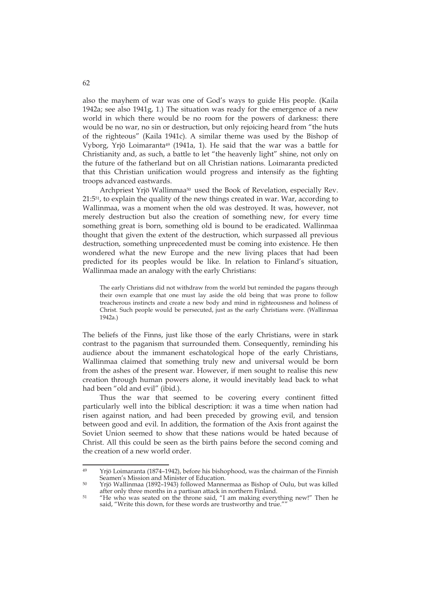also the mayhem of war was one of God's ways to guide His people. (Kaila 1942a; see also 1941g, 1.) The situation was ready for the emergence of a new world in which there would be no room for the powers of darkness: there would be no war, no sin or destruction, but only rejoicing heard from "the huts of the righteous" (Kaila 1941c). A similar theme was used by the Bishop of Vyborg, Yrjö Loimaranta49 (1941a, 1). He said that the war was a battle for Christianity and, as such, a battle to let "the heavenly light" shine, not only on the future of the fatherland but on all Christian nations. Loimaranta predicted that this Christian unification would progress and intensify as the fighting troops advanced eastwards.

Archpriest Yrjö Wallinmaa<sup>50</sup> used the Book of Revelation, especially Rev. 21:551, to explain the quality of the new things created in war. War, according to Wallinmaa, was a moment when the old was destroyed. It was, however, not merely destruction but also the creation of something new, for every time something great is born, something old is bound to be eradicated. Wallinmaa thought that given the extent of the destruction, which surpassed all previous destruction, something unprecedented must be coming into existence. He then wondered what the new Europe and the new living places that had been predicted for its peoples would be like. In relation to Finland's situation, Wallinmaa made an analogy with the early Christians:

The early Christians did not withdraw from the world but reminded the pagans through their own example that one must lay aside the old being that was prone to follow treacherous instincts and create a new body and mind in righteousness and holiness of Christ. Such people would be persecuted, just as the early Christians were. (Wallinmaa 1942a.)

The beliefs of the Finns, just like those of the early Christians, were in stark contrast to the paganism that surrounded them. Consequently, reminding his audience about the immanent eschatological hope of the early Christians, Wallinmaa claimed that something truly new and universal would be born from the ashes of the present war. However, if men sought to realise this new creation through human powers alone, it would inevitably lead back to what had been "old and evil" (ibid.).

Thus the war that seemed to be covering every continent fitted particularly well into the biblical description: it was a time when nation had risen against nation, and had been preceded by growing evil, and tension between good and evil. In addition, the formation of the Axis front against the Soviet Union seemed to show that these nations would be hated because of Christ. All this could be seen as the birth pains before the second coming and the creation of a new world order.

 $49$ Yrjö Loimaranta (1874–1942), before his bishophood, was the chairman of the Finnish<br>Seamen's Mission and Minister of Education.

 $50$  Yrjö Wallinmaa (1892–1943) followed Mannermaa as Bishop of Oulu, but was killed after only three months in a partisan attack in northern Finland.

<sup>&</sup>lt;sup>51</sup> "He who was seated on the throne said, "I am making everything new!" Then he said, "Write this down, for these words are trustworthy and true.""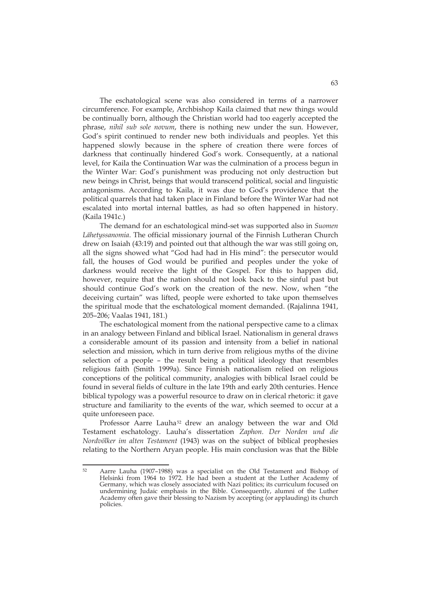The eschatological scene was also considered in terms of a narrower circumference. For example, Archbishop Kaila claimed that new things would be continually born, although the Christian world had too eagerly accepted the phrase, *nihil sub sole novum*, there is nothing new under the sun. However, God's spirit continued to render new both individuals and peoples. Yet this happened slowly because in the sphere of creation there were forces of darkness that continually hindered God's work. Consequently, at a national level, for Kaila the Continuation War was the culmination of a process begun in the Winter War: God's punishment was producing not only destruction but new beings in Christ, beings that would transcend political, social and linguistic antagonisms. According to Kaila, it was due to God's providence that the political quarrels that had taken place in Finland before the Winter War had not escalated into mortal internal battles, as had so often happened in history. (Kaila 1941c.)

The demand for an eschatological mind-set was supported also in *Suomen Lähetyssanomia*. The official missionary journal of the Finnish Lutheran Church drew on Isaiah (43:19) and pointed out that although the war was still going on, all the signs showed what "God had had in His mind": the persecutor would fall, the houses of God would be purified and peoples under the yoke of darkness would receive the light of the Gospel. For this to happen did, however, require that the nation should not look back to the sinful past but should continue God's work on the creation of the new. Now, when "the deceiving curtain" was lifted, people were exhorted to take upon themselves the spiritual mode that the eschatological moment demanded. (Rajalinna 1941, 205–206; Vaalas 1941, 181.)

The eschatological moment from the national perspective came to a climax in an analogy between Finland and biblical Israel. Nationalism in general draws a considerable amount of its passion and intensity from a belief in national selection and mission, which in turn derive from religious myths of the divine selection of a people – the result being a political ideology that resembles religious faith (Smith 1999a). Since Finnish nationalism relied on religious conceptions of the political community, analogies with biblical Israel could be found in several fields of culture in the late 19th and early 20th centuries. Hence biblical typology was a powerful resource to draw on in clerical rhetoric: it gave structure and familiarity to the events of the war, which seemed to occur at a quite unforeseen pace.

Professor Aarre Lauha<sup>52</sup> drew an analogy between the war and Old Testament eschatology. Lauha's dissertation *Zaphon. Der Norden und die Nordvölker im alten Testament* (1943) was on the subject of biblical prophesies relating to the Northern Aryan people. His main conclusion was that the Bible

<sup>52</sup> 52 Aarre Lauha (1907–1988) was a specialist on the Old Testament and Bishop of Helsinki from 1964 to 1972. He had been a student at the Luther Academy of Germany, which was closely associated with Nazi politics; its curriculum focused on undermining Judaic emphasis in the Bible. Consequently, alumni of the Luther Academy often gave their blessing to Nazism by accepting (or applauding) its church policies.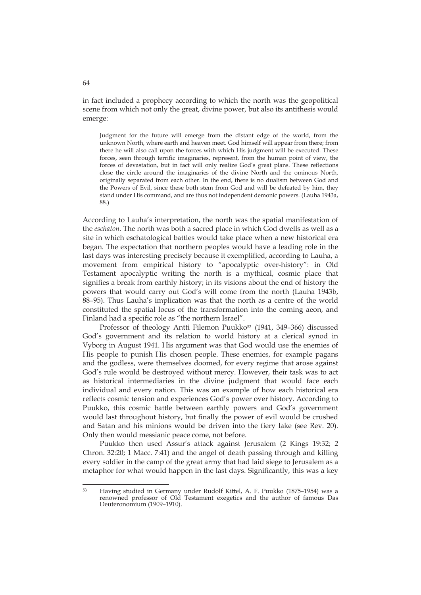in fact included a prophecy according to which the north was the geopolitical scene from which not only the great, divine power, but also its antithesis would emerge:

Judgment for the future will emerge from the distant edge of the world, from the unknown North, where earth and heaven meet. God himself will appear from there; from there he will also call upon the forces with which His judgment will be executed. These forces, seen through terrific imaginaries, represent, from the human point of view, the forces of devastation, but in fact will only realize God's great plans. These reflections close the circle around the imaginaries of the divine North and the ominous North, originally separated from each other. In the end, there is no dualism between God and the Powers of Evil, since these both stem from God and will be defeated by him, they stand under His command, and are thus not independent demonic powers. (Lauha 1943a, 88.)

According to Lauha's interpretation, the north was the spatial manifestation of the *eschaton*. The north was both a sacred place in which God dwells as well as a site in which eschatological battles would take place when a new historical era began. The expectation that northern peoples would have a leading role in the last days was interesting precisely because it exemplified, according to Lauha, a movement from empirical history to "apocalyptic over-history": in Old Testament apocalyptic writing the north is a mythical, cosmic place that signifies a break from earthly history; in its visions about the end of history the powers that would carry out God's will come from the north (Lauha 1943b, 88–95). Thus Lauha's implication was that the north as a centre of the world constituted the spatial locus of the transformation into the coming aeon, and Finland had a specific role as "the northern Israel".

Professor of theology Antti Filemon Puukko<sup>53</sup> (1941, 349-366) discussed God's government and its relation to world history at a clerical synod in Vyborg in August 1941. His argument was that God would use the enemies of His people to punish His chosen people. These enemies, for example pagans and the godless, were themselves doomed, for every regime that arose against God's rule would be destroyed without mercy. However, their task was to act as historical intermediaries in the divine judgment that would face each individual and every nation. This was an example of how each historical era reflects cosmic tension and experiences God's power over history. According to Puukko, this cosmic battle between earthly powers and God's government would last throughout history, but finally the power of evil would be crushed and Satan and his minions would be driven into the fiery lake (see Rev. 20). Only then would messianic peace come, not before.

Puukko then used Assur's attack against Jerusalem (2 Kings 19:32; 2 Chron. 32:20; 1 Macc. 7:41) and the angel of death passing through and killing every soldier in the camp of the great army that had laid siege to Jerusalem as a metaphor for what would happen in the last days. Significantly, this was a key

<sup>53</sup> 53 Having studied in Germany under Rudolf Kittel, A. F. Puukko (1875–1954) was a renowned professor of Old Testament exegetics and the author of famous Das Deuteronomium (1909–1910).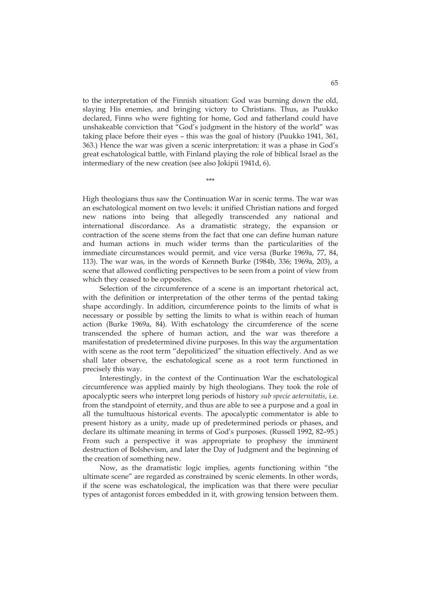to the interpretation of the Finnish situation: God was burning down the old, slaying His enemies, and bringing victory to Christians. Thus, as Puukko declared, Finns who were fighting for home, God and fatherland could have unshakeable conviction that "God's judgment in the history of the world" was taking place before their eyes – this was the goal of history (Puukko 1941, 361, 363.) Hence the war was given a scenic interpretation: it was a phase in God's great eschatological battle, with Finland playing the role of biblical Israel as the intermediary of the new creation (see also Jokipii 1941d, 6).

\*\*\*

High theologians thus saw the Continuation War in scenic terms. The war was an eschatological moment on two levels: it unified Christian nations and forged new nations into being that allegedly transcended any national and international discordance. As a dramatistic strategy, the expansion or contraction of the scene stems from the fact that one can define human nature and human actions in much wider terms than the particularities of the immediate circumstances would permit, and vice versa (Burke 1969a, 77, 84, 113). The war was, in the words of Kenneth Burke (1984b, 336; 1969a, 203), a scene that allowed conflicting perspectives to be seen from a point of view from which they ceased to be opposites.

Selection of the circumference of a scene is an important rhetorical act, with the definition or interpretation of the other terms of the pentad taking shape accordingly. In addition, circumference points to the limits of what is necessary or possible by setting the limits to what is within reach of human action (Burke 1969a, 84). With eschatology the circumference of the scene transcended the sphere of human action, and the war was therefore a manifestation of predetermined divine purposes. In this way the argumentation with scene as the root term "depoliticized" the situation effectively. And as we shall later observe, the eschatological scene as a root term functioned in precisely this way.

Interestingly, in the context of the Continuation War the eschatological circumference was applied mainly by high theologians. They took the role of apocalyptic seers who interpret long periods of history *sub specie aeternitatis*, i.e. from the standpoint of eternity, and thus are able to see a purpose and a goal in all the tumultuous historical events. The apocalyptic commentator is able to present history as a unity, made up of predetermined periods or phases, and declare its ultimate meaning in terms of God's purposes. (Russell 1992, 82–95.) From such a perspective it was appropriate to prophesy the imminent destruction of Bolshevism, and later the Day of Judgment and the beginning of the creation of something new.

Now, as the dramatistic logic implies, agents functioning within "the ultimate scene" are regarded as constrained by scenic elements. In other words, if the scene was eschatological, the implication was that there were peculiar types of antagonist forces embedded in it, with growing tension between them.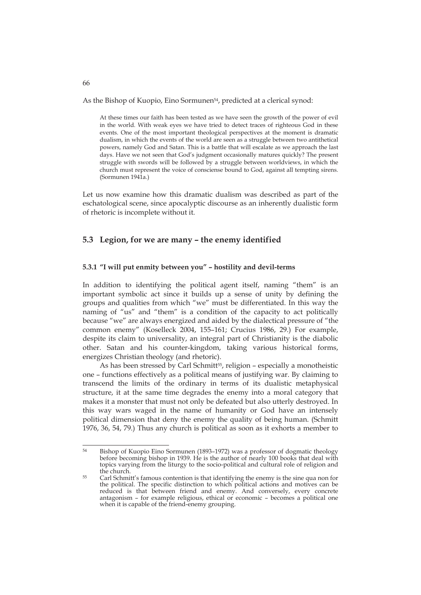As the Bishop of Kuopio, Eino Sormunen<sup>54</sup>, predicted at a clerical synod:

At these times our faith has been tested as we have seen the growth of the power of evil in the world. With weak eyes we have tried to detect traces of righteous God in these events. One of the most important theological perspectives at the moment is dramatic dualism, in which the events of the world are seen as a struggle between two antithetical powers, namely God and Satan. This is a battle that will escalate as we approach the last days. Have we not seen that God's judgment occasionally matures quickly? The present struggle with swords will be followed by a struggle between worldviews, in which the church must represent the voice of consciense bound to God, against all tempting sirens. (Sormunen 1941a.)

Let us now examine how this dramatic dualism was described as part of the eschatological scene, since apocalyptic discourse as an inherently dualistic form of rhetoric is incomplete without it.

#### **5.3 Legion, for we are many – the enemy identified**

#### **5.3.1 "I will put enmity between you" – hostility and devil-terms**

In addition to identifying the political agent itself, naming "them" is an important symbolic act since it builds up a sense of unity by defining the groups and qualities from which "we" must be differentiated. In this way the naming of "us" and "them" is a condition of the capacity to act politically because "we" are always energized and aided by the dialectical pressure of "the common enemy" (Koselleck 2004, 155–161; Crucius 1986, 29.) For example, despite its claim to universality, an integral part of Christianity is the diabolic other. Satan and his counter-kingdom, taking various historical forms, energizes Christian theology (and rhetoric).

As has been stressed by Carl Schmitt<sup>55</sup>, religion - especially a monotheistic one – functions effectively as a political means of justifying war. By claiming to transcend the limits of the ordinary in terms of its dualistic metaphysical structure, it at the same time degrades the enemy into a moral category that makes it a monster that must not only be defeated but also utterly destroyed. In this way wars waged in the name of humanity or God have an intensely political dimension that deny the enemy the quality of being human. (Schmitt 1976, 36, 54, 79.) Thus any church is political as soon as it exhorts a member to

66

<sup>54</sup> Bishop of Kuopio Eino Sormunen (1893-1972) was a professor of dogmatic theology before becoming bishop in 1939. He is the author of nearly 100 books that deal with topics varying from the liturgy to the socio-political and cultural role of religion and the church.<br>
55 Carl Schmitt's famous contention is that identifying the enemy is the sine qua non for

the political. The specific distinction to which political actions and motives can be reduced is that between friend and enemy. And conversely, every concrete antagonism – for example religious, ethical or economic – becomes a political one when it is capable of the friend-enemy grouping.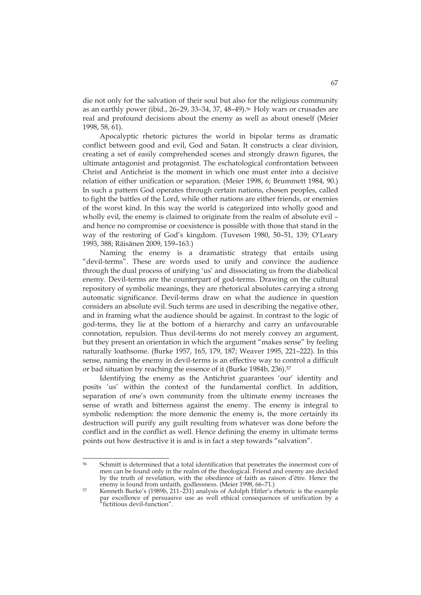die not only for the salvation of their soul but also for the religious community as an earthly power (ibid., 26–29, 33–34, 37, 48–49).56 Holy wars or crusades are real and profound decisions about the enemy as well as about oneself (Meier 1998, 58, 61).

Apocalyptic rhetoric pictures the world in bipolar terms as dramatic conflict between good and evil, God and Satan. It constructs a clear division, creating a set of easily comprehended scenes and strongly drawn figures, the ultimate antagonist and protagonist. The eschatological confrontation between Christ and Antichrist is the moment in which one must enter into a decisive relation of either unification or separation. (Meier 1998, 6; Brummett 1984, 90.) In such a pattern God operates through certain nations, chosen peoples, called to fight the battles of the Lord, while other nations are either friends, or enemies of the worst kind. In this way the world is categorized into wholly good and wholly evil, the enemy is claimed to originate from the realm of absolute evil – and hence no compromise or coexistence is possible with those that stand in the way of the restoring of God's kingdom. (Tuveson 1980, 50–51, 139; O'Leary 1993, 388; Räisänen 2009, 159–163.)

Naming the enemy is a dramatistic strategy that entails using "devil-terms". These are words used to unify and convince the audience through the dual process of unifying 'us' and dissociating us from the diabolical enemy. Devil-terms are the counterpart of god-terms. Drawing on the cultural repository of symbolic meanings, they are rhetorical absolutes carrying a strong automatic significance. Devil-terms draw on what the audience in question considers an absolute evil. Such terms are used in describing the negative other, and in framing what the audience should be against. In contrast to the logic of god-terms, they lie at the bottom of a hierarchy and carry an unfavourable connotation, repulsion. Thus devil-terms do not merely convey an argument, but they present an orientation in which the argument "makes sense" by feeling naturally loathsome. (Burke 1957, 165, 179, 187; Weaver 1995, 221–222). In this sense, naming the enemy in devil-terms is an effective way to control a difficult or bad situation by reaching the essence of it (Burke 1984b, 236).<sup>57</sup>

Identifying the enemy as the Antichrist guarantees 'our' identity and posits 'us' within the context of the fundamental conflict. In addition, separation of one's own community from the ultimate enemy increases the sense of wrath and bitterness against the enemy. The enemy is integral to symbolic redemption: the more demonic the enemy is, the more certainly its destruction will purify any guilt resulting from whatever was done before the conflict and in the conflict as well. Hence defining the enemy in ultimate terms points out how destructive it is and is in fact a step towards "salvation".

<sup>56</sup> 56 Schmitt is determined that a total identification that penetrates the innermost core of men can be found only in the realm of the theological. Friend and enemy are decided by the truth of revelation, with the obedience of faith as raison d'être. Hence the enemy is found from unfaith, godlessness. (Meier 1998, 66–71.)<br>
Someth Burke's (1989b, 211–231) analysis of Adolph Hitler's rhetoric is the example

par excellence of persuasive use as well ethical consequences of unification by a "fictitious devil-function".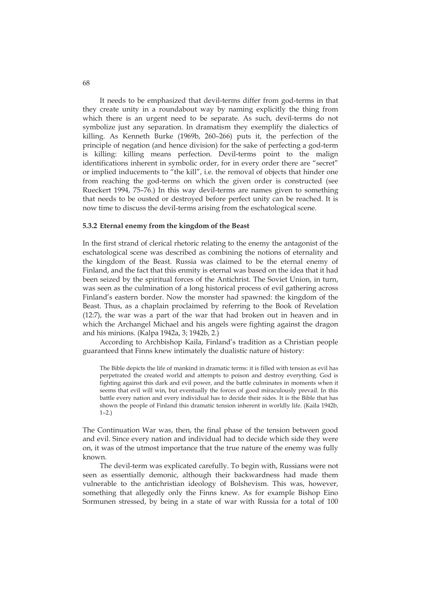It needs to be emphasized that devil-terms differ from god-terms in that they create unity in a roundabout way by naming explicitly the thing from which there is an urgent need to be separate. As such, devil-terms do not symbolize just any separation. In dramatism they exemplify the dialectics of killing. As Kenneth Burke (1969b, 260–266) puts it, the perfection of the principle of negation (and hence division) for the sake of perfecting a god-term is killing: killing means perfection. Devil-terms point to the malign identifications inherent in symbolic order, for in every order there are "secret" or implied inducements to "the kill", i.e. the removal of objects that hinder one from reaching the god-terms on which the given order is constructed (see Rueckert 1994, 75–76.) In this way devil-terms are names given to something that needs to be ousted or destroyed before perfect unity can be reached. It is now time to discuss the devil-terms arising from the eschatological scene.

#### **5.3.2 Eternal enemy from the kingdom of the Beast**

In the first strand of clerical rhetoric relating to the enemy the antagonist of the eschatological scene was described as combining the notions of eternality and the kingdom of the Beast. Russia was claimed to be the eternal enemy of Finland, and the fact that this enmity is eternal was based on the idea that it had been seized by the spiritual forces of the Antichrist. The Soviet Union, in turn, was seen as the culmination of a long historical process of evil gathering across Finland's eastern border. Now the monster had spawned: the kingdom of the Beast. Thus, as a chaplain proclaimed by referring to the Book of Revelation (12:7), the war was a part of the war that had broken out in heaven and in which the Archangel Michael and his angels were fighting against the dragon and his minions. (Kalpa 1942a, 3; 1942b, 2.)

According to Archbishop Kaila, Finland's tradition as a Christian people guaranteed that Finns knew intimately the dualistic nature of history:

The Bible depicts the life of mankind in dramatic terms: it is filled with tension as evil has perpetrated the created world and attempts to poison and destroy everything. God is fighting against this dark and evil power, and the battle culminates in moments when it seems that evil will win, but eventually the forces of good miraculously prevail. In this battle every nation and every individual has to decide their sides. It is the Bible that has shown the people of Finland this dramatic tension inherent in worldly life. (Kaila 1942b,  $1-2.$ )

The Continuation War was, then, the final phase of the tension between good and evil. Since every nation and individual had to decide which side they were on, it was of the utmost importance that the true nature of the enemy was fully known.

The devil-term was explicated carefully. To begin with, Russians were not seen as essentially demonic, although their backwardness had made them vulnerable to the antichristian ideology of Bolshevism. This was, however, something that allegedly only the Finns knew. As for example Bishop Eino Sormunen stressed, by being in a state of war with Russia for a total of 100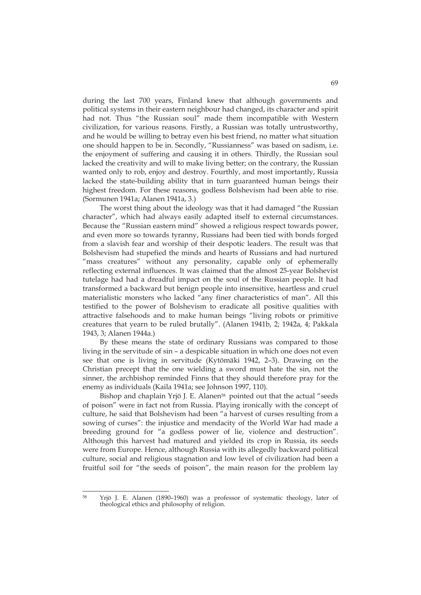during the last 700 years, Finland knew that although governments and political systems in their eastern neighbour had changed, its character and spirit had not. Thus "the Russian soul" made them incompatible with Western civilization, for various reasons. Firstly, a Russian was totally untrustworthy, and he would be willing to betray even his best friend, no matter what situation one should happen to be in. Secondly, "Russianness" was based on sadism, i.e. the enjoyment of suffering and causing it in others. Thirdly, the Russian soul lacked the creativity and will to make living better; on the contrary, the Russian wanted only to rob, enjoy and destroy. Fourthly, and most importantly, Russia lacked the state-building ability that in turn guaranteed human beings their highest freedom. For these reasons, godless Bolshevism had been able to rise. (Sormunen 1941a; Alanen 1941a, 3.)

The worst thing about the ideology was that it had damaged "the Russian character", which had always easily adapted itself to external circumstances. Because the "Russian eastern mind" showed a religious respect towards power, and even more so towards tyranny, Russians had been tied with bonds forged from a slavish fear and worship of their despotic leaders. The result was that Bolshevism had stupefied the minds and hearts of Russians and had nurtured "mass creatures" without any personality, capable only of ephemerally reflecting external influences. It was claimed that the almost 25-year Bolshevist tutelage had had a dreadful impact on the soul of the Russian people. It had transformed a backward but benign people into insensitive, heartless and cruel materialistic monsters who lacked "any finer characteristics of man". All this testified to the power of Bolshevism to eradicate all positive qualities with attractive falsehoods and to make human beings "living robots or primitive creatures that yearn to be ruled brutally". (Alanen 1941b, 2; 1942a, 4; Pakkala 1943, 3; Alanen 1944a.)

By these means the state of ordinary Russians was compared to those living in the servitude of sin – a despicable situation in which one does not even see that one is living in servitude (Kytömäki 1942, 2–3). Drawing on the Christian precept that the one wielding a sword must hate the sin, not the sinner, the archbishop reminded Finns that they should therefore pray for the enemy as individuals (Kaila 1941a; see Johnson 1997, 110).

Bishop and chaplain Yrjö J. E. Alanen<sup>58</sup> pointed out that the actual "seeds of poison" were in fact not from Russia. Playing ironically with the concept of culture, he said that Bolshevism had been "a harvest of curses resulting from a sowing of curses": the injustice and mendacity of the World War had made a breeding ground for "a godless power of lie, violence and destruction". Although this harvest had matured and yielded its crop in Russia, its seeds were from Europe. Hence, although Russia with its allegedly backward political culture, social and religious stagnation and low level of civilization had been a fruitful soil for "the seeds of poison", the main reason for the problem lay

<sup>&</sup>lt;u>.</u> 58 Yrjö J. E. Alanen (1890–1960) was a professor of systematic theology, later of theological ethics and philosophy of religion.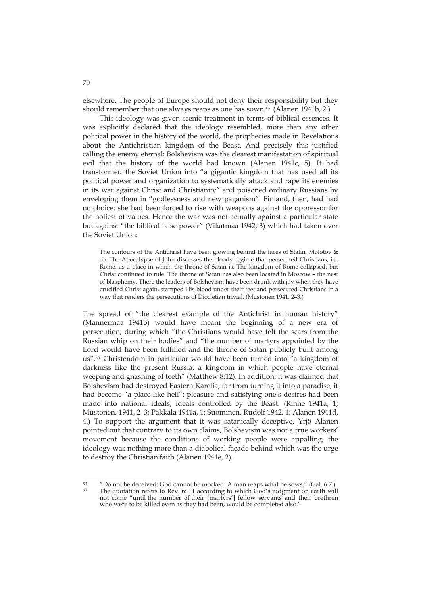elsewhere. The people of Europe should not deny their responsibility but they should remember that one always reaps as one has sown.59 (Alanen 1941b, 2.)

This ideology was given scenic treatment in terms of biblical essences. It was explicitly declared that the ideology resembled, more than any other political power in the history of the world, the prophecies made in Revelations about the Antichristian kingdom of the Beast. And precisely this justified calling the enemy eternal: Bolshevism was the clearest manifestation of spiritual evil that the history of the world had known (Alanen 1941c, 5). It had transformed the Soviet Union into "a gigantic kingdom that has used all its political power and organization to systematically attack and rape its enemies in its war against Christ and Christianity" and poisoned ordinary Russians by enveloping them in "godlessness and new paganism". Finland, then, had had no choice: she had been forced to rise with weapons against the oppressor for the holiest of values. Hence the war was not actually against a particular state but against "the biblical false power" (Vikatmaa 1942, 3) which had taken over the Soviet Union:

The contours of the Antichrist have been glowing behind the faces of Stalin, Molotov & co. The Apocalypse of John discusses the bloody regime that persecuted Christians, i.e. Rome, as a place in which the throne of Satan is. The kingdom of Rome collapsed, but Christ continued to rule. The throne of Satan has also been located in Moscow – the nest of blasphemy. There the leaders of Bolshevism have been drunk with joy when they have crucified Christ again, stamped His blood under their feet and persecuted Christians in a way that renders the persecutions of Diocletian trivial. (Mustonen 1941, 2–3.)

The spread of "the clearest example of the Antichrist in human history" (Mannermaa 1941b) would have meant the beginning of a new era of persecution, during which "the Christians would have felt the scars from the Russian whip on their bodies" and "the number of martyrs appointed by the Lord would have been fulfilled and the throne of Satan publicly built among us".60 Christendom in particular would have been turned into "a kingdom of darkness like the present Russia, a kingdom in which people have eternal weeping and gnashing of teeth" (Matthew 8:12). In addition, it was claimed that Bolshevism had destroyed Eastern Karelia; far from turning it into a paradise, it had become "a place like hell": pleasure and satisfying one's desires had been made into national ideals, ideals controlled by the Beast. (Rinne 1941a, 1; Mustonen, 1941, 2–3; Pakkala 1941a, 1; Suominen, Rudolf 1942, 1; Alanen 1941d, 4.) To support the argument that it was satanically deceptive, Yrjö Alanen pointed out that contrary to its own claims, Bolshevism was not a true workers' movement because the conditions of working people were appalling; the ideology was nothing more than a diabolical façade behind which was the urge to destroy the Christian faith (Alanen 1941e, 2).

<sup>59</sup> "Do not be deceived: God cannot be mocked. A man reaps what he sows." (Gal. 6:7.) The quotation refers to Rev. 6: 11 according to which God's judgment on earth will not come "until the number of their [martyrs'] fellow servants and their brethren who were to be killed even as they had been, would be completed also."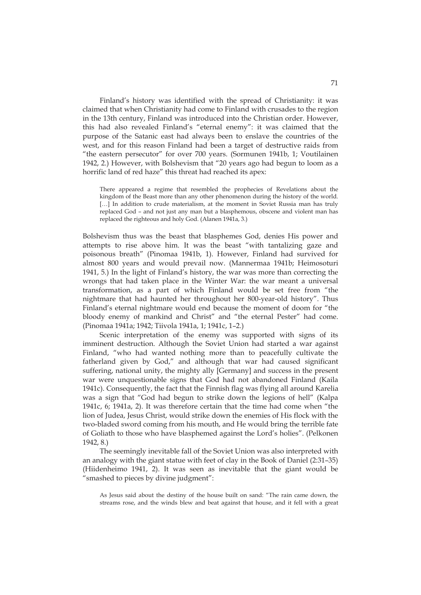Finland's history was identified with the spread of Christianity: it was claimed that when Christianity had come to Finland with crusades to the region in the 13th century, Finland was introduced into the Christian order. However, this had also revealed Finland's "eternal enemy": it was claimed that the purpose of the Satanic east had always been to enslave the countries of the west, and for this reason Finland had been a target of destructive raids from "the eastern persecutor" for over 700 years. (Sormunen 1941b, 1; Voutilainen 1942, 2.) However, with Bolshevism that "20 years ago had begun to loom as a horrific land of red haze" this threat had reached its apex:

There appeared a regime that resembled the prophecies of Revelations about the kingdom of the Beast more than any other phenomenon during the history of the world. [...] In addition to crude materialism, at the moment in Soviet Russia man has truly replaced God – and not just any man but a blasphemous, obscene and violent man has replaced the righteous and holy God. (Alanen 1941a, 3.)

Bolshevism thus was the beast that blasphemes God, denies His power and attempts to rise above him. It was the beast "with tantalizing gaze and poisonous breath" (Pinomaa 1941b, 1). However, Finland had survived for almost 800 years and would prevail now. (Mannermaa 1941b; Heimosoturi 1941, 5.) In the light of Finland's history, the war was more than correcting the wrongs that had taken place in the Winter War: the war meant a universal transformation, as a part of which Finland would be set free from "the nightmare that had haunted her throughout her 800-year-old history". Thus Finland's eternal nightmare would end because the moment of doom for "the bloody enemy of mankind and Christ" and "the eternal Pester" had come. (Pinomaa 1941a; 1942; Tiivola 1941a, 1; 1941c, 1–2.)

Scenic interpretation of the enemy was supported with signs of its imminent destruction. Although the Soviet Union had started a war against Finland, "who had wanted nothing more than to peacefully cultivate the fatherland given by God," and although that war had caused significant suffering, national unity, the mighty ally [Germany] and success in the present war were unquestionable signs that God had not abandoned Finland (Kaila 1941c). Consequently, the fact that the Finnish flag was flying all around Karelia was a sign that "God had begun to strike down the legions of hell" (Kalpa 1941c, 6; 1941a, 2). It was therefore certain that the time had come when "the lion of Judea, Jesus Christ, would strike down the enemies of His flock with the two-bladed sword coming from his mouth, and He would bring the terrible fate of Goliath to those who have blasphemed against the Lord's holies". (Pelkonen 1942, 8.)

The seemingly inevitable fall of the Soviet Union was also interpreted with an analogy with the giant statue with feet of clay in the Book of Daniel (2:31–35) (Hiidenheimo 1941, 2). It was seen as inevitable that the giant would be "smashed to pieces by divine judgment":

As Jesus said about the destiny of the house built on sand: "The rain came down, the streams rose, and the winds blew and beat against that house, and it fell with a great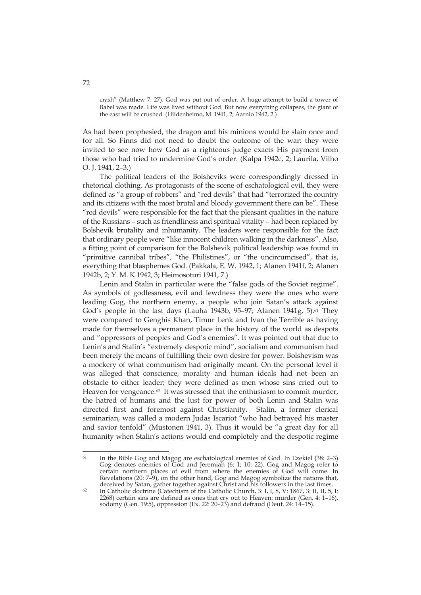crash" (Matthew 7: 27). God was put out of order. A huge attempt to build a tower of Babel was made. Life was lived without God. But now everything collapses, the giant of the east will be crushed. (Hiidenheimo, M. 1941, 2; Aarnio 1942, 2.)

As had been prophesied, the dragon and his minions would be slain once and for all. So Finns did not need to doubt the outcome of the war: they were invited to see now how God as a righteous judge exacts His payment from those who had tried to undermine God's order. (Kalpa 1942c, 2; Laurila, Vilho O. J. 1941, 2–3.)

The political leaders of the Bolsheviks were correspondingly dressed in rhetorical clothing. As protagonists of the scene of eschatological evil, they were defined as "a group of robbers" and "red devils" that had "terrorized the country and its citizens with the most brutal and bloody government there can be". These "red devils" were responsible for the fact that the pleasant qualities in the nature of the Russians – such as friendliness and spiritual vitality – had been replaced by Bolshevik brutality and inhumanity. The leaders were responsible for the fact that ordinary people were "like innocent children walking in the darkness". Also, a fitting point of comparison for the Bolshevik political leadership was found in "primitive cannibal tribes", "the Philistines", or "the uncircumcised", that is, everything that blasphemes God. (Pakkala, E. W. 1942, 1; Alanen 1941f, 2; Alanen 1942b, 2; Y. M. K 1942, 3; Heimosoturi 1941, 7.)

Lenin and Stalin in particular were the "false gods of the Soviet regime". As symbols of godlessness, evil and lewdness they were the ones who were leading Gog, the northern enemy, a people who join Satan's attack against God's people in the last days (Lauha 1943b, 95-97; Alanen 1941g, 5).<sup>61</sup> They were compared to Genghis Khan, Timur Lenk and Ivan the Terrible as having made for themselves a permanent place in the history of the world as despots and "oppressors of peoples and God's enemies". It was pointed out that due to Lenin's and Stalin's "extremely despotic mind", socialism and communism had been merely the means of fulfilling their own desire for power. Bolshevism was a mockery of what communism had originally meant. On the personal level it was alleged that conscience, morality and human ideals had not been an obstacle to either leader; they were defined as men whose sins cried out to Heaven for vengeance.<sup>62</sup> It was stressed that the enthusiasm to commit murder, the hatred of humans and the lust for power of both Lenin and Stalin was directed first and foremost against Christianity. Stalin, a former clerical seminarian, was called a modern Judas Iscariot "who had betrayed his master and savior tenfold" (Mustonen 1941, 3). Thus it would be "a great day for all humanity when Stalin's actions would end completely and the despotic regime

<u>.</u>

<sup>61</sup> In the Bible Gog and Magog are eschatological enemies of God. In Ezekiel (38: 2–3) Gog denotes enemies of God and Jeremiah (6: 1; 10: 22). Gog and Magog refer to certain northern places of evil from where the enemies of God will come. In Revelations (20: 7–9), on the other hand, Gog and Magog symbolize the nations that,

deceived by Satan, gather together against Christ and his followers in the last times.<br><sup>62</sup> In Catholic doctrine (Catechism of the Catholic Church, 3: I, I, 8, V: 1867, 3: II, II, 5, I: 2268) certain sins are defined as ones that cry out to Heaven: murder (Gen. 4: 1–16), sodomy (Gen. 19:5), oppression (Ex. 22: 20–23) and defraud (Deut. 24: 14–15).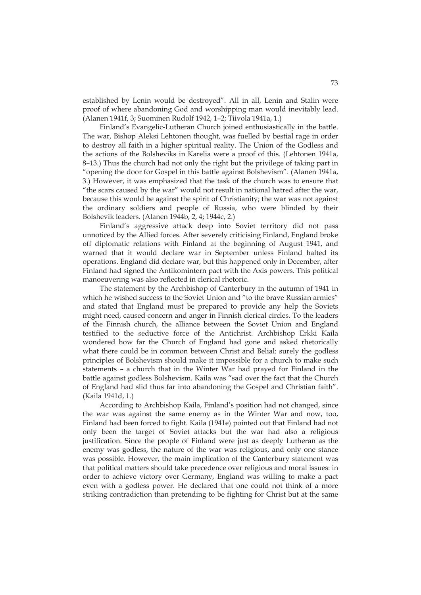established by Lenin would be destroyed". All in all, Lenin and Stalin were proof of where abandoning God and worshipping man would inevitably lead. (Alanen 1941f, 3; Suominen Rudolf 1942, 1–2; Tiivola 1941a, 1.)

Finland's Evangelic-Lutheran Church joined enthusiastically in the battle. The war, Bishop Aleksi Lehtonen thought, was fuelled by bestial rage in order to destroy all faith in a higher spiritual reality. The Union of the Godless and the actions of the Bolsheviks in Karelia were a proof of this. (Lehtonen 1941a, 8–13.) Thus the church had not only the right but the privilege of taking part in "opening the door for Gospel in this battle against Bolshevism". (Alanen 1941a, 3.) However, it was emphasized that the task of the church was to ensure that "the scars caused by the war" would not result in national hatred after the war, because this would be against the spirit of Christianity; the war was not against the ordinary soldiers and people of Russia, who were blinded by their Bolshevik leaders. (Alanen 1944b, 2, 4; 1944c, 2.)

Finland's aggressive attack deep into Soviet territory did not pass unnoticed by the Allied forces. After severely criticising Finland, England broke off diplomatic relations with Finland at the beginning of August 1941, and warned that it would declare war in September unless Finland halted its operations. England did declare war, but this happened only in December, after Finland had signed the Antikomintern pact with the Axis powers. This political manoeuvering was also reflected in clerical rhetoric.

The statement by the Archbishop of Canterbury in the autumn of 1941 in which he wished success to the Soviet Union and "to the brave Russian armies" and stated that England must be prepared to provide any help the Soviets might need, caused concern and anger in Finnish clerical circles. To the leaders of the Finnish church, the alliance between the Soviet Union and England testified to the seductive force of the Antichrist. Archbishop Erkki Kaila wondered how far the Church of England had gone and asked rhetorically what there could be in common between Christ and Belial: surely the godless principles of Bolshevism should make it impossible for a church to make such statements – a church that in the Winter War had prayed for Finland in the battle against godless Bolshevism. Kaila was "sad over the fact that the Church of England had slid thus far into abandoning the Gospel and Christian faith". (Kaila 1941d, 1.)

According to Archbishop Kaila, Finland's position had not changed, since the war was against the same enemy as in the Winter War and now, too, Finland had been forced to fight. Kaila (1941e) pointed out that Finland had not only been the target of Soviet attacks but the war had also a religious justification. Since the people of Finland were just as deeply Lutheran as the enemy was godless, the nature of the war was religious, and only one stance was possible. However, the main implication of the Canterbury statement was that political matters should take precedence over religious and moral issues: in order to achieve victory over Germany, England was willing to make a pact even with a godless power. He declared that one could not think of a more striking contradiction than pretending to be fighting for Christ but at the same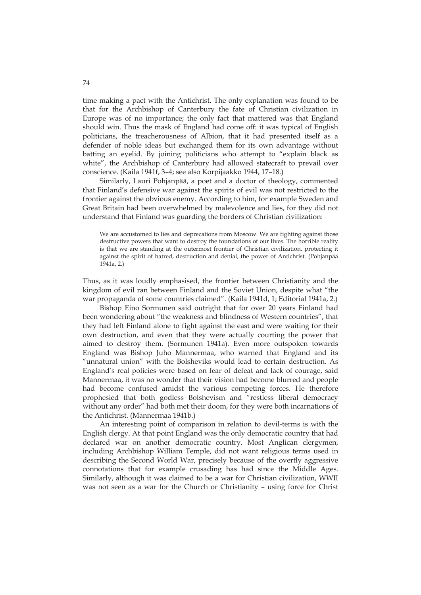time making a pact with the Antichrist. The only explanation was found to be that for the Archbishop of Canterbury the fate of Christian civilization in Europe was of no importance; the only fact that mattered was that England should win. Thus the mask of England had come off: it was typical of English politicians, the treacherousness of Albion, that it had presented itself as a defender of noble ideas but exchanged them for its own advantage without batting an eyelid. By joining politicians who attempt to "explain black as white", the Archbishop of Canterbury had allowed statecraft to prevail over conscience. (Kaila 1941f, 3–4; see also Korpijaakko 1944, 17–18.)

Similarly, Lauri Pohjanpää, a poet and a doctor of theology, commented that Finland's defensive war against the spirits of evil was not restricted to the frontier against the obvious enemy. According to him, for example Sweden and Great Britain had been overwhelmed by malevolence and lies, for they did not understand that Finland was guarding the borders of Christian civilization:

We are accustomed to lies and deprecations from Moscow. We are fighting against those destructive powers that want to destroy the foundations of our lives. The horrible reality is that we are standing at the outermost frontier of Christian civilization, protecting it against the spirit of hatred, destruction and denial, the power of Antichrist. (Pohjanpää 1941a, 2.)

Thus, as it was loudly emphasised, the frontier between Christianity and the kingdom of evil ran between Finland and the Soviet Union, despite what "the war propaganda of some countries claimed". (Kaila 1941d, 1; Editorial 1941a, 2.)

Bishop Eino Sormunen said outright that for over 20 years Finland had been wondering about "the weakness and blindness of Western countries", that they had left Finland alone to fight against the east and were waiting for their own destruction, and even that they were actually courting the power that aimed to destroy them. (Sormunen 1941a). Even more outspoken towards England was Bishop Juho Mannermaa, who warned that England and its "unnatural union" with the Bolsheviks would lead to certain destruction. As England's real policies were based on fear of defeat and lack of courage, said Mannermaa, it was no wonder that their vision had become blurred and people had become confused amidst the various competing forces. He therefore prophesied that both godless Bolshevism and "restless liberal democracy without any order" had both met their doom, for they were both incarnations of the Antichrist. (Mannermaa 1941b.)

An interesting point of comparison in relation to devil-terms is with the English clergy. At that point England was the only democratic country that had declared war on another democratic country. Most Anglican clergymen, including Archbishop William Temple, did not want religious terms used in describing the Second World War, precisely because of the overtly aggressive connotations that for example crusading has had since the Middle Ages. Similarly, although it was claimed to be a war for Christian civilization, WWII was not seen as a war for the Church or Christianity – using force for Christ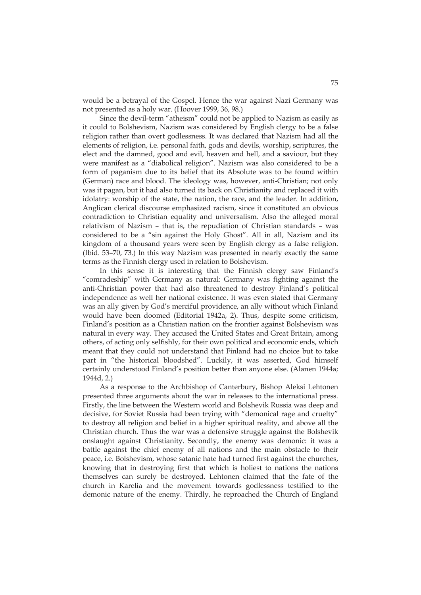would be a betrayal of the Gospel. Hence the war against Nazi Germany was not presented as a holy war. (Hoover 1999, 36, 98.)

Since the devil-term "atheism" could not be applied to Nazism as easily as it could to Bolshevism, Nazism was considered by English clergy to be a false religion rather than overt godlessness. It was declared that Nazism had all the elements of religion, i.e. personal faith, gods and devils, worship, scriptures, the elect and the damned, good and evil, heaven and hell, and a saviour, but they were manifest as a "diabolical religion". Nazism was also considered to be a form of paganism due to its belief that its Absolute was to be found within (German) race and blood. The ideology was, however, anti-Christian; not only was it pagan, but it had also turned its back on Christianity and replaced it with idolatry: worship of the state, the nation, the race, and the leader. In addition, Anglican clerical discourse emphasized racism, since it constituted an obvious contradiction to Christian equality and universalism. Also the alleged moral relativism of Nazism – that is, the repudiation of Christian standards – was considered to be a "sin against the Holy Ghost". All in all, Nazism and its kingdom of a thousand years were seen by English clergy as a false religion. (Ibid. 53–70, 73.) In this way Nazism was presented in nearly exactly the same terms as the Finnish clergy used in relation to Bolshevism.

In this sense it is interesting that the Finnish clergy saw Finland's "comradeship" with Germany as natural: Germany was fighting against the anti-Christian power that had also threatened to destroy Finland's political independence as well her national existence. It was even stated that Germany was an ally given by God's merciful providence, an ally without which Finland would have been doomed (Editorial 1942a, 2). Thus, despite some criticism, Finland's position as a Christian nation on the frontier against Bolshevism was natural in every way. They accused the United States and Great Britain, among others, of acting only selfishly, for their own political and economic ends, which meant that they could not understand that Finland had no choice but to take part in "the historical bloodshed". Luckily, it was asserted, God himself certainly understood Finland's position better than anyone else. (Alanen 1944a; 1944d, 2.)

As a response to the Archbishop of Canterbury, Bishop Aleksi Lehtonen presented three arguments about the war in releases to the international press. Firstly, the line between the Western world and Bolshevik Russia was deep and decisive, for Soviet Russia had been trying with "demonical rage and cruelty" to destroy all religion and belief in a higher spiritual reality, and above all the Christian church. Thus the war was a defensive struggle against the Bolshevik onslaught against Christianity. Secondly, the enemy was demonic: it was a battle against the chief enemy of all nations and the main obstacle to their peace, i.e. Bolshevism, whose satanic hate had turned first against the churches, knowing that in destroying first that which is holiest to nations the nations themselves can surely be destroyed. Lehtonen claimed that the fate of the church in Karelia and the movement towards godlessness testified to the demonic nature of the enemy. Thirdly, he reproached the Church of England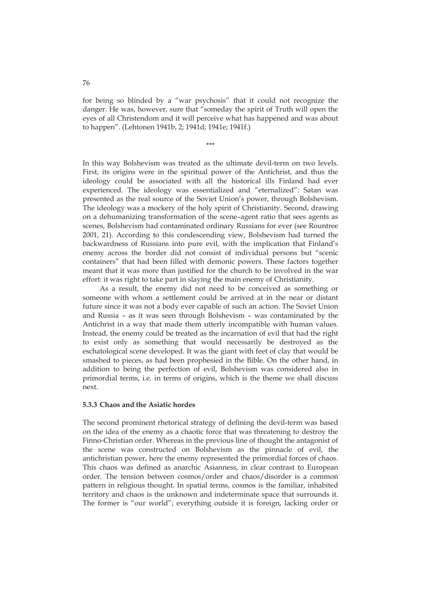for being so blinded by a "war psychosis" that it could not recognize the danger. He was, however, sure that "someday the spirit of Truth will open the eyes of all Christendom and it will perceive what has happened and was about to happen". (Lehtonen 1941b, 2; 1941d; 1941e; 1941f.)

\*\*\*

In this way Bolshevism was treated as the ultimate devil-term on two levels. First, its origins were in the spiritual power of the Antichrist, and thus the ideology could be associated with all the historical ills Finland had ever experienced. The ideology was essentialized and "eternalized": Satan was presented as the real source of the Soviet Union's power, through Bolshevism. The ideology was a mockery of the holy spirit of Christianity. Second, drawing on a dehumanizing transformation of the scene–agent ratio that sees agents as scenes, Bolshevism had contaminated ordinary Russians for ever (see Rountree 2001, 21). According to this condescending view, Bolshevism had turned the backwardness of Russians into pure evil, with the implication that Finland's enemy across the border did not consist of individual persons but "scenic containers" that had been filled with demonic powers. These factors together meant that it was more than justified for the church to be involved in the war effort: it was right to take part in slaying the main enemy of Christianity.

As a result, the enemy did not need to be conceived as something or someone with whom a settlement could be arrived at in the near or distant future since it was not a body ever capable of such an action. The Soviet Union and Russia – as it was seen through Bolshevism – was contaminated by the Antichrist in a way that made them utterly incompatible with human values. Instead, the enemy could be treated as the incarnation of evil that had the right to exist only as something that would necessarily be destroyed as the eschatological scene developed. It was the giant with feet of clay that would be smashed to pieces, as had been prophesied in the Bible. On the other hand, in addition to being the perfection of evil, Bolshevism was considered also in primordial terms, i.e. in terms of origins, which is the theme we shall discuss next.

#### **5.3.3 Chaos and the Asiatic hordes**

The second prominent rhetorical strategy of defining the devil-term was based on the idea of the enemy as a chaotic force that was threatening to destroy the Finno-Christian order. Whereas in the previous line of thought the antagonist of the scene was constructed on Bolshevism as the pinnacle of evil, the antichristian power, here the enemy represented the primordial forces of chaos. This chaos was defined as anarchic Asianness, in clear contrast to European order. The tension between cosmos/order and chaos/disorder is a common pattern in religious thought. In spatial terms, cosmos is the familiar, inhabited territory and chaos is the unknown and indeterminate space that surrounds it. The former is "our world"; everything outside it is foreign, lacking order or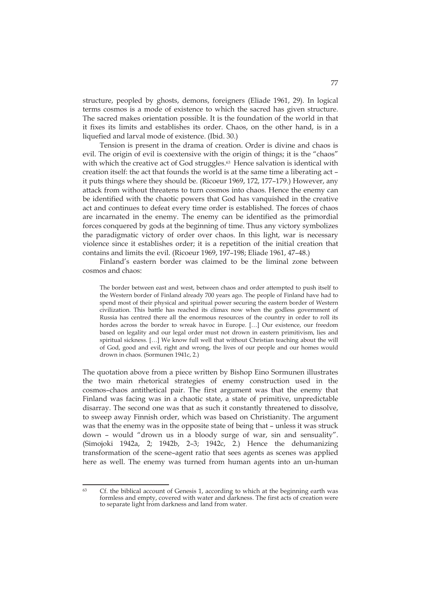structure, peopled by ghosts, demons, foreigners (Eliade 1961, 29). In logical terms cosmos is a mode of existence to which the sacred has given structure. The sacred makes orientation possible. It is the foundation of the world in that it fixes its limits and establishes its order. Chaos, on the other hand, is in a liquefied and larval mode of existence. (Ibid. 30.)

Tension is present in the drama of creation. Order is divine and chaos is evil. The origin of evil is coextensive with the origin of things; it is the "chaos" with which the creative act of God struggles.<sup>63</sup> Hence salvation is identical with creation itself: the act that founds the world is at the same time a liberating act – it puts things where they should be. (Ricoeur 1969, 172, 177–179.) However, any attack from without threatens to turn cosmos into chaos. Hence the enemy can be identified with the chaotic powers that God has vanquished in the creative act and continues to defeat every time order is established. The forces of chaos are incarnated in the enemy. The enemy can be identified as the primordial forces conquered by gods at the beginning of time. Thus any victory symbolizes the paradigmatic victory of order over chaos. In this light, war is necessary violence since it establishes order; it is a repetition of the initial creation that contains and limits the evil. (Ricoeur 1969, 197–198; Eliade 1961, 47–48.)

Finland's eastern border was claimed to be the liminal zone between cosmos and chaos:

The border between east and west, between chaos and order attempted to push itself to the Western border of Finland already 700 years ago. The people of Finland have had to spend most of their physical and spiritual power securing the eastern border of Western civilization. This battle has reached its climax now when the godless government of Russia has centred there all the enormous resources of the country in order to roll its hordes across the border to wreak havoc in Europe. […] Our existence, our freedom based on legality and our legal order must not drown in eastern primitivism, lies and spiritual sickness. […] We know full well that without Christian teaching about the will of God, good and evil, right and wrong, the lives of our people and our homes would drown in chaos. (Sormunen 1941c, 2.)

The quotation above from a piece written by Bishop Eino Sormunen illustrates the two main rhetorical strategies of enemy construction used in the cosmos–chaos antithetical pair. The first argument was that the enemy that Finland was facing was in a chaotic state, a state of primitive, unpredictable disarray. The second one was that as such it constantly threatened to dissolve, to sweep away Finnish order, which was based on Christianity. The argument was that the enemy was in the opposite state of being that – unless it was struck down – would "drown us in a bloody surge of war, sin and sensuality". (Simojoki 1942a, 2; 1942b, 2–3; 1942c, 2.) Hence the dehumanizing transformation of the scene–agent ratio that sees agents as scenes was applied here as well. The enemy was turned from human agents into an un-human

 $63$ Cf. the biblical account of Genesis 1, according to which at the beginning earth was formless and empty, covered with water and darkness. The first acts of creation were to separate light from darkness and land from water.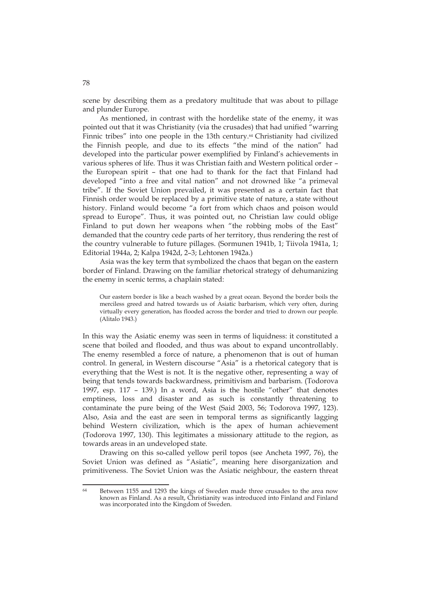scene by describing them as a predatory multitude that was about to pillage and plunder Europe.

As mentioned, in contrast with the hordelike state of the enemy, it was pointed out that it was Christianity (via the crusades) that had unified "warring Finnic tribes" into one people in the 13th century.<sup>64</sup> Christianity had civilized the Finnish people, and due to its effects "the mind of the nation" had developed into the particular power exemplified by Finland's achievements in various spheres of life. Thus it was Christian faith and Western political order – the European spirit – that one had to thank for the fact that Finland had developed "into a free and vital nation" and not drowned like "a primeval tribe". If the Soviet Union prevailed, it was presented as a certain fact that Finnish order would be replaced by a primitive state of nature, a state without history. Finland would become "a fort from which chaos and poison would spread to Europe". Thus, it was pointed out, no Christian law could oblige Finland to put down her weapons when "the robbing mobs of the East" demanded that the country cede parts of her territory, thus rendering the rest of the country vulnerable to future pillages. (Sormunen 1941b, 1; Tiivola 1941a, 1; Editorial 1944a, 2; Kalpa 1942d, 2–3; Lehtonen 1942a.)

Asia was the key term that symbolized the chaos that began on the eastern border of Finland. Drawing on the familiar rhetorical strategy of dehumanizing the enemy in scenic terms, a chaplain stated:

Our eastern border is like a beach washed by a great ocean. Beyond the border boils the merciless greed and hatred towards us of Asiatic barbarism, which very often, during virtually every generation, has flooded across the border and tried to drown our people. (Alitalo 1943.)

In this way the Asiatic enemy was seen in terms of liquidness: it constituted a scene that boiled and flooded, and thus was about to expand uncontrollably. The enemy resembled a force of nature, a phenomenon that is out of human control. In general, in Western discourse "Asia" is a rhetorical category that is everything that the West is not. It is the negative other, representing a way of being that tends towards backwardness, primitivism and barbarism. (Todorova 1997, esp. 117 – 139.) In a word, Asia is the hostile "other" that denotes emptiness, loss and disaster and as such is constantly threatening to contaminate the pure being of the West (Said 2003, 56; Todorova 1997, 123). Also, Asia and the east are seen in temporal terms as significantly lagging behind Western civilization, which is the apex of human achievement (Todorova 1997, 130). This legitimates a missionary attitude to the region, as towards areas in an undeveloped state.

Drawing on this so-called yellow peril topos (see Ancheta 1997, 76), the Soviet Union was defined as "Asiatic", meaning here disorganization and primitiveness. The Soviet Union was the Asiatic neighbour, the eastern threat

 $64$ Between 1155 and 1293 the kings of Sweden made three crusades to the area now known as Finland. As a result, Christianity was introduced into Finland and Finland was incorporated into the Kingdom of Sweden.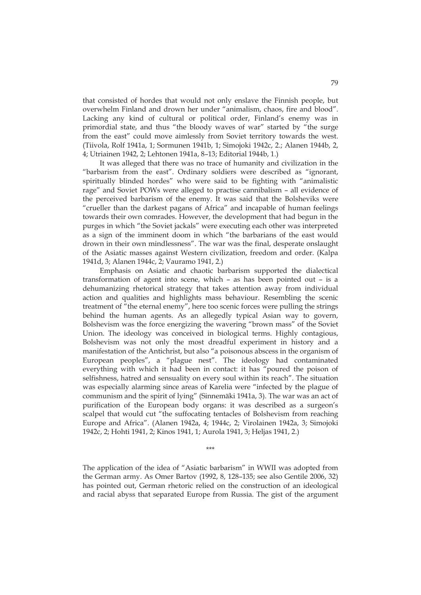that consisted of hordes that would not only enslave the Finnish people, but overwhelm Finland and drown her under "animalism, chaos, fire and blood". Lacking any kind of cultural or political order, Finland's enemy was in primordial state, and thus "the bloody waves of war" started by "the surge from the east" could move aimlessly from Soviet territory towards the west. (Tiivola, Rolf 1941a, 1; Sormunen 1941b, 1; Simojoki 1942c, 2.; Alanen 1944b, 2, 4; Utriainen 1942, 2; Lehtonen 1941a, 8–13; Editorial 1944b, 1.)

It was alleged that there was no trace of humanity and civilization in the "barbarism from the east". Ordinary soldiers were described as "ignorant, spiritually blinded hordes" who were said to be fighting with "animalistic rage" and Soviet POWs were alleged to practise cannibalism – all evidence of the perceived barbarism of the enemy. It was said that the Bolsheviks were "crueller than the darkest pagans of Africa" and incapable of human feelings towards their own comrades. However, the development that had begun in the purges in which "the Soviet jackals" were executing each other was interpreted as a sign of the imminent doom in which "the barbarians of the east would drown in their own mindlessness". The war was the final, desperate onslaught of the Asiatic masses against Western civilization, freedom and order. (Kalpa 1941d, 3; Alanen 1944c, 2; Vauramo 1941, 2.)

Emphasis on Asiatic and chaotic barbarism supported the dialectical transformation of agent into scene, which – as has been pointed out – is a dehumanizing rhetorical strategy that takes attention away from individual action and qualities and highlights mass behaviour. Resembling the scenic treatment of "the eternal enemy", here too scenic forces were pulling the strings behind the human agents. As an allegedly typical Asian way to govern, Bolshevism was the force energizing the wavering "brown mass" of the Soviet Union. The ideology was conceived in biological terms. Highly contagious, Bolshevism was not only the most dreadful experiment in history and a manifestation of the Antichrist, but also "a poisonous abscess in the organism of European peoples", a "plague nest". The ideology had contaminated everything with which it had been in contact: it has "poured the poison of selfishness, hatred and sensuality on every soul within its reach". The situation was especially alarming since areas of Karelia were "infected by the plague of communism and the spirit of lying" (Sinnemäki 1941a, 3). The war was an act of purification of the European body organs: it was described as a surgeon's scalpel that would cut "the suffocating tentacles of Bolshevism from reaching Europe and Africa". (Alanen 1942a, 4; 1944c, 2; Virolainen 1942a, 3; Simojoki 1942c, 2; Hohti 1941, 2; Kinos 1941, 1; Aurola 1941, 3; Heljas 1941, 2.)

\*\*\*

The application of the idea of "Asiatic barbarism" in WWII was adopted from the German army. As Omer Bartov (1992, 8, 128–135; see also Gentile 2006, 32) has pointed out, German rhetoric relied on the construction of an ideological and racial abyss that separated Europe from Russia. The gist of the argument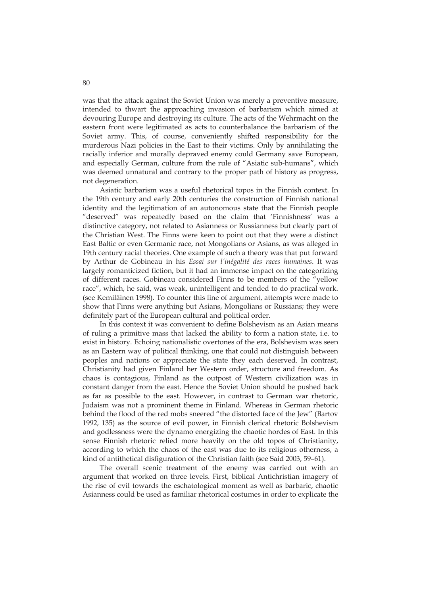was that the attack against the Soviet Union was merely a preventive measure, intended to thwart the approaching invasion of barbarism which aimed at devouring Europe and destroying its culture. The acts of the Wehrmacht on the eastern front were legitimated as acts to counterbalance the barbarism of the Soviet army. This, of course, conveniently shifted responsibility for the murderous Nazi policies in the East to their victims. Only by annihilating the racially inferior and morally depraved enemy could Germany save European, and especially German, culture from the rule of "Asiatic sub-humans", which was deemed unnatural and contrary to the proper path of history as progress, not degeneration.

Asiatic barbarism was a useful rhetorical topos in the Finnish context. In the 19th century and early 20th centuries the construction of Finnish national identity and the legitimation of an autonomous state that the Finnish people "deserved" was repeatedly based on the claim that 'Finnishness' was a distinctive category, not related to Asianness or Russianness but clearly part of the Christian West. The Finns were keen to point out that they were a distinct East Baltic or even Germanic race, not Mongolians or Asians, as was alleged in 19th century racial theories. One example of such a theory was that put forward by Arthur de Gobineau in his *Essai sur l'inégalité des races humaines*. It was largely romanticized fiction, but it had an immense impact on the categorizing of different races. Gobineau considered Finns to be members of the "yellow race", which, he said, was weak, unintelligent and tended to do practical work. (see Kemiläinen 1998). To counter this line of argument, attempts were made to show that Finns were anything but Asians, Mongolians or Russians; they were definitely part of the European cultural and political order.

In this context it was convenient to define Bolshevism as an Asian means of ruling a primitive mass that lacked the ability to form a nation state, i.e. to exist in history. Echoing nationalistic overtones of the era, Bolshevism was seen as an Eastern way of political thinking, one that could not distinguish between peoples and nations or appreciate the state they each deserved. In contrast, Christianity had given Finland her Western order, structure and freedom. As chaos is contagious, Finland as the outpost of Western civilization was in constant danger from the east. Hence the Soviet Union should be pushed back as far as possible to the east. However, in contrast to German war rhetoric, Judaism was not a prominent theme in Finland. Whereas in German rhetoric behind the flood of the red mobs sneered "the distorted face of the Jew" (Bartov 1992, 135) as the source of evil power, in Finnish clerical rhetoric Bolshevism and godlessness were the dynamo energizing the chaotic hordes of East. In this sense Finnish rhetoric relied more heavily on the old topos of Christianity, according to which the chaos of the east was due to its religious otherness, a kind of antithetical disfiguration of the Christian faith (see Said 2003, 59–61).

The overall scenic treatment of the enemy was carried out with an argument that worked on three levels. First, biblical Antichristian imagery of the rise of evil towards the eschatological moment as well as barbaric, chaotic Asianness could be used as familiar rhetorical costumes in order to explicate the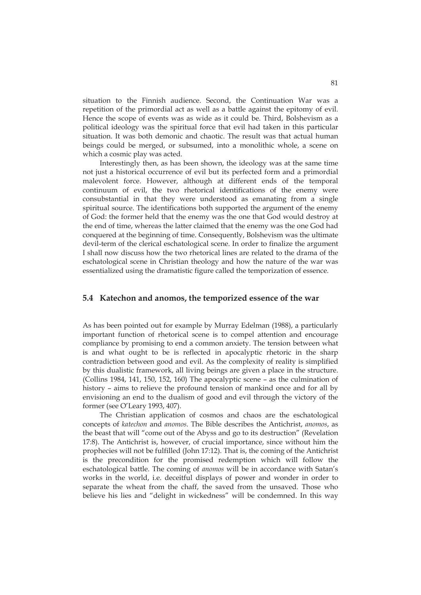situation to the Finnish audience. Second, the Continuation War was a repetition of the primordial act as well as a battle against the epitomy of evil. Hence the scope of events was as wide as it could be. Third, Bolshevism as a political ideology was the spiritual force that evil had taken in this particular situation. It was both demonic and chaotic. The result was that actual human beings could be merged, or subsumed, into a monolithic whole, a scene on which a cosmic play was acted.

Interestingly then, as has been shown, the ideology was at the same time not just a historical occurrence of evil but its perfected form and a primordial malevolent force. However, although at different ends of the temporal continuum of evil, the two rhetorical identifications of the enemy were consubstantial in that they were understood as emanating from a single spiritual source. The identifications both supported the argument of the enemy of God: the former held that the enemy was the one that God would destroy at the end of time, whereas the latter claimed that the enemy was the one God had conquered at the beginning of time. Consequently, Bolshevism was the ultimate devil-term of the clerical eschatological scene. In order to finalize the argument I shall now discuss how the two rhetorical lines are related to the drama of the eschatological scene in Christian theology and how the nature of the war was essentialized using the dramatistic figure called the temporization of essence.

### **5.4 Katechon and anomos, the temporized essence of the war**

As has been pointed out for example by Murray Edelman (1988), a particularly important function of rhetorical scene is to compel attention and encourage compliance by promising to end a common anxiety. The tension between what is and what ought to be is reflected in apocalyptic rhetoric in the sharp contradiction between good and evil. As the complexity of reality is simplified by this dualistic framework, all living beings are given a place in the structure. (Collins 1984, 141, 150, 152, 160) The apocalyptic scene – as the culmination of history – aims to relieve the profound tension of mankind once and for all by envisioning an end to the dualism of good and evil through the victory of the former (see O'Leary 1993, 407).

The Christian application of cosmos and chaos are the eschatological concepts of *katechon* and *anomos*. The Bible describes the Antichrist, *anomos*, as the beast that will "come out of the Abyss and go to its destruction" (Revelation 17:8). The Antichrist is, however, of crucial importance, since without him the prophecies will not be fulfilled (John 17:12). That is, the coming of the Antichrist is the precondition for the promised redemption which will follow the eschatological battle. The coming of *anomos* will be in accordance with Satan's works in the world, i.e. deceitful displays of power and wonder in order to separate the wheat from the chaff, the saved from the unsaved. Those who believe his lies and "delight in wickedness" will be condemned. In this way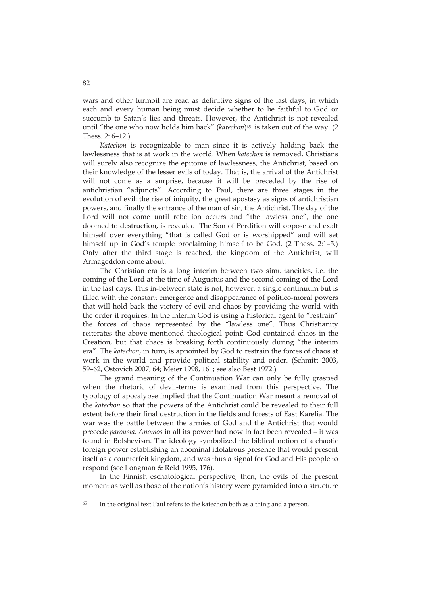wars and other turmoil are read as definitive signs of the last days, in which each and every human being must decide whether to be faithful to God or succumb to Satan's lies and threats. However, the Antichrist is not revealed until "the one who now holds him back" (*katechon*)<sup>65</sup> is taken out of the way. (2) Thess. 2: 6–12.)

*Katechon* is recognizable to man since it is actively holding back the lawlessness that is at work in the world. When *katechon* is removed, Christians will surely also recognize the epitome of lawlessness, the Antichrist, based on their knowledge of the lesser evils of today. That is, the arrival of the Antichrist will not come as a surprise, because it will be preceded by the rise of antichristian "adjuncts". According to Paul, there are three stages in the evolution of evil: the rise of iniquity, the great apostasy as signs of antichristian powers, and finally the entrance of the man of sin, the Antichrist. The day of the Lord will not come until rebellion occurs and "the lawless one", the one doomed to destruction, is revealed. The Son of Perdition will oppose and exalt himself over everything "that is called God or is worshipped" and will set himself up in God's temple proclaiming himself to be God. (2 Thess. 2:1–5.) Only after the third stage is reached, the kingdom of the Antichrist, will Armageddon come about.

The Christian era is a long interim between two simultaneities, i.e. the coming of the Lord at the time of Augustus and the second coming of the Lord in the last days. This in-between state is not, however, a single continuum but is filled with the constant emergence and disappearance of politico-moral powers that will hold back the victory of evil and chaos by providing the world with the order it requires. In the interim God is using a historical agent to "restrain" the forces of chaos represented by the "lawless one". Thus Christianity reiterates the above-mentioned theological point: God contained chaos in the Creation, but that chaos is breaking forth continuously during "the interim era". The *katechon*, in turn, is appointed by God to restrain the forces of chaos at work in the world and provide political stability and order. (Schmitt 2003, 59–62, Ostovich 2007, 64; Meier 1998, 161; see also Best 1972.)

The grand meaning of the Continuation War can only be fully grasped when the rhetoric of devil-terms is examined from this perspective. The typology of apocalypse implied that the Continuation War meant a removal of the *katechon* so that the powers of the Antichrist could be revealed to their full extent before their final destruction in the fields and forests of East Karelia. The war was the battle between the armies of God and the Antichrist that would precede *parousia*. *Anomos* in all its power had now in fact been revealed – it was found in Bolshevism. The ideology symbolized the biblical notion of a chaotic foreign power establishing an abominal idolatrous presence that would present itself as a counterfeit kingdom, and was thus a signal for God and His people to respond (see Longman & Reid 1995, 176).

In the Finnish eschatological perspective, then, the evils of the present moment as well as those of the nation's history were pyramided into a structure

<u>.</u>

<sup>&</sup>lt;sup>65</sup> In the original text Paul refers to the katechon both as a thing and a person.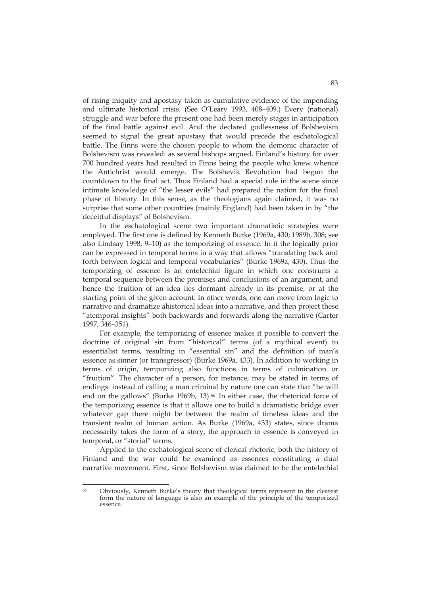of rising iniquity and apostasy taken as cumulative evidence of the impending and ultimate historical crisis. (See O'Leary 1993, 408–409.) Every (national) struggle and war before the present one had been merely stages in anticipation of the final battle against evil. And the declared godlessness of Bolshevism seemed to signal the great apostasy that would precede the eschatological battle. The Finns were the chosen people to whom the demonic character of Bolshevism was revealed: as several bishops argued, Finland's history for over 700 hundred years had resulted in Finns being the people who knew whence the Antichrist would emerge. The Bolshevik Revolution had begun the countdown to the final act. Thus Finland had a special role in the scene since intimate knowledge of "the lesser evils" had prepared the nation for the final phase of history. In this sense, as the theologians again claimed, it was no surprise that some other countries (mainly England) had been taken in by "the deceitful displays" of Bolshevism.

In the eschatological scene two important dramatistic strategies were employed. The first one is defined by Kenneth Burke (1969a, 430; 1989b, 308; see also Lindsay 1998, 9–10) as the temporizing of essence. In it the logically prior can be expressed in temporal terms in a way that allows "translating back and forth between logical and temporal vocabularies" (Burke 1969a, 430). Thus the temporizing of essence is an entelechial figure in which one constructs a temporal sequence between the premises and conclusions of an argument, and hence the fruition of an idea lies dormant already in its premise, or at the starting point of the given account. In other words, one can move from logic to narrative and dramatize ahistorical ideas into a narrative, and then project these "atemporal insights" both backwards and forwards along the narrative (Carter 1997, 346–351).

For example, the temporizing of essence makes it possible to convert the doctrine of original sin from "historical" terms (of a mythical event) to essentialist terms, resulting in "essential sin" and the definition of man's essence as sinner (or transgressor) (Burke 1969a, 433). In addition to working in terms of origin, temporizing also functions in terms of culmination or "fruition". The character of a person, for instance, may be stated in terms of endings: instead of calling a man criminal by nature one can state that "he will end on the gallows" (Burke 1969b, 13).<sup>66</sup> In either case, the rhetorical force of the temporizing essence is that it allows one to build a dramatistic bridge over whatever gap there might be between the realm of timeless ideas and the transient realm of human action. As Burke (1969a, 433) states, since drama necessarily takes the form of a story, the approach to essence is conveyed in temporal, or "storial" terms.

Applied to the eschatological scene of clerical rhetoric, both the history of Finland and the war could be examined as essences constituting a dual narrative movement. First, since Bolshevism was claimed to be the entelechial

<sup>&</sup>lt;u>.</u> 66 Obviously, Kenneth Burke's theory that theological terms represent in the clearest form the nature of language is also an example of the principle of the temporized essence.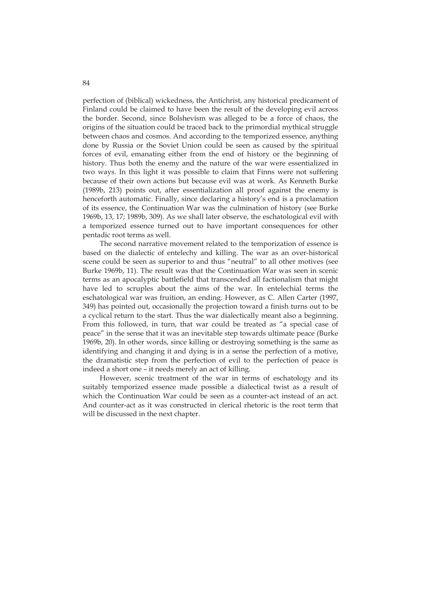perfection of (biblical) wickedness, the Antichrist, any historical predicament of Finland could be claimed to have been the result of the developing evil across the border. Second, since Bolshevism was alleged to be a force of chaos, the origins of the situation could be traced back to the primordial mythical struggle between chaos and cosmos. And according to the temporized essence, anything done by Russia or the Soviet Union could be seen as caused by the spiritual forces of evil, emanating either from the end of history or the beginning of history. Thus both the enemy and the nature of the war were essentialized in two ways. In this light it was possible to claim that Finns were not suffering because of their own actions but because evil was at work. As Kenneth Burke (1989b, 213) points out, after essentialization all proof against the enemy is henceforth automatic. Finally, since declaring a history's end is a proclamation of its essence, the Continuation War was the culmination of history (see Burke 1969b, 13, 17; 1989b, 309). As we shall later observe, the eschatological evil with a temporized essence turned out to have important consequences for other pentadic root terms as well.

The second narrative movement related to the temporization of essence is based on the dialectic of entelechy and killing. The war as an over-historical scene could be seen as superior to and thus "neutral" to all other motives (see Burke 1969b, 11). The result was that the Continuation War was seen in scenic terms as an apocalyptic battlefield that transcended all factionalism that might have led to scruples about the aims of the war. In entelechial terms the eschatological war was fruition, an ending. However, as C. Allen Carter (1997, 349) has pointed out, occasionally the projection toward a finish turns out to be a cyclical return to the start. Thus the war dialectically meant also a beginning. From this followed, in turn, that war could be treated as "a special case of peace" in the sense that it was an inevitable step towards ultimate peace (Burke 1969b, 20). In other words, since killing or destroying something is the same as identifying and changing it and dying is in a sense the perfection of a motive, the dramatistic step from the perfection of evil to the perfection of peace is indeed a short one – it needs merely an act of killing.

However, scenic treatment of the war in terms of eschatology and its suitably temporized essence made possible a dialectical twist as a result of which the Continuation War could be seen as a counter-act instead of an act. And counter-act as it was constructed in clerical rhetoric is the root term that will be discussed in the next chapter.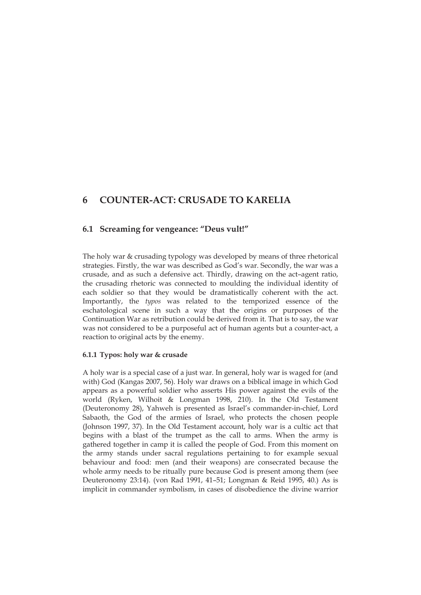# **6 COUNTER-ACT: CRUSADE TO KARELIA**

## **6.1 Screaming for vengeance: "Deus vult!"**

The holy war & crusading typology was developed by means of three rhetorical strategies. Firstly, the war was described as God's war. Secondly, the war was a crusade, and as such a defensive act. Thirdly, drawing on the act–agent ratio, the crusading rhetoric was connected to moulding the individual identity of each soldier so that they would be dramatistically coherent with the act. Importantly, the *typos* was related to the temporized essence of the eschatological scene in such a way that the origins or purposes of the Continuation War as retribution could be derived from it. That is to say, the war was not considered to be a purposeful act of human agents but a counter-act, a reaction to original acts by the enemy.

#### **6.1.1 Typos: holy war & crusade**

A holy war is a special case of a just war. In general, holy war is waged for (and with) God (Kangas 2007, 56). Holy war draws on a biblical image in which God appears as a powerful soldier who asserts His power against the evils of the world (Ryken, Wilhoit & Longman 1998, 210). In the Old Testament (Deuteronomy 28), Yahweh is presented as Israel's commander-in-chief, Lord Sabaoth, the God of the armies of Israel, who protects the chosen people (Johnson 1997, 37). In the Old Testament account, holy war is a cultic act that begins with a blast of the trumpet as the call to arms. When the army is gathered together in camp it is called the people of God. From this moment on the army stands under sacral regulations pertaining to for example sexual behaviour and food: men (and their weapons) are consecrated because the whole army needs to be ritually pure because God is present among them (see Deuteronomy 23:14). (von Rad 1991, 41–51; Longman & Reid 1995, 40.) As is implicit in commander symbolism, in cases of disobedience the divine warrior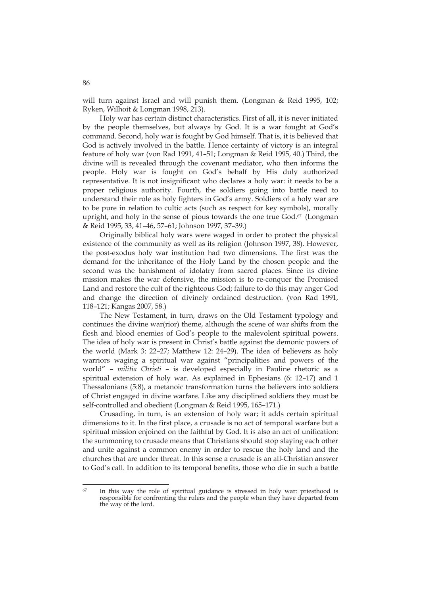will turn against Israel and will punish them. (Longman & Reid 1995, 102; Ryken, Wilhoit & Longman 1998, 213).

Holy war has certain distinct characteristics. First of all, it is never initiated by the people themselves, but always by God. It is a war fought at God's command. Second, holy war is fought by God himself. That is, it is believed that God is actively involved in the battle. Hence certainty of victory is an integral feature of holy war (von Rad 1991, 41–51; Longman & Reid 1995, 40.) Third, the divine will is revealed through the covenant mediator, who then informs the people. Holy war is fought on God's behalf by His duly authorized representative. It is not insignificant who declares a holy war: it needs to be a proper religious authority. Fourth, the soldiers going into battle need to understand their role as holy fighters in God's army. Soldiers of a holy war are to be pure in relation to cultic acts (such as respect for key symbols), morally upright, and holy in the sense of pious towards the one true God.<sup>67</sup> (Longman & Reid 1995, 33, 41–46, 57–61; Johnson 1997, 37–39.)

Originally biblical holy wars were waged in order to protect the physical existence of the community as well as its religion (Johnson 1997, 38). However, the post-exodus holy war institution had two dimensions. The first was the demand for the inheritance of the Holy Land by the chosen people and the second was the banishment of idolatry from sacred places. Since its divine mission makes the war defensive, the mission is to re-conquer the Promised Land and restore the cult of the righteous God; failure to do this may anger God and change the direction of divinely ordained destruction. (von Rad 1991, 118–121; Kangas 2007, 58.)

The New Testament, in turn, draws on the Old Testament typology and continues the divine war(rior) theme, although the scene of war shifts from the flesh and blood enemies of God's people to the malevolent spiritual powers. The idea of holy war is present in Christ's battle against the demonic powers of the world (Mark 3: 22–27; Matthew 12: 24–29). The idea of believers as holy warriors waging a spiritual war against "principalities and powers of the world" – *militia Christi* – is developed especially in Pauline rhetoric as a spiritual extension of holy war. As explained in Ephesians (6: 12–17) and 1 Thessalonians (5:8), a metanoic transformation turns the believers into soldiers of Christ engaged in divine warfare. Like any disciplined soldiers they must be self-controlled and obedient (Longman & Reid 1995, 165–171.)

Crusading, in turn, is an extension of holy war; it adds certain spiritual dimensions to it. In the first place, a crusade is no act of temporal warfare but a spiritual mission enjoined on the faithful by God. It is also an act of unification: the summoning to crusade means that Christians should stop slaying each other and unite against a common enemy in order to rescue the holy land and the churches that are under threat. In this sense a crusade is an all-Christian answer to God's call. In addition to its temporal benefits, those who die in such a battle

<sup>67</sup> In this way the role of spiritual guidance is stressed in holy war: priesthood is responsible for confronting the rulers and the people when they have departed from the way of the lord.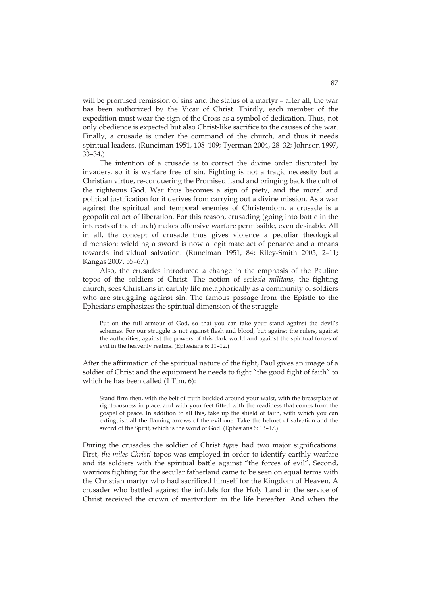will be promised remission of sins and the status of a martyr – after all, the war has been authorized by the Vicar of Christ. Thirdly, each member of the expedition must wear the sign of the Cross as a symbol of dedication. Thus, not only obedience is expected but also Christ-like sacrifice to the causes of the war. Finally, a crusade is under the command of the church, and thus it needs spiritual leaders. (Runciman 1951, 108–109; Tyerman 2004, 28–32; Johnson 1997, 33–34.)

The intention of a crusade is to correct the divine order disrupted by invaders, so it is warfare free of sin. Fighting is not a tragic necessity but a Christian virtue, re-conquering the Promised Land and bringing back the cult of the righteous God. War thus becomes a sign of piety, and the moral and political justification for it derives from carrying out a divine mission. As a war against the spiritual and temporal enemies of Christendom, a crusade is a geopolitical act of liberation. For this reason, crusading (going into battle in the interests of the church) makes offensive warfare permissible, even desirable. All in all, the concept of crusade thus gives violence a peculiar theological dimension: wielding a sword is now a legitimate act of penance and a means towards individual salvation. (Runciman 1951, 84; Riley-Smith 2005, 2–11; Kangas 2007, 55–67.)

Also, the crusades introduced a change in the emphasis of the Pauline topos of the soldiers of Christ. The notion of *ecclesia militans*, the fighting church, sees Christians in earthly life metaphorically as a community of soldiers who are struggling against sin. The famous passage from the Epistle to the Ephesians emphasizes the spiritual dimension of the struggle:

Put on the full armour of God, so that you can take your stand against the devil's schemes. For our struggle is not against flesh and blood, but against the rulers, against the authorities, against the powers of this dark world and against the spiritual forces of evil in the heavenly realms. (Ephesians 6: 11–12.)

After the affirmation of the spiritual nature of the fight, Paul gives an image of a soldier of Christ and the equipment he needs to fight "the good fight of faith" to which he has been called (1 Tim. 6):

Stand firm then, with the belt of truth buckled around your waist, with the breastplate of righteousness in place, and with your feet fitted with the readiness that comes from the gospel of peace. In addition to all this, take up the shield of faith, with which you can extinguish all the flaming arrows of the evil one. Take the helmet of salvation and the sword of the Spirit, which is the word of God. (Ephesians 6: 13–17.)

During the crusades the soldier of Christ *typos* had two major significations. First, *the miles Christi* topos was employed in order to identify earthly warfare and its soldiers with the spiritual battle against "the forces of evil". Second, warriors fighting for the secular fatherland came to be seen on equal terms with the Christian martyr who had sacrificed himself for the Kingdom of Heaven. A crusader who battled against the infidels for the Holy Land in the service of Christ received the crown of martyrdom in the life hereafter. And when the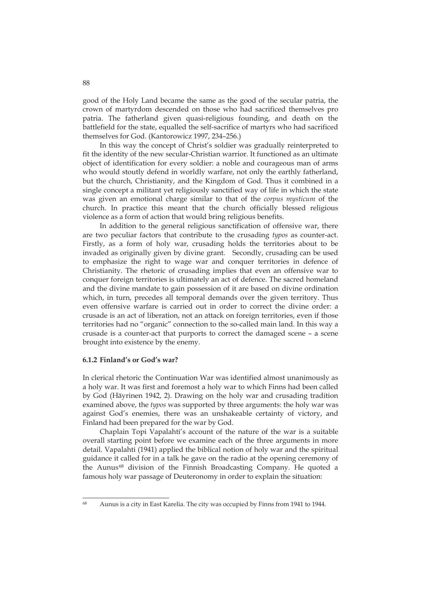good of the Holy Land became the same as the good of the secular patria, the crown of martyrdom descended on those who had sacrificed themselves pro patria. The fatherland given quasi-religious founding, and death on the battlefield for the state, equalled the self-sacrifice of martyrs who had sacrificed themselves for God. (Kantorowicz 1997, 234–256.)

In this way the concept of Christ's soldier was gradually reinterpreted to fit the identity of the new secular-Christian warrior. It functioned as an ultimate object of identification for every soldier: a noble and courageous man of arms who would stoutly defend in worldly warfare, not only the earthly fatherland, but the church, Christianity, and the Kingdom of God. Thus it combined in a single concept a militant yet religiously sanctified way of life in which the state was given an emotional charge similar to that of the *corpus mysticum* of the church. In practice this meant that the church officially blessed religious violence as a form of action that would bring religious benefits.

In addition to the general religious sanctification of offensive war, there are two peculiar factors that contribute to the crusading *typos* as counter-act. Firstly, as a form of holy war, crusading holds the territories about to be invaded as originally given by divine grant. Secondly, crusading can be used to emphasize the right to wage war and conquer territories in defence of Christianity. The rhetoric of crusading implies that even an offensive war to conquer foreign territories is ultimately an act of defence. The sacred homeland and the divine mandate to gain possession of it are based on divine ordination which, in turn, precedes all temporal demands over the given territory. Thus even offensive warfare is carried out in order to correct the divine order: a crusade is an act of liberation, not an attack on foreign territories, even if those territories had no "organic" connection to the so-called main land. In this way a crusade is a counter-act that purports to correct the damaged scene – a scene brought into existence by the enemy.

#### **6.1.2 Finland's or God's war?**

In clerical rhetoric the Continuation War was identified almost unanimously as a holy war. It was first and foremost a holy war to which Finns had been called by God (Häyrinen 1942, 2). Drawing on the holy war and crusading tradition examined above, the *typos* was supported by three arguments: the holy war was against God's enemies, there was an unshakeable certainty of victory, and Finland had been prepared for the war by God.

Chaplain Topi Vapalahti's account of the nature of the war is a suitable overall starting point before we examine each of the three arguments in more detail. Vapalahti (1941) applied the biblical notion of holy war and the spiritual guidance it called for in a talk he gave on the radio at the opening ceremony of the Aunus<sup>68</sup> division of the Finnish Broadcasting Company. He quoted a famous holy war passage of Deuteronomy in order to explain the situation:

<sup>68</sup> Aunus is a city in East Karelia. The city was occupied by Finns from 1941 to 1944.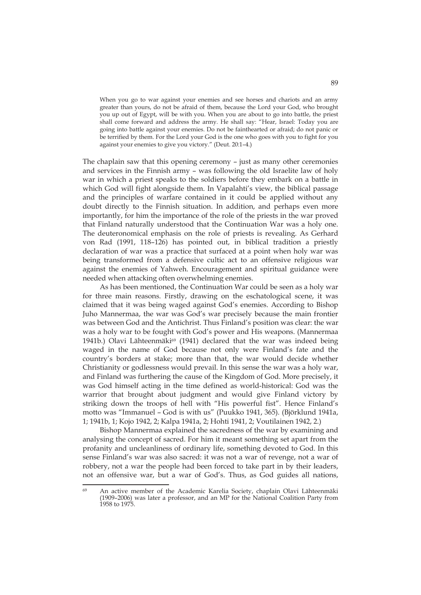When you go to war against your enemies and see horses and chariots and an army greater than yours, do not be afraid of them, because the Lord your God, who brought you up out of Egypt, will be with you. When you are about to go into battle, the priest shall come forward and address the army. He shall say: "Hear, Israel: Today you are going into battle against your enemies. Do not be fainthearted or afraid; do not panic or be terrified by them. For the Lord your God is the one who goes with you to fight for you against your enemies to give you victory." (Deut. 20:1–4.)

The chaplain saw that this opening ceremony – just as many other ceremonies and services in the Finnish army – was following the old Israelite law of holy war in which a priest speaks to the soldiers before they embark on a battle in which God will fight alongside them. In Vapalahti's view, the biblical passage and the principles of warfare contained in it could be applied without any doubt directly to the Finnish situation. In addition, and perhaps even more importantly, for him the importance of the role of the priests in the war proved that Finland naturally understood that the Continuation War was a holy one. The deuteronomical emphasis on the role of priests is revealing. As Gerhard von Rad (1991, 118–126) has pointed out, in biblical tradition a priestly declaration of war was a practice that surfaced at a point when holy war was being transformed from a defensive cultic act to an offensive religious war against the enemies of Yahweh. Encouragement and spiritual guidance were needed when attacking often overwhelming enemies.

As has been mentioned, the Continuation War could be seen as a holy war for three main reasons. Firstly, drawing on the eschatological scene, it was claimed that it was being waged against God's enemies. According to Bishop Juho Mannermaa, the war was God's war precisely because the main frontier was between God and the Antichrist. Thus Finland's position was clear: the war was a holy war to be fought with God's power and His weapons. (Mannermaa 1941b.) Olavi Lähteenmäki<sup>69</sup> (1941) declared that the war was indeed being waged in the name of God because not only were Finland's fate and the country's borders at stake; more than that, the war would decide whether Christianity or godlessness would prevail. In this sense the war was a holy war, and Finland was furthering the cause of the Kingdom of God. More precisely, it was God himself acting in the time defined as world-historical: God was the warrior that brought about judgment and would give Finland victory by striking down the troops of hell with "His powerful fist". Hence Finland's motto was "Immanuel – God is with us" (Puukko 1941, 365). (Björklund 1941a, 1; 1941b, 1; Kojo 1942, 2; Kalpa 1941a, 2; Hohti 1941, 2; Voutilainen 1942, 2.)

Bishop Mannermaa explained the sacredness of the war by examining and analysing the concept of sacred. For him it meant something set apart from the profanity and uncleanliness of ordinary life, something devoted to God. In this sense Finland's war was also sacred: it was not a war of revenge, not a war of robbery, not a war the people had been forced to take part in by their leaders, not an offensive war, but a war of God's. Thus, as God guides all nations,

<sup>&</sup>lt;u>.</u> 69 An active member of the Academic Karelia Society, chaplain Olavi Lähteenmäki (1909–2006) was later a professor, and an MP for the National Coalition Party from 1958 to 1975.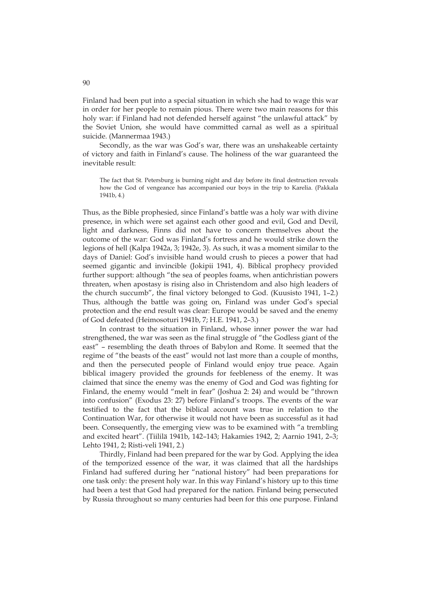Finland had been put into a special situation in which she had to wage this war in order for her people to remain pious. There were two main reasons for this holy war: if Finland had not defended herself against "the unlawful attack" by the Soviet Union, she would have committed carnal as well as a spiritual suicide. (Mannermaa 1943.)

Secondly, as the war was God's war, there was an unshakeable certainty of victory and faith in Finland's cause. The holiness of the war guaranteed the inevitable result:

The fact that St. Petersburg is burning night and day before its final destruction reveals how the God of vengeance has accompanied our boys in the trip to Karelia. (Pakkala 1941b, 4.)

Thus, as the Bible prophesied, since Finland's battle was a holy war with divine presence, in which were set against each other good and evil, God and Devil, light and darkness, Finns did not have to concern themselves about the outcome of the war: God was Finland's fortress and he would strike down the legions of hell (Kalpa 1942a, 3; 1942e, 3). As such, it was a moment similar to the days of Daniel: God's invisible hand would crush to pieces a power that had seemed gigantic and invincible (Jokipii 1941, 4). Biblical prophecy provided further support: although "the sea of peoples foams, when antichristian powers threaten, when apostasy is rising also in Christendom and also high leaders of the church succumb", the final victory belonged to God. (Kuusisto 1941, 1–2.) Thus, although the battle was going on, Finland was under God's special protection and the end result was clear: Europe would be saved and the enemy of God defeated (Heimosoturi 1941b, 7; H.E. 1941, 2–3.)

In contrast to the situation in Finland, whose inner power the war had strengthened, the war was seen as the final struggle of "the Godless giant of the east" – resembling the death throes of Babylon and Rome. It seemed that the regime of "the beasts of the east" would not last more than a couple of months, and then the persecuted people of Finland would enjoy true peace. Again biblical imagery provided the grounds for feebleness of the enemy. It was claimed that since the enemy was the enemy of God and God was fighting for Finland, the enemy would "melt in fear" (Joshua 2: 24) and would be "thrown into confusion" (Exodus 23: 27) before Finland's troops. The events of the war testified to the fact that the biblical account was true in relation to the Continuation War, for otherwise it would not have been as successful as it had been. Consequently, the emerging view was to be examined with "a trembling and excited heart". (Tiililä 1941b, 142–143; Hakamies 1942, 2; Aarnio 1941, 2–3; Lehto 1941, 2; Risti-veli 1941, 2.)

Thirdly, Finland had been prepared for the war by God. Applying the idea of the temporized essence of the war, it was claimed that all the hardships Finland had suffered during her "national history" had been preparations for one task only: the present holy war. In this way Finland's history up to this time had been a test that God had prepared for the nation. Finland being persecuted by Russia throughout so many centuries had been for this one purpose. Finland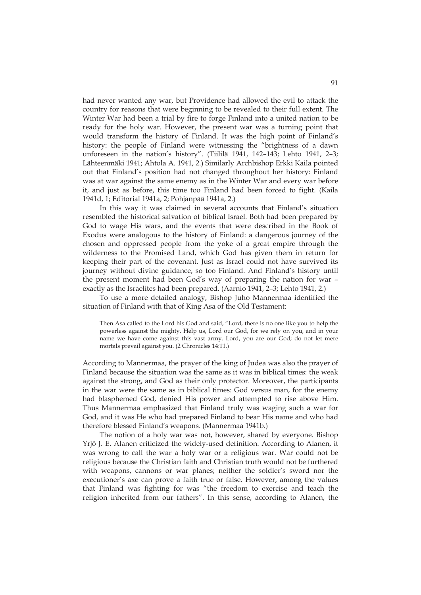had never wanted any war, but Providence had allowed the evil to attack the country for reasons that were beginning to be revealed to their full extent. The Winter War had been a trial by fire to forge Finland into a united nation to be ready for the holy war. However, the present war was a turning point that would transform the history of Finland. It was the high point of Finland's history: the people of Finland were witnessing the "brightness of a dawn unforeseen in the nation's history". (Tiililä 1941, 142–143; Lehto 1941, 2–3; Lähteenmäki 1941; Ahtola A. 1941, 2.) Similarly Archbishop Erkki Kaila pointed out that Finland's position had not changed throughout her history: Finland was at war against the same enemy as in the Winter War and every war before it, and just as before, this time too Finland had been forced to fight. (Kaila 1941d, 1; Editorial 1941a, 2; Pohjanpää 1941a, 2.)

In this way it was claimed in several accounts that Finland's situation resembled the historical salvation of biblical Israel. Both had been prepared by God to wage His wars, and the events that were described in the Book of Exodus were analogous to the history of Finland: a dangerous journey of the chosen and oppressed people from the yoke of a great empire through the wilderness to the Promised Land, which God has given them in return for keeping their part of the covenant. Just as Israel could not have survived its journey without divine guidance, so too Finland. And Finland's history until the present moment had been God's way of preparing the nation for war – exactly as the Israelites had been prepared. (Aarnio 1941, 2–3; Lehto 1941, 2.)

To use a more detailed analogy, Bishop Juho Mannermaa identified the situation of Finland with that of King Asa of the Old Testament:

Then Asa called to the Lord his God and said, "Lord, there is no one like you to help the powerless against the mighty. Help us, Lord our God, for we rely on you, and in your name we have come against this vast army. Lord, you are our God; do not let mere mortals prevail against you. (2 Chronicles 14:11.)

According to Mannermaa, the prayer of the king of Judea was also the prayer of Finland because the situation was the same as it was in biblical times: the weak against the strong, and God as their only protector. Moreover, the participants in the war were the same as in biblical times: God versus man, for the enemy had blasphemed God, denied His power and attempted to rise above Him. Thus Mannermaa emphasized that Finland truly was waging such a war for God, and it was He who had prepared Finland to bear His name and who had therefore blessed Finland's weapons. (Mannermaa 1941b.)

The notion of a holy war was not, however, shared by everyone. Bishop Yrjö J. E. Alanen criticized the widely-used definition. According to Alanen, it was wrong to call the war a holy war or a religious war. War could not be religious because the Christian faith and Christian truth would not be furthered with weapons, cannons or war planes; neither the soldier's sword nor the executioner's axe can prove a faith true or false. However, among the values that Finland was fighting for was "the freedom to exercise and teach the religion inherited from our fathers". In this sense, according to Alanen, the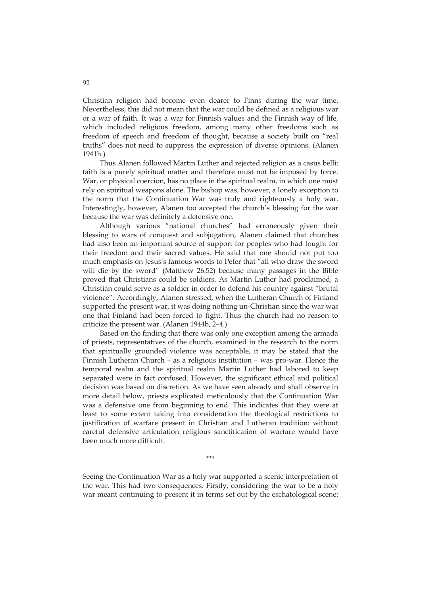Christian religion had become even dearer to Finns during the war time. Nevertheless, this did not mean that the war could be defined as a religious war or a war of faith. It was a war for Finnish values and the Finnish way of life, which included religious freedom, among many other freedoms such as freedom of speech and freedom of thought, because a society built on "real truths" does not need to suppress the expression of diverse opinions. (Alanen 1941h.)

Thus Alanen followed Martin Luther and rejected religion as a casus belli: faith is a purely spiritual matter and therefore must not be imposed by force. War, or physical coercion, has no place in the spiritual realm, in which one must rely on spiritual weapons alone. The bishop was, however, a lonely exception to the norm that the Continuation War was truly and righteously a holy war. Interestingly, however, Alanen too accepted the church's blessing for the war because the war was definitely a defensive one.

Although various "national churches" had erroneously given their blessing to wars of conquest and subjugation, Alanen claimed that churches had also been an important source of support for peoples who had fought for their freedom and their sacred values. He said that one should not put too much emphasis on Jesus's famous words to Peter that "all who draw the sword will die by the sword" (Matthew 26:52) because many passages in the Bible proved that Christians could be soldiers. As Martin Luther had proclaimed, a Christian could serve as a soldier in order to defend his country against "brutal violence". Accordingly, Alanen stressed, when the Lutheran Church of Finland supported the present war, it was doing nothing un-Christian since the war was one that Finland had been forced to fight. Thus the church had no reason to criticize the present war. (Alanen 1944b, 2–4.)

Based on the finding that there was only one exception among the armada of priests, representatives of the church, examined in the research to the norm that spiritually grounded violence was acceptable, it may be stated that the Finnish Lutheran Church – as a religious institution – was pro-war. Hence the temporal realm and the spiritual realm Martin Luther had labored to keep separated were in fact confused. However, the significant ethical and political decision was based on discretion. As we have seen already and shall observe in more detail below, priests explicated meticulously that the Continuation War was a defensive one from beginning to end. This indicates that they were at least to some extent taking into consideration the theological restrictions to justification of warfare present in Christian and Lutheran tradition: without careful defensive articulation religious sanctification of warfare would have been much more difficult.

\*\*\*

Seeing the Continuation War as a holy war supported a scenic interpretation of the war. This had two consequences. Firstly, considering the war to be a holy war meant continuing to present it in terms set out by the eschatological scene: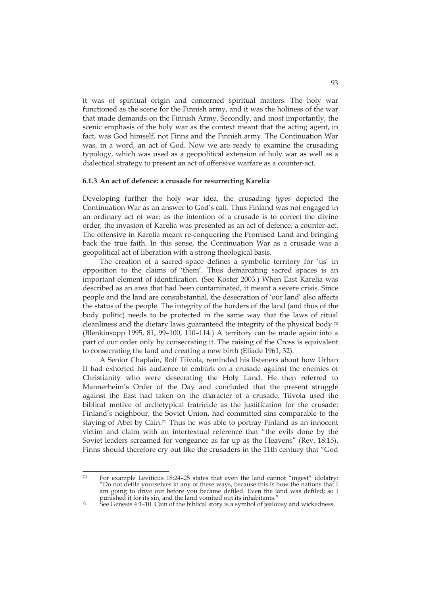it was of spiritual origin and concerned spiritual matters. The holy war functioned as the scene for the Finnish army, and it was the holiness of the war that made demands on the Finnish Army. Secondly, and most importantly, the scenic emphasis of the holy war as the context meant that the acting agent, in fact, was God himself, not Finns and the Finnish army. The Continuation War was, in a word, an act of God. Now we are ready to examine the crusading typology, which was used as a geopolitical extension of holy war as well as a dialectical strategy to present an act of offensive warfare as a counter-act.

#### **6.1.3 An act of defence: a crusade for resurrecting Karelia**

Developing further the holy war idea, the crusading *typos* depicted the Continuation War as an answer to God's call. Thus Finland was not engaged in an ordinary act of war: as the intention of a crusade is to correct the divine order, the invasion of Karelia was presented as an act of defence, a counter-act. The offensive in Karelia meant re-conquering the Promised Land and bringing back the true faith. In this sense, the Continuation War as a crusade was a geopolitical act of liberation with a strong theological basis.

The creation of a sacred space defines a symbolic territory for 'us' in opposition to the claims of 'them'. Thus demarcating sacred spaces is an important element of identification. (See Koster 2003.) When East Karelia was described as an area that had been contaminated, it meant a severe crisis. Since people and the land are consubstantial, the desecration of 'our land' also affects the status of the people. The integrity of the borders of the land (and thus of the body politic) needs to be protected in the same way that the laws of ritual cleanliness and the dietary laws guaranteed the integrity of the physical body.70 (Blenkinsopp 1995, 81, 99–100, 110–114.) A territory can be made again into a part of our order only by consecrating it. The raising of the Cross is equivalent to consecrating the land and creating a new birth (Eliade 1961, 32).

A Senior Chaplain, Rolf Tiivola, reminded his listeners about how Urban II had exhorted his audience to embark on a crusade against the enemies of Christianity who were desecrating the Holy Land. He then referred to Mannerheim's Order of the Day and concluded that the present struggle against the East had taken on the character of a crusade. Tiivola used the biblical motive of archetypical fratricide as the justification for the crusade: Finland's neighbour, the Soviet Union, had committed sins comparable to the slaying of Abel by Cain.<sup>71</sup> Thus he was able to portray Finland as an innocent victim and claim with an intertextual reference that "the evils done by the Soviet leaders screamed for vengeance as far up as the Heavens" (Rev. 18:15). Finns should therefore cry out like the crusaders in the 11th century that "God

 $\overline{70}$ For example Leviticus 18:24–25 states that even the land cannot "ingest" idolatry: "Do not defile yourselves in any of these ways, because this is how the nations that I am going to drive out before you became defiled. Even the land was defiled; so I punished it for its sin, and the land vomited out its inhabitants."

 $71$  See Genesis 4:1–10. Cain of the biblical story is a symbol of jealousy and wickedness.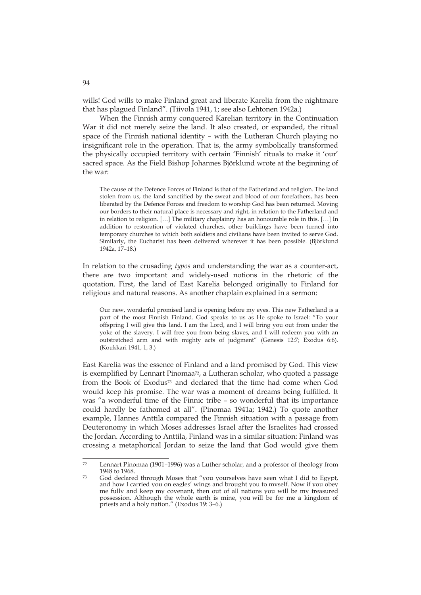wills! God wills to make Finland great and liberate Karelia from the nightmare that has plagued Finland". (Tiivola 1941, 1; see also Lehtonen 1942a.)

When the Finnish army conquered Karelian territory in the Continuation War it did not merely seize the land. It also created, or expanded, the ritual space of the Finnish national identity – with the Lutheran Church playing no insignificant role in the operation. That is, the army symbolically transformed the physically occupied territory with certain 'Finnish' rituals to make it 'our' sacred space. As the Field Bishop Johannes Björklund wrote at the beginning of the war:

The cause of the Defence Forces of Finland is that of the Fatherland and religion. The land stolen from us, the land sanctified by the sweat and blood of our forefathers, has been liberated by the Defence Forces and freedom to worship God has been returned. Moving our borders to their natural place is necessary and right, in relation to the Fatherland and in relation to religion. […] The military chaplainry has an honourable role in this. […] In addition to restoration of violated churches, other buildings have been turned into temporary churches to which both soldiers and civilians have been invited to serve God. Similarly, the Eucharist has been delivered wherever it has been possible. (Björklund 1942a, 17–18.)

In relation to the crusading *typos* and understanding the war as a counter-act, there are two important and widely-used notions in the rhetoric of the quotation. First, the land of East Karelia belonged originally to Finland for religious and natural reasons. As another chaplain explained in a sermon:

Our new, wonderful promised land is opening before my eyes. This new Fatherland is a part of the most Finnish Finland. God speaks to us as He spoke to Israel: "To your offspring I will give this land. I am the Lord, and I will bring you out from under the yoke of the slavery. I will free you from being slaves, and I will redeem you with an outstretched arm and with mighty acts of judgment" (Genesis 12:7; Exodus 6:6). (Koukkari 1941, 1, 3.)

East Karelia was the essence of Finland and a land promised by God. This view is exemplified by Lennart Pinomaa<sup>72</sup>, a Lutheran scholar, who quoted a passage from the Book of Exodus73 and declared that the time had come when God would keep his promise. The war was a moment of dreams being fulfilled. It was "a wonderful time of the Finnic tribe – so wonderful that its importance could hardly be fathomed at all". (Pinomaa 1941a; 1942.) To quote another example, Hannes Anttila compared the Finnish situation with a passage from Deuteronomy in which Moses addresses Israel after the Israelites had crossed the Jordan. According to Anttila, Finland was in a similar situation: Finland was crossing a metaphorical Jordan to seize the land that God would give them

94

 $72$ Lennart Pinomaa (1901–1996) was a Luther scholar, and a professor of theology from 1948 to 1968.<br><sup>73</sup> God declared through Moses that "you yourselves have seen what I did to Egypt,

and how I carried you on eagles' wings and brought you to myself. Now if you obey me fully and keep my covenant, then out of all nations you will be my treasured possession. Although the whole earth is mine, you will be for me a kingdom of priests and a holy nation." (Exodus 19: 3–6.)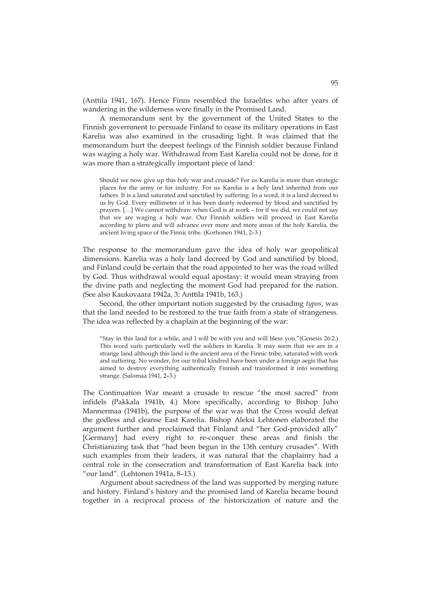(Anttila 1941, 167). Hence Finns resembled the Israelites who after years of wandering in the wilderness were finally in the Promised Land.

A memorandum sent by the government of the United States to the Finnish government to persuade Finland to cease its military operations in East Karelia was also examined in the crusading light. It was claimed that the memorandum hurt the deepest feelings of the Finnish soldier because Finland was waging a holy war. Withdrawal from East Karelia could not be done, for it was more than a strategically important piece of land:

Should we now give up this holy war and crusade? For us Karelia is more than strategic places for the army or for industry. For us Karelia is a holy land inherited from our fathers. It is a land saturated and sanctified by suffering. In a word, it is a land decreed to us by God. Every millimeter of it has been dearly redeemed by blood and sanctified by prayers. […] We cannot withdraw when God is at work – for if we did, we could not say that we are waging a holy war. Our Finnish soldiers will proceed in East Karelia according to plans and will advance over more and more areas of the holy Karelia, the ancient living space of the Finnic tribe. (Korhonen 1941, 2–3.)

The response to the memorandum gave the idea of holy war geopolitical dimensions. Karelia was a holy land decreed by God and sanctified by blood, and Finland could be certain that the road appointed to her was the road willed by God. Thus withdrawal would equal apostasy: it would mean straying from the divine path and neglecting the moment God had prepared for the nation. (See also Kaukovaara 1942a, 3; Anttila 1941b, 163.)

Second, the other important notion suggested by the crusading *typos*, was that the land needed to be restored to the true faith from a state of strangeness. The idea was reflected by a chaplain at the beginning of the war:

"Stay in this land for a while, and I will be with you and will bless you."(Genesis 26:2.) This word suits particularly well the soldiers in Karelia. It may seem that we are in a strange land although this land is the ancient area of the Finnic tribe, saturated with work and suffering. No wonder, for our tribal kindred have been under a foreign aegis that has aimed to destroy everything authentically Finnish and transformed it into something strange. (Salomaa 1941, 2–3.)

The Continuation War meant a crusade to rescue "the most sacred" from infidels (Pakkala 1941b, 4.) More specifically, according to Bishop Juho Mannermaa (1941b), the purpose of the war was that the Cross would defeat the godless and cleanse East Karelia. Bishop Aleksi Lehtonen elaborated the argument further and proclaimed that Finland and "her God-provided ally" [Germany] had every right to re-conquer these areas and finish the Christianizing task that "had been begun in the 13th century crusades". With such examples from their leaders, it was natural that the chaplainry had a central role in the consecration and transformation of East Karelia back into "our land". (Lehtonen 1941a, 8–13.)

Argument about sacredness of the land was supported by merging nature and history. Finland's history and the promised land of Karelia became bound together in a reciprocal process of the historicization of nature and the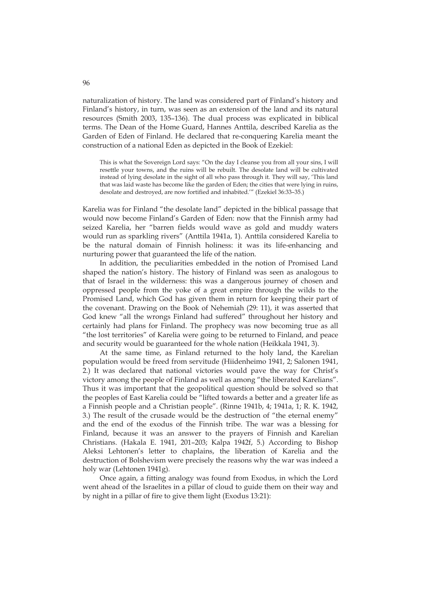naturalization of history. The land was considered part of Finland's history and Finland's history, in turn, was seen as an extension of the land and its natural resources (Smith 2003, 135–136). The dual process was explicated in biblical terms. The Dean of the Home Guard, Hannes Anttila, described Karelia as the Garden of Eden of Finland. He declared that re-conquering Karelia meant the construction of a national Eden as depicted in the Book of Ezekiel:

This is what the Sovereign Lord says: "On the day I cleanse you from all your sins, I will resettle your towns, and the ruins will be rebuilt. The desolate land will be cultivated instead of lying desolate in the sight of all who pass through it. They will say, 'This land that was laid waste has become like the garden of Eden; the cities that were lying in ruins, desolate and destroyed, are now fortified and inhabited.'" (Ezekiel 36:33–35.)

Karelia was for Finland "the desolate land" depicted in the biblical passage that would now become Finland's Garden of Eden: now that the Finnish army had seized Karelia, her "barren fields would wave as gold and muddy waters would run as sparkling rivers" (Anttila 1941a, 1). Anttila considered Karelia to be the natural domain of Finnish holiness: it was its life-enhancing and nurturing power that guaranteed the life of the nation.

In addition, the peculiarities embedded in the notion of Promised Land shaped the nation's history. The history of Finland was seen as analogous to that of Israel in the wilderness: this was a dangerous journey of chosen and oppressed people from the yoke of a great empire through the wilds to the Promised Land, which God has given them in return for keeping their part of the covenant. Drawing on the Book of Nehemiah (29: 11), it was asserted that God knew "all the wrongs Finland had suffered" throughout her history and certainly had plans for Finland. The prophecy was now becoming true as all "the lost territories" of Karelia were going to be returned to Finland, and peace and security would be guaranteed for the whole nation (Heikkala 1941, 3).

At the same time, as Finland returned to the holy land, the Karelian population would be freed from servitude (Hiidenheimo 1941, 2; Salonen 1941, 2.) It was declared that national victories would pave the way for Christ's victory among the people of Finland as well as among "the liberated Karelians". Thus it was important that the geopolitical question should be solved so that the peoples of East Karelia could be "lifted towards a better and a greater life as a Finnish people and a Christian people". (Rinne 1941b, 4; 1941a, 1; R. K. 1942, 3.) The result of the crusade would be the destruction of "the eternal enemy" and the end of the exodus of the Finnish tribe. The war was a blessing for Finland, because it was an answer to the prayers of Finnish and Karelian Christians. (Hakala E. 1941, 201–203; Kalpa 1942f, 5.) According to Bishop Aleksi Lehtonen's letter to chaplains, the liberation of Karelia and the destruction of Bolshevism were precisely the reasons why the war was indeed a holy war (Lehtonen 1941g).

Once again, a fitting analogy was found from Exodus, in which the Lord went ahead of the Israelites in a pillar of cloud to guide them on their way and by night in a pillar of fire to give them light (Exodus 13:21):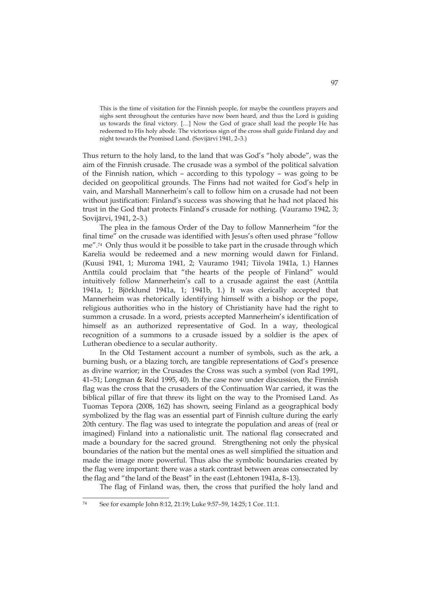This is the time of visitation for the Finnish people, for maybe the countless prayers and sighs sent throughout the centuries have now been heard, and thus the Lord is guiding us towards the final victory. […] Now the God of grace shall lead the people He has redeemed to His holy abode. The victorious sign of the cross shall guide Finland day and night towards the Promised Land. (Sovijärvi 1941, 2–3.)

Thus return to the holy land, to the land that was God's "holy abode", was the aim of the Finnish crusade. The crusade was a symbol of the political salvation of the Finnish nation, which – according to this typology – was going to be decided on geopolitical grounds. The Finns had not waited for God's help in vain, and Marshall Mannerheim's call to follow him on a crusade had not been without justification: Finland's success was showing that he had not placed his trust in the God that protects Finland's crusade for nothing. (Vauramo 1942, 3; Sovijärvi, 1941, 2–3.)

The plea in the famous Order of the Day to follow Mannerheim "for the final time" on the crusade was identified with Jesus's often used phrase "follow me".74 Only thus would it be possible to take part in the crusade through which Karelia would be redeemed and a new morning would dawn for Finland. (Kuusi 1941, 1; Muroma 1941, 2; Vauramo 1941; Tiivola 1941a, 1.) Hannes Anttila could proclaim that "the hearts of the people of Finland" would intuitively follow Mannerheim's call to a crusade against the east (Anttila 1941a, 1; Björklund 1941a, 1; 1941b, 1.) It was clerically accepted that Mannerheim was rhetorically identifying himself with a bishop or the pope, religious authorities who in the history of Christianity have had the right to summon a crusade. In a word, priests accepted Mannerheim's identification of himself as an authorized representative of God. In a way, theological recognition of a summons to a crusade issued by a soldier is the apex of Lutheran obedience to a secular authority.

In the Old Testament account a number of symbols, such as the ark, a burning bush, or a blazing torch, are tangible representations of God's presence as divine warrior; in the Crusades the Cross was such a symbol (von Rad 1991, 41–51; Longman & Reid 1995, 40). In the case now under discussion, the Finnish flag was the cross that the crusaders of the Continuation War carried, it was the biblical pillar of fire that threw its light on the way to the Promised Land. As Tuomas Tepora (2008, 162) has shown, seeing Finland as a geographical body symbolized by the flag was an essential part of Finnish culture during the early 20th century. The flag was used to integrate the population and areas of (real or imagined) Finland into a nationalistic unit. The national flag consecrated and made a boundary for the sacred ground. Strengthening not only the physical boundaries of the nation but the mental ones as well simplified the situation and made the image more powerful. Thus also the symbolic boundaries created by the flag were important: there was a stark contrast between areas consecrated by the flag and "the land of the Beast" in the east (Lehtonen 1941a, 8–13).

The flag of Finland was, then, the cross that purified the holy land and

<sup>74</sup> 74 See for example John 8:12, 21:19; Luke 9:57–59, 14:25; 1 Cor. 11:1.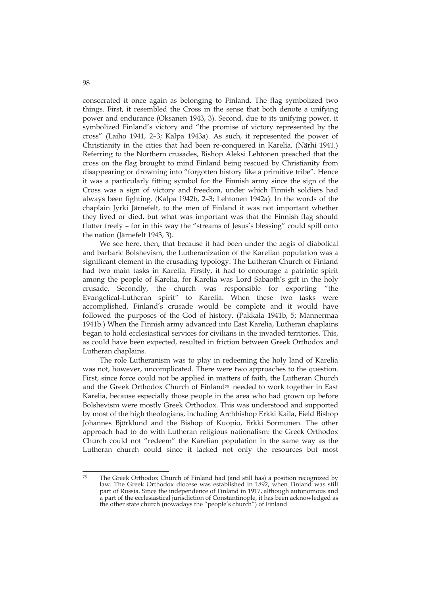consecrated it once again as belonging to Finland. The flag symbolized two things. First, it resembled the Cross in the sense that both denote a unifying power and endurance (Oksanen 1943, 3). Second, due to its unifying power, it symbolized Finland's victory and "the promise of victory represented by the cross" (Laiho 1941, 2–3; Kalpa 1943a). As such, it represented the power of Christianity in the cities that had been re-conquered in Karelia. (Närhi 1941.) Referring to the Northern crusades, Bishop Aleksi Lehtonen preached that the cross on the flag brought to mind Finland being rescued by Christianity from disappearing or drowning into "forgotten history like a primitive tribe". Hence it was a particularly fitting symbol for the Finnish army since the sign of the Cross was a sign of victory and freedom, under which Finnish soldiers had always been fighting. (Kalpa 1942b, 2–3; Lehtonen 1942a). In the words of the chaplain Jyrki Järnefelt, to the men of Finland it was not important whether they lived or died, but what was important was that the Finnish flag should flutter freely – for in this way the "streams of Jesus's blessing" could spill onto the nation (Järnefelt 1943, 3).

We see here, then, that because it had been under the aegis of diabolical and barbaric Bolshevism, the Lutheranization of the Karelian population was a significant element in the crusading typology. The Lutheran Church of Finland had two main tasks in Karelia. Firstly, it had to encourage a patriotic spirit among the people of Karelia, for Karelia was Lord Sabaoth's gift in the holy crusade. Secondly, the church was responsible for exporting "the Evangelical-Lutheran spirit" to Karelia. When these two tasks were accomplished, Finland's crusade would be complete and it would have followed the purposes of the God of history. (Pakkala 1941b, 5; Mannermaa 1941b.) When the Finnish army advanced into East Karelia, Lutheran chaplains began to hold ecclesiastical services for civilians in the invaded territories. This, as could have been expected, resulted in friction between Greek Orthodox and Lutheran chaplains.

The role Lutheranism was to play in redeeming the holy land of Karelia was not, however, uncomplicated. There were two approaches to the question. First, since force could not be applied in matters of faith, the Lutheran Church and the Greek Orthodox Church of Finland<sup>75</sup> needed to work together in East Karelia, because especially those people in the area who had grown up before Bolshevism were mostly Greek Orthodox. This was understood and supported by most of the high theologians, including Archbishop Erkki Kaila, Field Bishop Johannes Björklund and the Bishop of Kuopio, Erkki Sormunen. The other approach had to do with Lutheran religious nationalism: the Greek Orthodox Church could not "redeem" the Karelian population in the same way as the Lutheran church could since it lacked not only the resources but most

 $75$ The Greek Orthodox Church of Finland had (and still has) a position recognized by law. The Greek Orthodox diocese was established in 1892, when Finland was still part of Russia. Since the independence of Finland in 1917, although autonomous and a part of the ecclesiastical jurisdiction of Constantinople, it has been acknowledged as the other state church (nowadays the "people's church") of Finland.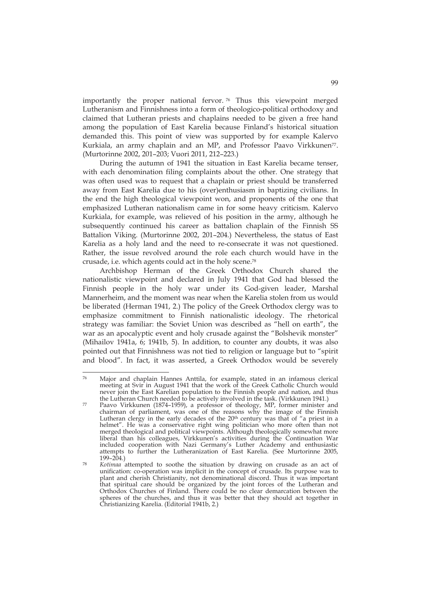importantly the proper national fervor. <sup>76</sup> Thus this viewpoint merged Lutheranism and Finnishness into a form of theologico-political orthodoxy and claimed that Lutheran priests and chaplains needed to be given a free hand among the population of East Karelia because Finland's historical situation demanded this. This point of view was supported by for example Kalervo Kurkiala, an army chaplain and an MP, and Professor Paavo Virkkunen<sup>77</sup>. (Murtorinne 2002, 201–203; Vuori 2011, 212–223.)

During the autumn of 1941 the situation in East Karelia became tenser, with each denomination filing complaints about the other. One strategy that was often used was to request that a chaplain or priest should be transferred away from East Karelia due to his (over)enthusiasm in baptizing civilians. In the end the high theological viewpoint won, and proponents of the one that emphasized Lutheran nationalism came in for some heavy criticism. Kalervo Kurkiala, for example, was relieved of his position in the army, although he subsequently continued his career as battalion chaplain of the Finnish SS Battalion Viking. (Murtorinne 2002, 201–204.) Nevertheless, the status of East Karelia as a holy land and the need to re-consecrate it was not questioned. Rather, the issue revolved around the role each church would have in the crusade, i.e. which agents could act in the holy scene.78

Archbishop Herman of the Greek Orthodox Church shared the nationalistic viewpoint and declared in July 1941 that God had blessed the Finnish people in the holy war under its God-given leader, Marshal Mannerheim, and the moment was near when the Karelia stolen from us would be liberated (Herman 1941, 2.) The policy of the Greek Orthodox clergy was to emphasize commitment to Finnish nationalistic ideology. The rhetorical strategy was familiar: the Soviet Union was described as "hell on earth", the war as an apocalyptic event and holy crusade against the "Bolshevik monster" (Mihailov 1941a, 6; 1941b, 5). In addition, to counter any doubts, it was also pointed out that Finnishness was not tied to religion or language but to "spirit and blood". In fact, it was asserted, a Greek Orthodox would be severely

<sup>&</sup>lt;u>.</u> 76 Major and chaplain Hannes Anttila, for example, stated in an infamous clerical meeting at Svir in August 1941 that the work of the Greek Catholic Church would never join the East Karelian population to the Finnish people and nation, and thus the Lutheran Church needed to be actively involved in the task. (Virkkunen 1941.)

the Lutheran Church needed to be actively involved in the task. (Virkkunen 1941.) 77 Paavo Virkkunen (1874–1959), a professor of theology, MP, former minister and chairman of parliament, was one of the reasons why the image of the Finnish Lutheran clergy in the early decades of the 20<sup>th</sup> century was that of "a priest in a helmet". He was a conservative right wing politician who more often than not merged theological and political viewpoints. Although theologically somewhat more liberal than his colleagues, Virkkunen's activities during the Continuation War included cooperation with Nazi Germany's Luther Academy and enthusiastic attempts to further the Lutheranization of East Karelia. (See Murtorinne 2005,

<sup>199–204.) 78</sup> *Kotimaa* attempted to soothe the situation by drawing on crusade as an act of unification: co-operation was implicit in the concept of crusade. Its purpose was to plant and cherish Christianity, not denominational discord. Thus it was important that spiritual care should be organized by the joint forces of the Lutheran and Orthodox Churches of Finland. There could be no clear demarcation between the spheres of the churches, and thus it was better that they should act together in Christianizing Karelia. (Editorial 1941b, 2.)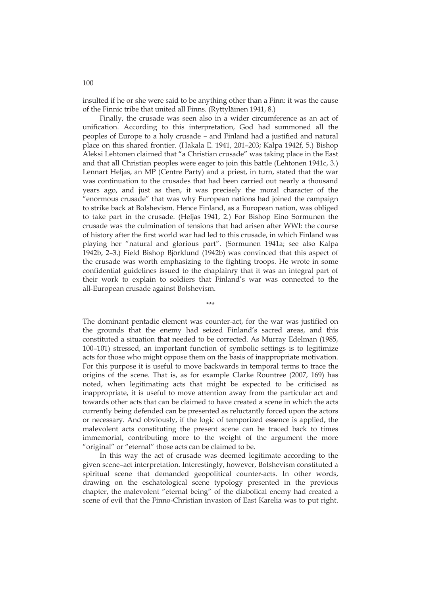insulted if he or she were said to be anything other than a Finn: it was the cause of the Finnic tribe that united all Finns. (Ryttyläinen 1941, 8.)

Finally, the crusade was seen also in a wider circumference as an act of unification. According to this interpretation, God had summoned all the peoples of Europe to a holy crusade – and Finland had a justified and natural place on this shared frontier. (Hakala E. 1941, 201–203; Kalpa 1942f, 5.) Bishop Aleksi Lehtonen claimed that "a Christian crusade" was taking place in the East and that all Christian peoples were eager to join this battle (Lehtonen 1941c, 3.) Lennart Heljas, an MP (Centre Party) and a priest, in turn, stated that the war was continuation to the crusades that had been carried out nearly a thousand years ago, and just as then, it was precisely the moral character of the "enormous crusade" that was why European nations had joined the campaign to strike back at Bolshevism. Hence Finland, as a European nation, was obliged to take part in the crusade. (Heljas 1941, 2.) For Bishop Eino Sormunen the crusade was the culmination of tensions that had arisen after WWI: the course of history after the first world war had led to this crusade, in which Finland was playing her "natural and glorious part". (Sormunen 1941a; see also Kalpa 1942b, 2–3.) Field Bishop Björklund (1942b) was convinced that this aspect of the crusade was worth emphasizing to the fighting troops. He wrote in some confidential guidelines issued to the chaplainry that it was an integral part of their work to explain to soldiers that Finland's war was connected to the all-European crusade against Bolshevism.

\*\*\*

The dominant pentadic element was counter-act, for the war was justified on the grounds that the enemy had seized Finland's sacred areas, and this constituted a situation that needed to be corrected. As Murray Edelman (1985, 100–101) stressed, an important function of symbolic settings is to legitimize acts for those who might oppose them on the basis of inappropriate motivation. For this purpose it is useful to move backwards in temporal terms to trace the origins of the scene. That is, as for example Clarke Rountree (2007, 169) has noted, when legitimating acts that might be expected to be criticised as inappropriate, it is useful to move attention away from the particular act and towards other acts that can be claimed to have created a scene in which the acts currently being defended can be presented as reluctantly forced upon the actors or necessary. And obviously, if the logic of temporized essence is applied, the malevolent acts constituting the present scene can be traced back to times immemorial, contributing more to the weight of the argument the more "original" or "eternal" those acts can be claimed to be.

In this way the act of crusade was deemed legitimate according to the given scene–act interpretation. Interestingly, however, Bolshevism constituted a spiritual scene that demanded geopolitical counter-acts. In other words, drawing on the eschatological scene typology presented in the previous chapter, the malevolent "eternal being" of the diabolical enemy had created a scene of evil that the Finno-Christian invasion of East Karelia was to put right.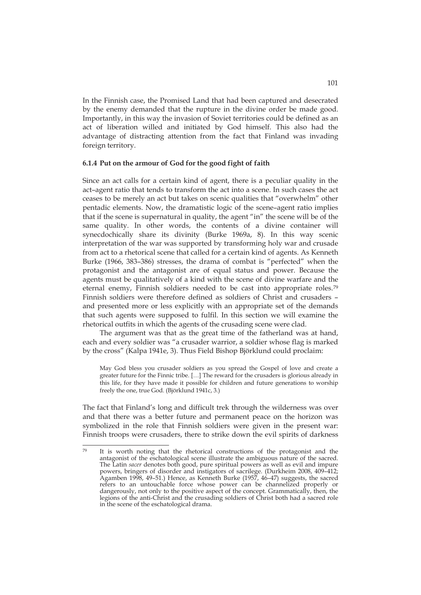In the Finnish case, the Promised Land that had been captured and desecrated by the enemy demanded that the rupture in the divine order be made good. Importantly, in this way the invasion of Soviet territories could be defined as an act of liberation willed and initiated by God himself. This also had the advantage of distracting attention from the fact that Finland was invading foreign territory.

#### **6.1.4 Put on the armour of God for the good fight of faith**

Since an act calls for a certain kind of agent, there is a peculiar quality in the act–agent ratio that tends to transform the act into a scene. In such cases the act ceases to be merely an act but takes on scenic qualities that "overwhelm" other pentadic elements. Now, the dramatistic logic of the scene–agent ratio implies that if the scene is supernatural in quality, the agent "in" the scene will be of the same quality. In other words, the contents of a divine container will synecdochically share its divinity (Burke 1969a, 8). In this way scenic interpretation of the war was supported by transforming holy war and crusade from act to a rhetorical scene that called for a certain kind of agents. As Kenneth Burke (1966, 383–386) stresses, the drama of combat is "perfected" when the protagonist and the antagonist are of equal status and power. Because the agents must be qualitatively of a kind with the scene of divine warfare and the eternal enemy, Finnish soldiers needed to be cast into appropriate roles.79 Finnish soldiers were therefore defined as soldiers of Christ and crusaders – and presented more or less explicitly with an appropriate set of the demands that such agents were supposed to fulfil. In this section we will examine the rhetorical outfits in which the agents of the crusading scene were clad.

The argument was that as the great time of the fatherland was at hand, each and every soldier was "a crusader warrior, a soldier whose flag is marked by the cross" (Kalpa 1941e, 3). Thus Field Bishop Björklund could proclaim:

May God bless you crusader soldiers as you spread the Gospel of love and create a greater future for the Finnic tribe. […] The reward for the crusaders is glorious already in this life, for they have made it possible for children and future generations to worship freely the one, true God. (Björklund 1941c, 3.)

The fact that Finland's long and difficult trek through the wilderness was over and that there was a better future and permanent peace on the horizon was symbolized in the role that Finnish soldiers were given in the present war: Finnish troops were crusaders, there to strike down the evil spirits of darkness

 $70$ It is worth noting that the rhetorical constructions of the protagonist and the antagonist of the eschatological scene illustrate the ambiguous nature of the sacred. The Latin *sacer* denotes both good, pure spiritual powers as well as evil and impure powers, bringers of disorder and instigators of sacrilege. (Durkheim 2008, 409–412; Agamben 1998, 49–51.) Hence, as Kenneth Burke (1957, 46–47) suggests, the sacred refers to an untouchable force whose power can be channelized properly or dangerously, not only to the positive aspect of the concept. Grammatically, then, the legions of the anti-Christ and the crusading soldiers of Christ both had a sacred role in the scene of the eschatological drama.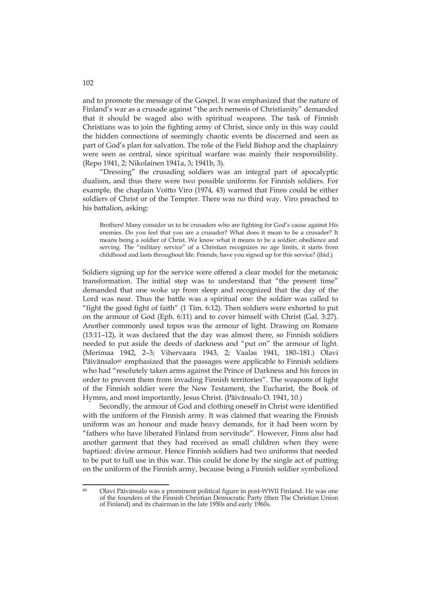and to promote the message of the Gospel. It was emphasized that the nature of Finland's war as a crusade against "the arch nemesis of Christianity" demanded that it should be waged also with spiritual weapons. The task of Finnish Christians was to join the fighting army of Christ, since only in this way could the hidden connections of seemingly chaotic events be discerned and seen as part of God's plan for salvation. The role of the Field Bishop and the chaplainry were seen as central, since spiritual warfare was mainly their responsibility. (Repo 1941, 2; Nikolainen 1941a, 3; 1941b, 3).

"Dressing" the crusading soldiers was an integral part of apocalyptic dualism, and thus there were two possible uniforms for Finnish soldiers. For example, the chaplain Voitto Viro (1974, 43) warned that Finns could be either soldiers of Christ or of the Tempter. There was no third way. Viro preached to his battalion, asking:

Brothers! Many consider us to be crusaders who are fighting for God's cause against His enemies. Do you feel that you are a crusader? What does it mean to be a crusader? It means being a soldier of Christ. We know what it means to be a soldier: obedience and serving. The "military service" of a Christian recognizes no age limits, it starts from childhood and lasts throughout life. Friends, have you signed up for this service? (ibid.)

Soldiers signing up for the service were offered a clear model for the metanoic transformation. The initial step was to understand that "the present time" demanded that one woke up from sleep and recognized that the day of the Lord was near. Thus the battle was a spiritual one: the soldier was called to "fight the good fight of faith" (1 Tim. 6:12). Then soldiers were exhorted to put on the armour of God (Eph. 6:11) and to cover himself with Christ (Gal. 3:27). Another commonly used topos was the armour of light. Drawing on Romans (13:11–12), it was declared that the day was almost there, so Finnish soldiers needed to put aside the deeds of darkness and "put on" the armour of light. (Merimaa 1942, 2–3; Vihervaara 1943, 2; Vaalas 1941, 180–181.) Olavi Päivänsalo<sup>80</sup> emphasized that the passages were applicable to Finnish soldiers who had "resolutely taken arms against the Prince of Darkness and his forces in order to prevent them from invading Finnish territories". The weapons of light of the Finnish soldier were the New Testament, the Eucharist, the Book of Hymns, and most importantly, Jesus Christ. (Päivänsalo O. 1941, 10.)

Secondly, the armour of God and clothing oneself in Christ were identified with the uniform of the Finnish army. It was claimed that wearing the Finnish uniform was an honour and made heavy demands, for it had been worn by "fathers who have liberated Finland from servitude". However, Finns also had another garment that they had received as small children when they were baptized: divine armour. Hence Finnish soldiers had two uniforms that needed to be put to full use in this war. This could be done by the single act of putting on the uniform of the Finnish army, because being a Finnish soldier symbolized

102

<sup>80</sup> 80 Olavi Päivänsalo was a prominent political figure in post-WWII Finland. He was one of the founders of the Finnish Christian Democratic Party (then The Christian Union of Finland) and its chairman in the late 1950s and early 1960s.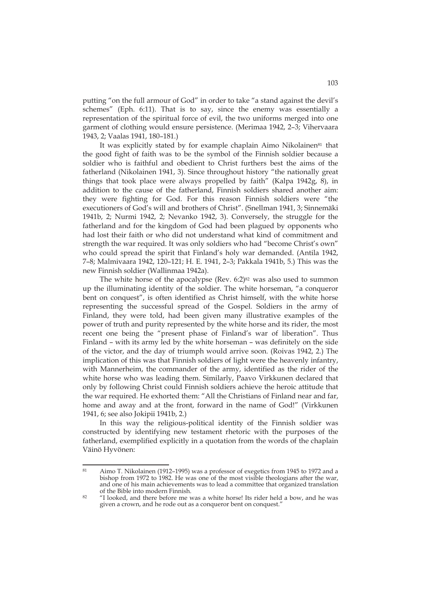putting "on the full armour of God" in order to take "a stand against the devil's schemes" (Eph. 6:11). That is to say, since the enemy was essentially a representation of the spiritual force of evil, the two uniforms merged into one garment of clothing would ensure persistence. (Merimaa 1942, 2–3; Vihervaara 1943, 2; Vaalas 1941, 180–181.)

It was explicitly stated by for example chaplain Aimo Nikolainen<sup>81</sup> that the good fight of faith was to be the symbol of the Finnish soldier because a soldier who is faithful and obedient to Christ furthers best the aims of the fatherland (Nikolainen 1941, 3). Since throughout history "the nationally great things that took place were always propelled by faith" (Kalpa 1942g, 8), in addition to the cause of the fatherland, Finnish soldiers shared another aim: they were fighting for God. For this reason Finnish soldiers were "the executioners of God's will and brothers of Christ". (Snellman 1941, 3; Sinnemäki 1941b, 2; Nurmi 1942, 2; Nevanko 1942, 3). Conversely, the struggle for the fatherland and for the kingdom of God had been plagued by opponents who had lost their faith or who did not understand what kind of commitment and strength the war required. It was only soldiers who had "become Christ's own" who could spread the spirit that Finland's holy war demanded. (Antila 1942, 7–8; Malmivaara 1942, 120–121; H. E. 1941, 2–3; Pakkala 1941b, 5.) This was the new Finnish soldier (Wallinmaa 1942a).

The white horse of the apocalypse (Rev.  $6:2$ )<sup>82</sup> was also used to summon up the illuminating identity of the soldier. The white horseman, "a conqueror bent on conquest", is often identified as Christ himself, with the white horse representing the successful spread of the Gospel. Soldiers in the army of Finland, they were told, had been given many illustrative examples of the power of truth and purity represented by the white horse and its rider, the most recent one being the "present phase of Finland's war of liberation". Thus Finland – with its army led by the white horseman – was definitely on the side of the victor, and the day of triumph would arrive soon. (Roivas 1942, 2.) The implication of this was that Finnish soldiers of light were the heavenly infantry, with Mannerheim, the commander of the army, identified as the rider of the white horse who was leading them. Similarly, Paavo Virkkunen declared that only by following Christ could Finnish soldiers achieve the heroic attitude that the war required. He exhorted them: "All the Christians of Finland near and far, home and away and at the front, forward in the name of God!" (Virkkunen 1941, 6; see also Jokipii 1941b, 2.)

In this way the religious-political identity of the Finnish soldier was constructed by identifying new testament rhetoric with the purposes of the fatherland, exemplified explicitly in a quotation from the words of the chaplain Väinö Hyvönen:

 $\overline{81}$ 81 Aimo T. Nikolainen (1912–1995) was a professor of exegetics from 1945 to 1972 and a bishop from 1972 to 1982. He was one of the most visible theologians after the war, and one of his main achievements was to lead a committee that organized translation

 $82$  "I looked, and there before me was a white horse! Its rider held a bow, and he was given a crown, and he rode out as a conqueror bent on conquest."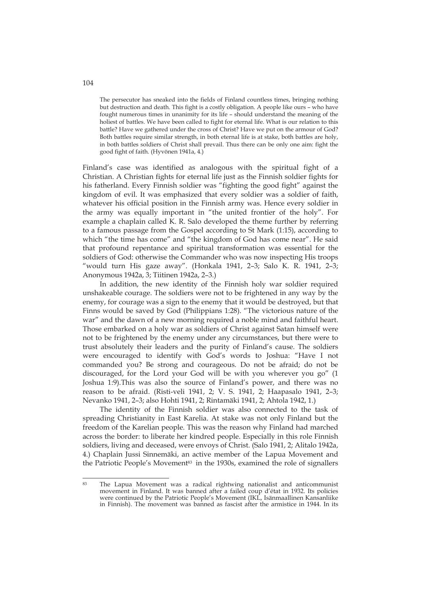The persecutor has sneaked into the fields of Finland countless times, bringing nothing but destruction and death. This fight is a costly obligation. A people like ours – who have fought numerous times in unanimity for its life – should understand the meaning of the holiest of battles. We have been called to fight for eternal life. What is our relation to this battle? Have we gathered under the cross of Christ? Have we put on the armour of God? Both battles require similar strength, in both eternal life is at stake, both battles are holy, in both battles soldiers of Christ shall prevail. Thus there can be only one aim: fight the good fight of faith. (Hyvönen 1941a, 4.)

Finland's case was identified as analogous with the spiritual fight of a Christian. A Christian fights for eternal life just as the Finnish soldier fights for his fatherland. Every Finnish soldier was "fighting the good fight" against the kingdom of evil. It was emphasized that every soldier was a soldier of faith, whatever his official position in the Finnish army was. Hence every soldier in the army was equally important in "the united frontier of the holy". For example a chaplain called K. R. Salo developed the theme further by referring to a famous passage from the Gospel according to St Mark (1:15), according to which "the time has come" and "the kingdom of God has come near". He said that profound repentance and spiritual transformation was essential for the soldiers of God: otherwise the Commander who was now inspecting His troops "would turn His gaze away". (Honkala 1941, 2–3; Salo K. R. 1941, 2–3; Anonymous 1942a, 3; Tiitinen 1942a, 2–3.)

In addition, the new identity of the Finnish holy war soldier required unshakeable courage. The soldiers were not to be frightened in any way by the enemy, for courage was a sign to the enemy that it would be destroyed, but that Finns would be saved by God (Philippians 1:28). "The victorious nature of the war" and the dawn of a new morning required a noble mind and faithful heart. Those embarked on a holy war as soldiers of Christ against Satan himself were not to be frightened by the enemy under any circumstances, but there were to trust absolutely their leaders and the purity of Finland's cause. The soldiers were encouraged to identify with God's words to Joshua: "Have I not commanded you? Be strong and courageous. Do not be afraid; do not be discouraged, for the Lord your God will be with you wherever you go" (1 Joshua 1:9).This was also the source of Finland's power, and there was no reason to be afraid. (Risti-veli 1941, 2; V. S. 1941, 2; Haapasalo 1941, 2–3; Nevanko 1941, 2–3; also Hohti 1941, 2; Rintamäki 1941, 2; Ahtola 1942, 1.)

The identity of the Finnish soldier was also connected to the task of spreading Christianity in East Karelia. At stake was not only Finland but the freedom of the Karelian people. This was the reason why Finland had marched across the border: to liberate her kindred people. Especially in this role Finnish soldiers, living and deceased, were envoys of Christ. (Salo 1941, 2; Alitalo 1942a, 4.) Chaplain Jussi Sinnemäki, an active member of the Lapua Movement and the Patriotic People's Movement<sup>83</sup> in the 1930s, examined the role of signallers

<sup>83</sup> The Lapua Movement was a radical rightwing nationalist and anticommunist movement in Finland. It was banned after a failed coup d'état in 1932. Its policies were continued by the Patriotic People's Movement (IKL, Isänmaallinen Kansanliike in Finnish). The movement was banned as fascist after the armistice in 1944. In its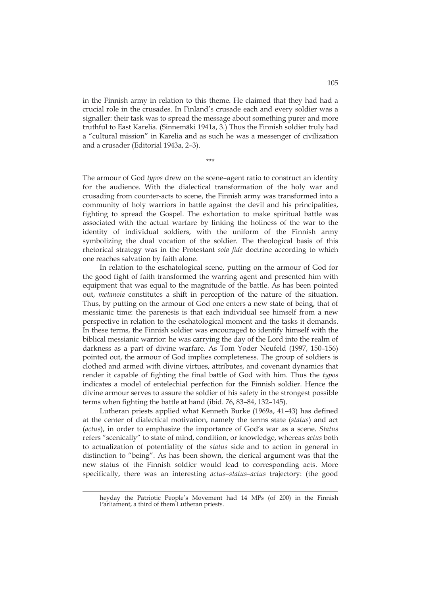in the Finnish army in relation to this theme. He claimed that they had had a crucial role in the crusades. In Finland's crusade each and every soldier was a signaller: their task was to spread the message about something purer and more truthful to East Karelia. (Sinnemäki 1941a, 3.) Thus the Finnish soldier truly had a "cultural mission" in Karelia and as such he was a messenger of civilization and a crusader (Editorial 1943a, 2–3).

\*\*\*

The armour of God *typos* drew on the scene–agent ratio to construct an identity for the audience. With the dialectical transformation of the holy war and crusading from counter-acts to scene, the Finnish army was transformed into a community of holy warriors in battle against the devil and his principalities, fighting to spread the Gospel. The exhortation to make spiritual battle was associated with the actual warfare by linking the holiness of the war to the identity of individual soldiers, with the uniform of the Finnish army symbolizing the dual vocation of the soldier. The theological basis of this rhetorical strategy was in the Protestant *sola fide* doctrine according to which one reaches salvation by faith alone.

In relation to the eschatological scene, putting on the armour of God for the good fight of faith transformed the warring agent and presented him with equipment that was equal to the magnitude of the battle. As has been pointed out, *metanoia* constitutes a shift in perception of the nature of the situation. Thus, by putting on the armour of God one enters a new state of being, that of messianic time: the parenesis is that each individual see himself from a new perspective in relation to the eschatological moment and the tasks it demands. In these terms, the Finnish soldier was encouraged to identify himself with the biblical messianic warrior: he was carrying the day of the Lord into the realm of darkness as a part of divine warfare. As Tom Yoder Neufeld (1997, 150–156) pointed out, the armour of God implies completeness. The group of soldiers is clothed and armed with divine virtues, attributes, and covenant dynamics that render it capable of fighting the final battle of God with him. Thus the *typos* indicates a model of entelechial perfection for the Finnish soldier. Hence the divine armour serves to assure the soldier of his safety in the strongest possible terms when fighting the battle at hand (ibid. 76, 83–84, 132–145).

Lutheran priests applied what Kenneth Burke (1969a, 41–43) has defined at the center of dialectical motivation, namely the terms state (*status*) and act (*actus*), in order to emphasize the importance of God's war as a scene. *Status* refers "scenically" to state of mind, condition, or knowledge, whereas *actus* both to actualization of potentiality of the *status* side and to action in general in distinction to "being". As has been shown, the clerical argument was that the new status of the Finnish soldier would lead to corresponding acts. More specifically, there was an interesting *actus–status–actus* trajectory: (the good

<u>.</u>

heyday the Patriotic People's Movement had 14 MPs (of 200) in the Finnish Parliament, a third of them Lutheran priests.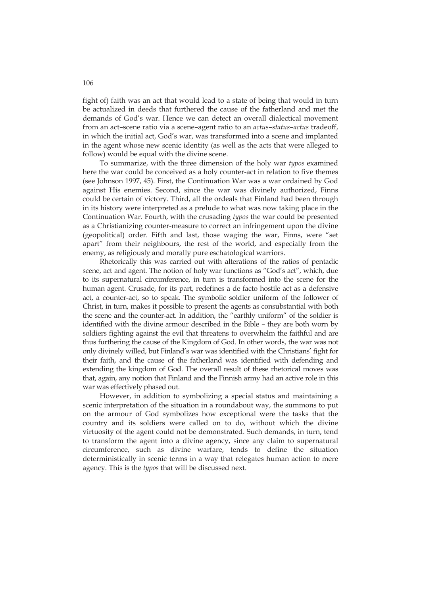fight of) faith was an act that would lead to a state of being that would in turn be actualized in deeds that furthered the cause of the fatherland and met the demands of God's war. Hence we can detect an overall dialectical movement from an act–scene ratio via a scene–agent ratio to an *actus–status–actus* tradeoff, in which the initial act, God's war, was transformed into a scene and implanted in the agent whose new scenic identity (as well as the acts that were alleged to follow) would be equal with the divine scene.

To summarize, with the three dimension of the holy war *typos* examined here the war could be conceived as a holy counter-act in relation to five themes (see Johnson 1997, 45). First, the Continuation War was a war ordained by God against His enemies. Second, since the war was divinely authorized, Finns could be certain of victory. Third, all the ordeals that Finland had been through in its history were interpreted as a prelude to what was now taking place in the Continuation War. Fourth, with the crusading *typos* the war could be presented as a Christianizing counter-measure to correct an infringement upon the divine (geopolitical) order. Fifth and last, those waging the war, Finns, were "set apart" from their neighbours, the rest of the world, and especially from the enemy, as religiously and morally pure eschatological warriors.

Rhetorically this was carried out with alterations of the ratios of pentadic scene, act and agent. The notion of holy war functions as "God's act", which, due to its supernatural circumference, in turn is transformed into the scene for the human agent. Crusade, for its part, redefines a de facto hostile act as a defensive act, a counter-act, so to speak. The symbolic soldier uniform of the follower of Christ, in turn, makes it possible to present the agents as consubstantial with both the scene and the counter-act. In addition, the "earthly uniform" of the soldier is identified with the divine armour described in the Bible – they are both worn by soldiers fighting against the evil that threatens to overwhelm the faithful and are thus furthering the cause of the Kingdom of God. In other words, the war was not only divinely willed, but Finland's war was identified with the Christians' fight for their faith, and the cause of the fatherland was identified with defending and extending the kingdom of God. The overall result of these rhetorical moves was that, again, any notion that Finland and the Finnish army had an active role in this war was effectively phased out.

However, in addition to symbolizing a special status and maintaining a scenic interpretation of the situation in a roundabout way, the summons to put on the armour of God symbolizes how exceptional were the tasks that the country and its soldiers were called on to do, without which the divine virtuosity of the agent could not be demonstrated. Such demands, in turn, tend to transform the agent into a divine agency, since any claim to supernatural circumference, such as divine warfare, tends to define the situation deterministically in scenic terms in a way that relegates human action to mere agency. This is the *typos* that will be discussed next.

106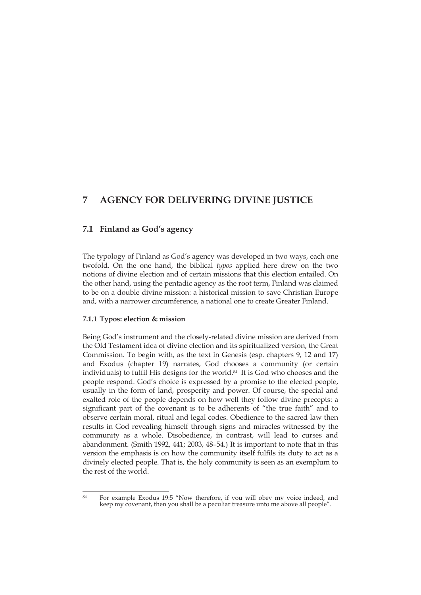# **7 AGENCY FOR DELIVERING DIVINE JUSTICE**

# **7.1 Finland as God's agency**

The typology of Finland as God's agency was developed in two ways, each one twofold. On the one hand, the biblical *typos* applied here drew on the two notions of divine election and of certain missions that this election entailed. On the other hand, using the pentadic agency as the root term, Finland was claimed to be on a double divine mission: a historical mission to save Christian Europe and, with a narrower circumference, a national one to create Greater Finland.

## **7.1.1 Typos: election & mission**

Being God's instrument and the closely-related divine mission are derived from the Old Testament idea of divine election and its spiritualized version, the Great Commission. To begin with, as the text in Genesis (esp. chapters 9, 12 and 17) and Exodus (chapter 19) narrates, God chooses a community (or certain individuals) to fulfil His designs for the world.84 It is God who chooses and the people respond. God's choice is expressed by a promise to the elected people, usually in the form of land, prosperity and power. Of course, the special and exalted role of the people depends on how well they follow divine precepts: a significant part of the covenant is to be adherents of "the true faith" and to observe certain moral, ritual and legal codes. Obedience to the sacred law then results in God revealing himself through signs and miracles witnessed by the community as a whole. Disobedience, in contrast, will lead to curses and abandonment. (Smith 1992, 441; 2003, 48–54.) It is important to note that in this version the emphasis is on how the community itself fulfils its duty to act as a divinely elected people. That is, the holy community is seen as an exemplum to the rest of the world.

<sup>&</sup>lt;u>.</u> 84 For example Exodus 19:5 "Now therefore, if you will obey my voice indeed, and keep my covenant, then you shall be a peculiar treasure unto me above all people".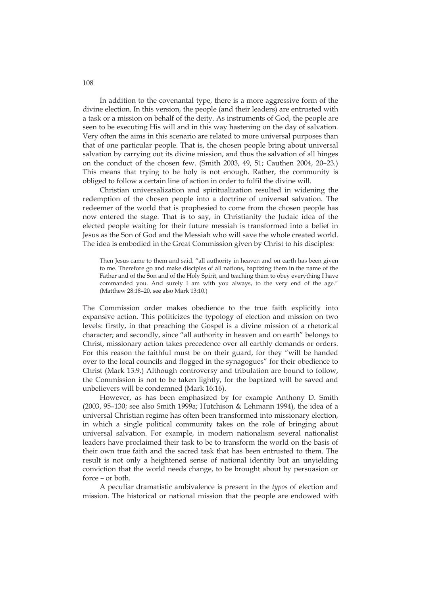In addition to the covenantal type, there is a more aggressive form of the divine election. In this version, the people (and their leaders) are entrusted with a task or a mission on behalf of the deity. As instruments of God, the people are seen to be executing His will and in this way hastening on the day of salvation. Very often the aims in this scenario are related to more universal purposes than that of one particular people. That is, the chosen people bring about universal salvation by carrying out its divine mission, and thus the salvation of all hinges on the conduct of the chosen few. (Smith 2003, 49, 51; Cauthen 2004, 20–23.) This means that trying to be holy is not enough. Rather, the community is obliged to follow a certain line of action in order to fulfil the divine will.

Christian universalization and spiritualization resulted in widening the redemption of the chosen people into a doctrine of universal salvation. The redeemer of the world that is prophesied to come from the chosen people has now entered the stage. That is to say, in Christianity the Judaic idea of the elected people waiting for their future messiah is transformed into a belief in Jesus as the Son of God and the Messiah who will save the whole created world. The idea is embodied in the Great Commission given by Christ to his disciples:

Then Jesus came to them and said, "all authority in heaven and on earth has been given to me. Therefore go and make disciples of all nations, baptizing them in the name of the Father and of the Son and of the Holy Spirit, and teaching them to obey everything I have commanded you. And surely I am with you always, to the very end of the age." (Matthew 28:18–20, see also Mark 13:10.)

The Commission order makes obedience to the true faith explicitly into expansive action. This politicizes the typology of election and mission on two levels: firstly, in that preaching the Gospel is a divine mission of a rhetorical character; and secondly, since "all authority in heaven and on earth" belongs to Christ, missionary action takes precedence over all earthly demands or orders. For this reason the faithful must be on their guard, for they "will be handed over to the local councils and flogged in the synagogues" for their obedience to Christ (Mark 13:9.) Although controversy and tribulation are bound to follow, the Commission is not to be taken lightly, for the baptized will be saved and unbelievers will be condemned (Mark 16:16).

However, as has been emphasized by for example Anthony D. Smith (2003, 95–130; see also Smith 1999a; Hutchison & Lehmann 1994), the idea of a universal Christian regime has often been transformed into missionary election, in which a single political community takes on the role of bringing about universal salvation. For example, in modern nationalism several nationalist leaders have proclaimed their task to be to transform the world on the basis of their own true faith and the sacred task that has been entrusted to them. The result is not only a heightened sense of national identity but an unyielding conviction that the world needs change, to be brought about by persuasion or force – or both.

A peculiar dramatistic ambivalence is present in the *typos* of election and mission. The historical or national mission that the people are endowed with

108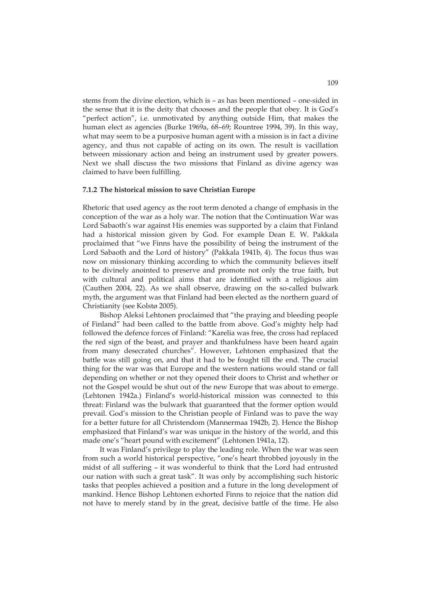stems from the divine election, which is – as has been mentioned – one-sided in the sense that it is the deity that chooses and the people that obey. It is God's "perfect action", i.e. unmotivated by anything outside Him, that makes the human elect as agencies (Burke 1969a, 68–69; Rountree 1994, 39). In this way, what may seem to be a purposive human agent with a mission is in fact a divine agency, and thus not capable of acting on its own. The result is vacillation between missionary action and being an instrument used by greater powers. Next we shall discuss the two missions that Finland as divine agency was claimed to have been fulfilling.

#### **7.1.2 The historical mission to save Christian Europe**

Rhetoric that used agency as the root term denoted a change of emphasis in the conception of the war as a holy war. The notion that the Continuation War was Lord Sabaoth's war against His enemies was supported by a claim that Finland had a historical mission given by God. For example Dean E. W. Pakkala proclaimed that "we Finns have the possibility of being the instrument of the Lord Sabaoth and the Lord of history" (Pakkala 1941b, 4). The focus thus was now on missionary thinking according to which the community believes itself to be divinely anointed to preserve and promote not only the true faith, but with cultural and political aims that are identified with a religious aim (Cauthen 2004, 22). As we shall observe, drawing on the so-called bulwark myth, the argument was that Finland had been elected as the northern guard of Christianity (see Kolstø 2005).

Bishop Aleksi Lehtonen proclaimed that "the praying and bleeding people of Finland" had been called to the battle from above. God's mighty help had followed the defence forces of Finland: "Karelia was free, the cross had replaced the red sign of the beast, and prayer and thankfulness have been heard again from many desecrated churches". However, Lehtonen emphasized that the battle was still going on, and that it had to be fought till the end. The crucial thing for the war was that Europe and the western nations would stand or fall depending on whether or not they opened their doors to Christ and whether or not the Gospel would be shut out of the new Europe that was about to emerge. (Lehtonen 1942a.) Finland's world-historical mission was connected to this threat: Finland was the bulwark that guaranteed that the former option would prevail. God's mission to the Christian people of Finland was to pave the way for a better future for all Christendom (Mannermaa 1942b, 2). Hence the Bishop emphasized that Finland's war was unique in the history of the world, and this made one's "heart pound with excitement" (Lehtonen 1941a, 12).

It was Finland's privilege to play the leading role. When the war was seen from such a world historical perspective, "one's heart throbbed joyously in the midst of all suffering – it was wonderful to think that the Lord had entrusted our nation with such a great task". It was only by accomplishing such historic tasks that peoples achieved a position and a future in the long development of mankind. Hence Bishop Lehtonen exhorted Finns to rejoice that the nation did not have to merely stand by in the great, decisive battle of the time. He also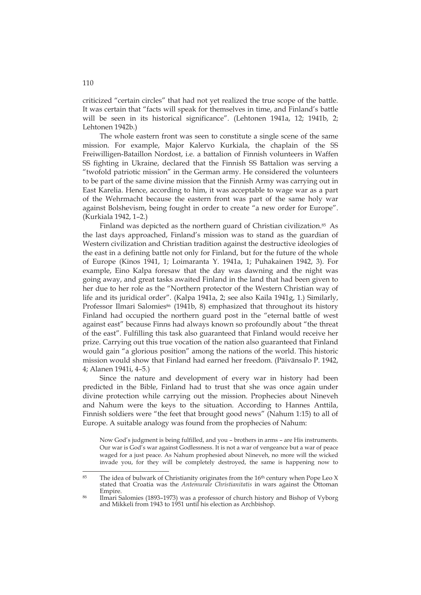criticized "certain circles" that had not yet realized the true scope of the battle. It was certain that "facts will speak for themselves in time, and Finland's battle will be seen in its historical significance". (Lehtonen 1941a, 12; 1941b, 2; Lehtonen 1942b.)

The whole eastern front was seen to constitute a single scene of the same mission. For example, Major Kalervo Kurkiala, the chaplain of the SS Freiwilligen-Bataillon Nordost, i.e. a battalion of Finnish volunteers in Waffen SS fighting in Ukraine, declared that the Finnish SS Battalion was serving a "twofold patriotic mission" in the German army. He considered the volunteers to be part of the same divine mission that the Finnish Army was carrying out in East Karelia. Hence, according to him, it was acceptable to wage war as a part of the Wehrmacht because the eastern front was part of the same holy war against Bolshevism, being fought in order to create "a new order for Europe". (Kurkiala 1942, 1–2.)

Finland was depicted as the northern guard of Christian civilization.85 As the last days approached, Finland's mission was to stand as the guardian of Western civilization and Christian tradition against the destructive ideologies of the east in a defining battle not only for Finland, but for the future of the whole of Europe (Kinos 1941, 1; Loimaranta Y. 1941a, 1; Puhakainen 1942, 3). For example, Eino Kalpa foresaw that the day was dawning and the night was going away, and great tasks awaited Finland in the land that had been given to her due to her role as the "Northern protector of the Western Christian way of life and its juridical order". (Kalpa 1941a, 2; see also Kaila 1941g, 1.) Similarly, Professor Ilmari Salomies<sup>86</sup> (1941b, 8) emphasized that throughout its history Finland had occupied the northern guard post in the "eternal battle of west against east" because Finns had always known so profoundly about "the threat of the east". Fulfilling this task also guaranteed that Finland would receive her prize. Carrying out this true vocation of the nation also guaranteed that Finland would gain "a glorious position" among the nations of the world. This historic mission would show that Finland had earned her freedom. (Päivänsalo P. 1942, 4; Alanen 1941i, 4–5.)

Since the nature and development of every war in history had been predicted in the Bible, Finland had to trust that she was once again under divine protection while carrying out the mission. Prophecies about Nineveh and Nahum were the keys to the situation. According to Hannes Anttila, Finnish soldiers were "the feet that brought good news" (Nahum 1:15) to all of Europe. A suitable analogy was found from the prophecies of Nahum:

Now God's judgment is being fulfilled, and you – brothers in arms – are His instruments. Our war is God's war against Godlessness. It is not a war of vengeance but a war of peace waged for a just peace. As Nahum prophesied about Nineveh, no more will the wicked invade you, for they will be completely destroyed, the same is happening now to

<sup>85</sup> The idea of bulwark of Christianity originates from the  $16<sup>th</sup>$  century when Pope Leo X stated that Croatia was the *Antemurale Christianitatis* in wars against the Ottoman Empire.<br><sup>86</sup> Ilmari Salomies (1893–1973) was a professor of church history and Bishop of Vyborg

and Mikkeli from 1943 to 1951 until his election as Archbishop.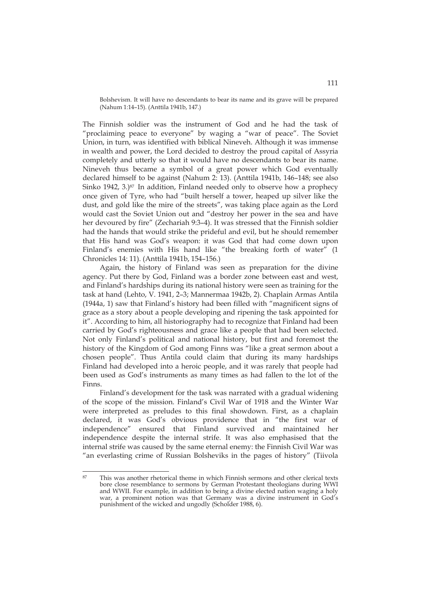Bolshevism. It will have no descendants to bear its name and its grave will be prepared (Nahum 1:14–15). (Anttila 1941b, 147.)

The Finnish soldier was the instrument of God and he had the task of "proclaiming peace to everyone" by waging a "war of peace". The Soviet Union, in turn, was identified with biblical Nineveh. Although it was immense in wealth and power, the Lord decided to destroy the proud capital of Assyria completely and utterly so that it would have no descendants to bear its name. Nineveh thus became a symbol of a great power which God eventually declared himself to be against (Nahum 2: 13). (Anttila 1941b, 146–148; see also Sinko 1942, 3.)<sup>87</sup> In addition, Finland needed only to observe how a prophecy once given of Tyre, who had "built herself a tower, heaped up silver like the dust, and gold like the mire of the streets", was taking place again as the Lord would cast the Soviet Union out and "destroy her power in the sea and have her devoured by fire" (Zechariah 9:3–4). It was stressed that the Finnish soldier had the hands that would strike the prideful and evil, but he should remember that His hand was God's weapon: it was God that had come down upon Finland's enemies with His hand like "the breaking forth of water" (1 Chronicles 14: 11). (Anttila 1941b, 154–156.)

Again, the history of Finland was seen as preparation for the divine agency. Put there by God, Finland was a border zone between east and west, and Finland's hardships during its national history were seen as training for the task at hand (Lehto, V. 1941, 2–3; Mannermaa 1942b, 2). Chaplain Armas Antila (1944a, 1) saw that Finland's history had been filled with "magnificent signs of grace as a story about a people developing and ripening the task appointed for it". According to him, all historiography had to recognize that Finland had been carried by God's righteousness and grace like a people that had been selected. Not only Finland's political and national history, but first and foremost the history of the Kingdom of God among Finns was "like a great sermon about a chosen people". Thus Antila could claim that during its many hardships Finland had developed into a heroic people, and it was rarely that people had been used as God's instruments as many times as had fallen to the lot of the Finns.

Finland's development for the task was narrated with a gradual widening of the scope of the mission. Finland's Civil War of 1918 and the Winter War were interpreted as preludes to this final showdown. First, as a chaplain declared, it was God's obvious providence that in "the first war of independence" ensured that Finland survived and maintained her independence despite the internal strife. It was also emphasised that the internal strife was caused by the same eternal enemy: the Finnish Civil War was "an everlasting crime of Russian Bolsheviks in the pages of history" (Tiivola

<sup>87</sup> This was another rhetorical theme in which Finnish sermons and other clerical texts bore close resemblance to sermons by German Protestant theologians during WWI and WWII. For example, in addition to being a divine elected nation waging a holy war, a prominent notion was that Germany was a divine instrument in God's punishment of the wicked and ungodly (Scholder 1988, 6).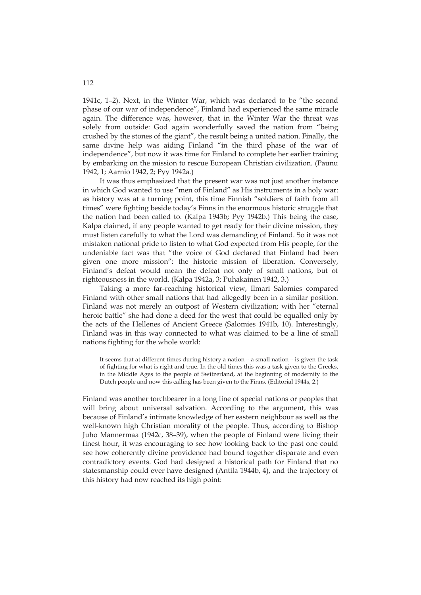1941c, 1–2). Next, in the Winter War, which was declared to be "the second phase of our war of independence", Finland had experienced the same miracle again. The difference was, however, that in the Winter War the threat was solely from outside: God again wonderfully saved the nation from "being crushed by the stones of the giant", the result being a united nation. Finally, the same divine help was aiding Finland "in the third phase of the war of independence", but now it was time for Finland to complete her earlier training by embarking on the mission to rescue European Christian civilization. (Paunu 1942, 1; Aarnio 1942, 2; Pyy 1942a.)

It was thus emphasized that the present war was not just another instance in which God wanted to use "men of Finland" as His instruments in a holy war: as history was at a turning point, this time Finnish "soldiers of faith from all times" were fighting beside today's Finns in the enormous historic struggle that the nation had been called to. (Kalpa 1943b; Pyy 1942b.) This being the case, Kalpa claimed, if any people wanted to get ready for their divine mission, they must listen carefully to what the Lord was demanding of Finland. So it was not mistaken national pride to listen to what God expected from His people, for the undeniable fact was that "the voice of God declared that Finland had been given one more mission": the historic mission of liberation. Conversely, Finland's defeat would mean the defeat not only of small nations, but of righteousness in the world. (Kalpa 1942a, 3; Puhakainen 1942, 3.)

Taking a more far-reaching historical view, Ilmari Salomies compared Finland with other small nations that had allegedly been in a similar position. Finland was not merely an outpost of Western civilization; with her "eternal heroic battle" she had done a deed for the west that could be equalled only by the acts of the Hellenes of Ancient Greece (Salomies 1941b, 10). Interestingly, Finland was in this way connected to what was claimed to be a line of small nations fighting for the whole world:

It seems that at different times during history a nation – a small nation – is given the task of fighting for what is right and true. In the old times this was a task given to the Greeks, in the Middle Ages to the people of Switzerland, at the beginning of modernity to the Dutch people and now this calling has been given to the Finns. (Editorial 1944s, 2.)

Finland was another torchbearer in a long line of special nations or peoples that will bring about universal salvation. According to the argument, this was because of Finland's intimate knowledge of her eastern neighbour as well as the well-known high Christian morality of the people. Thus, according to Bishop Juho Mannermaa (1942c, 38–39), when the people of Finland were living their finest hour, it was encouraging to see how looking back to the past one could see how coherently divine providence had bound together disparate and even contradictory events. God had designed a historical path for Finland that no statesmanship could ever have designed (Antila 1944b, 4), and the trajectory of this history had now reached its high point: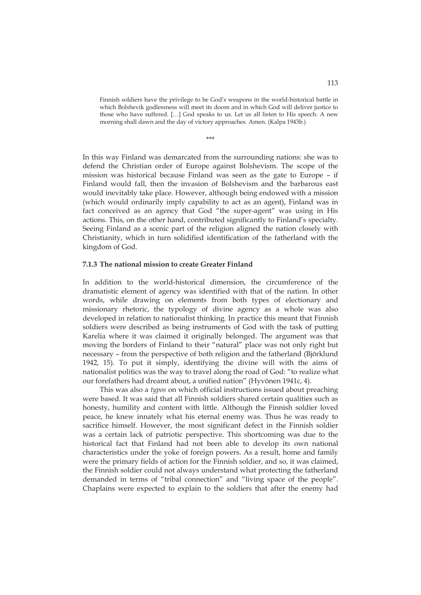Finnish soldiers have the privilege to be God's weapons in the world-historical battle in which Bolshevik godlessness will meet its doom and in which God will deliver justice to those who have suffered. […] God speaks to us. Let us all listen to His speech. A new morning shall dawn and the day of victory approaches. Amen. (Kalpa 1943b.)

\*\*\*

In this way Finland was demarcated from the surrounding nations: she was to defend the Christian order of Europe against Bolshevism. The scope of the mission was historical because Finland was seen as the gate to Europe – if Finland would fall, then the invasion of Bolshevism and the barbarous east would inevitably take place. However, although being endowed with a mission (which would ordinarily imply capability to act as an agent), Finland was in fact conceived as an agency that God "the super-agent" was using in His actions. This, on the other hand, contributed significantly to Finland's specialty. Seeing Finland as a scenic part of the religion aligned the nation closely with Christianity, which in turn solidified identification of the fatherland with the kingdom of God.

## **7.1.3 The national mission to create Greater Finland**

In addition to the world-historical dimension, the circumference of the dramatistic element of agency was identified with that of the nation. In other words, while drawing on elements from both types of electionary and missionary rhetoric, the typology of divine agency as a whole was also developed in relation to nationalist thinking. In practice this meant that Finnish soldiers were described as being instruments of God with the task of putting Karelia where it was claimed it originally belonged. The argument was that moving the borders of Finland to their "natural" place was not only right but necessary – from the perspective of both religion and the fatherland (Björklund 1942, 15). To put it simply, identifying the divine will with the aims of nationalist politics was the way to travel along the road of God: "to realize what our forefathers had dreamt about, a unified nation" (Hyvönen 1941c, 4).

This was also a *typos* on which official instructions issued about preaching were based. It was said that all Finnish soldiers shared certain qualities such as honesty, humility and content with little. Although the Finnish soldier loved peace, he knew innately what his eternal enemy was. Thus he was ready to sacrifice himself. However, the most significant defect in the Finnish soldier was a certain lack of patriotic perspective. This shortcoming was due to the historical fact that Finland had not been able to develop its own national characteristics under the yoke of foreign powers. As a result, home and family were the primary fields of action for the Finnish soldier, and so, it was claimed, the Finnish soldier could not always understand what protecting the fatherland demanded in terms of "tribal connection" and "living space of the people". Chaplains were expected to explain to the soldiers that after the enemy had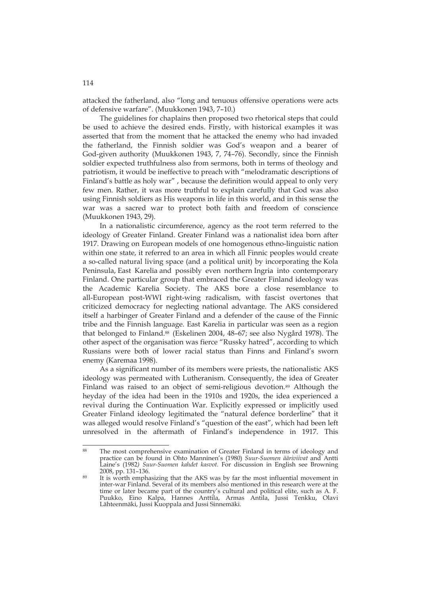attacked the fatherland, also "long and tenuous offensive operations were acts of defensive warfare". (Muukkonen 1943, 7–10.)

The guidelines for chaplains then proposed two rhetorical steps that could be used to achieve the desired ends. Firstly, with historical examples it was asserted that from the moment that he attacked the enemy who had invaded the fatherland, the Finnish soldier was God's weapon and a bearer of God-given authority (Muukkonen 1943, 7, 74–76). Secondly, since the Finnish soldier expected truthfulness also from sermons, both in terms of theology and patriotism, it would be ineffective to preach with "melodramatic descriptions of Finland's battle as holy war" , because the definition would appeal to only very few men. Rather, it was more truthful to explain carefully that God was also using Finnish soldiers as His weapons in life in this world, and in this sense the war was a sacred war to protect both faith and freedom of conscience (Muukkonen 1943, 29).

In a nationalistic circumference, agency as the root term referred to the ideology of Greater Finland. Greater Finland was a nationalist idea born after 1917. Drawing on European models of one homogenous ethno-linguistic nation within one state, it referred to an area in which all Finnic peoples would create a so-called natural living space (and a political unit) by incorporating the Kola Peninsula, East Karelia and possibly even northern Ingria into contemporary Finland. One particular group that embraced the Greater Finland ideology was the Academic Karelia Society. The AKS bore a close resemblance to all-European post-WWI right-wing radicalism, with fascist overtones that criticized democracy for neglecting national advantage. The AKS considered itself a harbinger of Greater Finland and a defender of the cause of the Finnic tribe and the Finnish language. East Karelia in particular was seen as a region that belonged to Finland.88 (Eskelinen 2004, 48–67; see also Nygård 1978). The other aspect of the organisation was fierce "Russky hatred", according to which Russians were both of lower racial status than Finns and Finland's sworn enemy (Karemaa 1998).

As a significant number of its members were priests, the nationalistic AKS ideology was permeated with Lutheranism. Consequently, the idea of Greater Finland was raised to an object of semi-religious devotion.<sup>89</sup> Although the heyday of the idea had been in the 1910s and 1920s, the idea experienced a revival during the Continuation War. Explicitly expressed or implicitly used Greater Finland ideology legitimated the "natural defence borderline" that it was alleged would resolve Finland's "question of the east", which had been left unresolved in the aftermath of Finland's independence in 1917. This

<sup>88</sup> The most comprehensive examination of Greater Finland in terms of ideology and practice can be found in Ohto Manninen's (1980) *Suur-Suomen ääriviivat* and Antti Laine's (1982*) Suur-Suomen kahdet kasvot*. For discussion in English see Browning

<sup>&</sup>lt;sup>89</sup> It is worth emphasizing that the AKS was by far the most influential movement in inter-war Finland. Several of its members also mentioned in this research were at the time or later became part of the country's cultural and political elite, such as A. F. Puukko, Eino Kalpa, Hannes Anttila, Armas Antila, Jussi Tenkku, Olavi Lähteenmäki, Jussi Kuoppala and Jussi Sinnemäki.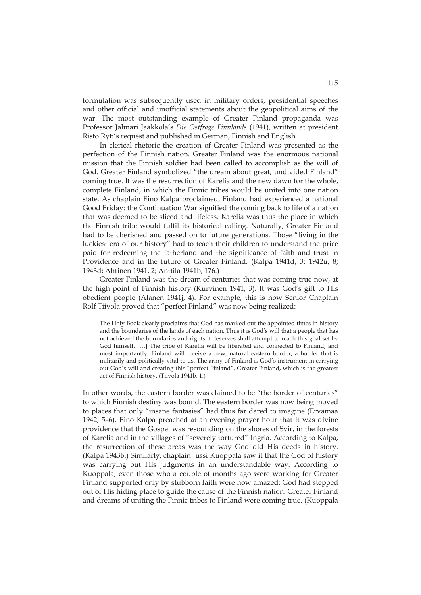formulation was subsequently used in military orders, presidential speeches and other official and unofficial statements about the geopolitical aims of the war. The most outstanding example of Greater Finland propaganda was Professor Jalmari Jaakkola's *Die Ostfrage Finnlands* (1941), written at president Risto Ryti's request and published in German, Finnish and English.

In clerical rhetoric the creation of Greater Finland was presented as the perfection of the Finnish nation. Greater Finland was the enormous national mission that the Finnish soldier had been called to accomplish as the will of God. Greater Finland symbolized "the dream about great, undivided Finland" coming true. It was the resurrection of Karelia and the new dawn for the whole, complete Finland, in which the Finnic tribes would be united into one nation state. As chaplain Eino Kalpa proclaimed, Finland had experienced a national Good Friday: the Continuation War signified the coming back to life of a nation that was deemed to be sliced and lifeless. Karelia was thus the place in which the Finnish tribe would fulfil its historical calling. Naturally, Greater Finland had to be cherished and passed on to future generations. Those "living in the luckiest era of our history" had to teach their children to understand the price paid for redeeming the fatherland and the significance of faith and trust in Providence and in the future of Greater Finland. (Kalpa 1941d, 3; 1942u, 8; 1943d; Ahtinen 1941, 2; Anttila 1941b, 176.)

Greater Finland was the dream of centuries that was coming true now, at the high point of Finnish history (Kurvinen 1941, 3). It was God's gift to His obedient people (Alanen 1941j, 4). For example, this is how Senior Chaplain Rolf Tiivola proved that "perfect Finland" was now being realized:

The Holy Book clearly proclaims that God has marked out the appointed times in history and the boundaries of the lands of each nation. Thus it is God's will that a people that has not achieved the boundaries and rights it deserves shall attempt to reach this goal set by God himself. […] The tribe of Karelia will be liberated and connected to Finland, and most importantly, Finland will receive a new, natural eastern border, a border that is militarily and politically vital to us. The army of Finland is God's instrument in carrying out God's will and creating this "perfect Finland", Greater Finland, which is the greatest act of Finnish history. (Tiivola 1941b, 1.)

In other words, the eastern border was claimed to be "the border of centuries" to which Finnish destiny was bound. The eastern border was now being moved to places that only "insane fantasies" had thus far dared to imagine (Ervamaa 1942, 5–6). Eino Kalpa preached at an evening prayer hour that it was divine providence that the Gospel was resounding on the shores of Svir, in the forests of Karelia and in the villages of "severely tortured" Ingria. According to Kalpa, the resurrection of these areas was the way God did His deeds in history. (Kalpa 1943b.) Similarly, chaplain Jussi Kuoppala saw it that the God of history was carrying out His judgments in an understandable way. According to Kuoppala, even those who a couple of months ago were working for Greater Finland supported only by stubborn faith were now amazed: God had stepped out of His hiding place to guide the cause of the Finnish nation. Greater Finland and dreams of uniting the Finnic tribes to Finland were coming true. (Kuoppala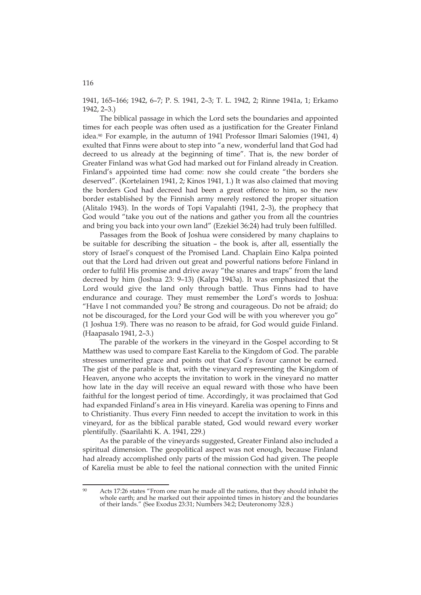1941, 165–166; 1942, 6–7; P. S. 1941, 2–3; T. L. 1942, 2; Rinne 1941a, 1; Erkamo 1942, 2–3.)

The biblical passage in which the Lord sets the boundaries and appointed times for each people was often used as a justification for the Greater Finland idea.90 For example, in the autumn of 1941 Professor Ilmari Salomies (1941, 4) exulted that Finns were about to step into "a new, wonderful land that God had decreed to us already at the beginning of time". That is, the new border of Greater Finland was what God had marked out for Finland already in Creation. Finland's appointed time had come: now she could create "the borders she deserved". (Kortelainen 1941, 2; Kinos 1941, 1.) It was also claimed that moving the borders God had decreed had been a great offence to him, so the new border established by the Finnish army merely restored the proper situation (Alitalo 1943). In the words of Topi Vapalahti (1941, 2–3), the prophecy that God would "take you out of the nations and gather you from all the countries and bring you back into your own land" (Ezekiel 36:24) had truly been fulfilled.

Passages from the Book of Joshua were considered by many chaplains to be suitable for describing the situation – the book is, after all, essentially the story of Israel's conquest of the Promised Land. Chaplain Eino Kalpa pointed out that the Lord had driven out great and powerful nations before Finland in order to fulfil His promise and drive away "the snares and traps" from the land decreed by him (Joshua 23: 9–13) (Kalpa 1943a). It was emphasized that the Lord would give the land only through battle. Thus Finns had to have endurance and courage. They must remember the Lord's words to Joshua: "Have I not commanded you? Be strong and courageous. Do not be afraid; do not be discouraged, for the Lord your God will be with you wherever you go" (1 Joshua 1:9). There was no reason to be afraid, for God would guide Finland. (Haapasalo 1941, 2–3.)

The parable of the workers in the vineyard in the Gospel according to St Matthew was used to compare East Karelia to the Kingdom of God. The parable stresses unmerited grace and points out that God's favour cannot be earned. The gist of the parable is that, with the vineyard representing the Kingdom of Heaven, anyone who accepts the invitation to work in the vineyard no matter how late in the day will receive an equal reward with those who have been faithful for the longest period of time. Accordingly, it was proclaimed that God had expanded Finland's area in His vineyard. Karelia was opening to Finns and to Christianity. Thus every Finn needed to accept the invitation to work in this vineyard, for as the biblical parable stated, God would reward every worker plentifully. (Saarilahti K. A. 1941, 229.)

As the parable of the vineyards suggested, Greater Finland also included a spiritual dimension. The geopolitical aspect was not enough, because Finland had already accomplished only parts of the mission God had given. The people of Karelia must be able to feel the national connection with the united Finnic

116

 $\overline{a}$ Acts 17:26 states "From one man he made all the nations, that they should inhabit the whole earth; and he marked out their appointed times in history and the boundaries of their lands." (See Exodus 23:31; Numbers 34:2; Deuteronomy 32:8.)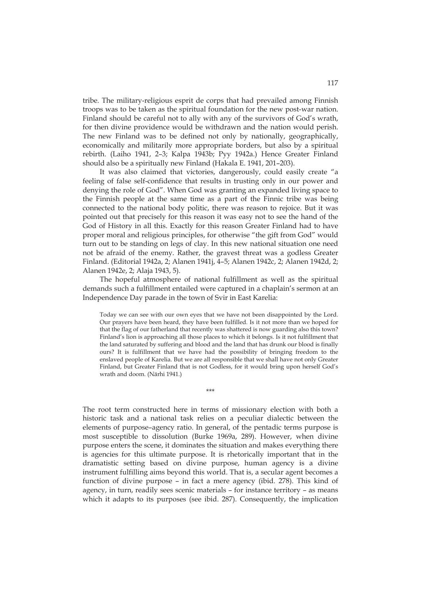tribe. The military-religious esprit de corps that had prevailed among Finnish troops was to be taken as the spiritual foundation for the new post-war nation. Finland should be careful not to ally with any of the survivors of God's wrath, for then divine providence would be withdrawn and the nation would perish. The new Finland was to be defined not only by nationally, geographically, economically and militarily more appropriate borders, but also by a spiritual rebirth. (Laiho 1941, 2–3; Kalpa 1943b; Pyy 1942a.) Hence Greater Finland should also be a spiritually new Finland (Hakala E. 1941, 201–203).

It was also claimed that victories, dangerously, could easily create "a feeling of false self-confidence that results in trusting only in our power and denying the role of God". When God was granting an expanded living space to the Finnish people at the same time as a part of the Finnic tribe was being connected to the national body politic, there was reason to rejoice. But it was pointed out that precisely for this reason it was easy not to see the hand of the God of History in all this. Exactly for this reason Greater Finland had to have proper moral and religious principles, for otherwise "the gift from God" would turn out to be standing on legs of clay. In this new national situation one need not be afraid of the enemy. Rather, the gravest threat was a godless Greater Finland. (Editorial 1942a, 2; Alanen 1941j, 4–5; Alanen 1942c, 2; Alanen 1942d, 2; Alanen 1942e, 2; Alaja 1943, 5).

The hopeful atmosphere of national fulfillment as well as the spiritual demands such a fulfillment entailed were captured in a chaplain's sermon at an Independence Day parade in the town of Svir in East Karelia:

Today we can see with our own eyes that we have not been disappointed by the Lord. Our prayers have been heard, they have been fulfilled. Is it not more than we hoped for that the flag of our fatherland that recently was shattered is now guarding also this town? Finland's lion is approaching all those places to which it belongs. Is it not fulfillment that the land saturated by suffering and blood and the land that has drunk our blood is finally ours? It is fulfillment that we have had the possibility of bringing freedom to the enslaved people of Karelia. But we are all responsible that we shall have not only Greater Finland, but Greater Finland that is not Godless, for it would bring upon herself God's wrath and doom. (Närhi 1941.)

The root term constructed here in terms of missionary election with both a historic task and a national task relies on a peculiar dialectic between the elements of purpose–agency ratio. In general, of the pentadic terms purpose is most susceptible to dissolution (Burke 1969a, 289). However, when divine purpose enters the scene, it dominates the situation and makes everything there is agencies for this ultimate purpose. It is rhetorically important that in the dramatistic setting based on divine purpose, human agency is a divine instrument fulfilling aims beyond this world. That is, a secular agent becomes a function of divine purpose – in fact a mere agency (ibid. 278). This kind of agency, in turn, readily sees scenic materials – for instance territory – as means which it adapts to its purposes (see ibid. 287). Consequently, the implication

\*\*\*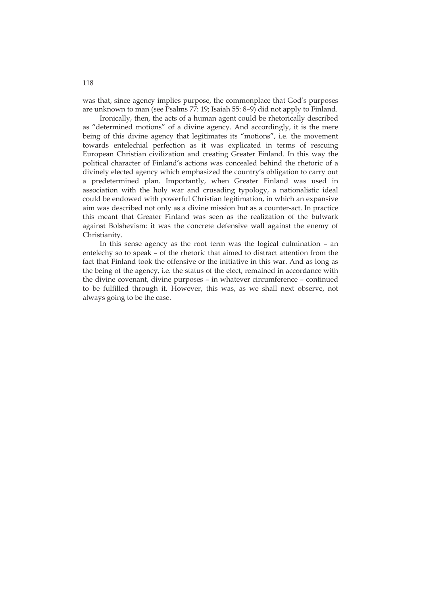was that, since agency implies purpose, the commonplace that God's purposes are unknown to man (see Psalms 77: 19; Isaiah 55: 8–9) did not apply to Finland.

Ironically, then, the acts of a human agent could be rhetorically described as "determined motions" of a divine agency. And accordingly, it is the mere being of this divine agency that legitimates its "motions", i.e. the movement towards entelechial perfection as it was explicated in terms of rescuing European Christian civilization and creating Greater Finland. In this way the political character of Finland's actions was concealed behind the rhetoric of a divinely elected agency which emphasized the country's obligation to carry out a predetermined plan. Importantly, when Greater Finland was used in association with the holy war and crusading typology, a nationalistic ideal could be endowed with powerful Christian legitimation, in which an expansive aim was described not only as a divine mission but as a counter-act. In practice this meant that Greater Finland was seen as the realization of the bulwark against Bolshevism: it was the concrete defensive wall against the enemy of Christianity.

In this sense agency as the root term was the logical culmination – an entelechy so to speak – of the rhetoric that aimed to distract attention from the fact that Finland took the offensive or the initiative in this war. And as long as the being of the agency, i.e. the status of the elect, remained in accordance with the divine covenant, divine purposes – in whatever circumference – continued to be fulfilled through it. However, this was, as we shall next observe, not always going to be the case.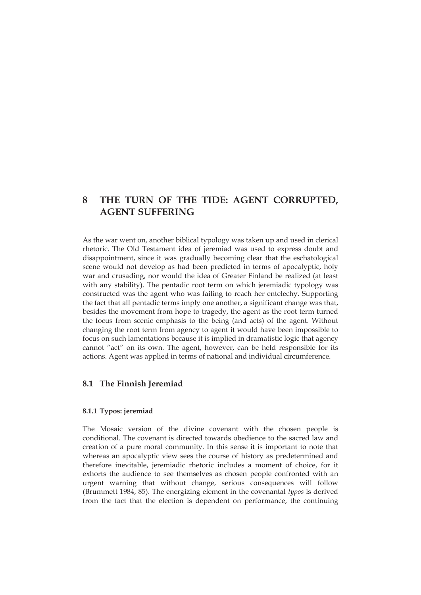# **8 THE TURN OF THE TIDE: AGENT CORRUPTED, AGENT SUFFERING**

As the war went on, another biblical typology was taken up and used in clerical rhetoric. The Old Testament idea of jeremiad was used to express doubt and disappointment, since it was gradually becoming clear that the eschatological scene would not develop as had been predicted in terms of apocalyptic, holy war and crusading, nor would the idea of Greater Finland be realized (at least with any stability). The pentadic root term on which jeremiadic typology was constructed was the agent who was failing to reach her entelechy. Supporting the fact that all pentadic terms imply one another, a significant change was that, besides the movement from hope to tragedy, the agent as the root term turned the focus from scenic emphasis to the being (and acts) of the agent. Without changing the root term from agency to agent it would have been impossible to focus on such lamentations because it is implied in dramatistic logic that agency cannot "act" on its own. The agent, however, can be held responsible for its actions. Agent was applied in terms of national and individual circumference.

## **8.1 The Finnish Jeremiad**

#### **8.1.1 Typos: jeremiad**

The Mosaic version of the divine covenant with the chosen people is conditional. The covenant is directed towards obedience to the sacred law and creation of a pure moral community. In this sense it is important to note that whereas an apocalyptic view sees the course of history as predetermined and therefore inevitable, jeremiadic rhetoric includes a moment of choice, for it exhorts the audience to see themselves as chosen people confronted with an urgent warning that without change, serious consequences will follow (Brummett 1984, 85). The energizing element in the covenantal *typos* is derived from the fact that the election is dependent on performance, the continuing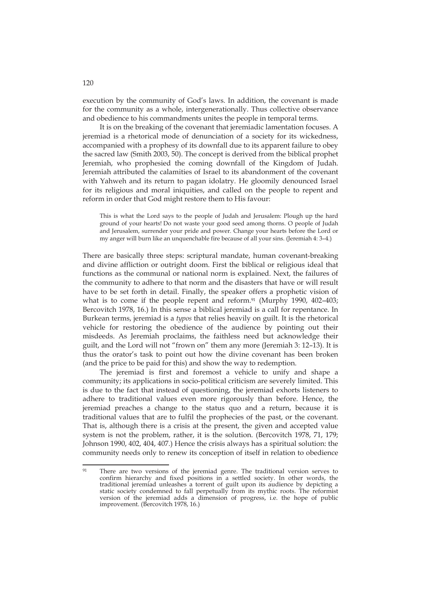execution by the community of God's laws. In addition, the covenant is made for the community as a whole, intergenerationally. Thus collective observance and obedience to his commandments unites the people in temporal terms.

It is on the breaking of the covenant that jeremiadic lamentation focuses. A jeremiad is a rhetorical mode of denunciation of a society for its wickedness, accompanied with a prophesy of its downfall due to its apparent failure to obey the sacred law (Smith 2003, 50). The concept is derived from the biblical prophet Jeremiah, who prophesied the coming downfall of the Kingdom of Judah. Jeremiah attributed the calamities of Israel to its abandonment of the covenant with Yahweh and its return to pagan idolatry. He gloomily denounced Israel for its religious and moral iniquities, and called on the people to repent and reform in order that God might restore them to His favour:

This is what the Lord says to the people of Judah and Jerusalem: Plough up the hard ground of your hearts! Do not waste your good seed among thorns. O people of Judah and Jerusalem, surrender your pride and power. Change your hearts before the Lord or my anger will burn like an unquenchable fire because of all your sins. (Jeremiah 4: 3–4.)

There are basically three steps: scriptural mandate, human covenant-breaking and divine affliction or outright doom. First the biblical or religious ideal that functions as the communal or national norm is explained. Next, the failures of the community to adhere to that norm and the disasters that have or will result have to be set forth in detail. Finally, the speaker offers a prophetic vision of what is to come if the people repent and reform.<sup>91</sup> (Murphy 1990, 402-403; Bercovitch 1978, 16.) In this sense a biblical jeremiad is a call for repentance. In Burkean terms, jeremiad is a *typos* that relies heavily on guilt. It is the rhetorical vehicle for restoring the obedience of the audience by pointing out their misdeeds. As Jeremiah proclaims, the faithless need but acknowledge their guilt, and the Lord will not "frown on" them any more (Jeremiah 3: 12–13). It is thus the orator's task to point out how the divine covenant has been broken (and the price to be paid for this) and show the way to redemption.

The jeremiad is first and foremost a vehicle to unify and shape a community; its applications in socio-political criticism are severely limited. This is due to the fact that instead of questioning, the jeremiad exhorts listeners to adhere to traditional values even more rigorously than before. Hence, the jeremiad preaches a change to the status quo and a return, because it is traditional values that are to fulfil the prophecies of the past, or the covenant. That is, although there is a crisis at the present, the given and accepted value system is not the problem, rather, it is the solution. (Bercovitch 1978, 71, 179; Johnson 1990, 402, 404, 407.) Hence the crisis always has a spiritual solution: the community needs only to renew its conception of itself in relation to obedience

120

 $Q_1$ There are two versions of the jeremiad genre. The traditional version serves to confirm hierarchy and fixed positions in a settled society. In other words, the traditional jeremiad unleashes a torrent of guilt upon its audience by depicting a static society condemned to fall perpetually from its mythic roots. The reformist version of the jeremiad adds a dimension of progress, i.e. the hope of public improvement. (Bercovitch 1978, 16.)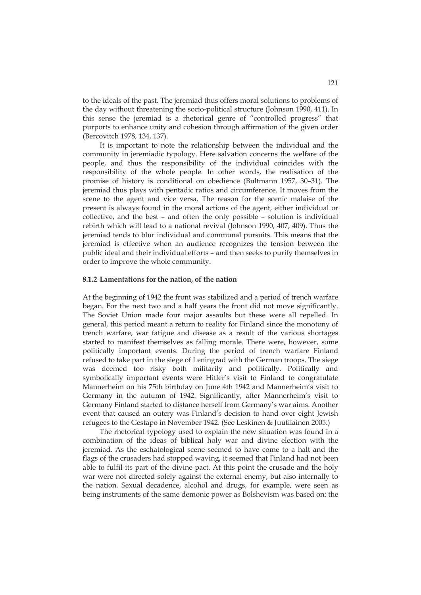to the ideals of the past. The jeremiad thus offers moral solutions to problems of the day without threatening the socio-political structure (Johnson 1990, 411). In this sense the jeremiad is a rhetorical genre of "controlled progress" that purports to enhance unity and cohesion through affirmation of the given order (Bercovitch 1978, 134, 137).

It is important to note the relationship between the individual and the community in jeremiadic typology. Here salvation concerns the welfare of the people, and thus the responsibility of the individual coincides with the responsibility of the whole people. In other words, the realisation of the promise of history is conditional on obedience (Bultmann 1957, 30–31). The jeremiad thus plays with pentadic ratios and circumference. It moves from the scene to the agent and vice versa. The reason for the scenic malaise of the present is always found in the moral actions of the agent, either individual or collective, and the best – and often the only possible – solution is individual rebirth which will lead to a national revival (Johnson 1990, 407, 409). Thus the jeremiad tends to blur individual and communal pursuits. This means that the jeremiad is effective when an audience recognizes the tension between the public ideal and their individual efforts – and then seeks to purify themselves in order to improve the whole community.

#### **8.1.2 Lamentations for the nation, of the nation**

At the beginning of 1942 the front was stabilized and a period of trench warfare began. For the next two and a half years the front did not move significantly. The Soviet Union made four major assaults but these were all repelled. In general, this period meant a return to reality for Finland since the monotony of trench warfare, war fatigue and disease as a result of the various shortages started to manifest themselves as falling morale. There were, however, some politically important events. During the period of trench warfare Finland refused to take part in the siege of Leningrad with the German troops. The siege was deemed too risky both militarily and politically. Politically and symbolically important events were Hitler's visit to Finland to congratulate Mannerheim on his 75th birthday on June 4th 1942 and Mannerheim's visit to Germany in the autumn of 1942. Significantly, after Mannerheim's visit to Germany Finland started to distance herself from Germany's war aims. Another event that caused an outcry was Finland's decision to hand over eight Jewish refugees to the Gestapo in November 1942. (See Leskinen & Juutilainen 2005.)

The rhetorical typology used to explain the new situation was found in a combination of the ideas of biblical holy war and divine election with the jeremiad. As the eschatological scene seemed to have come to a halt and the flags of the crusaders had stopped waving, it seemed that Finland had not been able to fulfil its part of the divine pact. At this point the crusade and the holy war were not directed solely against the external enemy, but also internally to the nation. Sexual decadence, alcohol and drugs, for example, were seen as being instruments of the same demonic power as Bolshevism was based on: the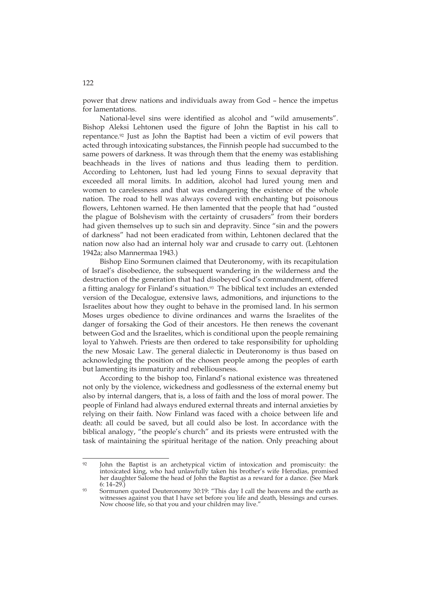power that drew nations and individuals away from God – hence the impetus for lamentations.

National-level sins were identified as alcohol and "wild amusements". Bishop Aleksi Lehtonen used the figure of John the Baptist in his call to repentance.92 Just as John the Baptist had been a victim of evil powers that acted through intoxicating substances, the Finnish people had succumbed to the same powers of darkness. It was through them that the enemy was establishing beachheads in the lives of nations and thus leading them to perdition. According to Lehtonen, lust had led young Finns to sexual depravity that exceeded all moral limits. In addition, alcohol had lured young men and women to carelessness and that was endangering the existence of the whole nation. The road to hell was always covered with enchanting but poisonous flowers, Lehtonen warned. He then lamented that the people that had "ousted the plague of Bolshevism with the certainty of crusaders" from their borders had given themselves up to such sin and depravity. Since "sin and the powers of darkness" had not been eradicated from within, Lehtonen declared that the nation now also had an internal holy war and crusade to carry out. (Lehtonen 1942a; also Mannermaa 1943.)

Bishop Eino Sormunen claimed that Deuteronomy, with its recapitulation of Israel's disobedience, the subsequent wandering in the wilderness and the destruction of the generation that had disobeyed God's commandment, offered a fitting analogy for Finland's situation.<sup>93</sup> The biblical text includes an extended version of the Decalogue, extensive laws, admonitions, and injunctions to the Israelites about how they ought to behave in the promised land. In his sermon Moses urges obedience to divine ordinances and warns the Israelites of the danger of forsaking the God of their ancestors. He then renews the covenant between God and the Israelites, which is conditional upon the people remaining loyal to Yahweh. Priests are then ordered to take responsibility for upholding the new Mosaic Law. The general dialectic in Deuteronomy is thus based on acknowledging the position of the chosen people among the peoples of earth but lamenting its immaturity and rebelliousness.

According to the bishop too, Finland's national existence was threatened not only by the violence, wickedness and godlessness of the external enemy but also by internal dangers, that is, a loss of faith and the loss of moral power. The people of Finland had always endured external threats and internal anxieties by relying on their faith. Now Finland was faced with a choice between life and death: all could be saved, but all could also be lost. In accordance with the biblical analogy, "the people's church" and its priests were entrusted with the task of maintaining the spiritual heritage of the nation. Only preaching about

 $Q<sub>2</sub>$ John the Baptist is an archetypical victim of intoxication and promiscuity: the intoxicated king, who had unlawfully taken his brother's wife Herodias, promised her daughter Salome the head of John the Baptist as a reward for a dance. (See Mark

<sup>6: 14–29.)&</sup>lt;br>Sormunen quoted Deuteronomy 30:19: "This day I call the heavens and the earth as witnesses against you that I have set before you life and death, blessings and curses. Now choose life, so that you and your children may live."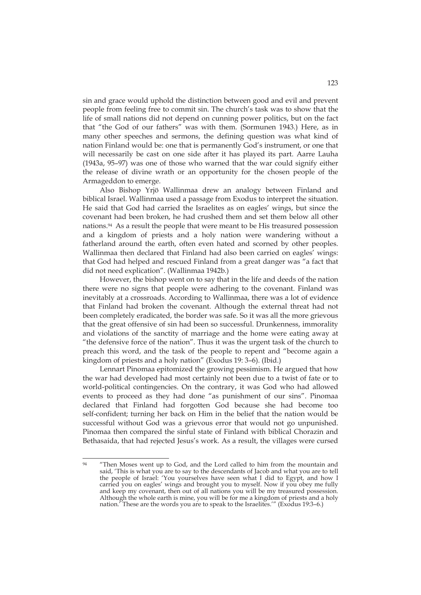sin and grace would uphold the distinction between good and evil and prevent people from feeling free to commit sin. The church's task was to show that the life of small nations did not depend on cunning power politics, but on the fact that "the God of our fathers" was with them. (Sormunen 1943.) Here, as in many other speeches and sermons, the defining question was what kind of nation Finland would be: one that is permanently God's instrument, or one that will necessarily be cast on one side after it has played its part. Aarre Lauha (1943a, 95–97) was one of those who warned that the war could signify either the release of divine wrath or an opportunity for the chosen people of the Armageddon to emerge.

Also Bishop Yrjö Wallinmaa drew an analogy between Finland and biblical Israel. Wallinmaa used a passage from Exodus to interpret the situation. He said that God had carried the Israelites as on eagles' wings, but since the covenant had been broken, he had crushed them and set them below all other nations.94 As a result the people that were meant to be His treasured possession and a kingdom of priests and a holy nation were wandering without a fatherland around the earth, often even hated and scorned by other peoples. Wallinmaa then declared that Finland had also been carried on eagles' wings: that God had helped and rescued Finland from a great danger was "a fact that did not need explication". (Wallinmaa 1942b.)

However, the bishop went on to say that in the life and deeds of the nation there were no signs that people were adhering to the covenant. Finland was inevitably at a crossroads. According to Wallinmaa, there was a lot of evidence that Finland had broken the covenant. Although the external threat had not been completely eradicated, the border was safe. So it was all the more grievous that the great offensive of sin had been so successful. Drunkenness, immorality and violations of the sanctity of marriage and the home were eating away at "the defensive force of the nation". Thus it was the urgent task of the church to preach this word, and the task of the people to repent and "become again a kingdom of priests and a holy nation" (Exodus 19: 3–6). (Ibid.)

Lennart Pinomaa epitomized the growing pessimism. He argued that how the war had developed had most certainly not been due to a twist of fate or to world-political contingencies. On the contrary, it was God who had allowed events to proceed as they had done "as punishment of our sins". Pinomaa declared that Finland had forgotten God because she had become too self-confident; turning her back on Him in the belief that the nation would be successful without God was a grievous error that would not go unpunished. Pinomaa then compared the sinful state of Finland with biblical Chorazin and Bethasaida, that had rejected Jesus's work. As a result, the villages were cursed

 $QA$ "Then Moses went up to God, and the Lord called to him from the mountain and said, 'This is what you are to say to the descendants of Jacob and what you are to tell the people of Israel: 'You yourselves have seen what I did to Egypt, and how I carried you on eagles' wings and brought you to myself. Now if you obey me fully and keep my covenant, then out of all nations you will be my treasured possession. Although the whole earth is mine, you will be for me a kingdom of priests and a holy nation.' These are the words you are to speak to the Israelites.'" (Exodus 19:3–6.)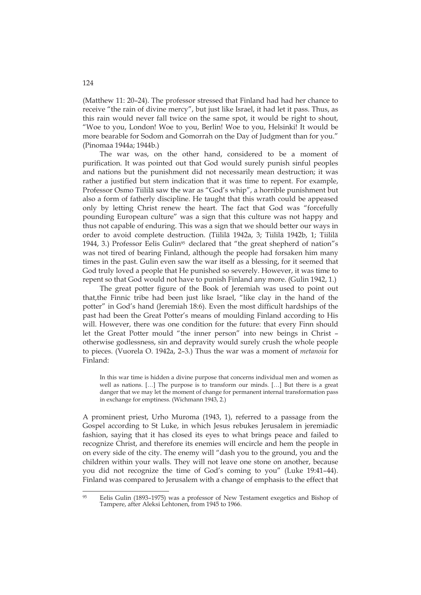(Matthew 11: 20–24). The professor stressed that Finland had had her chance to receive "the rain of divine mercy", but just like Israel, it had let it pass. Thus, as this rain would never fall twice on the same spot, it would be right to shout, "Woe to you, London! Woe to you, Berlin! Woe to you, Helsinki! It would be more bearable for Sodom and Gomorrah on the Day of Judgment than for you." (Pinomaa 1944a; 1944b.)

The war was, on the other hand, considered to be a moment of purification. It was pointed out that God would surely punish sinful peoples and nations but the punishment did not necessarily mean destruction; it was rather a justified but stern indication that it was time to repent. For example, Professor Osmo Tiililä saw the war as "God's whip", a horrible punishment but also a form of fatherly discipline. He taught that this wrath could be appeased only by letting Christ renew the heart. The fact that God was "forcefully pounding European culture" was a sign that this culture was not happy and thus not capable of enduring. This was a sign that we should better our ways in order to avoid complete destruction. (Tiililä 1942a, 3; Tiililä 1942b, 1; Tiililä 1944, 3.) Professor Eelis Gulin95 declared that "the great shepherd of nation"s was not tired of bearing Finland, although the people had forsaken him many times in the past. Gulin even saw the war itself as a blessing, for it seemed that God truly loved a people that He punished so severely. However, it was time to repent so that God would not have to punish Finland any more. (Gulin 1942, 1.)

The great potter figure of the Book of Jeremiah was used to point out that,the Finnic tribe had been just like Israel, "like clay in the hand of the potter" in God's hand (Jeremiah 18:6). Even the most difficult hardships of the past had been the Great Potter's means of moulding Finland according to His will. However, there was one condition for the future: that every Finn should let the Great Potter mould "the inner person" into new beings in Christ – otherwise godlessness, sin and depravity would surely crush the whole people to pieces. (Vuorela O. 1942a, 2–3.) Thus the war was a moment of *metanoia* for Finland:

In this war time is hidden a divine purpose that concerns individual men and women as well as nations. […] The purpose is to transform our minds. […] But there is a great danger that we may let the moment of change for permanent internal transformation pass in exchange for emptiness. (Wichmann 1943, 2.)

A prominent priest, Urho Muroma (1943, 1), referred to a passage from the Gospel according to St Luke, in which Jesus rebukes Jerusalem in jeremiadic fashion, saying that it has closed its eyes to what brings peace and failed to recognize Christ, and therefore its enemies will encircle and hem the people in on every side of the city. The enemy will "dash you to the ground, you and the children within your walls. They will not leave one stone on another, because you did not recognize the time of God's coming to you" (Luke 19:41–44). Finland was compared to Jerusalem with a change of emphasis to the effect that

<u>.</u>

<sup>95</sup> Eelis Gulin (1893–1975) was a professor of New Testament exegetics and Bishop of Tampere, after Aleksi Lehtonen, from 1945 to 1966.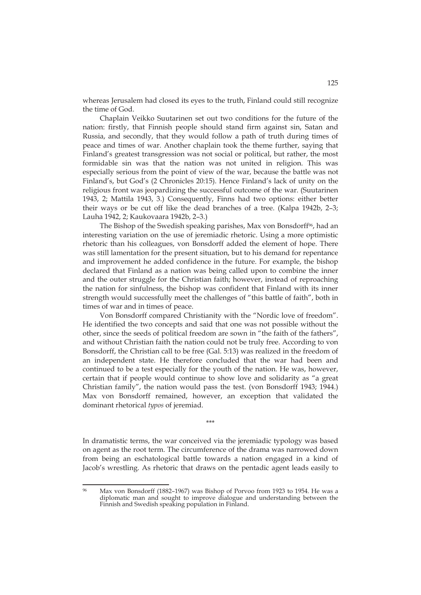whereas Jerusalem had closed its eyes to the truth, Finland could still recognize the time of God.

Chaplain Veikko Suutarinen set out two conditions for the future of the nation: firstly, that Finnish people should stand firm against sin, Satan and Russia, and secondly, that they would follow a path of truth during times of peace and times of war. Another chaplain took the theme further, saying that Finland's greatest transgression was not social or political, but rather, the most formidable sin was that the nation was not united in religion. This was especially serious from the point of view of the war, because the battle was not Finland's, but God's (2 Chronicles 20:15). Hence Finland's lack of unity on the religious front was jeopardizing the successful outcome of the war. (Suutarinen 1943, 2; Mattila 1943, 3.) Consequently, Finns had two options: either better their ways or be cut off like the dead branches of a tree. (Kalpa 1942b, 2–3; Lauha 1942, 2; Kaukovaara 1942b, 2–3.)

The Bishop of the Swedish speaking parishes, Max von Bonsdorff<sup>96</sup>, had an interesting variation on the use of jeremiadic rhetoric. Using a more optimistic rhetoric than his colleagues, von Bonsdorff added the element of hope. There was still lamentation for the present situation, but to his demand for repentance and improvement he added confidence in the future. For example, the bishop declared that Finland as a nation was being called upon to combine the inner and the outer struggle for the Christian faith; however, instead of reproaching the nation for sinfulness, the bishop was confident that Finland with its inner strength would successfully meet the challenges of "this battle of faith", both in times of war and in times of peace.

Von Bonsdorff compared Christianity with the "Nordic love of freedom". He identified the two concepts and said that one was not possible without the other, since the seeds of political freedom are sown in "the faith of the fathers", and without Christian faith the nation could not be truly free. According to von Bonsdorff, the Christian call to be free (Gal. 5:13) was realized in the freedom of an independent state. He therefore concluded that the war had been and continued to be a test especially for the youth of the nation. He was, however, certain that if people would continue to show love and solidarity as "a great Christian family", the nation would pass the test. (von Bonsdorff 1943; 1944.) Max von Bonsdorff remained, however, an exception that validated the dominant rhetorical *typos* of jeremiad.

\*\*\*

In dramatistic terms, the war conceived via the jeremiadic typology was based on agent as the root term. The circumference of the drama was narrowed down from being an eschatological battle towards a nation engaged in a kind of Jacob's wrestling. As rhetoric that draws on the pentadic agent leads easily to

<u>.</u>

Max von Bonsdorff (1882–1967) was Bishop of Porvoo from 1923 to 1954. He was a diplomatic man and sought to improve dialogue and understanding between the Finnish and Swedish speaking population in Finland.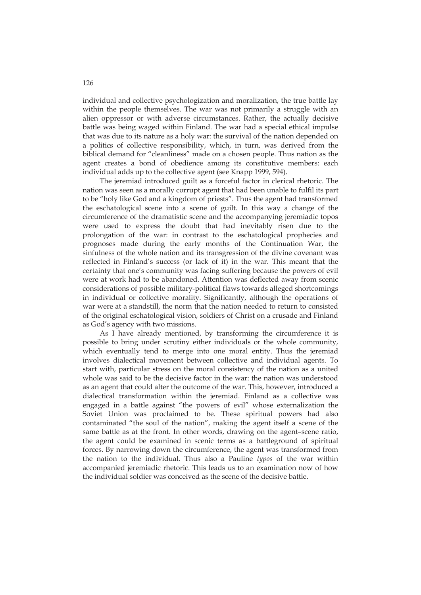individual and collective psychologization and moralization, the true battle lay within the people themselves. The war was not primarily a struggle with an alien oppressor or with adverse circumstances. Rather, the actually decisive battle was being waged within Finland. The war had a special ethical impulse that was due to its nature as a holy war: the survival of the nation depended on a politics of collective responsibility, which, in turn, was derived from the biblical demand for "cleanliness" made on a chosen people. Thus nation as the agent creates a bond of obedience among its constitutive members: each individual adds up to the collective agent (see Knapp 1999, 594).

The jeremiad introduced guilt as a forceful factor in clerical rhetoric. The nation was seen as a morally corrupt agent that had been unable to fulfil its part to be "holy like God and a kingdom of priests". Thus the agent had transformed the eschatological scene into a scene of guilt. In this way a change of the circumference of the dramatistic scene and the accompanying jeremiadic topos were used to express the doubt that had inevitably risen due to the prolongation of the war: in contrast to the eschatological prophecies and prognoses made during the early months of the Continuation War, the sinfulness of the whole nation and its transgression of the divine covenant was reflected in Finland's success (or lack of it) in the war. This meant that the certainty that one's community was facing suffering because the powers of evil were at work had to be abandoned. Attention was deflected away from scenic considerations of possible military-political flaws towards alleged shortcomings in individual or collective morality. Significantly, although the operations of war were at a standstill, the norm that the nation needed to return to consisted of the original eschatological vision, soldiers of Christ on a crusade and Finland as God's agency with two missions.

As I have already mentioned, by transforming the circumference it is possible to bring under scrutiny either individuals or the whole community, which eventually tend to merge into one moral entity. Thus the jeremiad involves dialectical movement between collective and individual agents. To start with, particular stress on the moral consistency of the nation as a united whole was said to be the decisive factor in the war: the nation was understood as an agent that could alter the outcome of the war. This, however, introduced a dialectical transformation within the jeremiad. Finland as a collective was engaged in a battle against "the powers of evil" whose externalization the Soviet Union was proclaimed to be. These spiritual powers had also contaminated "the soul of the nation", making the agent itself a scene of the same battle as at the front. In other words, drawing on the agent–scene ratio, the agent could be examined in scenic terms as a battleground of spiritual forces. By narrowing down the circumference, the agent was transformed from the nation to the individual. Thus also a Pauline *typos* of the war within accompanied jeremiadic rhetoric. This leads us to an examination now of how the individual soldier was conceived as the scene of the decisive battle.

126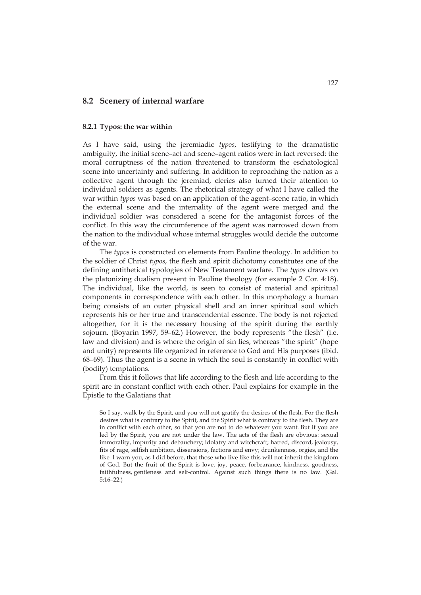## **8.2 Scenery of internal warfare**

### **8.2.1 Typos: the war within**

As I have said, using the jeremiadic *typos*, testifying to the dramatistic ambiguity, the initial scene–act and scene–agent ratios were in fact reversed: the moral corruptness of the nation threatened to transform the eschatological scene into uncertainty and suffering. In addition to reproaching the nation as a collective agent through the jeremiad, clerics also turned their attention to individual soldiers as agents. The rhetorical strategy of what I have called the war within *typos* was based on an application of the agent–scene ratio, in which the external scene and the internality of the agent were merged and the individual soldier was considered a scene for the antagonist forces of the conflict. In this way the circumference of the agent was narrowed down from the nation to the individual whose internal struggles would decide the outcome of the war.

The *typos* is constructed on elements from Pauline theology. In addition to the soldier of Christ *typos*, the flesh and spirit dichotomy constitutes one of the defining antithetical typologies of New Testament warfare. The *typos* draws on the platonizing dualism present in Pauline theology (for example 2 Cor. 4:18). The individual, like the world, is seen to consist of material and spiritual components in correspondence with each other. In this morphology a human being consists of an outer physical shell and an inner spiritual soul which represents his or her true and transcendental essence. The body is not rejected altogether, for it is the necessary housing of the spirit during the earthly sojourn. (Boyarin 1997, 59–62.) However, the body represents "the flesh" (i.e. law and division) and is where the origin of sin lies, whereas "the spirit" (hope and unity) represents life organized in reference to God and His purposes (ibid. 68–69). Thus the agent is a scene in which the soul is constantly in conflict with (bodily) temptations.

From this it follows that life according to the flesh and life according to the spirit are in constant conflict with each other. Paul explains for example in the Epistle to the Galatians that

So I say, walk by the Spirit, and you will not gratify the desires of the flesh. For the flesh desires what is contrary to the Spirit, and the Spirit what is contrary to the flesh. They are in conflict with each other, so that you are not to do whatever you want. But if you are led by the Spirit, you are not under the law. The acts of the flesh are obvious: sexual immorality, impurity and debauchery; idolatry and witchcraft; hatred, discord, jealousy, fits of rage, selfish ambition, dissensions, factions and envy; drunkenness, orgies, and the like. I warn you, as I did before, that those who live like this will not inherit the kingdom of God. But the fruit of the Spirit is love, joy, peace, forbearance, kindness, goodness, faithfulness, gentleness and self-control. Against such things there is no law. (Gal. 5:16–22.)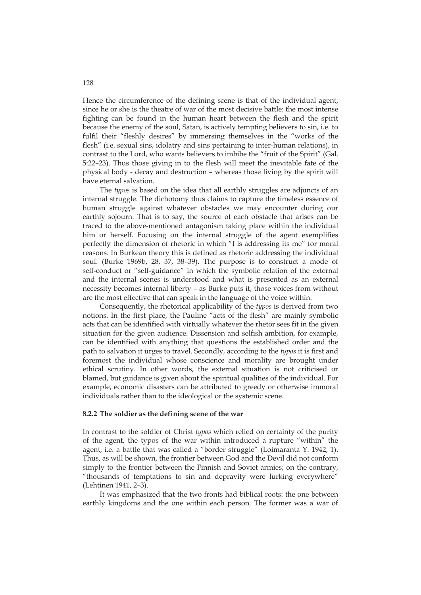Hence the circumference of the defining scene is that of the individual agent, since he or she is the theatre of war of the most decisive battle: the most intense fighting can be found in the human heart between the flesh and the spirit because the enemy of the soul, Satan, is actively tempting believers to sin, i.e. to fulfil their "fleshly desires" by immersing themselves in the "works of the flesh" (i.e. sexual sins, idolatry and sins pertaining to inter-human relations), in contrast to the Lord, who wants believers to imbibe the "fruit of the Spirit" (Gal. 5:22–23). Thus those giving in to the flesh will meet the inevitable fate of the physical body - decay and destruction – whereas those living by the spirit will have eternal salvation.

The *typos* is based on the idea that all earthly struggles are adjuncts of an internal struggle. The dichotomy thus claims to capture the timeless essence of human struggle against whatever obstacles we may encounter during our earthly sojourn. That is to say, the source of each obstacle that arises can be traced to the above-mentioned antagonism taking place within the individual him or herself. Focusing on the internal struggle of the agent exemplifies perfectly the dimension of rhetoric in which "I is addressing its me" for moral reasons. In Burkean theory this is defined as rhetoric addressing the individual soul. (Burke 1969b, 28, 37, 38–39). The purpose is to construct a mode of self-conduct or "self-guidance" in which the symbolic relation of the external and the internal scenes is understood and what is presented as an external necessity becomes internal liberty – as Burke puts it, those voices from without are the most effective that can speak in the language of the voice within.

Consequently, the rhetorical applicability of the *typos* is derived from two notions. In the first place, the Pauline "acts of the flesh" are mainly symbolic acts that can be identified with virtually whatever the rhetor sees fit in the given situation for the given audience. Dissension and selfish ambition, for example, can be identified with anything that questions the established order and the path to salvation it urges to travel. Secondly, according to the *typos* it is first and foremost the individual whose conscience and morality are brought under ethical scrutiny. In other words, the external situation is not criticised or blamed, but guidance is given about the spiritual qualities of the individual. For example, economic disasters can be attributed to greedy or otherwise immoral individuals rather than to the ideological or the systemic scene.

## **8.2.2 The soldier as the defining scene of the war**

In contrast to the soldier of Christ *typos* which relied on certainty of the purity of the agent, the typos of the war within introduced a rupture "within" the agent, i.e. a battle that was called a "border struggle" (Loimaranta Y. 1942, 1). Thus, as will be shown, the frontier between God and the Devil did not conform simply to the frontier between the Finnish and Soviet armies; on the contrary, "thousands of temptations to sin and depravity were lurking everywhere" (Lehtinen 1941, 2–3).

It was emphasized that the two fronts had biblical roots: the one between earthly kingdoms and the one within each person. The former was a war of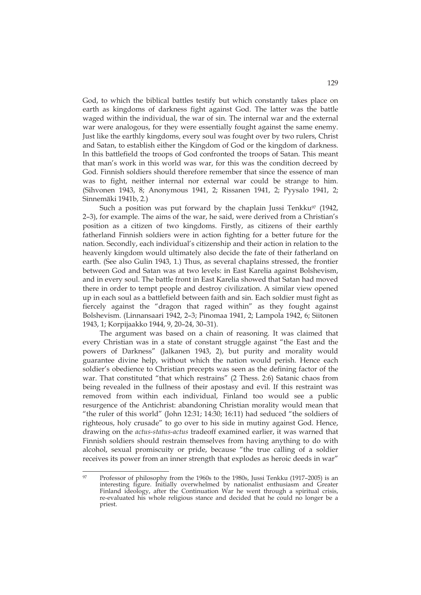God, to which the biblical battles testify but which constantly takes place on earth as kingdoms of darkness fight against God. The latter was the battle waged within the individual, the war of sin. The internal war and the external war were analogous, for they were essentially fought against the same enemy. Just like the earthly kingdoms, every soul was fought over by two rulers, Christ and Satan, to establish either the Kingdom of God or the kingdom of darkness. In this battlefield the troops of God confronted the troops of Satan. This meant that man's work in this world was war, for this was the condition decreed by God. Finnish soldiers should therefore remember that since the essence of man was to fight, neither internal nor external war could be strange to him. (Sihvonen 1943, 8; Anonymous 1941, 2; Rissanen 1941, 2; Pyysalo 1941, 2; Sinnemäki 1941b, 2.)

Such a position was put forward by the chaplain Jussi Tenkku $97$  (1942, 2–3), for example. The aims of the war, he said, were derived from a Christian's position as a citizen of two kingdoms. Firstly, as citizens of their earthly fatherland Finnish soldiers were in action fighting for a better future for the nation. Secondly, each individual's citizenship and their action in relation to the heavenly kingdom would ultimately also decide the fate of their fatherland on earth. (See also Gulin 1943, 1.) Thus, as several chaplains stressed, the frontier between God and Satan was at two levels: in East Karelia against Bolshevism, and in every soul. The battle front in East Karelia showed that Satan had moved there in order to tempt people and destroy civilization. A similar view opened up in each soul as a battlefield between faith and sin. Each soldier must fight as fiercely against the "dragon that raged within" as they fought against Bolshevism. (Linnansaari 1942, 2–3; Pinomaa 1941, 2; Lampola 1942, 6; Siitonen 1943, 1; Korpijaakko 1944, 9, 20–24, 30–31).

The argument was based on a chain of reasoning. It was claimed that every Christian was in a state of constant struggle against "the East and the powers of Darkness" (Jalkanen 1943, 2), but purity and morality would guarantee divine help, without which the nation would perish. Hence each soldier's obedience to Christian precepts was seen as the defining factor of the war. That constituted "that which restrains" (2 Thess. 2:6) Satanic chaos from being revealed in the fullness of their apostasy and evil. If this restraint was removed from within each individual, Finland too would see a public resurgence of the Antichrist: abandoning Christian morality would mean that "the ruler of this world" (John 12:31; 14:30; 16:11) had seduced "the soldiers of righteous, holy crusade" to go over to his side in mutiny against God. Hence, drawing on the *actus-status-actus* tradeoff examined earlier, it was warned that Finnish soldiers should restrain themselves from having anything to do with alcohol, sexual promiscuity or pride, because "the true calling of a soldier receives its power from an inner strength that explodes as heroic deeds in war"

 $Q7$ Professor of philosophy from the 1960s to the 1980s, Jussi Tenkku (1917–2005) is an interesting figure. Initially overwhelmed by nationalist enthusiasm and Greater Finland ideology, after the Continuation War he went through a spiritual crisis, re-evaluated his whole religious stance and decided that he could no longer be a priest.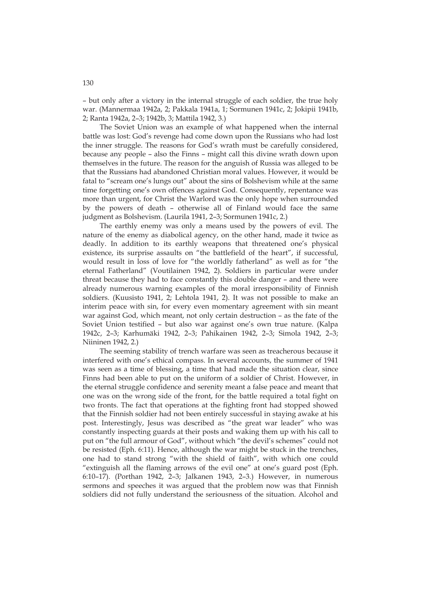– but only after a victory in the internal struggle of each soldier, the true holy war. (Mannermaa 1942a, 2; Pakkala 1941a, 1; Sormunen 1941c, 2; Jokipii 1941b, 2; Ranta 1942a, 2–3; 1942b, 3; Mattila 1942, 3.)

The Soviet Union was an example of what happened when the internal battle was lost: God's revenge had come down upon the Russians who had lost the inner struggle. The reasons for God's wrath must be carefully considered, because any people – also the Finns – might call this divine wrath down upon themselves in the future. The reason for the anguish of Russia was alleged to be that the Russians had abandoned Christian moral values. However, it would be fatal to "scream one's lungs out" about the sins of Bolshevism while at the same time forgetting one's own offences against God. Consequently, repentance was more than urgent, for Christ the Warlord was the only hope when surrounded by the powers of death – otherwise all of Finland would face the same judgment as Bolshevism. (Laurila 1941, 2–3; Sormunen 1941c, 2.)

The earthly enemy was only a means used by the powers of evil. The nature of the enemy as diabolical agency, on the other hand, made it twice as deadly. In addition to its earthly weapons that threatened one's physical existence, its surprise assaults on "the battlefield of the heart", if successful, would result in loss of love for "the worldly fatherland" as well as for "the eternal Fatherland" (Voutilainen 1942, 2). Soldiers in particular were under threat because they had to face constantly this double danger – and there were already numerous warning examples of the moral irresponsibility of Finnish soldiers. (Kuusisto 1941, 2; Lehtola 1941, 2). It was not possible to make an interim peace with sin, for every even momentary agreement with sin meant war against God, which meant, not only certain destruction – as the fate of the Soviet Union testified – but also war against one's own true nature. (Kalpa 1942c, 2–3; Karhumäki 1942, 2–3; Pahikainen 1942, 2–3; Simola 1942, 2–3; Niininen 1942, 2.)

The seeming stability of trench warfare was seen as treacherous because it interfered with one's ethical compass. In several accounts, the summer of 1941 was seen as a time of blessing, a time that had made the situation clear, since Finns had been able to put on the uniform of a soldier of Christ. However, in the eternal struggle confidence and serenity meant a false peace and meant that one was on the wrong side of the front, for the battle required a total fight on two fronts. The fact that operations at the fighting front had stopped showed that the Finnish soldier had not been entirely successful in staying awake at his post. Interestingly, Jesus was described as "the great war leader" who was constantly inspecting guards at their posts and waking them up with his call to put on "the full armour of God", without which "the devil's schemes" could not be resisted (Eph. 6:11). Hence, although the war might be stuck in the trenches, one had to stand strong "with the shield of faith", with which one could "extinguish all the flaming arrows of the evil one" at one's guard post (Eph. 6:10–17). (Porthan 1942, 2–3; Jalkanen 1943, 2–3.) However, in numerous sermons and speeches it was argued that the problem now was that Finnish soldiers did not fully understand the seriousness of the situation. Alcohol and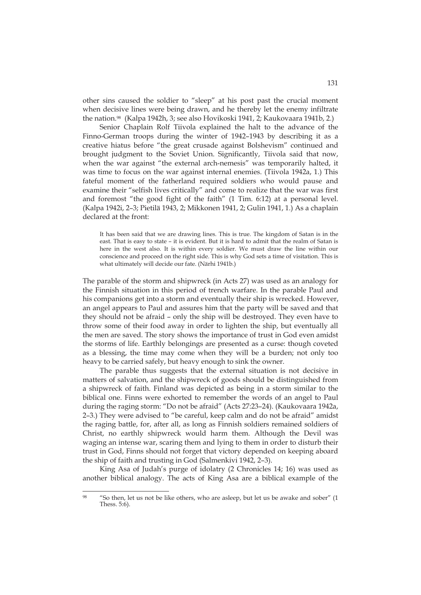other sins caused the soldier to "sleep" at his post past the crucial moment when decisive lines were being drawn, and he thereby let the enemy infiltrate the nation.98 (Kalpa 1942h, 3; see also Hovikoski 1941, 2; Kaukovaara 1941b, 2.)

Senior Chaplain Rolf Tiivola explained the halt to the advance of the Finno-German troops during the winter of 1942–1943 by describing it as a creative hiatus before "the great crusade against Bolshevism" continued and brought judgment to the Soviet Union. Significantly, Tiivola said that now, when the war against "the external arch-nemesis" was temporarily halted, it was time to focus on the war against internal enemies. (Tiivola 1942a, 1.) This fateful moment of the fatherland required soldiers who would pause and examine their "selfish lives critically" and come to realize that the war was first and foremost "the good fight of the faith" (1 Tim. 6:12) at a personal level. (Kalpa 1942i, 2–3; Pietilä 1943, 2; Mikkonen 1941, 2; Gulin 1941, 1.) As a chaplain declared at the front:

It has been said that we are drawing lines. This is true. The kingdom of Satan is in the east. That is easy to state – it is evident. But it is hard to admit that the realm of Satan is here in the west also. It is within every soldier. We must draw the line within our conscience and proceed on the right side. This is why God sets a time of visitation. This is what ultimately will decide our fate. (Närhi 1941b.)

The parable of the storm and shipwreck (in Acts 27) was used as an analogy for the Finnish situation in this period of trench warfare. In the parable Paul and his companions get into a storm and eventually their ship is wrecked. However, an angel appears to Paul and assures him that the party will be saved and that they should not be afraid – only the ship will be destroyed. They even have to throw some of their food away in order to lighten the ship, but eventually all the men are saved. The story shows the importance of trust in God even amidst the storms of life. Earthly belongings are presented as a curse: though coveted as a blessing, the time may come when they will be a burden; not only too heavy to be carried safely, but heavy enough to sink the owner.

The parable thus suggests that the external situation is not decisive in matters of salvation, and the shipwreck of goods should be distinguished from a shipwreck of faith. Finland was depicted as being in a storm similar to the biblical one. Finns were exhorted to remember the words of an angel to Paul during the raging storm: "Do not be afraid" (Acts 27:23–24). (Kaukovaara 1942a, 2–3.) They were advised to "be careful, keep calm and do not be afraid" amidst the raging battle, for, after all, as long as Finnish soldiers remained soldiers of Christ, no earthly shipwreck would harm them. Although the Devil was waging an intense war, scaring them and lying to them in order to disturb their trust in God, Finns should not forget that victory depended on keeping aboard the ship of faith and trusting in God (Salmenkivi 1942, 2–3).

King Asa of Judah's purge of idolatry (2 Chronicles 14; 16) was used as another biblical analogy. The acts of King Asa are a biblical example of the

<sup>&</sup>lt;u>.</u> 98 "So then, let us not be like others, who are asleep, but let us be awake and sober" (1 Thess. 5:6).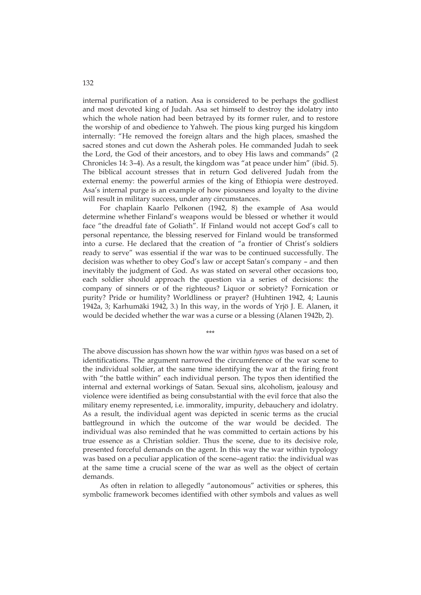internal purification of a nation. Asa is considered to be perhaps the godliest and most devoted king of Judah. Asa set himself to destroy the idolatry into which the whole nation had been betrayed by its former ruler, and to restore the worship of and obedience to Yahweh. The pious king purged his kingdom internally: "He removed the foreign altars and the high places, smashed the sacred stones and cut down the Asherah poles. He commanded Judah to seek the Lord, the God of their ancestors, and to obey His laws and commands" (2 Chronicles 14: 3–4). As a result, the kingdom was "at peace under him" (ibid. 5). The biblical account stresses that in return God delivered Judah from the external enemy: the powerful armies of the king of Ethiopia were destroyed. Asa's internal purge is an example of how piousness and loyalty to the divine will result in military success, under any circumstances.

For chaplain Kaarlo Pelkonen (1942, 8) the example of Asa would determine whether Finland's weapons would be blessed or whether it would face "the dreadful fate of Goliath". If Finland would not accept God's call to personal repentance, the blessing reserved for Finland would be transformed into a curse. He declared that the creation of "a frontier of Christ's soldiers ready to serve" was essential if the war was to be continued successfully. The decision was whether to obey God's law or accept Satan's company – and then inevitably the judgment of God. As was stated on several other occasions too, each soldier should approach the question via a series of decisions: the company of sinners or of the righteous? Liquor or sobriety? Fornication or purity? Pride or humility? Worldliness or prayer? (Huhtinen 1942, 4; Launis 1942a, 3; Karhumäki 1942, 3.) In this way, in the words of Yrjö J. E. Alanen, it would be decided whether the war was a curse or a blessing (Alanen 1942b, 2).

\*\*\*

The above discussion has shown how the war within *typos* was based on a set of identifications. The argument narrowed the circumference of the war scene to the individual soldier, at the same time identifying the war at the firing front with "the battle within" each individual person. The typos then identified the internal and external workings of Satan. Sexual sins, alcoholism, jealousy and violence were identified as being consubstantial with the evil force that also the military enemy represented, i.e. immorality, impurity, debauchery and idolatry. As a result, the individual agent was depicted in scenic terms as the crucial battleground in which the outcome of the war would be decided. The individual was also reminded that he was committed to certain actions by his true essence as a Christian soldier. Thus the scene, due to its decisive role, presented forceful demands on the agent. In this way the war within typology was based on a peculiar application of the scene–agent ratio: the individual was at the same time a crucial scene of the war as well as the object of certain demands.

As often in relation to allegedly "autonomous" activities or spheres, this symbolic framework becomes identified with other symbols and values as well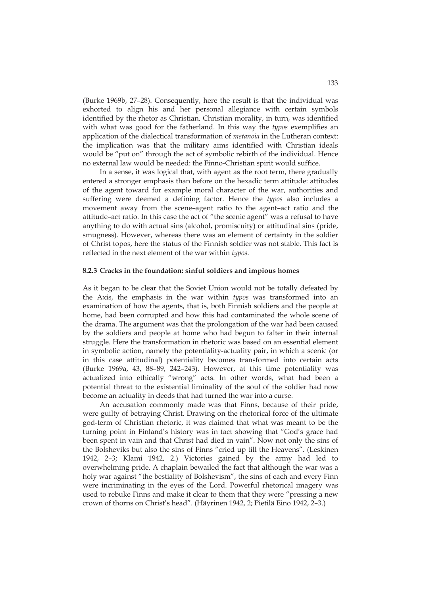(Burke 1969b, 27–28). Consequently, here the result is that the individual was exhorted to align his and her personal allegiance with certain symbols identified by the rhetor as Christian. Christian morality, in turn, was identified with what was good for the fatherland. In this way the *typos* exemplifies an application of the dialectical transformation of *metanoia* in the Lutheran context: the implication was that the military aims identified with Christian ideals would be "put on" through the act of symbolic rebirth of the individual. Hence no external law would be needed: the Finno-Christian spirit would suffice.

In a sense, it was logical that, with agent as the root term, there gradually entered a stronger emphasis than before on the hexadic term attitude: attitudes of the agent toward for example moral character of the war, authorities and suffering were deemed a defining factor. Hence the *typos* also includes a movement away from the scene–agent ratio to the agent–act ratio and the attitude–act ratio. In this case the act of "the scenic agent" was a refusal to have anything to do with actual sins (alcohol, promiscuity) or attitudinal sins (pride, smugness). However, whereas there was an element of certainty in the soldier of Christ topos, here the status of the Finnish soldier was not stable. This fact is reflected in the next element of the war within *typos*.

#### **8.2.3 Cracks in the foundation: sinful soldiers and impious homes**

As it began to be clear that the Soviet Union would not be totally defeated by the Axis, the emphasis in the war within *typos* was transformed into an examination of how the agents, that is, both Finnish soldiers and the people at home, had been corrupted and how this had contaminated the whole scene of the drama. The argument was that the prolongation of the war had been caused by the soldiers and people at home who had begun to falter in their internal struggle. Here the transformation in rhetoric was based on an essential element in symbolic action, namely the potentiality-actuality pair, in which a scenic (or in this case attitudinal) potentiality becomes transformed into certain acts (Burke 1969a, 43, 88–89, 242–243). However, at this time potentiality was actualized into ethically "wrong" acts. In other words, what had been a potential threat to the existential liminality of the soul of the soldier had now become an actuality in deeds that had turned the war into a curse.

An accusation commonly made was that Finns, because of their pride, were guilty of betraying Christ. Drawing on the rhetorical force of the ultimate god-term of Christian rhetoric, it was claimed that what was meant to be the turning point in Finland's history was in fact showing that "God's grace had been spent in vain and that Christ had died in vain". Now not only the sins of the Bolsheviks but also the sins of Finns "cried up till the Heavens". (Leskinen 1942, 2–3; Klami 1942, 2.) Victories gained by the army had led to overwhelming pride. A chaplain bewailed the fact that although the war was a holy war against "the bestiality of Bolshevism", the sins of each and every Finn were incriminating in the eyes of the Lord. Powerful rhetorical imagery was used to rebuke Finns and make it clear to them that they were "pressing a new crown of thorns on Christ's head". (Häyrinen 1942, 2; Pietilä Eino 1942, 2–3.)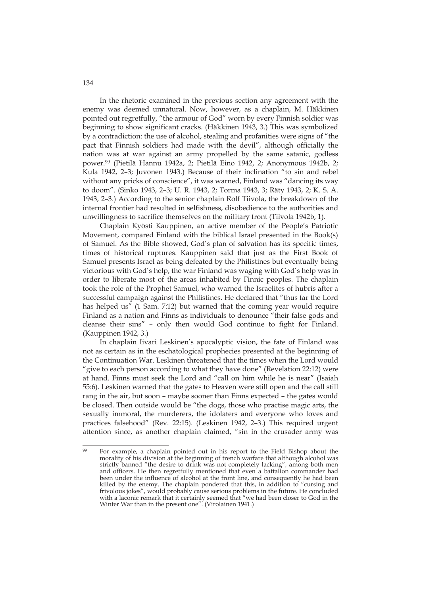In the rhetoric examined in the previous section any agreement with the enemy was deemed unnatural. Now, however, as a chaplain, M. Häkkinen pointed out regretfully, "the armour of God" worn by every Finnish soldier was beginning to show significant cracks. (Häkkinen 1943, 3.) This was symbolized by a contradiction: the use of alcohol, stealing and profanities were signs of "the pact that Finnish soldiers had made with the devil", although officially the nation was at war against an army propelled by the same satanic, godless power.99 (Pietilä Hannu 1942a, 2; Pietilä Eino 1942, 2; Anonymous 1942b, 2; Kula 1942, 2–3; Juvonen 1943.) Because of their inclination "to sin and rebel without any pricks of conscience", it was warned, Finland was "dancing its way to doom". (Sinko 1943, 2–3; U. R. 1943, 2; Torma 1943, 3; Räty 1943, 2; K. S. A. 1943, 2–3.) According to the senior chaplain Rolf Tiivola, the breakdown of the internal frontier had resulted in selfishness, disobedience to the authorities and unwillingness to sacrifice themselves on the military front (Tiivola 1942b, 1).

Chaplain Kyösti Kauppinen, an active member of the People's Patriotic Movement, compared Finland with the biblical Israel presented in the Book(s) of Samuel. As the Bible showed, God's plan of salvation has its specific times, times of historical ruptures. Kauppinen said that just as the First Book of Samuel presents Israel as being defeated by the Philistines but eventually being victorious with God's help, the war Finland was waging with God's help was in order to liberate most of the areas inhabited by Finnic peoples. The chaplain took the role of the Prophet Samuel, who warned the Israelites of hubris after a successful campaign against the Philistines. He declared that "thus far the Lord has helped us" (1 Sam. 7:12) but warned that the coming year would require Finland as a nation and Finns as individuals to denounce "their false gods and cleanse their sins" – only then would God continue to fight for Finland. (Kauppinen 1942, 3.)

In chaplain Iivari Leskinen's apocalyptic vision, the fate of Finland was not as certain as in the eschatological prophecies presented at the beginning of the Continuation War. Leskinen threatened that the times when the Lord would "give to each person according to what they have done" (Revelation 22:12) were at hand. Finns must seek the Lord and "call on him while he is near" (Isaiah 55:6). Leskinen warned that the gates to Heaven were still open and the call still rang in the air, but soon – maybe sooner than Finns expected – the gates would be closed. Then outside would be "the dogs, those who practise magic arts, the sexually immoral, the murderers, the idolaters and everyone who loves and practices falsehood" (Rev. 22:15). (Leskinen 1942, 2–3.) This required urgent attention since, as another chaplain claimed, "sin in the crusader army was

 $QQ$ For example, a chaplain pointed out in his report to the Field Bishop about the morality of his division at the beginning of trench warfare that although alcohol was strictly banned "the desire to drink was not completely lacking", among both men and officers. He then regretfully mentioned that even a battalion commander had been under the influence of alcohol at the front line, and consequently he had been killed by the enemy. The chaplain pondered that this, in addition to "cursing and frivolous jokes", would probably cause serious problems in the future. He concluded with a laconic remark that it certainly seemed that "we had been closer to God in the Winter War than in the present one". (Virolainen 1941.)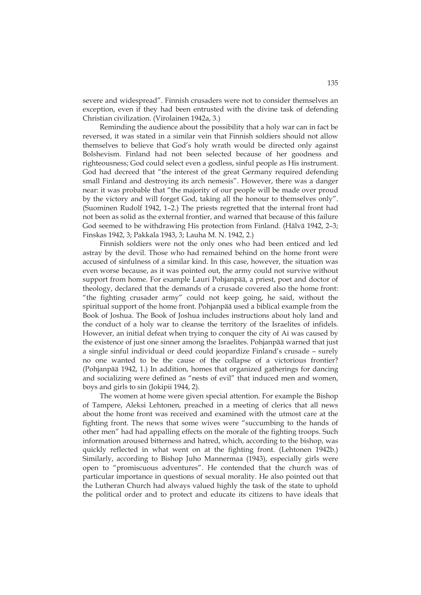severe and widespread". Finnish crusaders were not to consider themselves an exception, even if they had been entrusted with the divine task of defending Christian civilization. (Virolainen 1942a, 3.)

Reminding the audience about the possibility that a holy war can in fact be reversed, it was stated in a similar vein that Finnish soldiers should not allow themselves to believe that God's holy wrath would be directed only against Bolshevism. Finland had not been selected because of her goodness and righteousness; God could select even a godless, sinful people as His instrument. God had decreed that "the interest of the great Germany required defending small Finland and destroying its arch nemesis". However, there was a danger near: it was probable that "the majority of our people will be made over proud by the victory and will forget God, taking all the honour to themselves only". (Suominen Rudolf 1942, 1–2.) The priests regretted that the internal front had not been as solid as the external frontier, and warned that because of this failure God seemed to be withdrawing His protection from Finland. (Hälvä 1942, 2–3; Finskas 1942, 3; Pakkala 1943, 3; Lauha M. N. 1942, 2.)

Finnish soldiers were not the only ones who had been enticed and led astray by the devil. Those who had remained behind on the home front were accused of sinfulness of a similar kind. In this case, however, the situation was even worse because, as it was pointed out, the army could not survive without support from home. For example Lauri Pohjanpää, a priest, poet and doctor of theology, declared that the demands of a crusade covered also the home front: "the fighting crusader army" could not keep going, he said, without the spiritual support of the home front. Pohjanpää used a biblical example from the Book of Joshua. The Book of Joshua includes instructions about holy land and the conduct of a holy war to cleanse the territory of the Israelites of infidels. However, an initial defeat when trying to conquer the city of Ai was caused by the existence of just one sinner among the Israelites. Pohjanpää warned that just a single sinful individual or deed could jeopardize Finland's crusade – surely no one wanted to be the cause of the collapse of a victorious frontier? (Pohjanpää 1942, 1.) In addition, homes that organized gatherings for dancing and socializing were defined as "nests of evil" that induced men and women, boys and girls to sin (Jokipii 1944, 2).

The women at home were given special attention. For example the Bishop of Tampere, Aleksi Lehtonen, preached in a meeting of clerics that all news about the home front was received and examined with the utmost care at the fighting front. The news that some wives were "succumbing to the hands of other men" had had appalling effects on the morale of the fighting troops. Such information aroused bitterness and hatred, which, according to the bishop, was quickly reflected in what went on at the fighting front. (Lehtonen 1942b.) Similarly, according to Bishop Juho Mannermaa (1943), especially girls were open to "promiscuous adventures". He contended that the church was of particular importance in questions of sexual morality. He also pointed out that the Lutheran Church had always valued highly the task of the state to uphold the political order and to protect and educate its citizens to have ideals that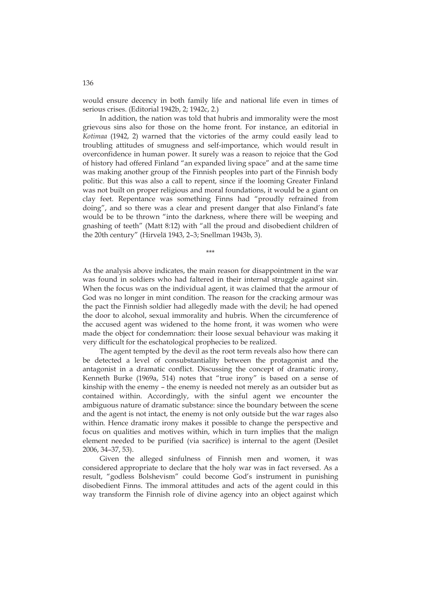would ensure decency in both family life and national life even in times of serious crises. (Editorial 1942b, 2; 1942c, 2.)

In addition, the nation was told that hubris and immorality were the most grievous sins also for those on the home front. For instance, an editorial in *Kotimaa* (1942, 2) warned that the victories of the army could easily lead to troubling attitudes of smugness and self-importance, which would result in overconfidence in human power. It surely was a reason to rejoice that the God of history had offered Finland "an expanded living space" and at the same time was making another group of the Finnish peoples into part of the Finnish body politic. But this was also a call to repent, since if the looming Greater Finland was not built on proper religious and moral foundations, it would be a giant on clay feet. Repentance was something Finns had "proudly refrained from doing", and so there was a clear and present danger that also Finland's fate would be to be thrown "into the darkness, where there will be weeping and gnashing of teeth" (Matt 8:12) with "all the proud and disobedient children of the 20th century" (Hirvelä 1943, 2–3; Snellman 1943b, 3).

As the analysis above indicates, the main reason for disappointment in the war was found in soldiers who had faltered in their internal struggle against sin. When the focus was on the individual agent, it was claimed that the armour of God was no longer in mint condition. The reason for the cracking armour was the pact the Finnish soldier had allegedly made with the devil; he had opened the door to alcohol, sexual immorality and hubris. When the circumference of the accused agent was widened to the home front, it was women who were made the object for condemnation: their loose sexual behaviour was making it very difficult for the eschatological prophecies to be realized.

\*\*\*

The agent tempted by the devil as the root term reveals also how there can be detected a level of consubstantiality between the protagonist and the antagonist in a dramatic conflict. Discussing the concept of dramatic irony, Kenneth Burke (1969a, 514) notes that "true irony" is based on a sense of kinship with the enemy – the enemy is needed not merely as an outsider but as contained within. Accordingly, with the sinful agent we encounter the ambiguous nature of dramatic substance: since the boundary between the scene and the agent is not intact, the enemy is not only outside but the war rages also within. Hence dramatic irony makes it possible to change the perspective and focus on qualities and motives within, which in turn implies that the malign element needed to be purified (via sacrifice) is internal to the agent (Desilet 2006, 34–37, 53).

Given the alleged sinfulness of Finnish men and women, it was considered appropriate to declare that the holy war was in fact reversed. As a result, "godless Bolshevism" could become God's instrument in punishing disobedient Finns. The immoral attitudes and acts of the agent could in this way transform the Finnish role of divine agency into an object against which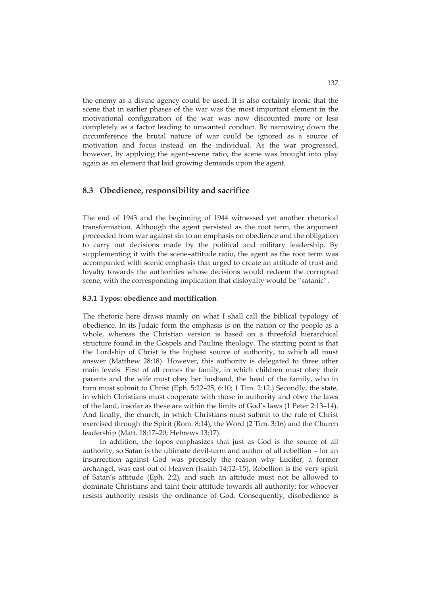the enemy as a divine agency could be used. It is also certainly ironic that the scene that in earlier phases of the war was the most important element in the motivational configuration of the war was now discounted more or less completely as a factor leading to unwanted conduct. By narrowing down the circumference the brutal nature of war could be ignored as a source of motivation and focus instead on the individual. As the war progressed, however, by applying the agent–scene ratio, the scene was brought into play again as an element that laid growing demands upon the agent.

## **8.3 Obedience, responsibility and sacrifice**

The end of 1943 and the beginning of 1944 witnessed yet another rhetorical transformation. Although the agent persisted as the root term, the argument proceeded from war against sin to an emphasis on obedience and the obligation to carry out decisions made by the political and military leadership. By supplementing it with the scene–attitude ratio, the agent as the root term was accompanied with scenic emphasis that urged to create an attitude of trust and loyalty towards the authorities whose decisions would redeem the corrupted scene, with the corresponding implication that disloyalty would be "satanic".

## **8.3.1 Typos: obedience and mortification**

The rhetoric here draws mainly on what I shall call the biblical typology of obedience. In its Judaic form the emphasis is on the nation or the people as a whole, whereas the Christian version is based on a threefold hierarchical structure found in the Gospels and Pauline theology. The starting point is that the Lordship of Christ is the highest source of authority, to which all must answer (Matthew 28:18). However, this authority is delegated to three other main levels. First of all comes the family, in which children must obey their parents and the wife must obey her husband, the head of the family, who in turn must submit to Christ (Eph. 5:22–25, 6:10; 1 Tim. 2:12.) Secondly, the state, in which Christians must cooperate with those in authority and obey the laws of the land, insofar as these are within the limits of God's laws (1 Peter 2:13–14). And finally, the church, in which Christians must submit to the rule of Christ exercised through the Spirit (Rom. 8:14), the Word (2 Tim. 3:16) and the Church leadership (Matt. 18:17–20; Hebrews 13:17).

In addition, the topos emphasizes that just as God is the source of all authority, so Satan is the ultimate devil-term and author of all rebellion – for an insurrection against God was precisely the reason why Lucifer, a former archangel, was cast out of Heaven (Isaiah 14:12–15). Rebellion is the very spirit of Satan's attitude (Eph. 2:2), and such an attitude must not be allowed to dominate Christians and taint their attitude towards all authority: for whoever resists authority resists the ordinance of God. Consequently, disobedience is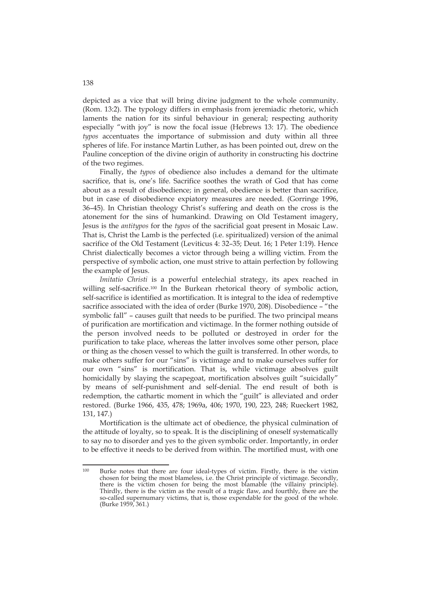depicted as a vice that will bring divine judgment to the whole community. (Rom. 13:2). The typology differs in emphasis from jeremiadic rhetoric, which laments the nation for its sinful behaviour in general; respecting authority especially "with joy" is now the focal issue (Hebrews 13: 17). The obedience *typos* accentuates the importance of submission and duty within all three spheres of life. For instance Martin Luther, as has been pointed out, drew on the Pauline conception of the divine origin of authority in constructing his doctrine of the two regimes.

Finally, the *typos* of obedience also includes a demand for the ultimate sacrifice, that is, one's life. Sacrifice soothes the wrath of God that has come about as a result of disobedience; in general, obedience is better than sacrifice, but in case of disobedience expiatory measures are needed. (Gorringe 1996, 36–45). In Christian theology Christ's suffering and death on the cross is the atonement for the sins of humankind. Drawing on Old Testament imagery, Jesus is the *antitypos* for the *typos* of the sacrificial goat present in Mosaic Law. That is, Christ the Lamb is the perfected (i.e. spiritualized) version of the animal sacrifice of the Old Testament (Leviticus 4: 32–35; Deut. 16; 1 Peter 1:19). Hence Christ dialectically becomes a victor through being a willing victim. From the perspective of symbolic action, one must strive to attain perfection by following the example of Jesus.

*Imitatio Christi* is a powerful entelechial strategy, its apex reached in willing self-sacrifice.<sup>100</sup> In the Burkean rhetorical theory of symbolic action, self-sacrifice is identified as mortification. It is integral to the idea of redemptive sacrifice associated with the idea of order (Burke 1970, 208). Disobedience – "the symbolic fall" – causes guilt that needs to be purified. The two principal means of purification are mortification and victimage. In the former nothing outside of the person involved needs to be polluted or destroyed in order for the purification to take place, whereas the latter involves some other person, place or thing as the chosen vessel to which the guilt is transferred. In other words, to make others suffer for our "sins" is victimage and to make ourselves suffer for our own "sins" is mortification. That is, while victimage absolves guilt homicidally by slaying the scapegoat, mortification absolves guilt "suicidally" by means of self-punishment and self-denial. The end result of both is redemption, the cathartic moment in which the "guilt" is alleviated and order restored. (Burke 1966, 435, 478; 1969a, 406; 1970, 190, 223, 248; Rueckert 1982, 131, 147.)

Mortification is the ultimate act of obedience, the physical culmination of the attitude of loyalty, so to speak. It is the disciplining of oneself systematically to say no to disorder and yes to the given symbolic order. Importantly, in order to be effective it needs to be derived from within. The mortified must, with one

138

 $100$ Burke notes that there are four ideal-types of victim. Firstly, there is the victim chosen for being the most blameless, i.e. the Christ principle of victimage. Secondly, there is the victim chosen for being the most blamable (the villainy principle). Thirdly, there is the victim as the result of a tragic flaw, and fourthly, there are the so-called supernumary victims, that is, those expendable for the good of the whole. (Burke 1959, 361.)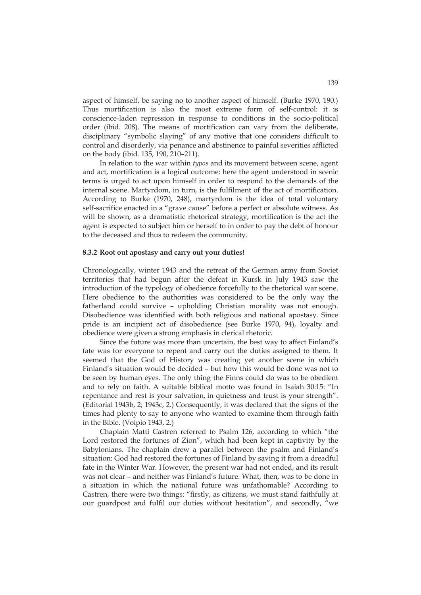aspect of himself, be saying no to another aspect of himself. (Burke 1970, 190.) Thus mortification is also the most extreme form of self-control: it is conscience-laden repression in response to conditions in the socio-political order (ibid. 208). The means of mortification can vary from the deliberate, disciplinary "symbolic slaying" of any motive that one considers difficult to control and disorderly, via penance and abstinence to painful severities afflicted on the body (ibid. 135, 190, 210–211).

In relation to the war within *typos* and its movement between scene, agent and act, mortification is a logical outcome: here the agent understood in scenic terms is urged to act upon himself in order to respond to the demands of the internal scene. Martyrdom, in turn, is the fulfilment of the act of mortification. According to Burke (1970, 248), martyrdom is the idea of total voluntary self-sacrifice enacted in a "grave cause" before a perfect or absolute witness. As will be shown, as a dramatistic rhetorical strategy, mortification is the act the agent is expected to subject him or herself to in order to pay the debt of honour to the deceased and thus to redeem the community.

## **8.3.2 Root out apostasy and carry out your duties!**

Chronologically, winter 1943 and the retreat of the German army from Soviet territories that had begun after the defeat in Kursk in July 1943 saw the introduction of the typology of obedience forcefully to the rhetorical war scene. Here obedience to the authorities was considered to be the only way the fatherland could survive – upholding Christian morality was not enough. Disobedience was identified with both religious and national apostasy. Since pride is an incipient act of disobedience (see Burke 1970, 94), loyalty and obedience were given a strong emphasis in clerical rhetoric.

Since the future was more than uncertain, the best way to affect Finland's fate was for everyone to repent and carry out the duties assigned to them. It seemed that the God of History was creating yet another scene in which Finland's situation would be decided – but how this would be done was not to be seen by human eyes. The only thing the Finns could do was to be obedient and to rely on faith. A suitable biblical motto was found in Isaiah 30:15: "In repentance and rest is your salvation, in quietness and trust is your strength". (Editorial 1943b, 2; 1943c, 2.) Consequently, it was declared that the signs of the times had plenty to say to anyone who wanted to examine them through faith in the Bible. (Voipio 1943, 2.)

Chaplain Matti Castren referred to Psalm 126, according to which "the Lord restored the fortunes of Zion", which had been kept in captivity by the Babylonians. The chaplain drew a parallel between the psalm and Finland's situation: God had restored the fortunes of Finland by saving it from a dreadful fate in the Winter War. However, the present war had not ended, and its result was not clear – and neither was Finland's future. What, then, was to be done in a situation in which the national future was unfathomable? According to Castren, there were two things: "firstly, as citizens, we must stand faithfully at our guardpost and fulfil our duties without hesitation", and secondly, "we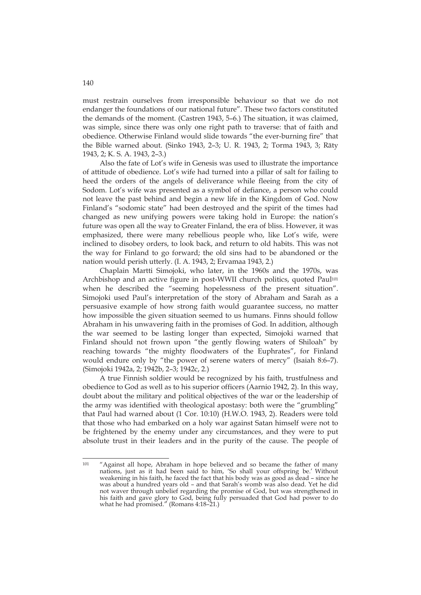must restrain ourselves from irresponsible behaviour so that we do not endanger the foundations of our national future". These two factors constituted the demands of the moment. (Castren 1943, 5–6.) The situation, it was claimed, was simple, since there was only one right path to traverse: that of faith and obedience. Otherwise Finland would slide towards "the ever-burning fire" that the Bible warned about. (Sinko 1943, 2–3; U. R. 1943, 2; Torma 1943, 3; Räty 1943, 2; K. S. A. 1943, 2–3.)

Also the fate of Lot's wife in Genesis was used to illustrate the importance of attitude of obedience. Lot's wife had turned into a pillar of salt for failing to heed the orders of the angels of deliverance while fleeing from the city of Sodom. Lot's wife was presented as a symbol of defiance, a person who could not leave the past behind and begin a new life in the Kingdom of God. Now Finland's "sodomic state" had been destroyed and the spirit of the times had changed as new unifying powers were taking hold in Europe: the nation's future was open all the way to Greater Finland, the era of bliss. However, it was emphasized, there were many rebellious people who, like Lot's wife, were inclined to disobey orders, to look back, and return to old habits. This was not the way for Finland to go forward; the old sins had to be abandoned or the nation would perish utterly. (I. A. 1943, 2; Ervamaa 1943, 2.)

Chaplain Martti Simojoki, who later, in the 1960s and the 1970s, was Archbishop and an active figure in post-WWII church politics, quoted Paul<sup>101</sup> when he described the "seeming hopelessness of the present situation". Simojoki used Paul's interpretation of the story of Abraham and Sarah as a persuasive example of how strong faith would guarantee success, no matter how impossible the given situation seemed to us humans. Finns should follow Abraham in his unwavering faith in the promises of God. In addition, although the war seemed to be lasting longer than expected, Simojoki warned that Finland should not frown upon "the gently flowing waters of Shiloah" by reaching towards "the mighty floodwaters of the Euphrates", for Finland would endure only by "the power of serene waters of mercy" (Isaiah 8:6–7). (Simojoki 1942a, 2; 1942b, 2–3; 1942c, 2.)

A true Finnish soldier would be recognized by his faith, trustfulness and obedience to God as well as to his superior officers (Aarnio 1942, 2). In this way, doubt about the military and political objectives of the war or the leadership of the army was identified with theological apostasy: both were the "grumbling" that Paul had warned about (1 Cor. 10:10) (H.W.O. 1943, 2). Readers were told that those who had embarked on a holy war against Satan himself were not to be frightened by the enemy under any circumstances, and they were to put absolute trust in their leaders and in the purity of the cause. The people of

 $101$ <sup>101</sup> "Against all hope, Abraham in hope believed and so became the father of many nations, just as it had been said to him, 'So shall your offspring be.' Without weakening in his faith, he faced the fact that his body was as good as dead – since he was about a hundred years old – and that Sarah's womb was also dead. Yet he did not waver through unbelief regarding the promise of God, but was strengthened in his faith and gave glory to God, being fully persuaded that God had power to do what he had promised." (Romans 4:18–21.)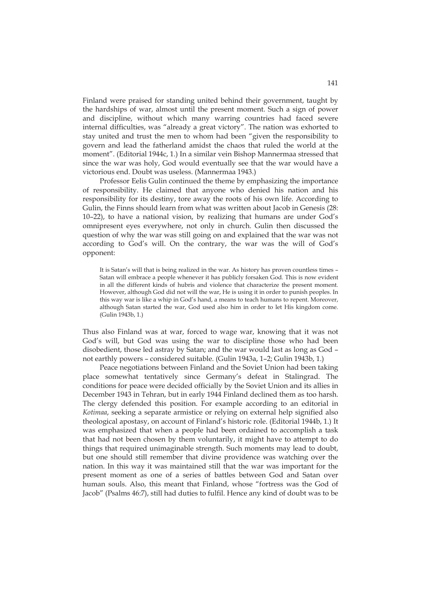Finland were praised for standing united behind their government, taught by the hardships of war, almost until the present moment. Such a sign of power and discipline, without which many warring countries had faced severe internal difficulties, was "already a great victory". The nation was exhorted to stay united and trust the men to whom had been "given the responsibility to govern and lead the fatherland amidst the chaos that ruled the world at the moment". (Editorial 1944c, 1.) In a similar vein Bishop Mannermaa stressed that since the war was holy, God would eventually see that the war would have a victorious end. Doubt was useless. (Mannermaa 1943.)

Professor Eelis Gulin continued the theme by emphasizing the importance of responsibility. He claimed that anyone who denied his nation and his responsibility for its destiny, tore away the roots of his own life. According to Gulin, the Finns should learn from what was written about Jacob in Genesis (28: 10–22), to have a national vision, by realizing that humans are under God's omnipresent eyes everywhere, not only in church. Gulin then discussed the question of why the war was still going on and explained that the war was not according to God's will. On the contrary, the war was the will of God's opponent:

It is Satan's will that is being realized in the war. As history has proven countless times – Satan will embrace a people whenever it has publicly forsaken God. This is now evident in all the different kinds of hubris and violence that characterize the present moment. However, although God did not will the war, He is using it in order to punish peoples. In this way war is like a whip in God's hand, a means to teach humans to repent. Moreover, although Satan started the war, God used also him in order to let His kingdom come. (Gulin 1943b, 1.)

Thus also Finland was at war, forced to wage war, knowing that it was not God's will, but God was using the war to discipline those who had been disobedient, those led astray by Satan; and the war would last as long as God – not earthly powers – considered suitable. (Gulin 1943a, 1–2; Gulin 1943b, 1.)

Peace negotiations between Finland and the Soviet Union had been taking place somewhat tentatively since Germany's defeat in Stalingrad. The conditions for peace were decided officially by the Soviet Union and its allies in December 1943 in Tehran, but in early 1944 Finland declined them as too harsh. The clergy defended this position. For example according to an editorial in *Kotimaa*, seeking a separate armistice or relying on external help signified also theological apostasy, on account of Finland's historic role. (Editorial 1944b, 1.) It was emphasized that when a people had been ordained to accomplish a task that had not been chosen by them voluntarily, it might have to attempt to do things that required unimaginable strength. Such moments may lead to doubt, but one should still remember that divine providence was watching over the nation. In this way it was maintained still that the war was important for the present moment as one of a series of battles between God and Satan over human souls. Also, this meant that Finland, whose "fortress was the God of Jacob" (Psalms 46:7), still had duties to fulfil. Hence any kind of doubt was to be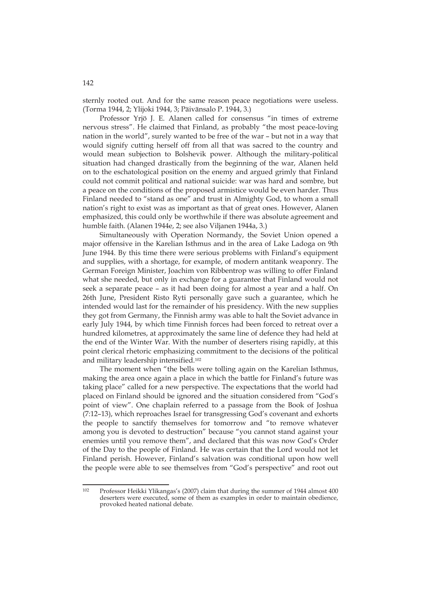sternly rooted out. And for the same reason peace negotiations were useless. (Torma 1944, 2; Ylijoki 1944, 3; Päivänsalo P. 1944, 3.)

Professor Yrjö J. E. Alanen called for consensus "in times of extreme nervous stress". He claimed that Finland, as probably "the most peace-loving nation in the world", surely wanted to be free of the war – but not in a way that would signify cutting herself off from all that was sacred to the country and would mean subjection to Bolshevik power. Although the military-political situation had changed drastically from the beginning of the war, Alanen held on to the eschatological position on the enemy and argued grimly that Finland could not commit political and national suicide: war was hard and sombre, but a peace on the conditions of the proposed armistice would be even harder. Thus Finland needed to "stand as one" and trust in Almighty God, to whom a small nation's right to exist was as important as that of great ones. However, Alanen emphasized, this could only be worthwhile if there was absolute agreement and humble faith. (Alanen 1944e, 2; see also Viljanen 1944a, 3.)

Simultaneously with Operation Normandy, the Soviet Union opened a major offensive in the Karelian Isthmus and in the area of Lake Ladoga on 9th June 1944. By this time there were serious problems with Finland's equipment and supplies, with a shortage, for example, of modern antitank weaponry. The German Foreign Minister, Joachim von Ribbentrop was willing to offer Finland what she needed, but only in exchange for a guarantee that Finland would not seek a separate peace – as it had been doing for almost a year and a half. On 26th June, President Risto Ryti personally gave such a guarantee, which he intended would last for the remainder of his presidency. With the new supplies they got from Germany, the Finnish army was able to halt the Soviet advance in early July 1944, by which time Finnish forces had been forced to retreat over a hundred kilometres, at approximately the same line of defence they had held at the end of the Winter War. With the number of deserters rising rapidly, at this point clerical rhetoric emphasizing commitment to the decisions of the political and military leadership intensified.102

The moment when "the bells were tolling again on the Karelian Isthmus, making the area once again a place in which the battle for Finland's future was taking place" called for a new perspective. The expectations that the world had placed on Finland should be ignored and the situation considered from "God's point of view". One chaplain referred to a passage from the Book of Joshua (7:12–13), which reproaches Israel for transgressing God's covenant and exhorts the people to sanctify themselves for tomorrow and "to remove whatever among you is devoted to destruction" because "you cannot stand against your enemies until you remove them", and declared that this was now God's Order of the Day to the people of Finland. He was certain that the Lord would not let Finland perish. However, Finland's salvation was conditional upon how well the people were able to see themselves from "God's perspective" and root out

 $102$ Professor Heikki Ylikangas's (2007) claim that during the summer of 1944 almost 400 deserters were executed, some of them as examples in order to maintain obedience, provoked heated national debate.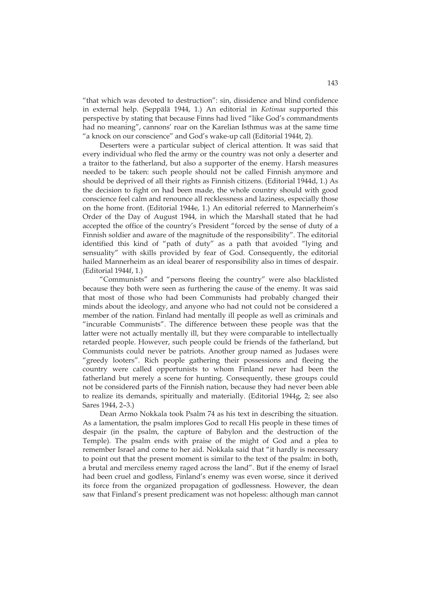"that which was devoted to destruction": sin, dissidence and blind confidence in external help. (Seppälä 1944, 1.) An editorial in *Kotimaa* supported this perspective by stating that because Finns had lived "like God's commandments had no meaning", cannons' roar on the Karelian Isthmus was at the same time "a knock on our conscience" and God's wake-up call (Editorial 1944t, 2).

Deserters were a particular subject of clerical attention. It was said that every individual who fled the army or the country was not only a deserter and a traitor to the fatherland, but also a supporter of the enemy. Harsh measures needed to be taken: such people should not be called Finnish anymore and should be deprived of all their rights as Finnish citizens. (Editorial 1944d, 1.) As the decision to fight on had been made, the whole country should with good conscience feel calm and renounce all recklessness and laziness, especially those on the home front. (Editorial 1944e, 1.) An editorial referred to Mannerheim's Order of the Day of August 1944, in which the Marshall stated that he had accepted the office of the country's President "forced by the sense of duty of a Finnish soldier and aware of the magnitude of the responsibility". The editorial identified this kind of "path of duty" as a path that avoided "lying and sensuality" with skills provided by fear of God. Consequently, the editorial hailed Mannerheim as an ideal bearer of responsibility also in times of despair. (Editorial 1944f, 1.)

"Communists" and "persons fleeing the country" were also blacklisted because they both were seen as furthering the cause of the enemy. It was said that most of those who had been Communists had probably changed their minds about the ideology, and anyone who had not could not be considered a member of the nation. Finland had mentally ill people as well as criminals and "incurable Communists". The difference between these people was that the latter were not actually mentally ill, but they were comparable to intellectually retarded people. However, such people could be friends of the fatherland, but Communists could never be patriots. Another group named as Judases were "greedy looters". Rich people gathering their possessions and fleeing the country were called opportunists to whom Finland never had been the fatherland but merely a scene for hunting. Consequently, these groups could not be considered parts of the Finnish nation, because they had never been able to realize its demands, spiritually and materially. (Editorial 1944g, 2; see also Sares 1944, 2–3.)

Dean Armo Nokkala took Psalm 74 as his text in describing the situation. As a lamentation, the psalm implores God to recall His people in these times of despair (in the psalm, the capture of Babylon and the destruction of the Temple). The psalm ends with praise of the might of God and a plea to remember Israel and come to her aid. Nokkala said that "it hardly is necessary to point out that the present moment is similar to the text of the psalm: in both, a brutal and merciless enemy raged across the land". But if the enemy of Israel had been cruel and godless, Finland's enemy was even worse, since it derived its force from the organized propagation of godlessness. However, the dean saw that Finland's present predicament was not hopeless: although man cannot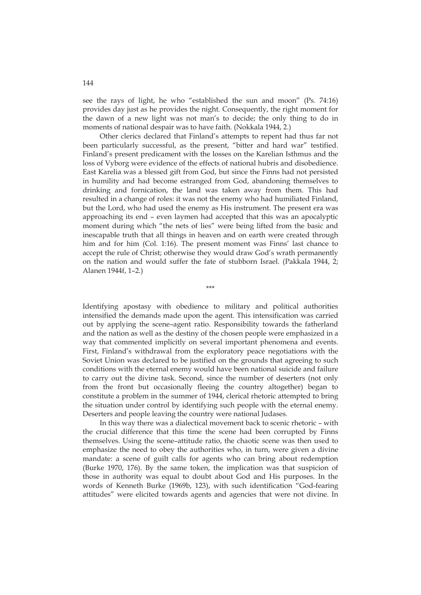see the rays of light, he who "established the sun and moon" (Ps. 74:16) provides day just as he provides the night. Consequently, the right moment for the dawn of a new light was not man's to decide; the only thing to do in moments of national despair was to have faith. (Nokkala 1944, 2.)

Other clerics declared that Finland's attempts to repent had thus far not been particularly successful, as the present, "bitter and hard war" testified. Finland's present predicament with the losses on the Karelian Isthmus and the loss of Vyborg were evidence of the effects of national hubris and disobedience. East Karelia was a blessed gift from God, but since the Finns had not persisted in humility and had become estranged from God, abandoning themselves to drinking and fornication, the land was taken away from them. This had resulted in a change of roles: it was not the enemy who had humiliated Finland, but the Lord, who had used the enemy as His instrument. The present era was approaching its end – even laymen had accepted that this was an apocalyptic moment during which "the nets of lies" were being lifted from the basic and inescapable truth that all things in heaven and on earth were created through him and for him (Col. 1:16). The present moment was Finns' last chance to accept the rule of Christ; otherwise they would draw God's wrath permanently on the nation and would suffer the fate of stubborn Israel. (Pakkala 1944, 2; Alanen 1944f, 1–2.)

Identifying apostasy with obedience to military and political authorities intensified the demands made upon the agent. This intensification was carried out by applying the scene–agent ratio. Responsibility towards the fatherland and the nation as well as the destiny of the chosen people were emphasized in a way that commented implicitly on several important phenomena and events. First, Finland's withdrawal from the exploratory peace negotiations with the Soviet Union was declared to be justified on the grounds that agreeing to such conditions with the eternal enemy would have been national suicide and failure to carry out the divine task. Second, since the number of deserters (not only from the front but occasionally fleeing the country altogether) began to constitute a problem in the summer of 1944, clerical rhetoric attempted to bring the situation under control by identifying such people with the eternal enemy. Deserters and people leaving the country were national Judases.

\*\*\*

In this way there was a dialectical movement back to scenic rhetoric – with the crucial difference that this time the scene had been corrupted by Finns themselves. Using the scene–attitude ratio, the chaotic scene was then used to emphasize the need to obey the authorities who, in turn, were given a divine mandate: a scene of guilt calls for agents who can bring about redemption (Burke 1970, 176). By the same token, the implication was that suspicion of those in authority was equal to doubt about God and His purposes. In the words of Kenneth Burke (1969b, 123), with such identification "God-fearing attitudes" were elicited towards agents and agencies that were not divine. In

144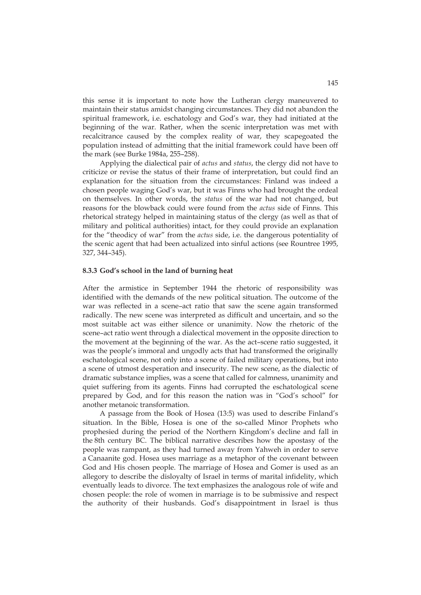this sense it is important to note how the Lutheran clergy maneuvered to maintain their status amidst changing circumstances. They did not abandon the spiritual framework, i.e. eschatology and God's war, they had initiated at the beginning of the war. Rather, when the scenic interpretation was met with recalcitrance caused by the complex reality of war, they scapegoated the population instead of admitting that the initial framework could have been off the mark (see Burke 1984a, 255–258).

Applying the dialectical pair of *actus* and *status*, the clergy did not have to criticize or revise the status of their frame of interpretation, but could find an explanation for the situation from the circumstances: Finland was indeed a chosen people waging God's war, but it was Finns who had brought the ordeal on themselves. In other words, the *status* of the war had not changed, but reasons for the blowback could were found from the *actus* side of Finns. This rhetorical strategy helped in maintaining status of the clergy (as well as that of military and political authorities) intact, for they could provide an explanation for the "theodicy of war" from the *actus* side, i.e. the dangerous potentiality of the scenic agent that had been actualized into sinful actions (see Rountree 1995, 327, 344–345).

## **8.3.3 God's school in the land of burning heat**

After the armistice in September 1944 the rhetoric of responsibility was identified with the demands of the new political situation. The outcome of the war was reflected in a scene–act ratio that saw the scene again transformed radically. The new scene was interpreted as difficult and uncertain, and so the most suitable act was either silence or unanimity. Now the rhetoric of the scene–act ratio went through a dialectical movement in the opposite direction to the movement at the beginning of the war. As the act–scene ratio suggested, it was the people's immoral and ungodly acts that had transformed the originally eschatological scene, not only into a scene of failed military operations, but into a scene of utmost desperation and insecurity. The new scene, as the dialectic of dramatic substance implies, was a scene that called for calmness, unanimity and quiet suffering from its agents. Finns had corrupted the eschatological scene prepared by God, and for this reason the nation was in "God's school" for another metanoic transformation.

A passage from the Book of Hosea (13:5) was used to describe Finland's situation. In the Bible, Hosea is one of the so-called Minor Prophets who prophesied during the period of the Northern Kingdom's decline and fall in the 8th century BC. The biblical narrative describes how the apostasy of the people was rampant, as they had turned away from Yahweh in order to serve a Canaanite god. Hosea uses marriage as a metaphor of the covenant between God and His chosen people. The marriage of Hosea and Gomer is used as an allegory to describe the disloyalty of Israel in terms of marital infidelity, which eventually leads to divorce. The text emphasizes the analogous role of wife and chosen people: the role of women in marriage is to be submissive and respect the authority of their husbands. God's disappointment in Israel is thus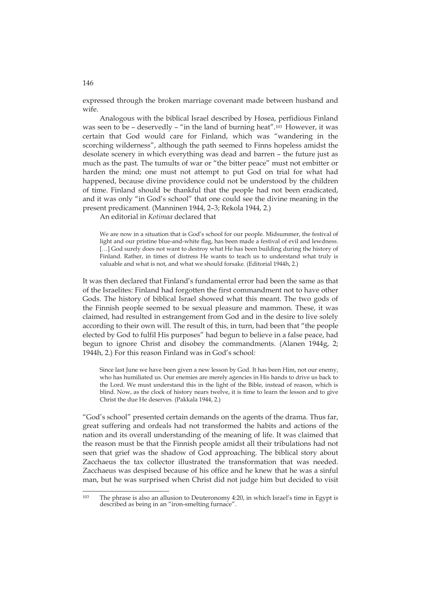expressed through the broken marriage covenant made between husband and wife.

Analogous with the biblical Israel described by Hosea, perfidious Finland was seen to be - deservedly - "in the land of burning heat".<sup>103</sup> However, it was certain that God would care for Finland, which was "wandering in the scorching wilderness", although the path seemed to Finns hopeless amidst the desolate scenery in which everything was dead and barren – the future just as much as the past. The tumults of war or "the bitter peace" must not embitter or harden the mind; one must not attempt to put God on trial for what had happened, because divine providence could not be understood by the children of time. Finland should be thankful that the people had not been eradicated, and it was only "in God's school" that one could see the divine meaning in the present predicament. (Manninen 1944, 2–3; Rekola 1944, 2.)

An editorial in *Kotimaa* declared that

We are now in a situation that is God's school for our people. Midsummer, the festival of light and our pristine blue-and-white flag, has been made a festival of evil and lewdness. […] God surely does not want to destroy what He has been building during the history of Finland. Rather, in times of distress He wants to teach us to understand what truly is valuable and what is not, and what we should forsake. (Editorial 1944h, 2.)

It was then declared that Finland's fundamental error had been the same as that of the Israelites: Finland had forgotten the first commandment not to have other Gods. The history of biblical Israel showed what this meant. The two gods of the Finnish people seemed to be sexual pleasure and mammon. These, it was claimed, had resulted in estrangement from God and in the desire to live solely according to their own will. The result of this, in turn, had been that "the people elected by God to fulfil His purposes" had begun to believe in a false peace, had begun to ignore Christ and disobey the commandments. (Alanen 1944g, 2; 1944h, 2.) For this reason Finland was in God's school:

Since last June we have been given a new lesson by God. It has been Him, not our enemy, who has humiliated us. Our enemies are merely agencies in His hands to drive us back to the Lord. We must understand this in the light of the Bible, instead of reason, which is blind. Now, as the clock of history nears twelve, it is time to learn the lesson and to give Christ the due He deserves. (Pakkala 1944, 2.)

"God's school" presented certain demands on the agents of the drama. Thus far, great suffering and ordeals had not transformed the habits and actions of the nation and its overall understanding of the meaning of life. It was claimed that the reason must be that the Finnish people amidst all their tribulations had not seen that grief was the shadow of God approaching. The biblical story about Zacchaeus the tax collector illustrated the transformation that was needed. Zacchaeus was despised because of his office and he knew that he was a sinful man, but he was surprised when Christ did not judge him but decided to visit

146

<u>.</u>

<sup>103</sup> The phrase is also an allusion to Deuteronomy 4:20, in which Israel's time in Egypt is described as being in an "iron-smelting furnace".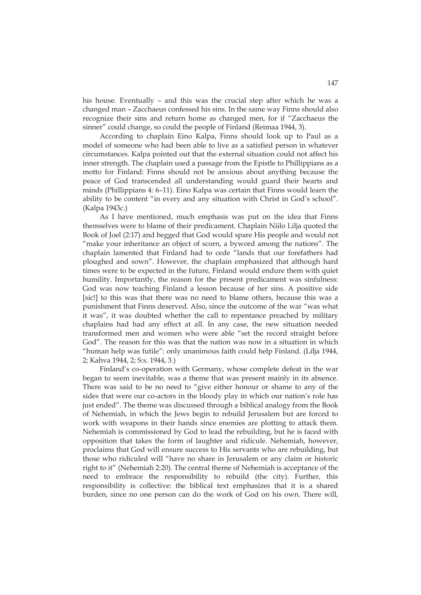his house. Eventually – and this was the crucial step after which he was a changed man – Zacchaeus confessed his sins. In the same way Finns should also recognize their sins and return home as changed men, for if "Zacchaeus the sinner" could change, so could the people of Finland (Reimaa 1944, 3).

According to chaplain Eino Kalpa, Finns should look up to Paul as a model of someone who had been able to live as a satisfied person in whatever circumstances. Kalpa pointed out that the external situation could not affect his inner strength. The chaplain used a passage from the Epistle to Phillippians as a motto for Finland: Finns should not be anxious about anything because the peace of God transcended all understanding would guard their hearts and minds (Phillippians 4: 6–11). Eino Kalpa was certain that Finns would learn the ability to be content "in every and any situation with Christ in God's school". (Kalpa 1943c.)

As I have mentioned, much emphasis was put on the idea that Finns themselves were to blame of their predicament. Chaplain Niilo Lilja quoted the Book of Joel (2:17) and begged that God would spare His people and would not "make your inheritance an object of scorn, a byword among the nations". The chaplain lamented that Finland had to cede "lands that our forefathers had ploughed and sown". However, the chaplain emphasized that although hard times were to be expected in the future, Finland would endure them with quiet humility. Importantly, the reason for the present predicament was sinfulness: God was now teaching Finland a lesson because of her sins. A positive side [sic!] to this was that there was no need to blame others, because this was a punishment that Finns deserved. Also, since the outcome of the war "was what it was", it was doubted whether the call to repentance preached by military chaplains had had any effect at all. In any case, the new situation needed transformed men and women who were able "set the record straight before God". The reason for this was that the nation was now in a situation in which "human help was futile": only unanimous faith could help Finland. (Lilja 1944, 2; Kahva 1944, 2; S:s. 1944, 3.)

Finland's co-operation with Germany, whose complete defeat in the war began to seem inevitable, was a theme that was present mainly in its absence. There was said to be no need to "give either honour or shame to any of the sides that were our co-actors in the bloody play in which our nation's role has just ended". The theme was discussed through a biblical analogy from the Book of Nehemiah, in which the Jews begin to rebuild Jerusalem but are forced to work with weapons in their hands since enemies are plotting to attack them. Nehemiah is commissioned by God to lead the rebuilding, but he is faced with opposition that takes the form of laughter and ridicule. Nehemiah, however, proclaims that God will ensure success to His servants who are rebuilding, but those who ridiculed will "have no share in Jerusalem or any claim or historic right to it" (Nehemiah 2:20). The central theme of Nehemiah is acceptance of the need to embrace the responsibility to rebuild (the city). Further, this responsibility is collective: the biblical text emphasizes that it is a shared burden, since no one person can do the work of God on his own. There will,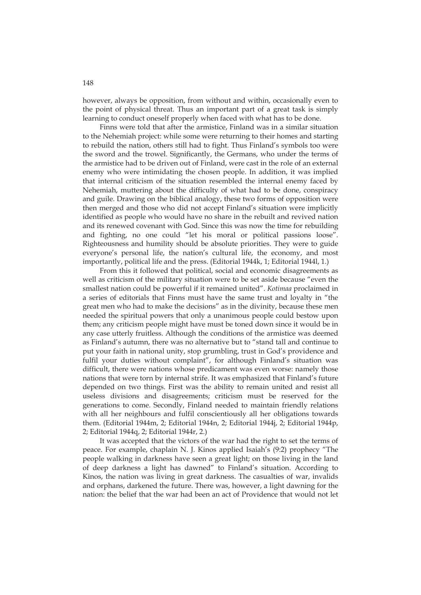however, always be opposition, from without and within, occasionally even to the point of physical threat. Thus an important part of a great task is simply learning to conduct oneself properly when faced with what has to be done.

Finns were told that after the armistice, Finland was in a similar situation to the Nehemiah project: while some were returning to their homes and starting to rebuild the nation, others still had to fight. Thus Finland's symbols too were the sword and the trowel. Significantly, the Germans, who under the terms of the armistice had to be driven out of Finland, were cast in the role of an external enemy who were intimidating the chosen people. In addition, it was implied that internal criticism of the situation resembled the internal enemy faced by Nehemiah, muttering about the difficulty of what had to be done, conspiracy and guile. Drawing on the biblical analogy, these two forms of opposition were then merged and those who did not accept Finland's situation were implicitly identified as people who would have no share in the rebuilt and revived nation and its renewed covenant with God. Since this was now the time for rebuilding and fighting, no one could "let his moral or political passions loose". Righteousness and humility should be absolute priorities. They were to guide everyone's personal life, the nation's cultural life, the economy, and most importantly, political life and the press. (Editorial 1944k, 1; Editorial 1944l, 1.)

From this it followed that political, social and economic disagreements as well as criticism of the military situation were to be set aside because "even the smallest nation could be powerful if it remained united". *Kotimaa* proclaimed in a series of editorials that Finns must have the same trust and loyalty in "the great men who had to make the decisions" as in the divinity, because these men needed the spiritual powers that only a unanimous people could bestow upon them; any criticism people might have must be toned down since it would be in any case utterly fruitless. Although the conditions of the armistice was deemed as Finland's autumn, there was no alternative but to "stand tall and continue to put your faith in national unity, stop grumbling, trust in God's providence and fulfil your duties without complaint", for although Finland's situation was difficult, there were nations whose predicament was even worse: namely those nations that were torn by internal strife. It was emphasized that Finland's future depended on two things. First was the ability to remain united and resist all useless divisions and disagreements; criticism must be reserved for the generations to come. Secondly, Finland needed to maintain friendly relations with all her neighbours and fulfil conscientiously all her obligations towards them. (Editorial 1944m, 2; Editorial 1944n, 2; Editorial 1944j, 2; Editorial 1944p, 2; Editorial 1944q, 2; Editorial 1944r, 2.)

It was accepted that the victors of the war had the right to set the terms of peace. For example, chaplain N. J. Kinos applied Isaiah's (9:2) prophecy "The people walking in darkness have seen a great light; on those living in the land of deep darkness a light has dawned" to Finland's situation. According to Kinos, the nation was living in great darkness. The casualties of war, invalids and orphans, darkened the future. There was, however, a light dawning for the nation: the belief that the war had been an act of Providence that would not let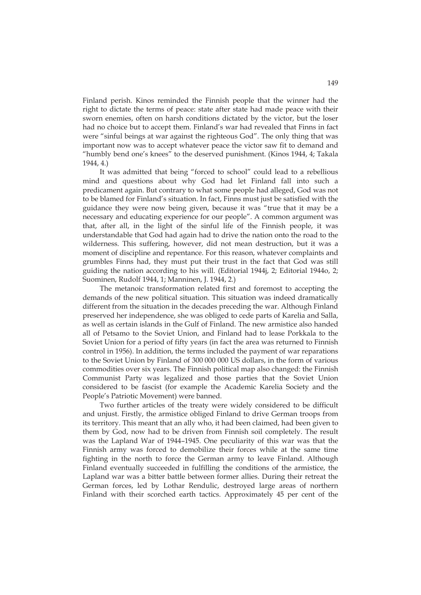Finland perish. Kinos reminded the Finnish people that the winner had the right to dictate the terms of peace: state after state had made peace with their sworn enemies, often on harsh conditions dictated by the victor, but the loser had no choice but to accept them. Finland's war had revealed that Finns in fact were "sinful beings at war against the righteous God". The only thing that was important now was to accept whatever peace the victor saw fit to demand and "humbly bend one's knees" to the deserved punishment. (Kinos 1944, 4; Takala 1944, 4.)

It was admitted that being "forced to school" could lead to a rebellious mind and questions about why God had let Finland fall into such a predicament again. But contrary to what some people had alleged, God was not to be blamed for Finland's situation. In fact, Finns must just be satisfied with the guidance they were now being given, because it was "true that it may be a necessary and educating experience for our people". A common argument was that, after all, in the light of the sinful life of the Finnish people, it was understandable that God had again had to drive the nation onto the road to the wilderness. This suffering, however, did not mean destruction, but it was a moment of discipline and repentance. For this reason, whatever complaints and grumbles Finns had, they must put their trust in the fact that God was still guiding the nation according to his will. (Editorial 1944j, 2; Editorial 1944o, 2; Suominen, Rudolf 1944, 1; Manninen, J. 1944, 2.)

The metanoic transformation related first and foremost to accepting the demands of the new political situation. This situation was indeed dramatically different from the situation in the decades preceding the war. Although Finland preserved her independence, she was obliged to cede parts of Karelia and Salla, as well as certain islands in the Gulf of Finland. The new armistice also handed all of Petsamo to the Soviet Union, and Finland had to lease Porkkala to the Soviet Union for a period of fifty years (in fact the area was returned to Finnish control in 1956). In addition, the terms included the payment of war reparations to the Soviet Union by Finland of 300 000 000 US dollars, in the form of various commodities over six years. The Finnish political map also changed: the Finnish Communist Party was legalized and those parties that the Soviet Union considered to be fascist (for example the Academic Karelia Society and the People's Patriotic Movement) were banned.

Two further articles of the treaty were widely considered to be difficult and unjust. Firstly, the armistice obliged Finland to drive German troops from its territory. This meant that an ally who, it had been claimed, had been given to them by God, now had to be driven from Finnish soil completely. The result was the Lapland War of 1944–1945. One peculiarity of this war was that the Finnish army was forced to demobilize their forces while at the same time fighting in the north to force the German army to leave Finland. Although Finland eventually succeeded in fulfilling the conditions of the armistice, the Lapland war was a bitter battle between former allies. During their retreat the German forces, led by Lothar Rendulic, destroyed large areas of northern Finland with their scorched earth tactics. Approximately 45 per cent of the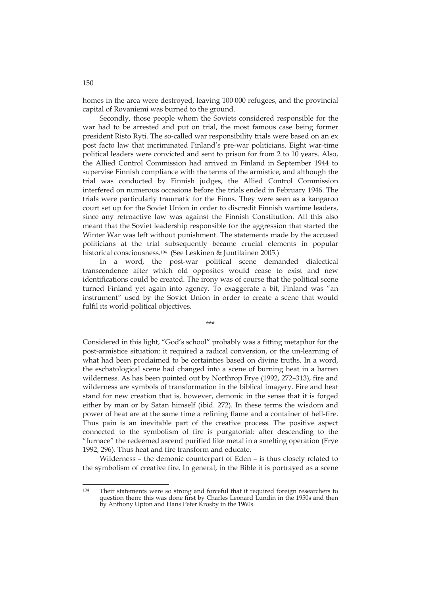homes in the area were destroyed, leaving 100 000 refugees, and the provincial capital of Rovaniemi was burned to the ground.

Secondly, those people whom the Soviets considered responsible for the war had to be arrested and put on trial, the most famous case being former president Risto Ryti. The so-called war responsibility trials were based on an ex post facto law that incriminated Finland's pre-war politicians. Eight war-time political leaders were convicted and sent to prison for from 2 to 10 years. Also, the Allied Control Commission had arrived in Finland in September 1944 to supervise Finnish compliance with the terms of the armistice, and although the trial was conducted by Finnish judges, the Allied Control Commission interfered on numerous occasions before the trials ended in February 1946. The trials were particularly traumatic for the Finns. They were seen as a kangaroo court set up for the Soviet Union in order to discredit Finnish wartime leaders, since any retroactive law was against the Finnish Constitution. All this also meant that the Soviet leadership responsible for the aggression that started the Winter War was left without punishment. The statements made by the accused politicians at the trial subsequently became crucial elements in popular historical consciousness.104 (See Leskinen & Juutilainen 2005.)

In a word, the post-war political scene demanded dialectical transcendence after which old opposites would cease to exist and new identifications could be created. The irony was of course that the political scene turned Finland yet again into agency. To exaggerate a bit, Finland was "an instrument" used by the Soviet Union in order to create a scene that would fulfil its world-political objectives.

\*\*\*

Considered in this light, "God's school" probably was a fitting metaphor for the post-armistice situation: it required a radical conversion, or the un-learning of what had been proclaimed to be certainties based on divine truths. In a word, the eschatological scene had changed into a scene of burning heat in a barren wilderness. As has been pointed out by Northrop Frye (1992, 272–313), fire and wilderness are symbols of transformation in the biblical imagery. Fire and heat stand for new creation that is, however, demonic in the sense that it is forged either by man or by Satan himself (ibid. 272). In these terms the wisdom and power of heat are at the same time a refining flame and a container of hell-fire. Thus pain is an inevitable part of the creative process. The positive aspect connected to the symbolism of fire is purgatorial: after descending to the "furnace" the redeemed ascend purified like metal in a smelting operation (Frye 1992, 296). Thus heat and fire transform and educate.

Wilderness – the demonic counterpart of Eden – is thus closely related to the symbolism of creative fire. In general, in the Bible it is portrayed as a scene

<sup>104</sup> Their statements were so strong and forceful that it required foreign researchers to question them: this was done first by Charles Leonard Lundin in the 1950s and then by Anthony Upton and Hans Peter Krosby in the 1960s.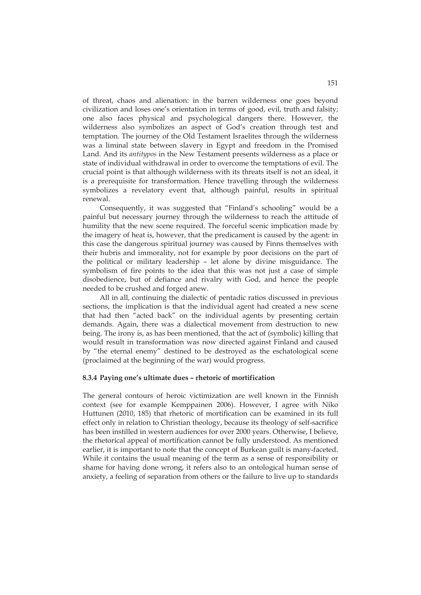of threat, chaos and alienation: in the barren wilderness one goes beyond civilization and loses one's orientation in terms of good, evil, truth and falsity; one also faces physical and psychological dangers there. However, the wilderness also symbolizes an aspect of God's creation through test and temptation. The journey of the Old Testament Israelites through the wilderness was a liminal state between slavery in Egypt and freedom in the Promised Land. And its *antitypos* in the New Testament presents wilderness as a place or state of individual withdrawal in order to overcome the temptations of evil. The crucial point is that although wilderness with its threats itself is not an ideal, it is a prerequisite for transformation. Hence travelling through the wilderness symbolizes a revelatory event that, although painful, results in spiritual renewal.

Consequently, it was suggested that "Finland's schooling" would be a painful but necessary journey through the wilderness to reach the attitude of humility that the new scene required. The forceful scenic implication made by the imagery of heat is, however, that the predicament is caused by the agent: in this case the dangerous spiritual journey was caused by Finns themselves with their hubris and immorality, not for example by poor decisions on the part of the political or military leadership – let alone by divine misguidance. The symbolism of fire points to the idea that this was not just a case of simple disobedience, but of defiance and rivalry with God, and hence the people needed to be crushed and forged anew.

All in all, continuing the dialectic of pentadic ratios discussed in previous sections, the implication is that the individual agent had created a new scene that had then "acted back" on the individual agents by presenting certain demands. Again, there was a dialectical movement from destruction to new being. The irony is, as has been mentioned, that the act of (symbolic) killing that would result in transformation was now directed against Finland and caused by "the eternal enemy" destined to be destroyed as the eschatological scene (proclaimed at the beginning of the war) would progress.

## **8.3.4 Paying one's ultimate dues – rhetoric of mortification**

The general contours of heroic victimization are well known in the Finnish context (see for example Kemppainen 2006). However, I agree with Niko Huttunen (2010, 185) that rhetoric of mortification can be examined in its full effect only in relation to Christian theology, because its theology of self-sacrifice has been instilled in western audiences for over 2000 years. Otherwise, I believe, the rhetorical appeal of mortification cannot be fully understood. As mentioned earlier, it is important to note that the concept of Burkean guilt is many-faceted. While it contains the usual meaning of the term as a sense of responsibility or shame for having done wrong, it refers also to an ontological human sense of anxiety, a feeling of separation from others or the failure to live up to standards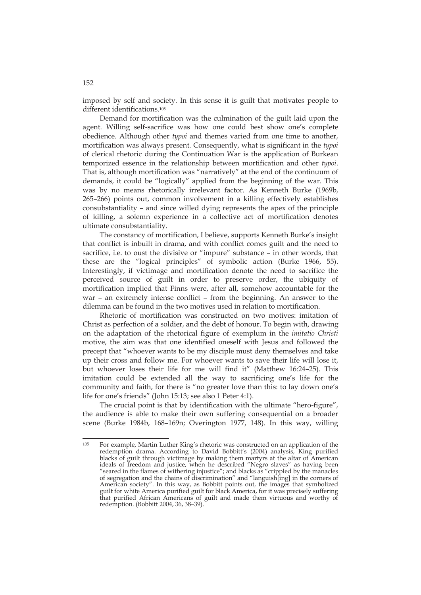imposed by self and society. In this sense it is guilt that motivates people to different identifications.105

Demand for mortification was the culmination of the guilt laid upon the agent. Willing self-sacrifice was how one could best show one's complete obedience. Although other *typoi* and themes varied from one time to another, mortification was always present. Consequently, what is significant in the *typoi* of clerical rhetoric during the Continuation War is the application of Burkean temporized essence in the relationship between mortification and other *typoi*. That is, although mortification was "narratively" at the end of the continuum of demands, it could be "logically" applied from the beginning of the war. This was by no means rhetorically irrelevant factor. As Kenneth Burke (1969b, 265–266) points out, common involvement in a killing effectively establishes consubstantiality – and since willed dying represents the apex of the principle of killing, a solemn experience in a collective act of mortification denotes ultimate consubstantiality.

The constancy of mortification, I believe, supports Kenneth Burke's insight that conflict is inbuilt in drama, and with conflict comes guilt and the need to sacrifice, i.e. to oust the divisive or "impure" substance – in other words, that these are the "logical principles" of symbolic action (Burke 1966, 55). Interestingly, if victimage and mortification denote the need to sacrifice the perceived source of guilt in order to preserve order, the ubiquity of mortification implied that Finns were, after all, somehow accountable for the war – an extremely intense conflict – from the beginning. An answer to the dilemma can be found in the two motives used in relation to mortification.

Rhetoric of mortification was constructed on two motives: imitation of Christ as perfection of a soldier, and the debt of honour. To begin with, drawing on the adaptation of the rhetorical figure of exemplum in the *imitatio Christi* motive, the aim was that one identified oneself with Jesus and followed the precept that "whoever wants to be my disciple must deny themselves and take up their cross and follow me. For whoever wants to save their life will lose it, but whoever loses their life for me will find it" (Matthew 16:24–25). This imitation could be extended all the way to sacrificing one's life for the community and faith, for there is "no greater love than this: to lay down one's life for one's friends" (John 15:13; see also 1 Peter 4:1).

The crucial point is that by identification with the ultimate "hero-figure", the audience is able to make their own suffering consequential on a broader scene (Burke 1984b, 168–169n; Overington 1977, 148). In this way, willing

<sup>105</sup> 105 For example, Martin Luther King's rhetoric was constructed on an application of the redemption drama. According to David Bobbitt's (2004) analysis, King purified blacks of guilt through victimage by making them martyrs at the altar of American ideals of freedom and justice, when he described "Negro slaves" as having been "seared in the flames of withering injustice"; and blacks as "crippled by the manacles of segregation and the chains of discrimination" and "languish[ing] in the corners of American society". In this way, as Bobbitt points out, the images that symbolized guilt for white America purified guilt for black America, for it was precisely suffering that purified African Americans of guilt and made them virtuous and worthy of redemption. (Bobbitt 2004, 36, 38–39).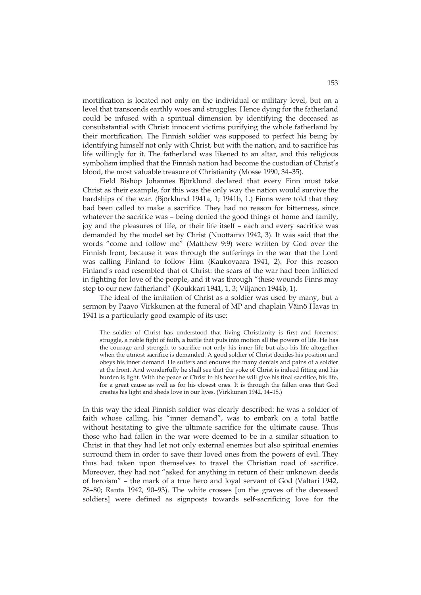mortification is located not only on the individual or military level, but on a level that transcends earthly woes and struggles. Hence dying for the fatherland could be infused with a spiritual dimension by identifying the deceased as consubstantial with Christ: innocent victims purifying the whole fatherland by their mortification. The Finnish soldier was supposed to perfect his being by identifying himself not only with Christ, but with the nation, and to sacrifice his life willingly for it. The fatherland was likened to an altar, and this religious symbolism implied that the Finnish nation had become the custodian of Christ's blood, the most valuable treasure of Christianity (Mosse 1990, 34–35).

Field Bishop Johannes Björklund declared that every Finn must take Christ as their example, for this was the only way the nation would survive the hardships of the war. (Björklund 1941a, 1; 1941b, 1.) Finns were told that they had been called to make a sacrifice. They had no reason for bitterness, since whatever the sacrifice was – being denied the good things of home and family, joy and the pleasures of life, or their life itself – each and every sacrifice was demanded by the model set by Christ (Nuottamo 1942, 3). It was said that the words "come and follow me" (Matthew 9:9) were written by God over the Finnish front, because it was through the sufferings in the war that the Lord was calling Finland to follow Him (Kaukovaara 1941, 2). For this reason Finland's road resembled that of Christ: the scars of the war had been inflicted in fighting for love of the people, and it was through "these wounds Finns may step to our new fatherland" (Koukkari 1941, 1, 3; Viljanen 1944b, 1).

The ideal of the imitation of Christ as a soldier was used by many, but a sermon by Paavo Virkkunen at the funeral of MP and chaplain Väinö Havas in 1941 is a particularly good example of its use:

The soldier of Christ has understood that living Christianity is first and foremost struggle, a noble fight of faith, a battle that puts into motion all the powers of life. He has the courage and strength to sacrifice not only his inner life but also his life altogether when the utmost sacrifice is demanded. A good soldier of Christ decides his position and obeys his inner demand. He suffers and endures the many denials and pains of a soldier at the front. And wonderfully he shall see that the yoke of Christ is indeed fitting and his burden is light. With the peace of Christ in his heart he will give his final sacrifice, his life, for a great cause as well as for his closest ones. It is through the fallen ones that God creates his light and sheds love in our lives. (Virkkunen 1942, 14–18.)

In this way the ideal Finnish soldier was clearly described: he was a soldier of faith whose calling, his "inner demand", was to embark on a total battle without hesitating to give the ultimate sacrifice for the ultimate cause. Thus those who had fallen in the war were deemed to be in a similar situation to Christ in that they had let not only external enemies but also spiritual enemies surround them in order to save their loved ones from the powers of evil. They thus had taken upon themselves to travel the Christian road of sacrifice. Moreover, they had not "asked for anything in return of their unknown deeds of heroism" – the mark of a true hero and loyal servant of God (Valtari 1942, 78–80; Ranta 1942, 90–93). The white crosses [on the graves of the deceased soldiers] were defined as signposts towards self-sacrificing love for the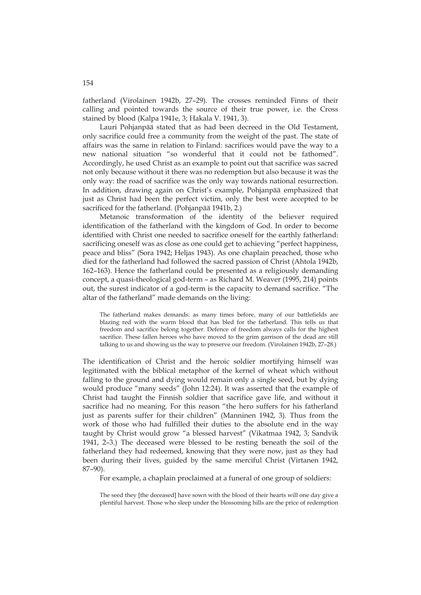fatherland (Virolainen 1942b, 27–29). The crosses reminded Finns of their calling and pointed towards the source of their true power, i.e. the Cross stained by blood (Kalpa 1941e, 3; Hakala V. 1941, 3).

Lauri Pohjanpää stated that as had been decreed in the Old Testament, only sacrifice could free a community from the weight of the past. The state of affairs was the same in relation to Finland: sacrifices would pave the way to a new national situation "so wonderful that it could not be fathomed". Accordingly, he used Christ as an example to point out that sacrifice was sacred not only because without it there was no redemption but also because it was the only way: the road of sacrifice was the only way towards national resurrection. In addition, drawing again on Christ's example, Pohjanpää emphasized that just as Christ had been the perfect victim, only the best were accepted to be sacrificed for the fatherland. (Pohjanpää 1941b, 2.)

Metanoic transformation of the identity of the believer required identification of the fatherland with the kingdom of God. In order to become identified with Christ one needed to sacrifice oneself for the earthly fatherland: sacrificing oneself was as close as one could get to achieving "perfect happiness, peace and bliss" (Sora 1942; Heljas 1943). As one chaplain preached, those who died for the fatherland had followed the sacred passion of Christ (Ahtola 1942b, 162–163). Hence the fatherland could be presented as a religiously demanding concept, a quasi-theological god-term – as Richard M. Weaver (1995, 214) points out, the surest indicator of a god-term is the capacity to demand sacrifice. "The altar of the fatherland" made demands on the living:

The fatherland makes demands: as many times before, many of our battlefields are blazing red with the warm blood that has bled for the fatherland. This tells us that freedom and sacrifice belong together. Defence of freedom always calls for the highest sacrifice. These fallen heroes who have moved to the grim garrison of the dead are still talking to us and showing us the way to preserve our freedom. (Virolainen 1942b, 27–28.)

The identification of Christ and the heroic soldier mortifying himself was legitimated with the biblical metaphor of the kernel of wheat which without falling to the ground and dying would remain only a single seed, but by dying would produce "many seeds" (John 12:24). It was asserted that the example of Christ had taught the Finnish soldier that sacrifice gave life, and without it sacrifice had no meaning. For this reason "the hero suffers for his fatherland just as parents suffer for their children" (Manninen 1942, 3). Thus from the work of those who had fulfilled their duties to the absolute end in the way taught by Christ would grow "a blessed harvest" (Vikatmaa 1942, 3; Sandvik 1941, 2–3.) The deceased were blessed to be resting beneath the soil of the fatherland they had redeemed, knowing that they were now, just as they had been during their lives, guided by the same merciful Christ (Virtanen 1942, 87–90).

For example, a chaplain proclaimed at a funeral of one group of soldiers:

The seed they [the deceased] have sown with the blood of their hearts will one day give a plentiful harvest. Those who sleep under the blossoming hills are the price of redemption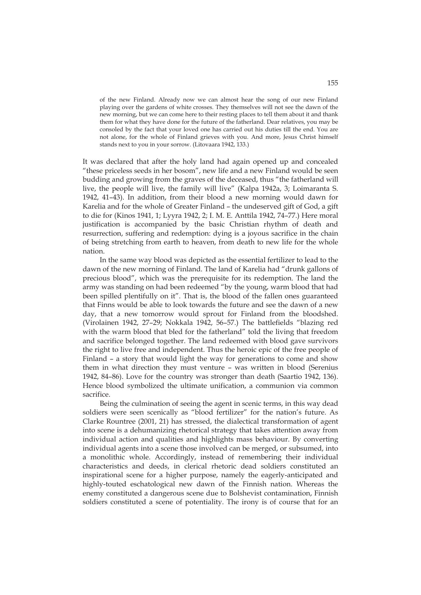of the new Finland. Already now we can almost hear the song of our new Finland playing over the gardens of white crosses. They themselves will not see the dawn of the new morning, but we can come here to their resting places to tell them about it and thank them for what they have done for the future of the fatherland. Dear relatives, you may be consoled by the fact that your loved one has carried out his duties till the end. You are not alone, for the whole of Finland grieves with you. And more, Jesus Christ himself stands next to you in your sorrow. (Litovaara 1942, 133.)

It was declared that after the holy land had again opened up and concealed "these priceless seeds in her bosom", new life and a new Finland would be seen budding and growing from the graves of the deceased, thus "the fatherland will live, the people will live, the family will live" (Kalpa 1942a, 3; Loimaranta S. 1942, 41–43). In addition, from their blood a new morning would dawn for Karelia and for the whole of Greater Finland – the undeserved gift of God, a gift to die for (Kinos 1941, 1; Lyyra 1942, 2; I. M. E. Anttila 1942, 74–77.) Here moral justification is accompanied by the basic Christian rhythm of death and resurrection, suffering and redemption: dying is a joyous sacrifice in the chain of being stretching from earth to heaven, from death to new life for the whole nation.

In the same way blood was depicted as the essential fertilizer to lead to the dawn of the new morning of Finland. The land of Karelia had "drunk gallons of precious blood", which was the prerequisite for its redemption. The land the army was standing on had been redeemed "by the young, warm blood that had been spilled plentifully on it". That is, the blood of the fallen ones guaranteed that Finns would be able to look towards the future and see the dawn of a new day, that a new tomorrow would sprout for Finland from the bloodshed. (Virolainen 1942, 27–29; Nokkala 1942, 56–57.) The battlefields "blazing red with the warm blood that bled for the fatherland" told the living that freedom and sacrifice belonged together. The land redeemed with blood gave survivors the right to live free and independent. Thus the heroic epic of the free people of Finland – a story that would light the way for generations to come and show them in what direction they must venture – was written in blood (Serenius 1942, 84–86). Love for the country was stronger than death (Saartio 1942, 136). Hence blood symbolized the ultimate unification, a communion via common sacrifice.

Being the culmination of seeing the agent in scenic terms, in this way dead soldiers were seen scenically as "blood fertilizer" for the nation's future. As Clarke Rountree (2001, 21) has stressed, the dialectical transformation of agent into scene is a dehumanizing rhetorical strategy that takes attention away from individual action and qualities and highlights mass behaviour. By converting individual agents into a scene those involved can be merged, or subsumed, into a monolithic whole. Accordingly, instead of remembering their individual characteristics and deeds, in clerical rhetoric dead soldiers constituted an inspirational scene for a higher purpose, namely the eagerly-anticipated and highly-touted eschatological new dawn of the Finnish nation. Whereas the enemy constituted a dangerous scene due to Bolshevist contamination, Finnish soldiers constituted a scene of potentiality. The irony is of course that for an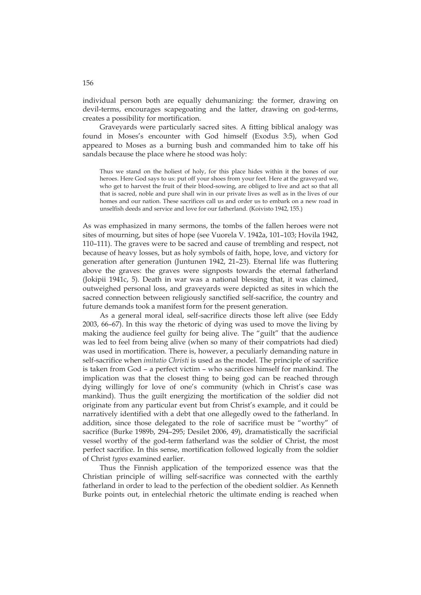individual person both are equally dehumanizing: the former, drawing on devil-terms, encourages scapegoating and the latter, drawing on god-terms, creates a possibility for mortification.

Graveyards were particularly sacred sites. A fitting biblical analogy was found in Moses's encounter with God himself (Exodus 3:5), when God appeared to Moses as a burning bush and commanded him to take off his sandals because the place where he stood was holy:

Thus we stand on the holiest of holy, for this place hides within it the bones of our heroes. Here God says to us: put off your shoes from your feet. Here at the graveyard we, who get to harvest the fruit of their blood-sowing, are obliged to live and act so that all that is sacred, noble and pure shall win in our private lives as well as in the lives of our homes and our nation. These sacrifices call us and order us to embark on a new road in unselfish deeds and service and love for our fatherland. (Koivisto 1942, 155.)

As was emphasized in many sermons, the tombs of the fallen heroes were not sites of mourning, but sites of hope (see Vuorela V. 1942a, 101–103; Hovila 1942, 110–111). The graves were to be sacred and cause of trembling and respect, not because of heavy losses, but as holy symbols of faith, hope, love, and victory for generation after generation (Juntunen 1942, 21–23). Eternal life was fluttering above the graves: the graves were signposts towards the eternal fatherland (Jokipii 1941c, 5). Death in war was a national blessing that, it was claimed, outweighed personal loss, and graveyards were depicted as sites in which the sacred connection between religiously sanctified self-sacrifice, the country and future demands took a manifest form for the present generation.

As a general moral ideal, self-sacrifice directs those left alive (see Eddy 2003, 66–67). In this way the rhetoric of dying was used to move the living by making the audience feel guilty for being alive. The "guilt" that the audience was led to feel from being alive (when so many of their compatriots had died) was used in mortification. There is, however, a peculiarly demanding nature in self-sacrifice when *imitatio Christi* is used as the model. The principle of sacrifice is taken from God – a perfect victim – who sacrifices himself for mankind. The implication was that the closest thing to being god can be reached through dying willingly for love of one's community (which in Christ's case was mankind). Thus the guilt energizing the mortification of the soldier did not originate from any particular event but from Christ's example, and it could be narratively identified with a debt that one allegedly owed to the fatherland. In addition, since those delegated to the role of sacrifice must be "worthy" of sacrifice (Burke 1989b, 294–295; Desilet 2006, 49), dramatistically the sacrificial vessel worthy of the god-term fatherland was the soldier of Christ, the most perfect sacrifice. In this sense, mortification followed logically from the soldier of Christ *typos* examined earlier.

Thus the Finnish application of the temporized essence was that the Christian principle of willing self-sacrifice was connected with the earthly fatherland in order to lead to the perfection of the obedient soldier. As Kenneth Burke points out, in entelechial rhetoric the ultimate ending is reached when

156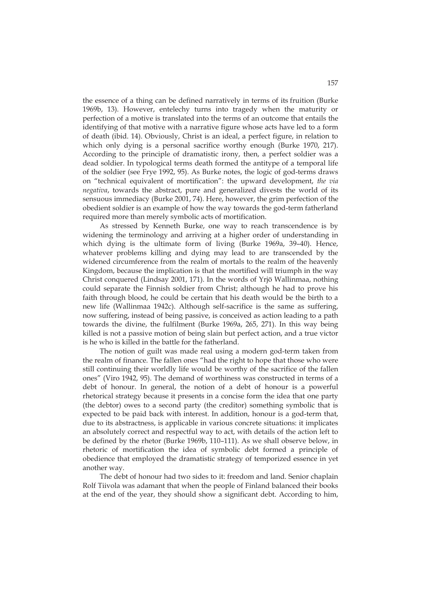the essence of a thing can be defined narratively in terms of its fruition (Burke 1969b, 13). However, entelechy turns into tragedy when the maturity or perfection of a motive is translated into the terms of an outcome that entails the identifying of that motive with a narrative figure whose acts have led to a form of death (ibid. 14). Obviously, Christ is an ideal, a perfect figure, in relation to which only dying is a personal sacrifice worthy enough (Burke 1970, 217). According to the principle of dramatistic irony, then, a perfect soldier was a dead soldier. In typological terms death formed the antitype of a temporal life of the soldier (see Frye 1992, 95). As Burke notes, the logic of god-terms draws on "technical equivalent of mortification": the upward development, *the via negativa*, towards the abstract, pure and generalized divests the world of its sensuous immediacy (Burke 2001, 74). Here, however, the grim perfection of the obedient soldier is an example of how the way towards the god-term fatherland required more than merely symbolic acts of mortification.

As stressed by Kenneth Burke, one way to reach transcendence is by widening the terminology and arriving at a higher order of understanding in which dying is the ultimate form of living (Burke 1969a, 39–40). Hence, whatever problems killing and dying may lead to are transcended by the widened circumference from the realm of mortals to the realm of the heavenly Kingdom, because the implication is that the mortified will triumph in the way Christ conquered (Lindsay 2001, 171). In the words of Yrjö Wallinmaa, nothing could separate the Finnish soldier from Christ; although he had to prove his faith through blood, he could be certain that his death would be the birth to a new life (Wallinmaa 1942c). Although self-sacrifice is the same as suffering, now suffering, instead of being passive, is conceived as action leading to a path towards the divine, the fulfilment (Burke 1969a, 265, 271). In this way being killed is not a passive motion of being slain but perfect action, and a true victor is he who is killed in the battle for the fatherland.

The notion of guilt was made real using a modern god-term taken from the realm of finance. The fallen ones "had the right to hope that those who were still continuing their worldly life would be worthy of the sacrifice of the fallen ones" (Viro 1942, 95). The demand of worthiness was constructed in terms of a debt of honour. In general, the notion of a debt of honour is a powerful rhetorical strategy because it presents in a concise form the idea that one party (the debtor) owes to a second party (the creditor) something symbolic that is expected to be paid back with interest. In addition, honour is a god-term that, due to its abstractness, is applicable in various concrete situations: it implicates an absolutely correct and respectful way to act, with details of the action left to be defined by the rhetor (Burke 1969b, 110–111). As we shall observe below, in rhetoric of mortification the idea of symbolic debt formed a principle of obedience that employed the dramatistic strategy of temporized essence in yet another way.

The debt of honour had two sides to it: freedom and land. Senior chaplain Rolf Tiivola was adamant that when the people of Finland balanced their books at the end of the year, they should show a significant debt. According to him,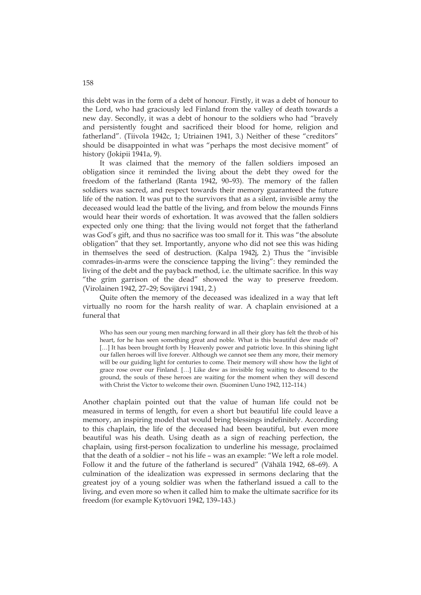this debt was in the form of a debt of honour. Firstly, it was a debt of honour to the Lord, who had graciously led Finland from the valley of death towards a new day. Secondly, it was a debt of honour to the soldiers who had "bravely and persistently fought and sacrificed their blood for home, religion and fatherland". (Tiivola 1942c, 1; Utriainen 1941, 3.) Neither of these "creditors" should be disappointed in what was "perhaps the most decisive moment" of history (Jokipii 1941a, 9).

It was claimed that the memory of the fallen soldiers imposed an obligation since it reminded the living about the debt they owed for the freedom of the fatherland (Ranta 1942, 90–93). The memory of the fallen soldiers was sacred, and respect towards their memory guaranteed the future life of the nation. It was put to the survivors that as a silent, invisible army the deceased would lead the battle of the living, and from below the mounds Finns would hear their words of exhortation. It was avowed that the fallen soldiers expected only one thing: that the living would not forget that the fatherland was God's gift, and thus no sacrifice was too small for it. This was "the absolute obligation" that they set. Importantly, anyone who did not see this was hiding in themselves the seed of destruction. (Kalpa 1942j, 2.) Thus the "invisible comrades-in-arms were the conscience tapping the living": they reminded the living of the debt and the payback method, i.e. the ultimate sacrifice. In this way "the grim garrison of the dead" showed the way to preserve freedom. (Virolainen 1942, 27–29; Sovijärvi 1941, 2.)

Quite often the memory of the deceased was idealized in a way that left virtually no room for the harsh reality of war. A chaplain envisioned at a funeral that

Who has seen our young men marching forward in all their glory has felt the throb of his heart, for he has seen something great and noble. What is this beautiful dew made of? [...] It has been brought forth by Heavenly power and patriotic love. In this shining light our fallen heroes will live forever. Although we cannot see them any more, their memory will be our guiding light for centuries to come. Their memory will show how the light of grace rose over our Finland. […] Like dew as invisible fog waiting to descend to the ground, the souls of these heroes are waiting for the moment when they will descend with Christ the Victor to welcome their own. (Suominen Uuno 1942, 112–114.)

Another chaplain pointed out that the value of human life could not be measured in terms of length, for even a short but beautiful life could leave a memory, an inspiring model that would bring blessings indefinitely. According to this chaplain, the life of the deceased had been beautiful, but even more beautiful was his death. Using death as a sign of reaching perfection, the chaplain, using first-person focalization to underline his message, proclaimed that the death of a soldier – not his life – was an example: "We left a role model. Follow it and the future of the fatherland is secured" (Vähälä 1942, 68–69). A culmination of the idealization was expressed in sermons declaring that the greatest joy of a young soldier was when the fatherland issued a call to the living, and even more so when it called him to make the ultimate sacrifice for its freedom (for example Kytövuori 1942, 139–143.)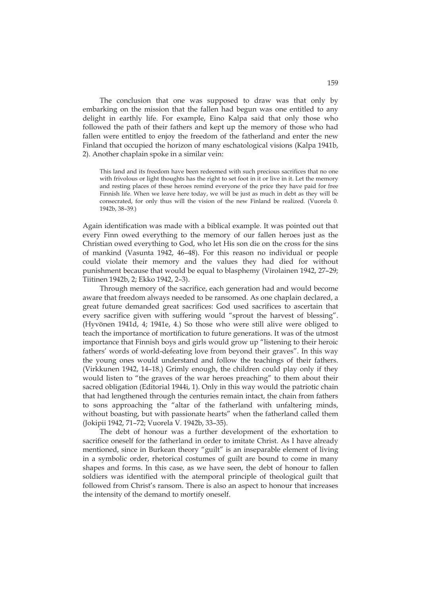The conclusion that one was supposed to draw was that only by embarking on the mission that the fallen had begun was one entitled to any delight in earthly life. For example, Eino Kalpa said that only those who followed the path of their fathers and kept up the memory of those who had fallen were entitled to enjoy the freedom of the fatherland and enter the new Finland that occupied the horizon of many eschatological visions (Kalpa 1941b, 2). Another chaplain spoke in a similar vein:

This land and its freedom have been redeemed with such precious sacrifices that no one with frivolous or light thoughts has the right to set foot in it or live in it. Let the memory and resting places of these heroes remind everyone of the price they have paid for free Finnish life. When we leave here today, we will be just as much in debt as they will be consecrated, for only thus will the vision of the new Finland be realized. (Vuorela 0. 1942b, 38–39.)

Again identification was made with a biblical example. It was pointed out that every Finn owed everything to the memory of our fallen heroes just as the Christian owed everything to God, who let His son die on the cross for the sins of mankind (Vasunta 1942, 46–48). For this reason no individual or people could violate their memory and the values they had died for without punishment because that would be equal to blasphemy (Virolainen 1942, 27–29; Tiitinen 1942b, 2; Ekko 1942, 2–3).

Through memory of the sacrifice, each generation had and would become aware that freedom always needed to be ransomed. As one chaplain declared, a great future demanded great sacrifices: God used sacrifices to ascertain that every sacrifice given with suffering would "sprout the harvest of blessing". (Hyvönen 1941d, 4; 1941e, 4.) So those who were still alive were obliged to teach the importance of mortification to future generations. It was of the utmost importance that Finnish boys and girls would grow up "listening to their heroic fathers' words of world-defeating love from beyond their graves". In this way the young ones would understand and follow the teachings of their fathers. (Virkkunen 1942, 14–18.) Grimly enough, the children could play only if they would listen to "the graves of the war heroes preaching" to them about their sacred obligation (Editorial 1944i, 1). Only in this way would the patriotic chain that had lengthened through the centuries remain intact, the chain from fathers to sons approaching the "altar of the fatherland with unfaltering minds, without boasting, but with passionate hearts" when the fatherland called them (Jokipii 1942, 71–72; Vuorela V. 1942b, 33–35).

The debt of honour was a further development of the exhortation to sacrifice oneself for the fatherland in order to imitate Christ. As I have already mentioned, since in Burkean theory "guilt" is an inseparable element of living in a symbolic order, rhetorical costumes of guilt are bound to come in many shapes and forms. In this case, as we have seen, the debt of honour to fallen soldiers was identified with the atemporal principle of theological guilt that followed from Christ's ransom. There is also an aspect to honour that increases the intensity of the demand to mortify oneself.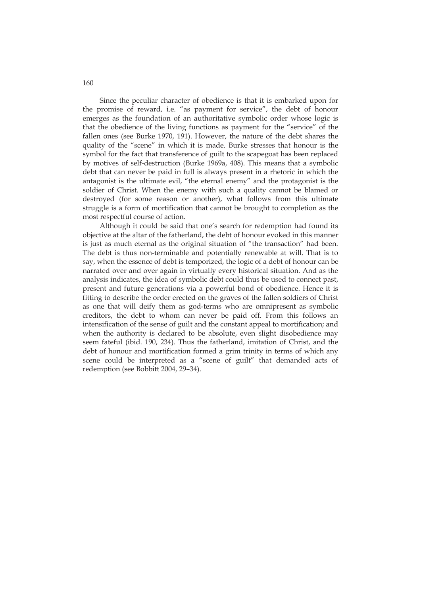Since the peculiar character of obedience is that it is embarked upon for the promise of reward, i.e. "as payment for service", the debt of honour emerges as the foundation of an authoritative symbolic order whose logic is that the obedience of the living functions as payment for the "service" of the fallen ones (see Burke 1970, 191). However, the nature of the debt shares the quality of the "scene" in which it is made. Burke stresses that honour is the symbol for the fact that transference of guilt to the scapegoat has been replaced by motives of self-destruction (Burke 1969a, 408). This means that a symbolic debt that can never be paid in full is always present in a rhetoric in which the antagonist is the ultimate evil, "the eternal enemy" and the protagonist is the soldier of Christ. When the enemy with such a quality cannot be blamed or destroyed (for some reason or another), what follows from this ultimate struggle is a form of mortification that cannot be brought to completion as the most respectful course of action.

Although it could be said that one's search for redemption had found its objective at the altar of the fatherland, the debt of honour evoked in this manner is just as much eternal as the original situation of "the transaction" had been. The debt is thus non-terminable and potentially renewable at will. That is to say, when the essence of debt is temporized, the logic of a debt of honour can be narrated over and over again in virtually every historical situation. And as the analysis indicates, the idea of symbolic debt could thus be used to connect past, present and future generations via a powerful bond of obedience. Hence it is fitting to describe the order erected on the graves of the fallen soldiers of Christ as one that will deify them as god-terms who are omnipresent as symbolic creditors, the debt to whom can never be paid off. From this follows an intensification of the sense of guilt and the constant appeal to mortification; and when the authority is declared to be absolute, even slight disobedience may seem fateful (ibid. 190, 234). Thus the fatherland, imitation of Christ, and the debt of honour and mortification formed a grim trinity in terms of which any scene could be interpreted as a "scene of guilt" that demanded acts of redemption (see Bobbitt 2004, 29–34).

160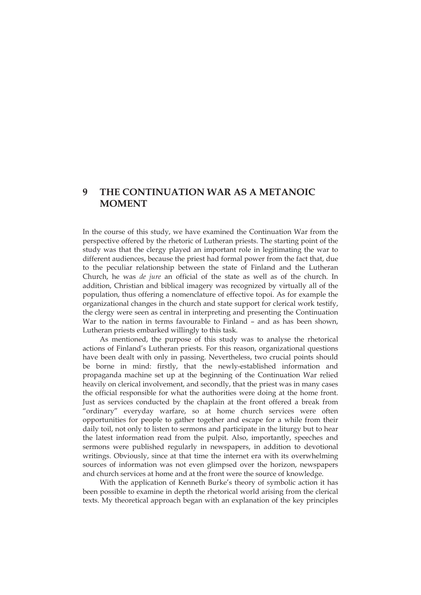## **9 THE CONTINUATION WAR AS A METANOIC MOMENT**

In the course of this study, we have examined the Continuation War from the perspective offered by the rhetoric of Lutheran priests. The starting point of the study was that the clergy played an important role in legitimating the war to different audiences, because the priest had formal power from the fact that, due to the peculiar relationship between the state of Finland and the Lutheran Church, he was *de jure* an official of the state as well as of the church. In addition, Christian and biblical imagery was recognized by virtually all of the population, thus offering a nomenclature of effective topoi. As for example the organizational changes in the church and state support for clerical work testify, the clergy were seen as central in interpreting and presenting the Continuation War to the nation in terms favourable to Finland – and as has been shown, Lutheran priests embarked willingly to this task.

As mentioned, the purpose of this study was to analyse the rhetorical actions of Finland's Lutheran priests. For this reason, organizational questions have been dealt with only in passing. Nevertheless, two crucial points should be borne in mind: firstly, that the newly-established information and propaganda machine set up at the beginning of the Continuation War relied heavily on clerical involvement, and secondly, that the priest was in many cases the official responsible for what the authorities were doing at the home front. Just as services conducted by the chaplain at the front offered a break from "ordinary" everyday warfare, so at home church services were often opportunities for people to gather together and escape for a while from their daily toil, not only to listen to sermons and participate in the liturgy but to hear the latest information read from the pulpit. Also, importantly, speeches and sermons were published regularly in newspapers, in addition to devotional writings. Obviously, since at that time the internet era with its overwhelming sources of information was not even glimpsed over the horizon, newspapers and church services at home and at the front were the source of knowledge.

With the application of Kenneth Burke's theory of symbolic action it has been possible to examine in depth the rhetorical world arising from the clerical texts. My theoretical approach began with an explanation of the key principles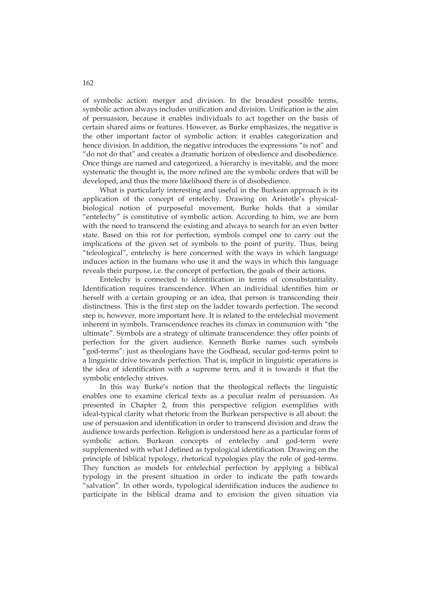of symbolic action: merger and division. In the broadest possible terms, symbolic action always includes unification and division. Unification is the aim of persuasion, because it enables individuals to act together on the basis of certain shared aims or features. However, as Burke emphasizes, the negative is the other important factor of symbolic action: it enables categorization and hence division. In addition, the negative introduces the expressions "is not" and "do not do that" and creates a dramatic horizon of obedience and disobedience. Once things are named and categorized, a hierarchy is inevitable, and the more systematic the thought is, the more refined are the symbolic orders that will be developed, and thus the more likelihood there is of disobedience.

What is particularly interesting and useful in the Burkean approach is its application of the concept of entelechy. Drawing on Aristotle's physicalbiological notion of purposeful movement, Burke holds that a similar "entelechy" is constitutive of symbolic action. According to him, we are born with the need to transcend the existing and always to search for an even better state. Based on this rot for perfection, symbols compel one to carry out the implications of the given set of symbols to the point of purity. Thus, being "teleological", entelechy is here concerned with the ways in which language induces action in the humans who use it and the ways in which this language reveals their purpose, i.e. the concept of perfection, the goals of their actions.

Entelechy is connected to identification in terms of consubstantiality. Identification requires transcendence. When an individual identifies him or herself with a certain grouping or an idea, that person is transcending their distinctness. This is the first step on the ladder towards perfection. The second step is, however, more important here. It is related to the entelechial movement inherent in symbols. Transcendence reaches its climax in communion with "the ultimate". Symbols are a strategy of ultimate transcendence: they offer points of perfection for the given audience. Kenneth Burke names such symbols "god-terms": just as theologians have the Godhead, secular god-terms point to a linguistic drive towards perfection. That is, implicit in linguistic operations is the idea of identification with a supreme term, and it is towards it that the symbolic entelechy strives.

In this way Burke's notion that the theological reflects the linguistic enables one to examine clerical texts as a peculiar realm of persuasion. As presented in Chapter 2, from this perspective religion exemplifies with ideal-typical clarity what rhetoric from the Burkean perspective is all about: the use of persuasion and identification in order to transcend division and draw the audience towards perfection. Religion is understood here as a particular form of symbolic action. Burkean concepts of entelechy and god-term were supplemented with what I defined as typological identification. Drawing on the principle of biblical typology, rhetorical typologies play the role of god-terms. They function as models for entelechial perfection by applying a biblical typology in the present situation in order to indicate the path towards "salvation". In other words, typological identification induces the audience to participate in the biblical drama and to envision the given situation via

162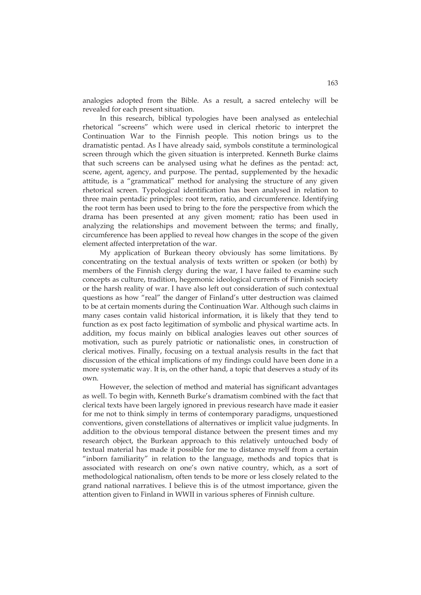analogies adopted from the Bible. As a result, a sacred entelechy will be revealed for each present situation.

In this research, biblical typologies have been analysed as entelechial rhetorical "screens" which were used in clerical rhetoric to interpret the Continuation War to the Finnish people. This notion brings us to the dramatistic pentad. As I have already said, symbols constitute a terminological screen through which the given situation is interpreted. Kenneth Burke claims that such screens can be analysed using what he defines as the pentad: act, scene, agent, agency, and purpose. The pentad, supplemented by the hexadic attitude, is a "grammatical" method for analysing the structure of any given rhetorical screen. Typological identification has been analysed in relation to three main pentadic principles: root term, ratio, and circumference. Identifying the root term has been used to bring to the fore the perspective from which the drama has been presented at any given moment; ratio has been used in analyzing the relationships and movement between the terms; and finally, circumference has been applied to reveal how changes in the scope of the given element affected interpretation of the war.

My application of Burkean theory obviously has some limitations. By concentrating on the textual analysis of texts written or spoken (or both) by members of the Finnish clergy during the war, I have failed to examine such concepts as culture, tradition, hegemonic ideological currents of Finnish society or the harsh reality of war. I have also left out consideration of such contextual questions as how "real" the danger of Finland's utter destruction was claimed to be at certain moments during the Continuation War. Although such claims in many cases contain valid historical information, it is likely that they tend to function as ex post facto legitimation of symbolic and physical wartime acts. In addition, my focus mainly on biblical analogies leaves out other sources of motivation, such as purely patriotic or nationalistic ones, in construction of clerical motives. Finally, focusing on a textual analysis results in the fact that discussion of the ethical implications of my findings could have been done in a more systematic way. It is, on the other hand, a topic that deserves a study of its own.

However, the selection of method and material has significant advantages as well. To begin with, Kenneth Burke's dramatism combined with the fact that clerical texts have been largely ignored in previous research have made it easier for me not to think simply in terms of contemporary paradigms, unquestioned conventions, given constellations of alternatives or implicit value judgments. In addition to the obvious temporal distance between the present times and my research object, the Burkean approach to this relatively untouched body of textual material has made it possible for me to distance myself from a certain "inborn familiarity" in relation to the language, methods and topics that is associated with research on one's own native country, which, as a sort of methodological nationalism, often tends to be more or less closely related to the grand national narratives. I believe this is of the utmost importance, given the attention given to Finland in WWII in various spheres of Finnish culture.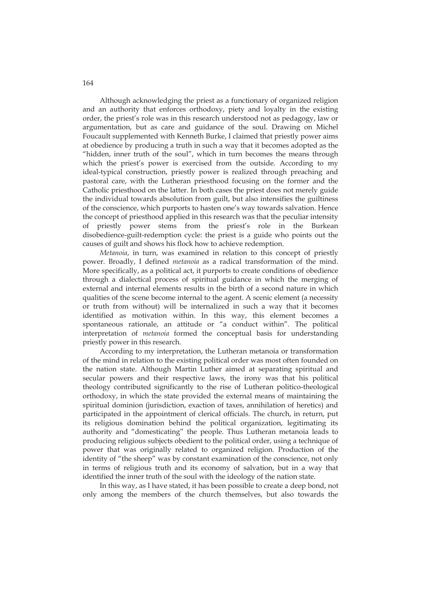Although acknowledging the priest as a functionary of organized religion and an authority that enforces orthodoxy, piety and loyalty in the existing order, the priest's role was in this research understood not as pedagogy, law or argumentation, but as care and guidance of the soul. Drawing on Michel Foucault supplemented with Kenneth Burke, I claimed that priestly power aims at obedience by producing a truth in such a way that it becomes adopted as the "hidden, inner truth of the soul", which in turn becomes the means through which the priest's power is exercised from the outside. According to my ideal-typical construction, priestly power is realized through preaching and pastoral care, with the Lutheran priesthood focusing on the former and the Catholic priesthood on the latter. In both cases the priest does not merely guide the individual towards absolution from guilt, but also intensifies the guiltiness of the conscience, which purports to hasten one's way towards salvation. Hence the concept of priesthood applied in this research was that the peculiar intensity of priestly power stems from the priest's role in the Burkean disobedience-guilt-redemption cycle: the priest is a guide who points out the causes of guilt and shows his flock how to achieve redemption.

*Metanoia*, in turn, was examined in relation to this concept of priestly power. Broadly, I defined *metanoia* as a radical transformation of the mind. More specifically, as a political act, it purports to create conditions of obedience through a dialectical process of spiritual guidance in which the merging of external and internal elements results in the birth of a second nature in which qualities of the scene become internal to the agent. A scenic element (a necessity or truth from without) will be internalized in such a way that it becomes identified as motivation within. In this way, this element becomes a spontaneous rationale, an attitude or "a conduct within". The political interpretation of *metanoia* formed the conceptual basis for understanding priestly power in this research.

According to my interpretation, the Lutheran metanoia or transformation of the mind in relation to the existing political order was most often founded on the nation state. Although Martin Luther aimed at separating spiritual and secular powers and their respective laws, the irony was that his political theology contributed significantly to the rise of Lutheran politico-theological orthodoxy, in which the state provided the external means of maintaining the spiritual dominion (jurisdiction, exaction of taxes, annihilation of heretics) and participated in the appointment of clerical officials. The church, in return, put its religious domination behind the political organization, legitimating its authority and "domesticating" the people. Thus Lutheran metanoia leads to producing religious subjects obedient to the political order, using a technique of power that was originally related to organized religion. Production of the identity of "the sheep" was by constant examination of the conscience, not only in terms of religious truth and its economy of salvation, but in a way that identified the inner truth of the soul with the ideology of the nation state.

In this way, as I have stated, it has been possible to create a deep bond, not only among the members of the church themselves, but also towards the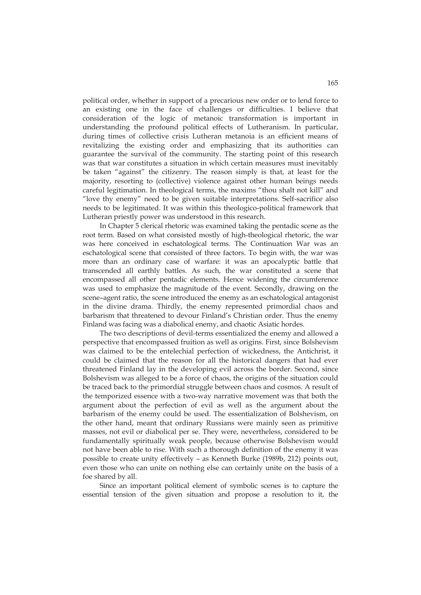political order, whether in support of a precarious new order or to lend force to an existing one in the face of challenges or difficulties. I believe that consideration of the logic of metanoic transformation is important in understanding the profound political effects of Lutheranism. In particular, during times of collective crisis Lutheran metanoia is an efficient means of revitalizing the existing order and emphasizing that its authorities can guarantee the survival of the community. The starting point of this research was that war constitutes a situation in which certain measures must inevitably be taken "against" the citizenry. The reason simply is that, at least for the majority, resorting to (collective) violence against other human beings needs careful legitimation. In theological terms, the maxims "thou shalt not kill" and "love thy enemy" need to be given suitable interpretations. Self-sacrifice also needs to be legitimated. It was within this theologico-political framework that Lutheran priestly power was understood in this research.

In Chapter 5 clerical rhetoric was examined taking the pentadic scene as the root term. Based on what consisted mostly of high-theological rhetoric, the war was here conceived in eschatological terms. The Continuation War was an eschatological scene that consisted of three factors. To begin with, the war was more than an ordinary case of warfare: it was an apocalyptic battle that transcended all earthly battles. As such, the war constituted a scene that encompassed all other pentadic elements. Hence widening the circumference was used to emphasize the magnitude of the event. Secondly, drawing on the scene–agent ratio, the scene introduced the enemy as an eschatological antagonist in the divine drama. Thirdly, the enemy represented primordial chaos and barbarism that threatened to devour Finland's Christian order. Thus the enemy Finland was facing was a diabolical enemy, and chaotic Asiatic hordes.

The two descriptions of devil-terms essentialized the enemy and allowed a perspective that encompassed fruition as well as origins. First, since Bolshevism was claimed to be the entelechial perfection of wickedness, the Antichrist, it could be claimed that the reason for all the historical dangers that had ever threatened Finland lay in the developing evil across the border. Second, since Bolshevism was alleged to be a force of chaos, the origins of the situation could be traced back to the primordial struggle between chaos and cosmos. A result of the temporized essence with a two-way narrative movement was that both the argument about the perfection of evil as well as the argument about the barbarism of the enemy could be used. The essentialization of Bolshevism, on the other hand, meant that ordinary Russians were mainly seen as primitive masses, not evil or diabolical per se. They were, nevertheless, considered to be fundamentally spiritually weak people, because otherwise Bolshevism would not have been able to rise. With such a thorough definition of the enemy it was possible to create unity effectively – as Kenneth Burke (1989b, 212) points out, even those who can unite on nothing else can certainly unite on the basis of a foe shared by all.

Since an important political element of symbolic scenes is to capture the essential tension of the given situation and propose a resolution to it, the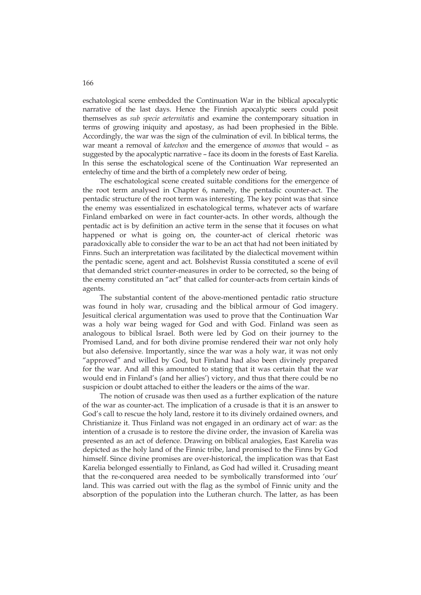eschatological scene embedded the Continuation War in the biblical apocalyptic narrative of the last days. Hence the Finnish apocalyptic seers could posit themselves as *sub specie aeternitatis* and examine the contemporary situation in terms of growing iniquity and apostasy, as had been prophesied in the Bible. Accordingly, the war was the sign of the culmination of evil. In biblical terms, the war meant a removal of *katechon* and the emergence of *anomos* that would – as suggested by the apocalyptic narrative – face its doom in the forests of East Karelia. In this sense the eschatological scene of the Continuation War represented an entelechy of time and the birth of a completely new order of being.

The eschatological scene created suitable conditions for the emergence of the root term analysed in Chapter 6, namely, the pentadic counter-act. The pentadic structure of the root term was interesting. The key point was that since the enemy was essentialized in eschatological terms, whatever acts of warfare Finland embarked on were in fact counter-acts. In other words, although the pentadic act is by definition an active term in the sense that it focuses on what happened or what is going on, the counter-act of clerical rhetoric was paradoxically able to consider the war to be an act that had not been initiated by Finns. Such an interpretation was facilitated by the dialectical movement within the pentadic scene, agent and act. Bolshevist Russia constituted a scene of evil that demanded strict counter-measures in order to be corrected, so the being of the enemy constituted an "act" that called for counter-acts from certain kinds of agents.

The substantial content of the above-mentioned pentadic ratio structure was found in holy war, crusading and the biblical armour of God imagery. Jesuitical clerical argumentation was used to prove that the Continuation War was a holy war being waged for God and with God. Finland was seen as analogous to biblical Israel. Both were led by God on their journey to the Promised Land, and for both divine promise rendered their war not only holy but also defensive. Importantly, since the war was a holy war, it was not only "approved" and willed by God, but Finland had also been divinely prepared for the war. And all this amounted to stating that it was certain that the war would end in Finland's (and her allies') victory, and thus that there could be no suspicion or doubt attached to either the leaders or the aims of the war.

The notion of crusade was then used as a further explication of the nature of the war as counter-act. The implication of a crusade is that it is an answer to God's call to rescue the holy land, restore it to its divinely ordained owners, and Christianize it. Thus Finland was not engaged in an ordinary act of war: as the intention of a crusade is to restore the divine order, the invasion of Karelia was presented as an act of defence. Drawing on biblical analogies, East Karelia was depicted as the holy land of the Finnic tribe, land promised to the Finns by God himself. Since divine promises are over-historical, the implication was that East Karelia belonged essentially to Finland, as God had willed it. Crusading meant that the re-conquered area needed to be symbolically transformed into 'our' land. This was carried out with the flag as the symbol of Finnic unity and the absorption of the population into the Lutheran church. The latter, as has been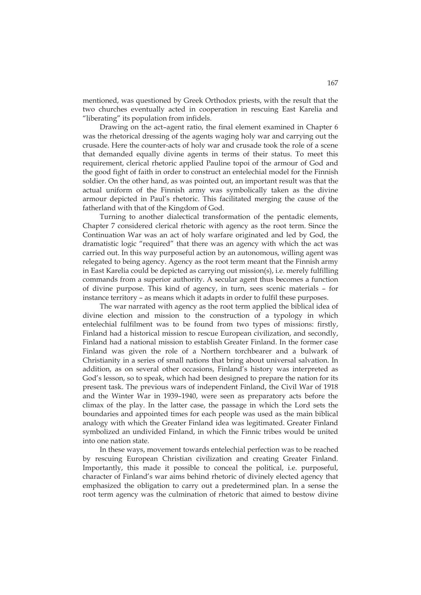mentioned, was questioned by Greek Orthodox priests, with the result that the two churches eventually acted in cooperation in rescuing East Karelia and "liberating" its population from infidels.

Drawing on the act–agent ratio, the final element examined in Chapter 6 was the rhetorical dressing of the agents waging holy war and carrying out the crusade. Here the counter-acts of holy war and crusade took the role of a scene that demanded equally divine agents in terms of their status. To meet this requirement, clerical rhetoric applied Pauline topoi of the armour of God and the good fight of faith in order to construct an entelechial model for the Finnish soldier. On the other hand, as was pointed out, an important result was that the actual uniform of the Finnish army was symbolically taken as the divine armour depicted in Paul's rhetoric. This facilitated merging the cause of the fatherland with that of the Kingdom of God.

Turning to another dialectical transformation of the pentadic elements, Chapter 7 considered clerical rhetoric with agency as the root term. Since the Continuation War was an act of holy warfare originated and led by God, the dramatistic logic "required" that there was an agency with which the act was carried out. In this way purposeful action by an autonomous, willing agent was relegated to being agency. Agency as the root term meant that the Finnish army in East Karelia could be depicted as carrying out mission(s), i.e. merely fulfilling commands from a superior authority. A secular agent thus becomes a function of divine purpose. This kind of agency, in turn, sees scenic materials – for instance territory – as means which it adapts in order to fulfil these purposes.

The war narrated with agency as the root term applied the biblical idea of divine election and mission to the construction of a typology in which entelechial fulfilment was to be found from two types of missions: firstly, Finland had a historical mission to rescue European civilization, and secondly, Finland had a national mission to establish Greater Finland. In the former case Finland was given the role of a Northern torchbearer and a bulwark of Christianity in a series of small nations that bring about universal salvation. In addition, as on several other occasions, Finland's history was interpreted as God's lesson, so to speak, which had been designed to prepare the nation for its present task. The previous wars of independent Finland, the Civil War of 1918 and the Winter War in 1939–1940, were seen as preparatory acts before the climax of the play. In the latter case, the passage in which the Lord sets the boundaries and appointed times for each people was used as the main biblical analogy with which the Greater Finland idea was legitimated. Greater Finland symbolized an undivided Finland, in which the Finnic tribes would be united into one nation state.

In these ways, movement towards entelechial perfection was to be reached by rescuing European Christian civilization and creating Greater Finland. Importantly, this made it possible to conceal the political, i.e. purposeful, character of Finland's war aims behind rhetoric of divinely elected agency that emphasized the obligation to carry out a predetermined plan. In a sense the root term agency was the culmination of rhetoric that aimed to bestow divine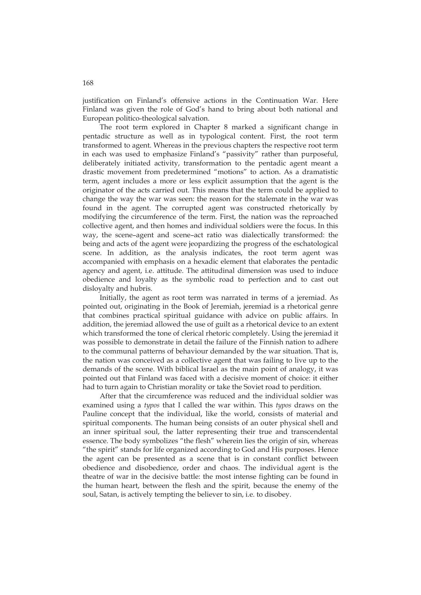justification on Finland's offensive actions in the Continuation War. Here Finland was given the role of God's hand to bring about both national and European politico-theological salvation.

The root term explored in Chapter 8 marked a significant change in pentadic structure as well as in typological content. First, the root term transformed to agent. Whereas in the previous chapters the respective root term in each was used to emphasize Finland's "passivity" rather than purposeful, deliberately initiated activity, transformation to the pentadic agent meant a drastic movement from predetermined "motions" to action. As a dramatistic term, agent includes a more or less explicit assumption that the agent is the originator of the acts carried out. This means that the term could be applied to change the way the war was seen: the reason for the stalemate in the war was found in the agent. The corrupted agent was constructed rhetorically by modifying the circumference of the term. First, the nation was the reproached collective agent, and then homes and individual soldiers were the focus. In this way, the scene–agent and scene–act ratio was dialectically transformed: the being and acts of the agent were jeopardizing the progress of the eschatological scene. In addition, as the analysis indicates, the root term agent was accompanied with emphasis on a hexadic element that elaborates the pentadic agency and agent, i.e. attitude. The attitudinal dimension was used to induce obedience and loyalty as the symbolic road to perfection and to cast out disloyalty and hubris.

Initially, the agent as root term was narrated in terms of a jeremiad. As pointed out, originating in the Book of Jeremiah, jeremiad is a rhetorical genre that combines practical spiritual guidance with advice on public affairs. In addition, the jeremiad allowed the use of guilt as a rhetorical device to an extent which transformed the tone of clerical rhetoric completely. Using the jeremiad it was possible to demonstrate in detail the failure of the Finnish nation to adhere to the communal patterns of behaviour demanded by the war situation. That is, the nation was conceived as a collective agent that was failing to live up to the demands of the scene. With biblical Israel as the main point of analogy, it was pointed out that Finland was faced with a decisive moment of choice: it either had to turn again to Christian morality or take the Soviet road to perdition.

After that the circumference was reduced and the individual soldier was examined using a *typos* that I called the war within. This *typos* draws on the Pauline concept that the individual, like the world, consists of material and spiritual components. The human being consists of an outer physical shell and an inner spiritual soul, the latter representing their true and transcendental essence. The body symbolizes "the flesh" wherein lies the origin of sin, whereas "the spirit" stands for life organized according to God and His purposes. Hence the agent can be presented as a scene that is in constant conflict between obedience and disobedience, order and chaos. The individual agent is the theatre of war in the decisive battle: the most intense fighting can be found in the human heart, between the flesh and the spirit, because the enemy of the soul, Satan, is actively tempting the believer to sin, i.e. to disobey.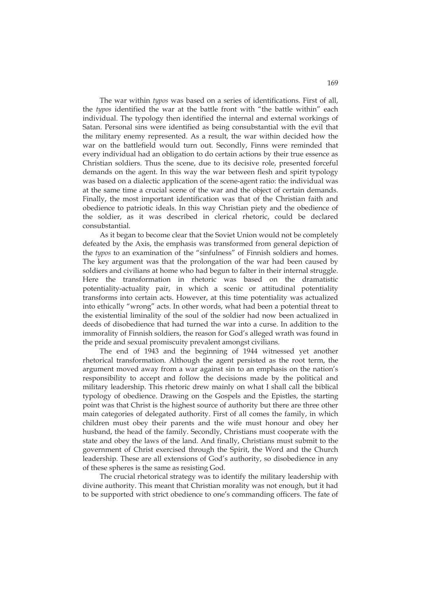The war within *typos* was based on a series of identifications. First of all, the *typos* identified the war at the battle front with "the battle within" each individual. The typology then identified the internal and external workings of Satan. Personal sins were identified as being consubstantial with the evil that the military enemy represented. As a result, the war within decided how the war on the battlefield would turn out. Secondly, Finns were reminded that every individual had an obligation to do certain actions by their true essence as Christian soldiers. Thus the scene, due to its decisive role, presented forceful demands on the agent. In this way the war between flesh and spirit typology was based on a dialectic application of the scene-agent ratio: the individual was at the same time a crucial scene of the war and the object of certain demands. Finally, the most important identification was that of the Christian faith and obedience to patriotic ideals. In this way Christian piety and the obedience of the soldier, as it was described in clerical rhetoric, could be declared consubstantial.

As it began to become clear that the Soviet Union would not be completely defeated by the Axis, the emphasis was transformed from general depiction of the *typos* to an examination of the "sinfulness" of Finnish soldiers and homes. The key argument was that the prolongation of the war had been caused by soldiers and civilians at home who had begun to falter in their internal struggle. Here the transformation in rhetoric was based on the dramatistic potentiality-actuality pair, in which a scenic or attitudinal potentiality transforms into certain acts. However, at this time potentiality was actualized into ethically "wrong" acts. In other words, what had been a potential threat to the existential liminality of the soul of the soldier had now been actualized in deeds of disobedience that had turned the war into a curse. In addition to the immorality of Finnish soldiers, the reason for God's alleged wrath was found in the pride and sexual promiscuity prevalent amongst civilians.

The end of 1943 and the beginning of 1944 witnessed yet another rhetorical transformation. Although the agent persisted as the root term, the argument moved away from a war against sin to an emphasis on the nation's responsibility to accept and follow the decisions made by the political and military leadership. This rhetoric drew mainly on what I shall call the biblical typology of obedience. Drawing on the Gospels and the Epistles, the starting point was that Christ is the highest source of authority but there are three other main categories of delegated authority. First of all comes the family, in which children must obey their parents and the wife must honour and obey her husband, the head of the family. Secondly, Christians must cooperate with the state and obey the laws of the land. And finally, Christians must submit to the government of Christ exercised through the Spirit, the Word and the Church leadership. These are all extensions of God's authority, so disobedience in any of these spheres is the same as resisting God.

The crucial rhetorical strategy was to identify the military leadership with divine authority. This meant that Christian morality was not enough, but it had to be supported with strict obedience to one's commanding officers. The fate of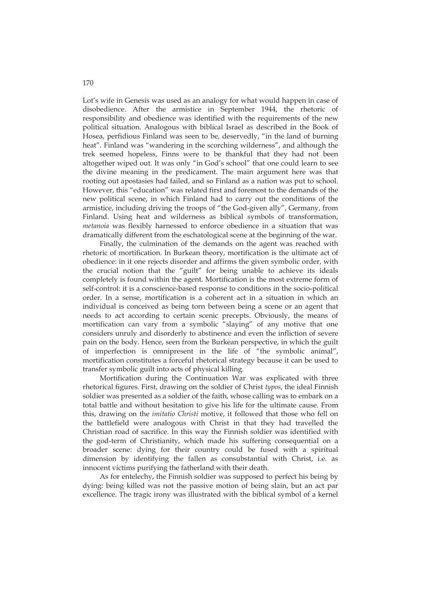Lot's wife in Genesis was used as an analogy for what would happen in case of disobedience. After the armistice in September 1944, the rhetoric of responsibility and obedience was identified with the requirements of the new political situation. Analogous with biblical Israel as described in the Book of Hosea, perfidious Finland was seen to be, deservedly, "in the land of burning heat". Finland was "wandering in the scorching wilderness", and although the trek seemed hopeless, Finns were to be thankful that they had not been altogether wiped out. It was only "in God's school" that one could learn to see the divine meaning in the predicament. The main argument here was that rooting out apostasies had failed, and so Finland as a nation was put to school. However, this "education" was related first and foremost to the demands of the new political scene, in which Finland had to carry out the conditions of the armistice, including driving the troops of "the God-given ally", Germany, from Finland. Using heat and wilderness as biblical symbols of transformation, *metanoia* was flexibly harnessed to enforce obedience in a situation that was dramatically different from the eschatological scene at the beginning of the war.

Finally, the culmination of the demands on the agent was reached with rhetoric of mortification. In Burkean theory, mortification is the ultimate act of obedience: in it one rejects disorder and affirms the given symbolic order, with the crucial notion that the "guilt" for being unable to achieve its ideals completely is found within the agent. Mortification is the most extreme form of self-control: it is a conscience-based response to conditions in the socio-political order. In a sense, mortification is a coherent act in a situation in which an individual is conceived as being torn between being a scene or an agent that needs to act according to certain scenic precepts. Obviously, the means of mortification can vary from a symbolic "slaying" of any motive that one considers unruly and disorderly to abstinence and even the infliction of severe pain on the body. Hence, seen from the Burkean perspective, in which the guilt of imperfection is omnipresent in the life of "the symbolic animal", mortification constitutes a forceful rhetorical strategy because it can be used to transfer symbolic guilt into acts of physical killing.

Mortification during the Continuation War was explicated with three rhetorical figures. First, drawing on the soldier of Christ *typos*, the ideal Finnish soldier was presented as a soldier of the faith, whose calling was to embark on a total battle and without hesitation to give his life for the ultimate cause. From this, drawing on the *imitatio Christi* motive, it followed that those who fell on the battlefield were analogous with Christ in that they had travelled the Christian road of sacrifice. In this way the Finnish soldier was identified with the god-term of Christianity, which made his suffering consequential on a broader scene: dying for their country could be fused with a spiritual dimension by identifying the fallen as consubstantial with Christ, i.e. as innocent victims purifying the fatherland with their death.

As for entelechy, the Finnish soldier was supposed to perfect his being by dying: being killed was not the passive motion of being slain, but an act par excellence. The tragic irony was illustrated with the biblical symbol of a kernel

170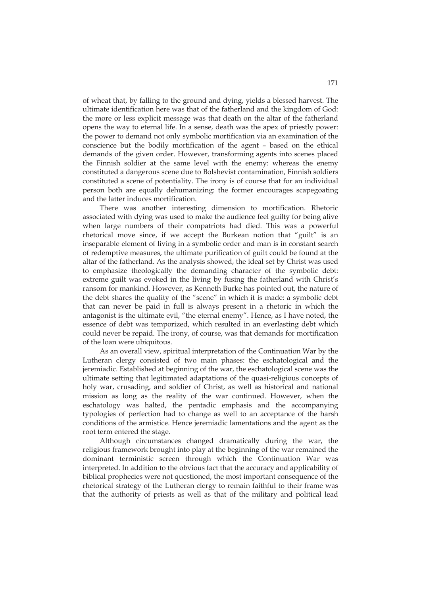of wheat that, by falling to the ground and dying, yields a blessed harvest. The ultimate identification here was that of the fatherland and the kingdom of God: the more or less explicit message was that death on the altar of the fatherland opens the way to eternal life. In a sense, death was the apex of priestly power: the power to demand not only symbolic mortification via an examination of the conscience but the bodily mortification of the agent – based on the ethical demands of the given order. However, transforming agents into scenes placed the Finnish soldier at the same level with the enemy: whereas the enemy constituted a dangerous scene due to Bolshevist contamination, Finnish soldiers constituted a scene of potentiality. The irony is of course that for an individual person both are equally dehumanizing: the former encourages scapegoating and the latter induces mortification.

There was another interesting dimension to mortification. Rhetoric associated with dying was used to make the audience feel guilty for being alive when large numbers of their compatriots had died. This was a powerful rhetorical move since, if we accept the Burkean notion that "guilt" is an inseparable element of living in a symbolic order and man is in constant search of redemptive measures, the ultimate purification of guilt could be found at the altar of the fatherland. As the analysis showed, the ideal set by Christ was used to emphasize theologically the demanding character of the symbolic debt: extreme guilt was evoked in the living by fusing the fatherland with Christ's ransom for mankind. However, as Kenneth Burke has pointed out, the nature of the debt shares the quality of the "scene" in which it is made: a symbolic debt that can never be paid in full is always present in a rhetoric in which the antagonist is the ultimate evil, "the eternal enemy". Hence, as I have noted, the essence of debt was temporized, which resulted in an everlasting debt which could never be repaid. The irony, of course, was that demands for mortification of the loan were ubiquitous.

As an overall view, spiritual interpretation of the Continuation War by the Lutheran clergy consisted of two main phases: the eschatological and the jeremiadic. Established at beginning of the war, the eschatological scene was the ultimate setting that legitimated adaptations of the quasi-religious concepts of holy war, crusading, and soldier of Christ, as well as historical and national mission as long as the reality of the war continued. However, when the eschatology was halted, the pentadic emphasis and the accompanying typologies of perfection had to change as well to an acceptance of the harsh conditions of the armistice. Hence jeremiadic lamentations and the agent as the root term entered the stage.

Although circumstances changed dramatically during the war, the religious framework brought into play at the beginning of the war remained the dominant terministic screen through which the Continuation War was interpreted. In addition to the obvious fact that the accuracy and applicability of biblical prophecies were not questioned, the most important consequence of the rhetorical strategy of the Lutheran clergy to remain faithful to their frame was that the authority of priests as well as that of the military and political lead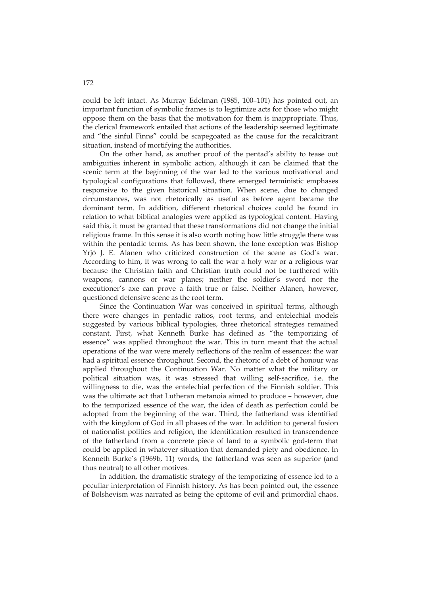could be left intact. As Murray Edelman (1985, 100–101) has pointed out, an important function of symbolic frames is to legitimize acts for those who might oppose them on the basis that the motivation for them is inappropriate. Thus, the clerical framework entailed that actions of the leadership seemed legitimate and "the sinful Finns" could be scapegoated as the cause for the recalcitrant situation, instead of mortifying the authorities.

On the other hand, as another proof of the pentad's ability to tease out ambiguities inherent in symbolic action, although it can be claimed that the scenic term at the beginning of the war led to the various motivational and typological configurations that followed, there emerged terministic emphases responsive to the given historical situation. When scene, due to changed circumstances, was not rhetorically as useful as before agent became the dominant term. In addition, different rhetorical choices could be found in relation to what biblical analogies were applied as typological content. Having said this, it must be granted that these transformations did not change the initial religious frame. In this sense it is also worth noting how little struggle there was within the pentadic terms. As has been shown, the lone exception was Bishop Yrjö J. E. Alanen who criticized construction of the scene as God's war. According to him, it was wrong to call the war a holy war or a religious war because the Christian faith and Christian truth could not be furthered with weapons, cannons or war planes; neither the soldier's sword nor the executioner's axe can prove a faith true or false. Neither Alanen, however, questioned defensive scene as the root term.

Since the Continuation War was conceived in spiritual terms, although there were changes in pentadic ratios, root terms, and entelechial models suggested by various biblical typologies, three rhetorical strategies remained constant. First, what Kenneth Burke has defined as "the temporizing of essence" was applied throughout the war. This in turn meant that the actual operations of the war were merely reflections of the realm of essences: the war had a spiritual essence throughout. Second, the rhetoric of a debt of honour was applied throughout the Continuation War. No matter what the military or political situation was, it was stressed that willing self-sacrifice, i.e. the willingness to die, was the entelechial perfection of the Finnish soldier. This was the ultimate act that Lutheran metanoia aimed to produce – however, due to the temporized essence of the war, the idea of death as perfection could be adopted from the beginning of the war. Third, the fatherland was identified with the kingdom of God in all phases of the war. In addition to general fusion of nationalist politics and religion, the identification resulted in transcendence of the fatherland from a concrete piece of land to a symbolic god-term that could be applied in whatever situation that demanded piety and obedience. In Kenneth Burke's (1969b, 11) words, the fatherland was seen as superior (and thus neutral) to all other motives.

In addition, the dramatistic strategy of the temporizing of essence led to a peculiar interpretation of Finnish history. As has been pointed out, the essence of Bolshevism was narrated as being the epitome of evil and primordial chaos.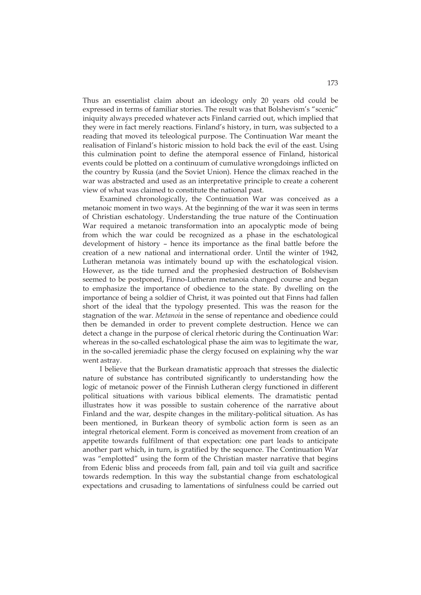Thus an essentialist claim about an ideology only 20 years old could be expressed in terms of familiar stories. The result was that Bolshevism's "scenic" iniquity always preceded whatever acts Finland carried out, which implied that they were in fact merely reactions. Finland's history, in turn, was subjected to a reading that moved its teleological purpose. The Continuation War meant the realisation of Finland's historic mission to hold back the evil of the east. Using this culmination point to define the atemporal essence of Finland, historical events could be plotted on a continuum of cumulative wrongdoings inflicted on the country by Russia (and the Soviet Union). Hence the climax reached in the war was abstracted and used as an interpretative principle to create a coherent view of what was claimed to constitute the national past.

Examined chronologically, the Continuation War was conceived as a metanoic moment in two ways. At the beginning of the war it was seen in terms of Christian eschatology. Understanding the true nature of the Continuation War required a metanoic transformation into an apocalyptic mode of being from which the war could be recognized as a phase in the eschatological development of history – hence its importance as the final battle before the creation of a new national and international order. Until the winter of 1942, Lutheran metanoia was intimately bound up with the eschatological vision. However, as the tide turned and the prophesied destruction of Bolshevism seemed to be postponed, Finno-Lutheran metanoia changed course and began to emphasize the importance of obedience to the state. By dwelling on the importance of being a soldier of Christ, it was pointed out that Finns had fallen short of the ideal that the typology presented. This was the reason for the stagnation of the war. *Metanoia* in the sense of repentance and obedience could then be demanded in order to prevent complete destruction. Hence we can detect a change in the purpose of clerical rhetoric during the Continuation War: whereas in the so-called eschatological phase the aim was to legitimate the war, in the so-called jeremiadic phase the clergy focused on explaining why the war went astray.

I believe that the Burkean dramatistic approach that stresses the dialectic nature of substance has contributed significantly to understanding how the logic of metanoic power of the Finnish Lutheran clergy functioned in different political situations with various biblical elements. The dramatistic pentad illustrates how it was possible to sustain coherence of the narrative about Finland and the war, despite changes in the military-political situation. As has been mentioned, in Burkean theory of symbolic action form is seen as an integral rhetorical element. Form is conceived as movement from creation of an appetite towards fulfilment of that expectation: one part leads to anticipate another part which, in turn, is gratified by the sequence. The Continuation War was "emplotted" using the form of the Christian master narrative that begins from Edenic bliss and proceeds from fall, pain and toil via guilt and sacrifice towards redemption. In this way the substantial change from eschatological expectations and crusading to lamentations of sinfulness could be carried out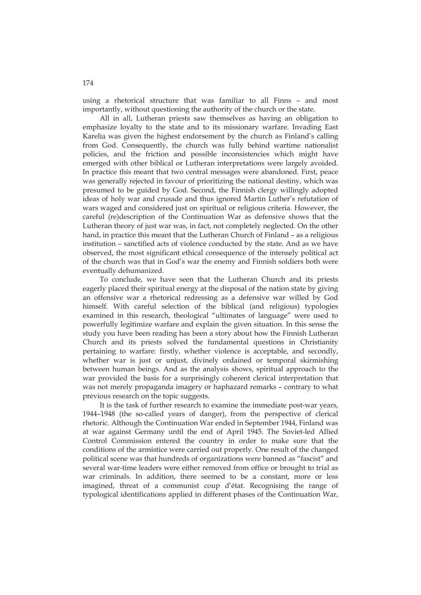using a rhetorical structure that was familiar to all Finns – and most importantly, without questioning the authority of the church or the state.

All in all, Lutheran priests saw themselves as having an obligation to emphasize loyalty to the state and to its missionary warfare. Invading East Karelia was given the highest endorsement by the church as Finland's calling from God. Consequently, the church was fully behind wartime nationalist policies, and the friction and possible inconsistencies which might have emerged with other biblical or Lutheran interpretations were largely avoided. In practice this meant that two central messages were abandoned. First, peace was generally rejected in favour of prioritizing the national destiny, which was presumed to be guided by God. Second, the Finnish clergy willingly adopted ideas of holy war and crusade and thus ignored Martin Luther's refutation of wars waged and considered just on spiritual or religious criteria. However, the careful (re)description of the Continuation War as defensive shows that the Lutheran theory of just war was, in fact, not completely neglected. On the other hand, in practice this meant that the Lutheran Church of Finland – as a religious institution – sanctified acts of violence conducted by the state. And as we have observed, the most significant ethical consequence of the intensely political act of the church was that in God's war the enemy and Finnish soldiers both were eventually dehumanized.

To conclude, we have seen that the Lutheran Church and its priests eagerly placed their spiritual energy at the disposal of the nation state by giving an offensive war a rhetorical redressing as a defensive war willed by God himself. With careful selection of the biblical (and religious) typologies examined in this research, theological "ultimates of language" were used to powerfully legitimize warfare and explain the given situation. In this sense the study you have been reading has been a story about how the Finnish Lutheran Church and its priests solved the fundamental questions in Christianity pertaining to warfare: firstly, whether violence is acceptable, and secondly, whether war is just or unjust, divinely ordained or temporal skirmishing between human beings. And as the analysis shows, spiritual approach to the war provided the basis for a surprisingly coherent clerical interpretation that was not merely propaganda imagery or haphazard remarks – contrary to what previous research on the topic suggests.

It is the task of further research to examine the immediate post-war years, 1944–1948 (the so-called years of danger), from the perspective of clerical rhetoric. Although the Continuation War ended in September 1944, Finland was at war against Germany until the end of April 1945. The Soviet-led Allied Control Commission entered the country in order to make sure that the conditions of the armistice were carried out properly. One result of the changed political scene was that hundreds of organizations were banned as "fascist" and several war-time leaders were either removed from office or brought to trial as war criminals. In addition, there seemed to be a constant, more or less imagined, threat of a communist coup d'état. Recognising the range of typological identifications applied in different phases of the Continuation War,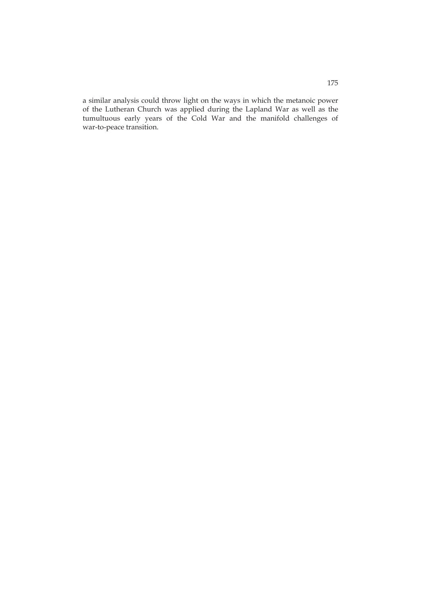a similar analysis could throw light on the ways in which the metanoic power of the Lutheran Church was applied during the Lapland War as well as the tumultuous early years of the Cold War and the manifold challenges of war-to-peace transition.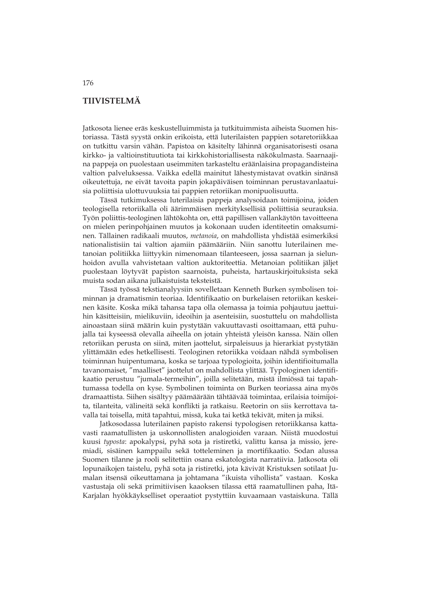## **TIIVISTELMÄ**

Jatkosota lienee eräs keskustelluimmista ja tutkituimmista aiheista Suomen historiassa. Tästä syystä onkin erikoista, että luterilaisten pappien sotaretoriikkaa on tutkittu varsin vähän. Papistoa on käsitelty lähinnä organisatorisesti osana kirkko- ja valtioinstituutiota tai kirkkohistoriallisesta näkökulmasta. Saarnaajina pappeja on puolestaan useimmiten tarkasteltu eräänlaisina propagandisteina valtion palveluksessa. Vaikka edellä mainitut lähestymistavat ovatkin sinänsä oikeutettuja, ne eivät tavoita papin jokapäiväisen toiminnan perustavanlaatuisia poliittisia ulottuvuuksia tai pappien retoriikan monipuolisuutta.

Tässä tutkimuksessa luterilaisia pappeja analysoidaan toimijoina, joiden teologisella retoriikalla oli äärimmäisen merkityksellisiä poliittisia seurauksia. Työn poliittis-teologinen lähtökohta on, että papillisen vallankäytön tavoitteena on mielen perinpohjainen muutos ja kokonaan uuden identiteetin omaksuminen. Tällainen radikaali muutos, *metanoia*, on mahdollista yhdistää esimerkiksi nationalistisiin tai valtion ajamiin päämääriin. Niin sanottu luterilainen metanoian politiikka liittyykin nimenomaan tilanteeseen, jossa saarnan ja sielunhoidon avulla vahvistetaan valtion auktoriteettia. Metanoian politiikan jäljet puolestaan löytyvät papiston saarnoista, puheista, hartauskirjoituksista sekä muista sodan aikana julkaistuista teksteistä.

Tässä työssä tekstianalyysiin sovelletaan Kenneth Burken symbolisen toiminnan ja dramatismin teoriaa. Identifikaatio on burkelaisen retoriikan keskeinen käsite. Koska mikä tahansa tapa olla olemassa ja toimia pohjautuu jaettuihin käsitteisiin, mielikuviin, ideoihin ja asenteisiin, suostuttelu on mahdollista ainoastaan siinä määrin kuin pystytään vakuuttavasti osoittamaan, että puhujalla tai kyseessä olevalla aiheella on jotain yhteistä yleisön kanssa. Näin ollen retoriikan perusta on siinä, miten jaottelut, sirpaleisuus ja hierarkiat pystytään ylittämään edes hetkellisesti. Teologinen retoriikka voidaan nähdä symbolisen toiminnan huipentumana, koska se tarjoaa typologioita, joihin identifioitumalla tavanomaiset, "maalliset" jaottelut on mahdollista ylittää. Typologinen identifikaatio perustuu "jumala-termeihin", joilla selitetään, mistä ilmiössä tai tapahtumassa todella on kyse. Symbolinen toiminta on Burken teoriassa aina myös dramaattista. Siihen sisältyy päämäärään tähtäävää toimintaa, erilaisia toimijoita, tilanteita, välineitä sekä konflikti ja ratkaisu. Reetorin on siis kerrottava tavalla tai toisella, mitä tapahtui, missä, kuka tai ketkä tekivät, miten ja miksi.

Jatkosodassa luterilainen papisto rakensi typologisen retoriikkansa kattavasti raamatullisten ja uskonnollisten analogioiden varaan. Niistä muodostui kuusi *typosta*: apokalypsi, pyhä sota ja ristiretki, valittu kansa ja missio, jeremiadi, sisäinen kamppailu sekä totteleminen ja mortifikaatio. Sodan alussa Suomen tilanne ja rooli selitettiin osana eskatologista narratiivia. Jatkosota oli lopunaikojen taistelu, pyhä sota ja ristiretki, jota kävivät Kristuksen sotilaat Jumalan itsensä oikeuttamana ja johtamana "ikuista vihollista" vastaan. Koska vastustaja oli sekä primitiivisen kaaoksen tilassa että raamatullinen paha, Itä-Karjalan hyökkäykselliset operaatiot pystyttiin kuvaamaan vastaiskuna. Tällä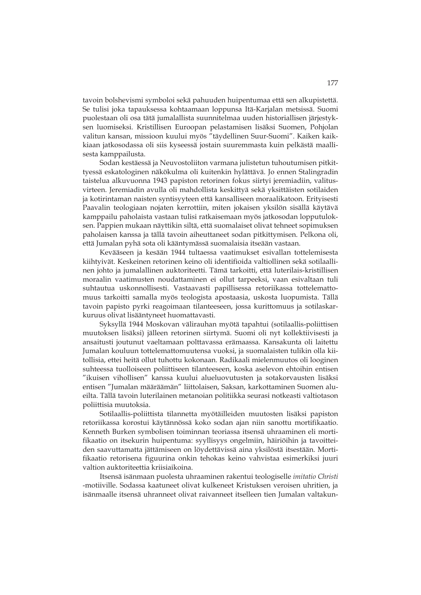tavoin bolshevismi symboloi sekä pahuuden huipentumaa että sen alkupistettä. Se tulisi joka tapauksessa kohtaamaan loppunsa Itä-Karjalan metsissä. Suomi puolestaan oli osa tätä jumalallista suunnitelmaa uuden historiallisen järjestyksen luomiseksi. Kristillisen Euroopan pelastamisen lisäksi Suomen, Pohjolan valitun kansan, missioon kuului myös "täydellinen Suur-Suomi". Kaiken kaikkiaan jatkosodassa oli siis kyseessä jostain suuremmasta kuin pelkästä maallisesta kamppailusta.

Sodan kestäessä ja Neuvostoliiton varmana julistetun tuhoutumisen pitkittyessä eskatologinen näkökulma oli kuitenkin hylättävä. Jo ennen Stalingradin taistelua alkuvuonna 1943 papiston retorinen fokus siirtyi jeremiadiin, valitusvirteen. Jeremiadin avulla oli mahdollista keskittyä sekä yksittäisten sotilaiden ja kotirintaman naisten syntisyyteen että kansalliseen moraalikatoon. Erityisesti Paavalin teologiaan nojaten kerrottiin, miten jokaisen yksilön sisällä käytävä kamppailu paholaista vastaan tulisi ratkaisemaan myös jatkosodan lopputuloksen. Pappien mukaan näyttikin siltä, että suomalaiset olivat tehneet sopimuksen paholaisen kanssa ja tällä tavoin aiheuttaneet sodan pitkittymisen. Pelkona oli, että Jumalan pyhä sota oli kääntymässä suomalaisia itseään vastaan.

Kevääseen ja kesään 1944 tultaessa vaatimukset esivallan tottelemisesta kiihtyivät. Keskeinen retorinen keino oli identifioida valtiollinen sekä sotilaallinen johto ja jumalallinen auktoriteetti. Tämä tarkoitti, että luterilais-kristillisen moraalin vaatimusten noudattaminen ei ollut tarpeeksi, vaan esivaltaan tuli suhtautua uskonnollisesti. Vastaavasti papillisessa retoriikassa tottelemattomuus tarkoitti samalla myös teologista apostaasia, uskosta luopumista. Tällä tavoin papisto pyrki reagoimaan tilanteeseen, jossa kurittomuus ja sotilaskarkuruus olivat lisääntyneet huomattavasti.

Syksyllä 1944 Moskovan välirauhan myötä tapahtui (sotilaallis-poliittisen muutoksen lisäksi) jälleen retorinen siirtymä. Suomi oli nyt kollektiivisesti ja ansaitusti joutunut vaeltamaan polttavassa erämaassa. Kansakunta oli laitettu Jumalan kouluun tottelemattomuutensa vuoksi, ja suomalaisten tulikin olla kiitollisia, ettei heitä ollut tuhottu kokonaan. Radikaali mielenmuutos oli looginen suhteessa tuolloiseen poliittiseen tilanteeseen, koska aselevon ehtoihin entisen "ikuisen vihollisen" kanssa kuului alueluovutusten ja sotakorvausten lisäksi entisen "Jumalan määräämän" liittolaisen, Saksan, karkottaminen Suomen alueilta. Tällä tavoin luterilainen metanoian politiikka seurasi notkeasti valtiotason poliittisia muutoksia.

Sotilaallis-poliittista tilannetta myötäilleiden muutosten lisäksi papiston retoriikassa korostui käytännössä koko sodan ajan niin sanottu mortifikaatio. Kenneth Burken symbolisen toiminnan teoriassa itsensä uhraaminen eli mortifikaatio on itsekurin huipentuma: syyllisyys ongelmiin, häiriöihin ja tavoitteiden saavuttamatta jättämiseen on löydettävissä aina yksilöstä itsestään. Mortifikaatio retorisena figuurina onkin tehokas keino vahvistaa esimerkiksi juuri valtion auktoriteettia kriisiaikoina.

Itsensä isänmaan puolesta uhraaminen rakentui teologiselle *imitatio Christi* -motiiville. Sodassa kaatuneet olivat kulkeneet Kristuksen veroisen uhritien, ja isänmaalle itsensä uhranneet olivat raivanneet itselleen tien Jumalan valtakun-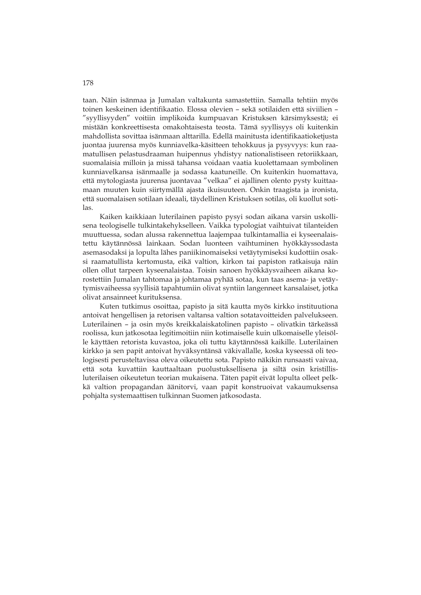taan. Näin isänmaa ja Jumalan valtakunta samastettiin. Samalla tehtiin myös toinen keskeinen identifikaatio. Elossa olevien – sekä sotilaiden että siviilien – "syyllisyyden" voitiin implikoida kumpuavan Kristuksen kärsimyksestä; ei mistään konkreettisesta omakohtaisesta teosta. Tämä syyllisyys oli kuitenkin mahdollista sovittaa isänmaan alttarilla. Edellä mainitusta identifikaatioketjusta juontaa juurensa myös kunniavelka-käsitteen tehokkuus ja pysyvyys: kun raamatullisen pelastusdraaman huipennus yhdistyy nationalistiseen retoriikkaan, suomalaisia milloin ja missä tahansa voidaan vaatia kuolettamaan symbolinen kunniavelkansa isänmaalle ja sodassa kaatuneille. On kuitenkin huomattava, että mytologiasta juurensa juontavaa "velkaa" ei ajallinen olento pysty kuittaamaan muuten kuin siirtymällä ajasta ikuisuuteen. Onkin traagista ja ironista, että suomalaisen sotilaan ideaali, täydellinen Kristuksen sotilas, oli kuollut sotilas.

Kaiken kaikkiaan luterilainen papisto pysyi sodan aikana varsin uskollisena teologiselle tulkintakehykselleen. Vaikka typologiat vaihtuivat tilanteiden muuttuessa, sodan alussa rakennettua laajempaa tulkintamallia ei kyseenalaistettu käytännössä lainkaan. Sodan luonteen vaihtuminen hyökkäyssodasta asemasodaksi ja lopulta lähes paniikinomaiseksi vetäytymiseksi kudottiin osaksi raamatullista kertomusta, eikä valtion, kirkon tai papiston ratkaisuja näin ollen ollut tarpeen kyseenalaistaa. Toisin sanoen hyökkäysvaiheen aikana korostettiin Jumalan tahtomaa ja johtamaa pyhää sotaa, kun taas asema- ja vetäytymisvaiheessa syyllisiä tapahtumiin olivat syntiin langenneet kansalaiset, jotka olivat ansainneet kurituksensa.

Kuten tutkimus osoittaa, papisto ja sitä kautta myös kirkko instituutiona antoivat hengellisen ja retorisen valtansa valtion sotatavoitteiden palvelukseen. Luterilainen – ja osin myös kreikkalaiskatolinen papisto – olivatkin tärkeässä roolissa, kun jatkosotaa legitimoitiin niin kotimaiselle kuin ulkomaiselle yleisölle käyttäen retorista kuvastoa, joka oli tuttu käytännössä kaikille. Luterilainen kirkko ja sen papit antoivat hyväksyntänsä väkivallalle, koska kyseessä oli teologisesti perusteltavissa oleva oikeutettu sota. Papisto näkikin runsaasti vaivaa, että sota kuvattiin kauttaaltaan puolustuksellisena ja siltä osin kristillisluterilaisen oikeutetun teorian mukaisena. Täten papit eivät lopulta olleet pelkkä valtion propagandan äänitorvi, vaan papit konstruoivat vakaumuksensa pohjalta systemaattisen tulkinnan Suomen jatkosodasta.

178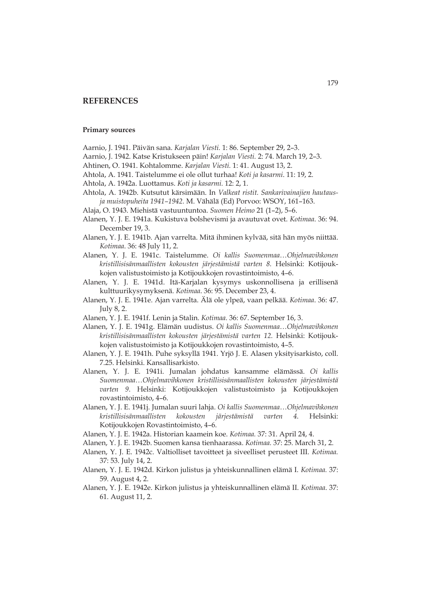## **REFERENCES**

### **Primary sources**

- Aarnio, J. 1941. Päivän sana. *Karjalan Viesti.* 1: 86. September 29, 2–3.
- Aarnio, J. 1942. Katse Kristukseen päin! *Karjalan Viesti.* 2: 74. March 19, 2–3.
- Ahtinen, O. 1941. Kohtalomme. *Karjalan Viesti.* 1: 41. August 13, 2.
- Ahtola, A. 1941. Taistelumme ei ole ollut turhaa! *Koti ja kasarmi*. 11: 19, 2.
- Ahtola, A. 1942a. Luottamus. *Koti ja kasarmi.* 12: 2, 1.
- Ahtola, A. 1942b. Kutsutut kärsimään. In *Valkeat ristit. Sankarivainajien hautausja muistopuheita 1941–1942.* M. Vähälä (Ed) Porvoo: WSOY, 161–163.
- Alaja, O. 1943. Miehistä vastuuntuntoa. *Suomen Heimo* 21 (1–2), 5–6.
- Alanen, Y. J. E. 1941a. Kukistuva bolshevismi ja avautuvat ovet. *Kotimaa*. 36: 94. December 19, 3.
- Alanen, Y. J. E. 1941b. Ajan varrelta. Mitä ihminen kylvää, sitä hän myös niittää. *Kotimaa*. 36: 48 July 11, 2.
- Alanen, Y. J. E. 1941c. Taistelumme. *Oi kallis Suomenmaa…Ohjelmavihkonen kristillisisänmaallisten kokousten järjestämistä varten 8.* Helsinki: Kotijoukkojen valistustoimisto ja Kotijoukkojen rovastintoimisto, 4–6.
- Alanen, Y. J. E. 1941d. Itä-Karjalan kysymys uskonnollisena ja erillisenä kulttuurikysymyksenä. *Kotimaa*. 36: 95. December 23, 4.
- Alanen, Y. J. E. 1941e. Ajan varrelta. Älä ole ylpeä, vaan pelkää. *Kotimaa*. 36: 47. July 8, 2.
- Alanen, Y. J. E. 1941f. Lenin ja Stalin. *Kotimaa.* 36: 67. September 16, 3.
- Alanen, Y. J. E. 1941g. Elämän uudistus. *Oi kallis Suomenmaa…Ohjelmavihkonen kristillisisänmaallisten kokousten järjestämistä varten 12.* Helsinki: Kotijoukkojen valistustoimisto ja Kotijoukkojen rovastintoimisto, 4–5.
- Alanen, Y. J. E. 1941h. Puhe syksyllä 1941. Yrjö J. E. Alasen yksityisarkisto, coll. 7.25. Helsinki. Kansallisarkisto.
- Alanen, Y. J. E. 1941i. Jumalan johdatus kansamme elämässä. *Oi kallis Suomenmaa…Ohjelmavihkonen kristillisisänmaallisten kokousten järjestämistä varten 9*. Helsinki: Kotijoukkojen valistustoimisto ja Kotijoukkojen rovastintoimisto, 4–6.
- Alanen, Y. J. E. 1941j. Jumalan suuri lahja. *Oi kallis Suomenmaa…Ohjelmavihkonen kristillisisänmaallisten kokousten järjestämistä varten 4*. Helsinki: Kotijoukkojen Rovastintoimisto, 4–6.
- Alanen, Y. J. E. 1942a. Historian kaamein koe. *Kotimaa.* 37: 31. April 24, 4.
- Alanen, Y. J. E. 1942b. Suomen kansa tienhaarassa. *Kotimaa.* 37: 25. March 31, 2.
- Alanen, Y. J. E. 1942c. Valtiolliset tavoitteet ja siveelliset perusteet III. *Kotimaa.* 37: 53. July 14, 2.
- Alanen, Y. J. E. 1942d. Kirkon julistus ja yhteiskunnallinen elämä I. *Kotimaa.* 37: 59. August 4, 2.
- Alanen, Y. J. E. 1942e. Kirkon julistus ja yhteiskunnallinen elämä II. *Kotimaa*. 37: 61. August 11, 2.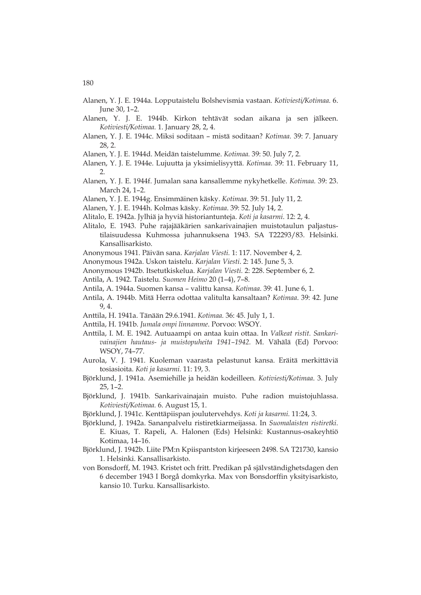- Alanen, Y. J. E. 1944a. Lopputaistelu Bolshevismia vastaan. *Kotiviesti/Kotimaa.* 6. June 30, 1–2.
- Alanen, Y. J. E. 1944b. Kirkon tehtävät sodan aikana ja sen jälkeen. *Kotiviesti/Kotimaa.* 1. January 28, 2, 4.
- Alanen, Y. J. E. 1944c. Miksi soditaan mistä soditaan? *Kotimaa.* 39: 7. January 28, 2.
- Alanen, Y. J. E. 1944d. Meidän taistelumme. *Kotimaa.* 39: 50. July 7, 2.
- Alanen, Y. J. E. 1944e. Lujuutta ja yksimielisyyttä. *Kotimaa.* 39: 11. February 11, 2.
- Alanen, Y. J. E. 1944f. Jumalan sana kansallemme nykyhetkelle. *Kotimaa.* 39: 23. March 24, 1–2.
- Alanen, Y. J. E. 1944g. Ensimmäinen käsky. *Kotimaa*. 39: 51. July 11, 2.
- Alanen, Y. J. E. 1944h. Kolmas käsky. *Kotimaa*. 39: 52. July 14, 2.
- Alitalo, E. 1942a. Jylhiä ja hyviä historiantunteja. *Koti ja kasarmi*. 12: 2, 4.
- Alitalo, E. 1943. Puhe rajajääkärien sankarivainajien muistotaulun paljastustilaisuudessa Kuhmossa juhannuksena 1943. SA T22293/83. Helsinki. Kansallisarkisto.
- Anonymous 1941. Päivän sana. *Karjalan Viesti.* 1: 117. November 4, 2.
- Anonymous 1942a. Uskon taistelu. *Karjalan Viesti*. 2: 145. June 5, 3.
- Anonymous 1942b. Itsetutkiskelua. *Karjalan Viesti.* 2: 228. September 6, 2.
- Antila, A. 1942. Taistelu*. Suomen Heimo* 20 (1–4), 7–8.
- Antila, A. 1944a. Suomen kansa valittu kansa. *Kotimaa*. 39: 41. June 6, 1.
- Antila, A. 1944b. Mitä Herra odottaa valitulta kansaltaan? *Kotimaa*. 39: 42. June 9, 4.
- Anttila, H. 1941a. Tänään 29.6.1941. *Kotimaa.* 36: 45. July 1, 1.
- Anttila, H. 1941b. *Jumala ompi linnamme*. Porvoo: WSOY.
- Anttila, I. M. E. 1942. Autuaampi on antaa kuin ottaa. In *Valkeat ristit. Sankarivainajien hautaus- ja muistopuheita 1941–1942.* M. Vähälä (Ed) Porvoo: WSOY, 74–77.
- Aurola, V. J. 1941. Kuoleman vaarasta pelastunut kansa. Eräitä merkittäviä tosiasioita. *Koti ja kasarmi.* 11: 19, 3.
- Björklund, J. 1941a. Asemiehille ja heidän kodeilleen. *Kotiviesti/Kotimaa*. 3. July 25, 1–2.
- Björklund, J. 1941b. Sankarivainajain muisto. Puhe radion muistojuhlassa. *Kotiviesti/Kotimaa.* 6. August 15, 1.
- Björklund, J. 1941c. Kenttäpiispan joulutervehdys. *Koti ja kasarmi.* 11:24, 3.
- Björklund, J. 1942a. Sananpalvelu ristiretkiarmeijassa. In *Suomalaisten ristiretki.* E. Kiuas, T. Rapeli, A. Halonen (Eds) Helsinki: Kustannus-osakeyhtiö Kotimaa, 14–16.
- Björklund, J. 1942b. Liite PM:n Kpiispantston kirjeeseen 2498. SA T21730, kansio 1. Helsinki. Kansallisarkisto.
- von Bonsdorff, M. 1943. Kristet och fritt. Predikan på självständighetsdagen den 6 december 1943 I Borgå domkyrka. Max von Bonsdorffin yksityisarkisto, kansio 10. Turku. Kansallisarkisto.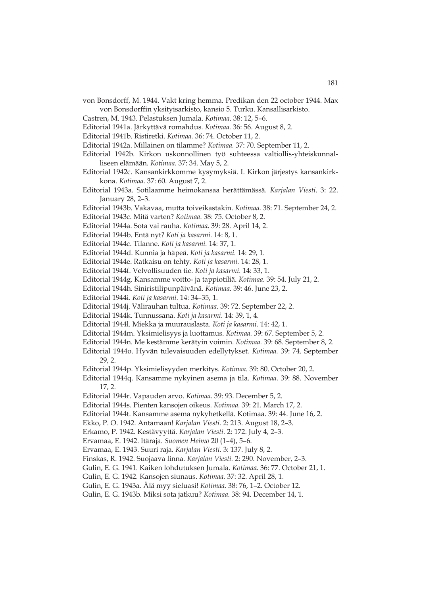- von Bonsdorff, M. 1944. Vakt kring hemma. Predikan den 22 october 1944. Max von Bonsdorffin yksityisarkisto, kansio 5. Turku. Kansallisarkisto.
- Castren, M. 1943. Pelastuksen Jumala. *Kotimaa*. 38: 12, 5–6.
- Editorial 1941a. Järkyttävä romahdus. *Kotimaa.* 36: 56. August 8, 2.
- Editorial 1941b. Ristiretki. *Kotimaa.* 36: 74. October 11, 2.
- Editorial 1942a. Millainen on tilamme? *Kotimaa.* 37: 70. September 11, 2.
- Editorial 1942b. Kirkon uskonnollinen työ suhteessa valtiollis-yhteiskunnalliseen elämään. *Kotimaa*. 37: 34. May 5, 2.
- Editorial 1942c. Kansankirkkomme kysymyksiä. I. Kirkon järjestys kansankirkkona. *Kotimaa.* 37: 60. August 7, 2.
- Editorial 1943a. Sotilaamme heimokansaa herättämässä. *Karjalan Viesti*. 3: 22. January 28, 2–3.
- Editorial 1943b. Vakavaa, mutta toiveikastakin. *Kotimaa.* 38: 71. September 24, 2.
- Editorial 1943c. Mitä varten? *Kotimaa.* 38: 75. October 8, 2.
- Editorial 1944a. Sota vai rauha. *Kotimaa.* 39: 28. April 14, 2.
- Editorial 1944b. Entä nyt? *Koti ja kasarmi.* 14: 8, 1.
- Editorial 1944c. Tilanne. *Koti ja kasarmi.* 14: 37, 1.
- Editorial 1944d. Kunnia ja häpeä. *Koti ja kasarmi.* 14: 29, 1.
- Editorial 1944e. Ratkaisu on tehty. *Koti ja kasarmi.* 14: 28, 1.
- Editorial 1944f. Velvollisuuden tie. *Koti ja kasarmi.* 14: 33, 1.
- Editorial 1944g. Kansamme voitto- ja tappiotiliä. *Kotimaa.* 39: 54. July 21, 2.
- Editorial 1944h. Siniristilipunpäivänä. *Kotimaa.* 39: 46. June 23, 2.
- Editorial 1944i. *Koti ja kasarmi.* 14: 34–35, 1.
- Editorial 1944j. Välirauhan tultua. *Kotimaa.* 39: 72. September 22, 2.
- Editorial 1944k. Tunnussana. *Koti ja kasarmi.* 14: 39, 1, 4.
- Editorial 1944l. Miekka ja muurauslasta. *Koti ja kasarmi.* 14: 42, 1.
- Editorial 1944m. Yksimielisyys ja luottamus. *Kotimaa.* 39: 67. September 5, 2.
- Editorial 1944n. Me kestämme kerätyin voimin. *Kotimaa.* 39: 68. September 8, 2.
- Editorial 1944o. Hyvän tulevaisuuden edellytykset*. Kotimaa.* 39: 74. September 29, 2.
- Editorial 1944p. Yksimielisyyden merkitys. *Kotimaa.* 39: 80. October 20, 2.
- Editorial 1944q. Kansamme nykyinen asema ja tila. *Kotimaa.* 39: 88. November 17, 2.
- Editorial 1944r. Vapauden arvo. *Kotimaa.* 39: 93. December 5, 2.
- Editorial 1944s. Pienten kansojen oikeus. *Kotimaa.* 39: 21. March 17, 2.
- Editorial 1944t. Kansamme asema nykyhetkellä. Kotimaa. 39: 44. June 16, 2.
- Ekko, P. O. 1942. Antamaan! *Karjalan Viesti.* 2: 213. August 18, 2–3.
- Erkamo, P. 1942. Kestävyyttä. *Karjalan Viesti.* 2: 172. July 4, 2–3.
- Ervamaa, E. 1942. Itäraja. *Suomen Heimo* 20 (1–4), 5–6.
- Ervamaa, E. 1943. Suuri raja. *Karjalan Viesti.* 3: 137. July 8, 2.
- Finskas, R. 1942. Suojaava linna. *Karjalan Viesti.* 2: 290. November, 2–3.
- Gulin, E. G. 1941. Kaiken lohdutuksen Jumala. *Kotimaa.* 36: 77. October 21, 1.
- Gulin, E. G. 1942. Kansojen siunaus. *Kotimaa.* 37: 32. April 28, 1.
- Gulin, E. G. 1943a. Älä myy sieluasi! *Kotimaa.* 38: 76, 1–2. October 12.
- Gulin, E. G. 1943b. Miksi sota jatkuu? *Kotimaa.* 38: 94. December 14, 1.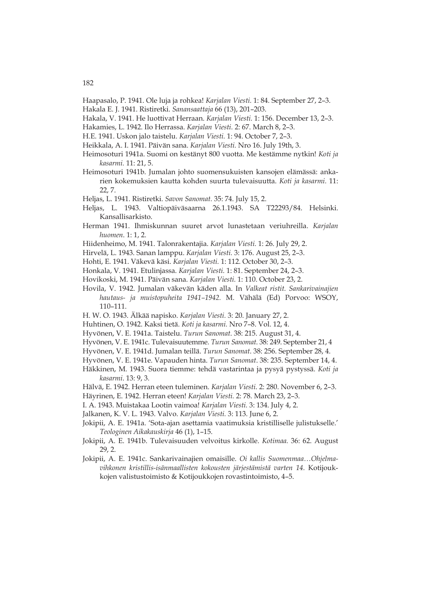- Haapasalo, P. 1941. Ole luja ja rohkea! *Karjalan Viesti.* 1: 84. September 27, 2–3. Hakala E. J. 1941. Ristiretki. *Sanansaattaja* 66 (13), 201–203.
- Hakala, V. 1941. He luottivat Herraan. *Karjalan Viesti.* 1: 156. December 13, 2–3.
- Hakamies, L. 1942. Ilo Herrassa. *Karjalan Viesti.* 2: 67. March 8, 2–3.
- H.E. 1941. Uskon jalo taistelu. *Karjalan Viesti.* 1: 94. October 7, 2–3.
- Heikkala, A. I. 1941. Päivän sana. *Karjalan Viesti.* Nro 16. July 19th, 3.
- Heimosoturi 1941a. Suomi on kestänyt 800 vuotta. Me kestämme nytkin! *Koti ja kasarmi.* 11: 21, 5.
- Heimosoturi 1941b. Jumalan johto suomensukuisten kansojen elämässä: ankarien kokemuksien kautta kohden suurta tulevaisuutta. *Koti ja kasarmi.* 11: 22, 7.
- Heljas, L. 1941. Ristiretki. *Savon Sanomat.* 35: 74. July 15, 2.
- Heljas, L. 1943. Valtiopäiväsaarna 26.1.1943. SA T22293/84. Helsinki. Kansallisarkisto.
- Herman 1941. Ihmiskunnan suuret arvot lunastetaan veriuhreilla. *Karjalan huomen*. 1: 1, 2.
- Hiidenheimo, M. 1941. Talonrakentajia. *Karjalan Viesti.* 1: 26. July 29, 2.
- Hirvelä, L. 1943. Sanan lamppu. *Karjalan Viesti.* 3: 176. August 25, 2–3.
- Hohti, E. 1941. Väkevä käsi. *Karjalan Viesti.* 1: 112. October 30, 2–3.
- Honkala, V. 1941. Etulinjassa. *Karjalan Viesti.* 1: 81. September 24, 2–3.
- Hovikoski, M. 1941. Päivän sana. *Karjalan Viesti.* 1: 110. October 23, 2.
- Hovila, V. 1942. Jumalan väkevän käden alla. In *Valkeat ristit. Sankarivainajien hautaus- ja muistopuheita 1941–1942.* M. Vähälä (Ed) Porvoo: WSOY, 110–111.
- H. W. O. 1943. Älkää napisko. *Karjalan Viesti.* 3: 20. January 27, 2.
- Huhtinen, O. 1942. Kaksi tietä. *Koti ja kasarmi.* Nro 7–8. Vol. 12, 4.
- Hyvönen, V. E. 1941a. Taistelu. *Turun Sanomat*. 38: 215. August 31, 4.
- Hyvönen, V. E. 1941c. Tulevaisuutemme. *Turun Sanomat*. 38: 249. September 21, 4
- Hyvönen, V. E. 1941d. Jumalan teillä. *Turun Sanomat*. 38: 256. September 28, 4.
- Hyvönen, V. E. 1941e. Vapauden hinta. *Turun Sanomat*. 38: 235. September 14, 4.
- Häkkinen, M. 1943. Suora tiemme: tehdä vastarintaa ja pysyä pystyssä. *Koti ja kasarmi*. 13: 9, 3.
- Hälvä, E. 1942. Herran eteen tuleminen. *Karjalan Viesti*. 2: 280. November 6, 2–3.
- Häyrinen, E. 1942. Herran eteen! *Karjalan Viesti.* 2: 78. March 23, 2–3.
- I. A. 1943. Muistakaa Lootin vaimoa! *Karjalan Viesti.* 3: 134. July 4, 2.
- Jalkanen, K. V. L. 1943. Valvo. *Karjalan Viesti.* 3: 113. June 6, 2.
- Jokipii, A. E. 1941a. 'Sota-ajan asettamia vaatimuksia kristilliselle julistukselle.' *Teologinen Aikakauskirja* 46 (1), 1–15.
- Jokipii, A. E. 1941b. Tulevaisuuden velvoitus kirkolle. *Kotimaa.* 36: 62. August 29, 2.
- Jokipii, A. E. 1941c. Sankarivainajien omaisille. *Oi kallis Suomenmaa…Ohjelmavihkonen kristillis-isänmaallisten kokousten järjestämistä varten 14.* Kotijoukkojen valistustoimisto & Kotijoukkojen rovastintoimisto, 4–5.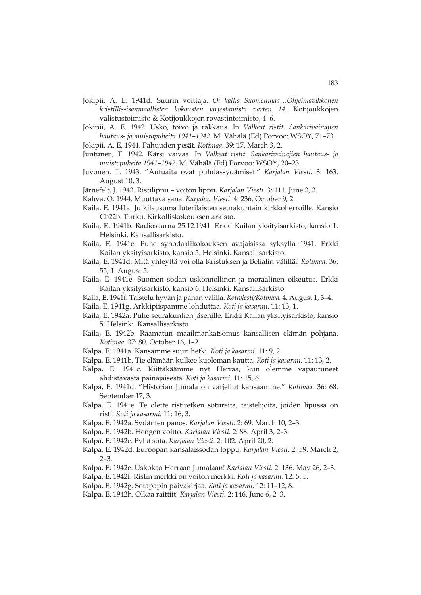- Jokipii, A. E. 1941d. Suurin voittaja. *Oi kallis Suomenmaa…Ohjelmavihkonen kristillis-isänmaallisten kokousten järjestämistä varten 14.* Kotijoukkojen valistustoimisto & Kotijoukkojen rovastintoimisto, 4–6.
- Jokipii, A. E. 1942. Usko, toivo ja rakkaus. In *Valkeat ristit. Sankarivainajien hautaus- ja muistopuheita 1941–1942.* M. Vähälä (Ed) Porvoo: WSOY, 71–73.

Jokipii, A. E. 1944. Pahuuden pesät. *Kotimaa.* 39: 17. March 3, 2.

- Juntunen, T. 1942. Kärsi vaivaa. In *Valkeat ristit. Sankarivainajien hautaus- ja muistopuheita 1941–1942.* M. Vähälä (Ed) Porvoo: WSOY, 20–23.
- Juvonen, T. 1943. "Autuaita ovat puhdassydämiset." *Karjalan Viesti*. 3: 163. August 10, 3.
- Järnefelt, J. 1943. Ristilippu voiton lippu. *Karjalan Viesti*. 3: 111. June 3, 3.
- Kahva, O. 1944. Muuttava sana. *Karjalan Viesti*. 4: 236. October 9, 2.
- Kaila, E. 1941a. Julkilausuma luterilaisten seurakuntain kirkkoherroille. Kansio Cb22b. Turku. Kirkolliskokouksen arkisto.
- Kaila, E. 1941b. Radiosaarna 25.12.1941. Erkki Kailan yksityisarkisto, kansio 1. Helsinki. Kansallisarkisto.
- Kaila, E. 1941c. Puhe synodaalikokouksen avajaisissa syksyllä 1941. Erkki Kailan yksityisarkisto, kansio 5. Helsinki. Kansallisarkisto.
- Kaila, E. 1941d. Mitä yhteyttä voi olla Kristuksen ja Belialin välillä? *Kotimaa.* 36: 55, 1. August 5.
- Kaila, E. 1941e. Suomen sodan uskonnollinen ja moraalinen oikeutus. Erkki Kailan yksityisarkisto, kansio 6. Helsinki. Kansallisarkisto.
- Kaila, E. 1941f. Taistelu hyvän ja pahan välillä. *Kotiviesti/Kotimaa.* 4. August 1, 3–4.
- Kaila, E. 1941g. Arkkipiispamme lohduttaa. *Koti ja kasarmi.* 11: 13, 1.
- Kaila, E. 1942a. Puhe seurakuntien jäsenille. Erkki Kailan yksityisarkisto, kansio 5. Helsinki. Kansallisarkisto.
- Kaila, E. 1942b. Raamatun maailmankatsomus kansallisen elämän pohjana. *Kotimaa.* 37: 80. October 16, 1–2.
- Kalpa, E. 1941a. Kansamme suuri hetki. *Koti ja kasarmi.* 11: 9, 2.
- Kalpa, E. 1941b. Tie elämään kulkee kuoleman kautta. *Koti ja kasarmi.* 11: 13, 2.
- Kalpa, E. 1941c. Kiittäkäämme nyt Herraa, kun olemme vapautuneet ahdistavasta painajaisesta. *Koti ja kasarmi.* 11: 15, 6.
- Kalpa, E. 1941d. "Historian Jumala on varjellut kansaamme." *Kotimaa.* 36: 68. September 17, 3.
- Kalpa, E. 1941e. Te olette ristiretken sotureita, taistelijoita, joiden lipussa on risti. *Koti ja kasarmi.* 11: 16, 3.
- Kalpa, E. 1942a. Sydänten panos. *Karjalan Viesti.* 2: 69. March 10, 2–3.
- Kalpa, E. 1942b. Hengen voitto. *Karjalan Viesti.* 2: 88. April 3, 2–3.
- Kalpa, E. 1942c. Pyhä sota. *Karjalan Viesti*. 2: 102. April 20, 2.
- Kalpa, E. 1942d. Euroopan kansalaissodan loppu. *Karjalan Viesti.* 2: 59. March 2, 2–3.
- Kalpa, E. 1942e. Uskokaa Herraan Jumalaan! *Karjalan Viesti.* 2: 136. May 26, 2–3.
- Kalpa, E. 1942f. Ristin merkki on voiton merkki. *Koti ja kasarmi.* 12: 5, 5.
- Kalpa, E. 1942g. Sotapapin päiväkirjaa. *Koti ja kasarmi.* 12: 11–12, 8.
- Kalpa, E. 1942h. Olkaa raittiit! *Karjalan Viesti.* 2: 146. June 6, 2–3.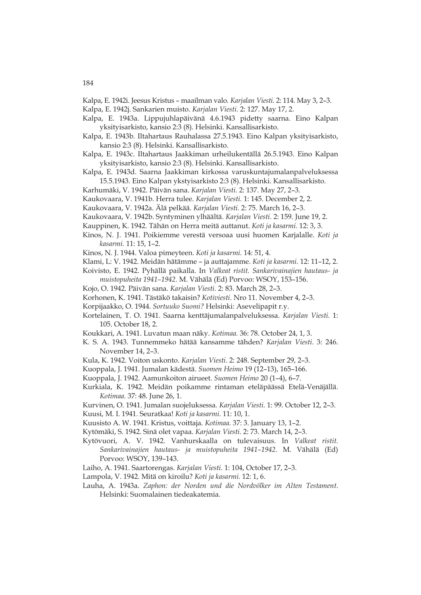Kalpa, E. 1942i. Jeesus Kristus – maailman valo. *Karjalan Viesti.* 2: 114. May 3, 2–3.

Kalpa, E. 1942j. Sankarien muisto. *Karjalan Viesti.* 2: 127. May 17, 2.

- Kalpa, E. 1943a. Lippujuhlapäivänä 4.6.1943 pidetty saarna. Eino Kalpan yksityisarkisto, kansio 2:3 (8). Helsinki. Kansallisarkisto.
- Kalpa, E. 1943b. Iltahartaus Rauhalassa 27.5.1943. Eino Kalpan yksityisarkisto, kansio 2:3 (8). Helsinki. Kansallisarkisto.
- Kalpa, E. 1943c. Iltahartaus Jaakkiman urheilukentällä 26.5.1943. Eino Kalpan yksityisarkisto, kansio 2:3 (8). Helsinki. Kansallisarkisto.
- Kalpa, E. 1943d. Saarna Jaakkiman kirkossa varuskuntajumalanpalveluksessa 15.5.1943. Eino Kalpan ykstyisarkisto 2:3 (8). Helsinki. Kansallisarkisto.
- Karhumäki, V. 1942. Päivän sana. *Karjalan Viesti.* 2: 137. May 27, 2–3.
- Kaukovaara, V. 1941b. Herra tulee. *Karjalan Viesti.* 1: 145. December 2, 2.
- Kaukovaara, V. 1942a. Älä pelkää. *Karjalan Viesti.* 2: 75. March 16, 2–3.
- Kaukovaara, V. 1942b. Syntyminen ylhäältä. *Karjalan Viesti.* 2: 159. June 19, 2.
- Kauppinen, K. 1942. Tähän on Herra meitä auttanut. *Koti ja kasarmi.* 12: 3, 3.
- Kinos, N. J. 1941. Poikiemme verestä versoaa uusi huomen Karjalalle. *Koti ja kasarmi.* 11: 15, 1–2.

Kinos, N. J. 1944. Valoa pimeyteen. *Koti ja kasarmi.* 14: 51, 4.

- Klami, L: V. 1942. Meidän hätämme ja auttajamme. *Koti ja kasarmi.* 12: 11–12, 2.
- Koivisto, E. 1942. Pyhällä paikalla. In *Valkeat ristit. Sankarivainajien hautaus- ja muistopuheita 1941–1942.* M. Vähälä (Ed) Porvoo: WSOY, 153–156.
- Kojo, O. 1942. Päivän sana. *Karjalan Viesti.* 2: 83. March 28, 2–3.
- Korhonen, K. 1941. Tästäkö takaisin? *Kotiviesti.* Nro 11. November 4, 2–3.
- Korpijaakko, O. 1944. *Sortuuko Suomi?* Helsinki: Asevelipapit r.y.
- Kortelainen, T. O. 1941. Saarna kenttäjumalanpalveluksessa. *Karjalan Viesti.* 1: 105. October 18, 2.
- Koukkari, A. 1941. Luvatun maan näky. *Kotimaa.* 36: 78. October 24, 1, 3.
- K. S. A. 1943. Tunnemmeko hätää kansamme tähden? *Karjalan Viesti.* 3: 246. November 14, 2–3.
- Kula, K. 1942. Voiton uskonto. *Karjalan Viesti.* 2: 248. September 29, 2–3.
- Kuoppala, J. 1941. Jumalan kädestä. *Suomen Heimo* 19 (12–13), 165–166.
- Kuoppala, J. 1942. Aamunkoiton airueet. *Suomen Heimo* 20 (1–4), 6–7.
- Kurkiala, K. 1942. Meidän poikamme rintaman eteläpäässä Etelä-Venäjällä. *Kotimaa.* 37: 48. June 26, 1.
- Kurvinen, O. 1941. Jumalan suojeluksessa. *Karjalan Viesti.* 1: 99. October 12, 2–3.
- Kuusi, M. I. 1941. Seuratkaa! *Koti ja kasarmi.* 11: 10, 1.
- Kuusisto A. W. 1941. Kristus, voittaja. *Kotimaa.* 37: 3. January 13, 1–2.
- Kytömäki, S. 1942. Sinä olet vapaa. *Karjalan Viesti.* 2: 73. March 14, 2–3.
- Kytövuori, A. V. 1942. Vanhurskaalla on tulevaisuus. In *Valkeat ristit. Sankarivainajien hautaus- ja muistopuheita 1941–1942.* M. Vähälä (Ed) Porvoo: WSOY, 139–143.
- Laiho, A. 1941. Saartorengas. *Karjalan Viesti.* 1: 104, October 17, 2–3.
- Lampola, V. 1942. Mitä on kiroilu? *Koti ja kasarmi.* 12: 1, 6.
- Lauha, A. 1943a. *Zaphon: der Norden und die Nordvölker im Alten Testament*. Helsinki: Suomalainen tiedeakatemia.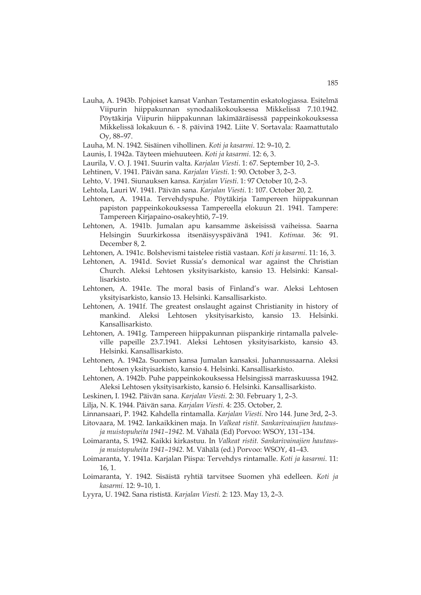- Lauha, A. 1943b. Pohjoiset kansat Vanhan Testamentin eskatologiassa. Esitelmä Viipurin hiippakunnan synodaalikokouksessa Mikkelissä 7.10.1942. Pöytäkirja Viipurin hiippakunnan lakimääräisessä pappeinkokouksessa Mikkelissä lokakuun 6. - 8. päivinä 1942. Liite V. Sortavala: Raamattutalo Oy, 88–97.
- Lauha, M. N. 1942. Sisäinen vihollinen. *Koti ja kasarmi*. 12: 9–10, 2.
- Launis, I. 1942a. Täyteen miehuuteen. *Koti ja kasarmi*. 12: 6, 3.
- Laurila, V. O. J. 1941. Suurin valta. *Karjalan Viesti*. 1: 67. September 10, 2–3.
- Lehtinen, V. 1941. Päivän sana. *Karjalan Viesti*. 1: 90. October 3, 2–3.
- Lehto, V. 1941. Siunauksen kansa. *Karjalan Viesti*. 1: 97 October 10, 2–3.
- Lehtola, Lauri W. 1941. Päivän sana. *Karjalan Viesti*. 1: 107. October 20, 2.
- Lehtonen, A. 1941a. Tervehdyspuhe. Pöytäkirja Tampereen hiippakunnan papiston pappeinkokouksessa Tampereella elokuun 21. 1941. Tampere: Tampereen Kirjapaino-osakeyhtiö, 7–19.
- Lehtonen, A. 1941b. Jumalan apu kansamme äskeisissä vaiheissa. Saarna Helsingin Suurkirkossa itsenäisyyspäivänä 1941. *Kotimaa.* 36: 91. December 8, 2.
- Lehtonen, A. 1941c. Bolshevismi taistelee ristiä vastaan. *Koti ja kasarmi*. 11: 16, 3.
- Lehtonen, A. 1941d. Soviet Russia's demonical war against the Christian Church. Aleksi Lehtosen yksityisarkisto, kansio 13. Helsinki: Kansallisarkisto.
- Lehtonen, A. 1941e. The moral basis of Finland's war. Aleksi Lehtosen yksityisarkisto, kansio 13. Helsinki. Kansallisarkisto.
- Lehtonen, A. 1941f. The greatest onslaught against Christianity in history of mankind. Aleksi Lehtosen yksityisarkisto, kansio 13. Helsinki. Kansallisarkisto.
- Lehtonen, A. 1941g. Tampereen hiippakunnan piispankirje rintamalla palveleville papeille 23.7.1941. Aleksi Lehtosen yksityisarkisto, kansio 43. Helsinki. Kansallisarkisto.
- Lehtonen, A. 1942a. Suomen kansa Jumalan kansaksi. Juhannussaarna. Aleksi Lehtosen yksityisarkisto, kansio 4. Helsinki. Kansallisarkisto.
- Lehtonen, A. 1942b. Puhe pappeinkokouksessa Helsingissä marraskuussa 1942. Aleksi Lehtosen yksityisarkisto, kansio 6. Helsinki. Kansallisarkisto.
- Leskinen, I. 1942. Päivän sana. *Karjalan Viesti.* 2: 30. February 1, 2–3.
- Lilja, N. K. 1944. Päivän sana. *Karjalan Viesti.* 4: 235. October, 2.
- Linnansaari, P. 1942. Kahdella rintamalla. *Karjalan Viesti.* Nro 144. June 3rd, 2–3.
- Litovaara, M. 1942. Iankaikkinen maja. In *Valkeat ristit. Sankarivainajien hautausja muistopuheita 1941–1942.* M. Vähälä (Ed) Porvoo: WSOY, 131–134.
- Loimaranta, S. 1942. Kaikki kirkastuu. In *Valkeat ristit. Sankarivainajien hautausja muistopuheita 1941–1942.* M. Vähälä (ed.) Porvoo: WSOY, 41–43.
- Loimaranta, Y. 1941a. Karjalan Piispa: Tervehdys rintamalle. *Koti ja kasarmi*. 11: 16, 1.
- Loimaranta, Y. 1942. Sisäistä ryhtiä tarvitsee Suomen yhä edelleen. *Koti ja kasarmi.* 12: 9–10, 1.
- Lyyra, U. 1942. Sana rististä. *Karjalan Viesti.* 2: 123. May 13, 2–3.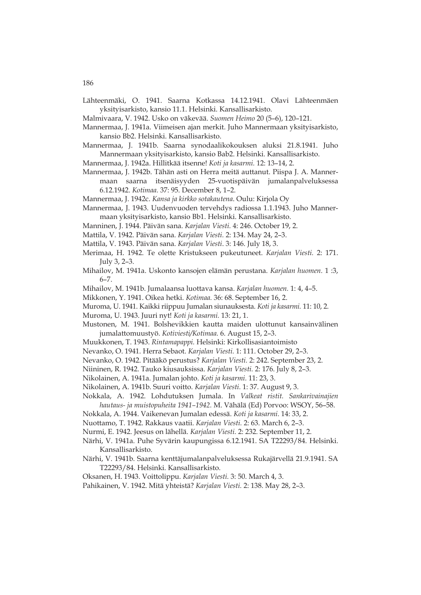- Lähteenmäki, O. 1941. Saarna Kotkassa 14.12.1941. Olavi Lähteenmäen yksityisarkisto, kansio 11.1. Helsinki. Kansallisarkisto.
- Malmivaara, V. 1942. Usko on väkevää. *Suomen Heimo* 20 (5–6), 120–121.
- Mannermaa, J. 1941a. Viimeisen ajan merkit. Juho Mannermaan yksityisarkisto, kansio Bb2. Helsinki. Kansallisarkisto.
- Mannermaa, J. 1941b. Saarna synodaalikokouksen aluksi 21.8.1941. Juho Mannermaan yksityisarkisto, kansio Bab2. Helsinki. Kansallisarkisto.
- Mannermaa, J. 1942a. Hillitkää itsenne! *Koti ja kasarmi.* 12: 13–14, 2.
- Mannermaa, J. 1942b. Tähän asti on Herra meitä auttanut. Piispa J. A. Mannermaan saarna itsenäisyyden 25-vuotispäivän jumalanpalveluksessa 6.12.1942. *Kotimaa.* 37: 95. December 8, 1–2.
- Mannermaa, J. 1942c. *Kansa ja kirkko sotakautena*. Oulu: Kirjola Oy
- Mannermaa, J. 1943. Uudenvuoden tervehdys radiossa 1.1.1943. Juho Mannermaan yksityisarkisto, kansio Bb1. Helsinki. Kansallisarkisto.
- Manninen, J. 1944. Päivän sana. *Karjalan Viesti.* 4: 246. October 19, 2.
- Mattila, V. 1942. Päivän sana. *Karjalan Viesti.* 2: 134. May 24, 2–3.
- Mattila, V. 1943. Päivän sana. *Karjalan Viesti*. 3: 146. July 18, 3.
- Merimaa, H. 1942. Te olette Kristukseen pukeutuneet. *Karjalan Viesti.* 2: 171. July 3, 2–3.
- Mihailov, M. 1941a. Uskonto kansojen elämän perustana. *Karjalan huomen.* 1 :3, 6–7.
- Mihailov, M. 1941b. Jumalaansa luottava kansa. *Karjalan huomen.* 1: 4, 4–5.
- Mikkonen, Y. 1941. Oikea hetki. *Kotimaa.* 36: 68. September 16, 2.
- Muroma, U. 1941. Kaikki riippuu Jumalan siunauksesta. *Koti ja kasarmi.* 11: 10, 2.
- Muroma, U. 1943. Juuri nyt! *Koti ja kasarmi.* 13: 21, 1.
- Mustonen, M. 1941. Bolshevikkien kautta maiden ulottunut kansainvälinen jumalattomuustyö. *Kotiviesti/Kotimaa.* 6. August 15, 2–3.
- Muukkonen, T. 1943. *Rintamapappi.* Helsinki: Kirkollisasiantoimisto
- Nevanko, O. 1941. Herra Sebaot. *Karjalan Viesti.* 1: 111. October 29, 2–3.
- Nevanko, O. 1942. Pitääkö perustus? *Karjalan Viesti.* 2: 242. September 23, 2.
- Niininen, R. 1942. Tauko kiusauksissa. *Karjalan Viesti.* 2: 176. July 8, 2–3.
- Nikolainen, A. 1941a. Jumalan johto. *Koti ja kasarmi.* 11: 23, 3.
- Nikolainen, A. 1941b. Suuri voitto. *Karjalan Viesti.* 1: 37. August 9, 3.
- Nokkala, A. 1942. Lohdutuksen Jumala. In *Valkeat ristit. Sankarivainajien hautaus- ja muistopuheita 1941–1942.* M. Vähälä (Ed) Porvoo: WSOY, 56–58.
- Nokkala, A. 1944. Vaikenevan Jumalan edessä. *Koti ja kasarmi.* 14: 33, 2.
- Nuottamo, T. 1942. Rakkaus vaatii. *Karjalan Viesti.* 2: 63. March 6, 2–3.
- Nurmi, E. 1942. Jeesus on lähellä. *Karjalan Viesti.* 2: 232. September 11, 2.
- Närhi, V. 1941a. Puhe Syvärin kaupungissa 6.12.1941. SA T22293/84. Helsinki. Kansallisarkisto.
- Närhi, V. 1941b. Saarna kenttäjumalanpalveluksessa Rukajärvellä 21.9.1941. SA T22293/84. Helsinki. Kansallisarkisto.
- Oksanen, H. 1943. Voittolippu. *Karjalan Viesti.* 3: 50. March 4, 3.
- Pahikainen, V. 1942. Mitä yhteistä? *Karjalan Viesti.* 2: 138. May 28, 2–3.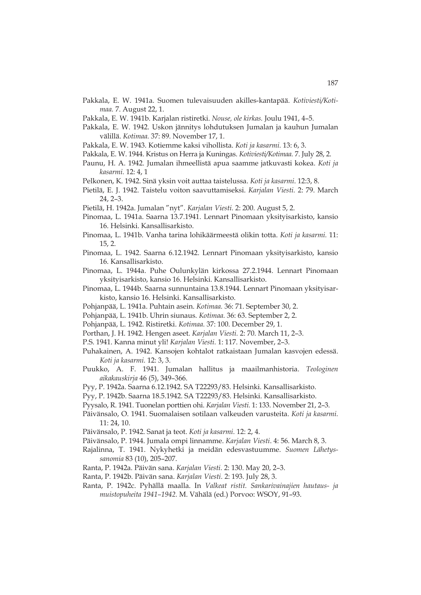- Pakkala, E. W. 1941a. Suomen tulevaisuuden akilles-kantapää. *Kotiviesti/Kotimaa.* 7. August 22, 1.
- Pakkala, E. W. 1941b. Karjalan ristiretki. *Nouse, ole kirkas.* Joulu 1941, 4–5.
- Pakkala, E. W. 1942. Uskon jännitys lohdutuksen Jumalan ja kauhun Jumalan välillä. *Kotimaa.* 37: 89. November 17, 1.
- Pakkala, E. W. 1943. Kotiemme kaksi vihollista. *Koti ja kasarmi.* 13: 6, 3.
- Pakkala, E. W. 1944. Kristus on Herra ja Kuningas. *Kotiviesti/Kotimaa.* 7. July 28, 2.
- Paunu, H. A. 1942. Jumalan ihmeellistä apua saamme jatkuvasti kokea. *Koti ja kasarmi.* 12: 4, 1
- Pelkonen, K. 1942. Sinä yksin voit auttaa taistelussa. *Koti ja kasarmi*. 12:3, 8.
- Pietilä, E. J. 1942. Taistelu voiton saavuttamiseksi. *Karjalan Viesti.* 2: 79. March 24, 2–3.
- Pietilä, H. 1942a. Jumalan "nyt". *Karjalan Viesti.* 2: 200. August 5, 2.
- Pinomaa, L. 1941a. Saarna 13.7.1941. Lennart Pinomaan yksityisarkisto, kansio 16. Helsinki. Kansallisarkisto.
- Pinomaa, L. 1941b. Vanha tarina lohikäärmeestä olikin totta. *Koti ja kasarmi.* 11: 15, 2.
- Pinomaa, L. 1942. Saarna 6.12.1942. Lennart Pinomaan yksityisarkisto, kansio 16. Kansallisarkisto.
- Pinomaa, L. 1944a. Puhe Oulunkylän kirkossa 27.2.1944. Lennart Pinomaan yksityisarkisto, kansio 16. Helsinki. Kansallisarkisto.
- Pinomaa, L. 1944b. Saarna sunnuntaina 13.8.1944. Lennart Pinomaan yksityisarkisto, kansio 16. Helsinki. Kansallisarkisto.
- Pohjanpää, L. 1941a. Puhtain asein. *Kotimaa.* 36: 71. September 30, 2.
- Pohjanpää, L. 1941b. Uhrin siunaus. *Kotimaa.* 36: 63. September 2, 2.
- Pohjanpää, L. 1942. Ristiretki. *Kotimaa.* 37: 100. December 29, 1.
- Porthan, J. H. 1942. Hengen aseet. *Karjalan Viesti.* 2: 70. March 11, 2–3.
- P.S. 1941. Kanna minut yli! *Karjalan Viesti.* 1: 117. November, 2–3.
- Puhakainen, A. 1942. Kansojen kohtalot ratkaistaan Jumalan kasvojen edessä. *Koti ja kasarmi.* 12: 3, 3.
- Puukko, A. F. 1941. Jumalan hallitus ja maailmanhistoria. *Teologinen aikakauskirja* 46 (5), 349–366.
- Pyy, P. 1942a. Saarna 6.12.1942. SA T22293/83. Helsinki. Kansallisarkisto.
- Pyy, P. 1942b. Saarna 18.5.1942. SA T22293/83. Helsinki. Kansallisarkisto.
- Pyysalo, R. 1941. Tuonelan porttien ohi. *Karjalan Viesti.* 1: 133. November 21, 2–3.
- Päivänsalo, O. 1941. Suomalaisen sotilaan valkeuden varusteita. *Koti ja kasarmi.* 11: 24, 10.
- Päivänsalo, P. 1942. Sanat ja teot. *Koti ja kasarmi.* 12: 2, 4.
- Päivänsalo, P. 1944. Jumala ompi linnamme. *Karjalan Viesti*. 4: 56. March 8, 3.
- Rajalinna, T. 1941. Nykyhetki ja meidän edesvastuumme. *Suomen Lähetyssanomia* 83 (10), 205–207.
- Ranta, P. 1942a. Päivän sana. *Karjalan Viesti.* 2: 130. May 20, 2–3.
- Ranta, P. 1942b. Päivän sana. *Karjalan Viesti.* 2: 193. July 28, 3.
- Ranta, P. 1942c. Pyhällä maalla. In *Valkeat ristit. Sankarivainajien hautaus- ja muistopuheita 1941–1942.* M. Vähälä (ed.) Porvoo: WSOY, 91–93.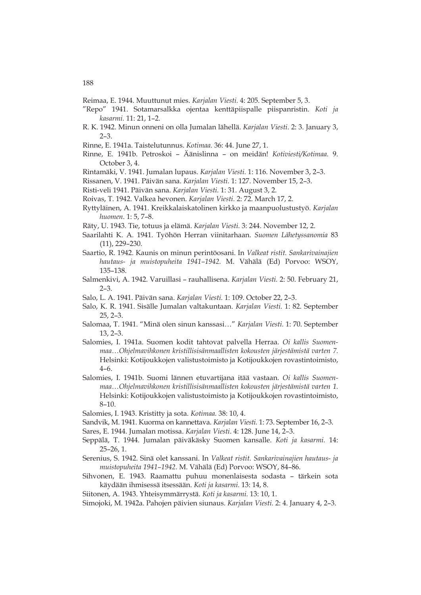- Reimaa, E. 1944. Muuttunut mies. *Karjalan Viesti.* 4: 205. September 5, 3.
- "Repo" 1941. Sotamarsalkka ojentaa kenttäpiispalle piispanristin. *Koti ja kasarmi.* 11: 21, 1–2.
- R. K. 1942. Minun onneni on olla Jumalan lähellä. *Karjalan Viesti*. 2: 3. January 3, 2–3.
- Rinne, E. 1941a. Taistelutunnus. *Kotimaa.* 36: 44. June 27, 1.
- Rinne, E. 1941b. Petroskoi Äänislinna on meidän! *Kotiviesti/Kotimaa.* 9. October 3, 4.
- Rintamäki, V. 1941. Jumalan lupaus. *Karjalan Viesti.* 1: 116. November 3, 2–3.
- Rissanen, V. 1941. Päivän sana. *Karjalan Viesti.* 1: 127. November 15, 2–3.
- Risti-veli 1941. Päivän sana. *Karjalan Viesti.* 1: 31. August 3, 2.
- Roivas, T. 1942. Valkea hevonen. *Karjalan Viesti.* 2: 72. March 17, 2.
- Ryttyläinen, A. 1941. Kreikkalaiskatolinen kirkko ja maanpuolustustyö. *Karjalan huomen*. 1: 5, 7–8.
- Räty, U. 1943. Tie, totuus ja elämä. *Karjalan Viesti.* 3: 244. November 12, 2.
- Saarilahti K. A. 1941. Työhön Herran viinitarhaan. *Suomen Lähetyssanomia* 83 (11), 229–230.
- Saartio, R. 1942. Kaunis on minun perintöosani. In *Valkeat ristit. Sankarivainajien hautaus- ja muistopuheita 1941–1942.* M. Vähälä (Ed) Porvoo: WSOY, 135–138.
- Salmenkivi, A. 1942. Varuillasi rauhallisena. *Karjalan Viesti.* 2: 50. February 21, 2–3.
- Salo, L. A. 1941. Päivän sana. *Karjalan Viesti.* 1: 109. October 22, 2–3.
- Salo, K. R. 1941. Sisälle Jumalan valtakuntaan. *Karjalan Viesti.* 1: 82. September 25, 2–3.
- Salomaa, T. 1941. "Minä olen sinun kanssasi…" *Karjalan Viesti.* 1: 70. September 13, 2–3.
- Salomies, I. 1941a. Suomen kodit tahtovat palvella Herraa. *Oi kallis Suomenmaa…Ohjelmavihkonen kristillisisänmaallisten kokousten järjestämistä varten 7.* Helsinki: Kotijoukkojen valistustoimisto ja Kotijoukkojen rovastintoimisto, 4–6.
- Salomies, I. 1941b. Suomi lännen etuvartijana itää vastaan. *Oi kallis Suomenmaa…Ohjelmavihkonen kristillisisänmaallisten kokousten järjestämistä varten 1.* Helsinki: Kotijoukkojen valistustoimisto ja Kotijoukkojen rovastintoimisto, 8–10.
- Salomies, I. 1943. Kristitty ja sota. *Kotimaa.* 38: 10, 4.
- Sandvik, M. 1941. Kuorma on kannettava. *Karjalan Viesti.* 1: 73. September 16, 2–3.
- Sares, E. 1944. Jumalan motissa. *Karjalan Viesti*. 4: 128. June 14, 2–3.
- Seppälä, T. 1944. Jumalan päiväkäsky Suomen kansalle. *Koti ja kasarmi.* 14: 25–26, 1.
- Serenius, S. 1942. Sinä olet kanssani. In *Valkeat ristit. Sankarivainajien hautaus- ja muistopuheita 1941–1942.* M. Vähälä (Ed) Porvoo: WSOY, 84–86.
- Sihvonen, E. 1943. Raamattu puhuu monenlaisesta sodasta tärkein sota käydään ihmisessä itsessään. *Koti ja kasarmi.* 13: 14, 8.

Siitonen, A. 1943. Yhteisymmärrystä. *Koti ja kasarmi.* 13: 10, 1.

Simojoki, M. 1942a. Pahojen päivien siunaus. *Karjalan Viesti.* 2: 4. January 4, 2–3.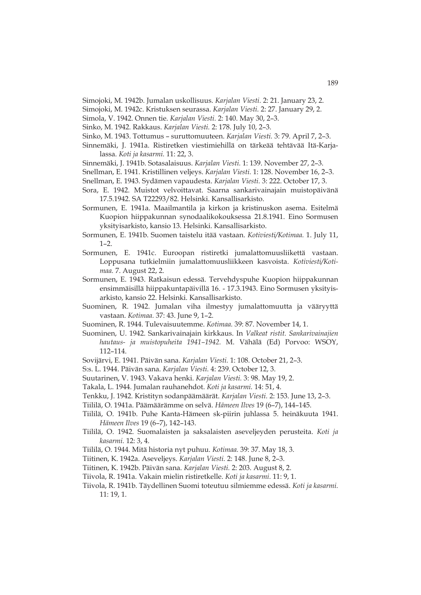- Simojoki, M. 1942b. Jumalan uskollisuus. *Karjalan Viesti.* 2: 21. January 23, 2.
- Simojoki, M. 1942c. Kristuksen seurassa. *Karjalan Viesti.* 2: 27. January 29, 2.
- Simola, V. 1942. Onnen tie. *Karjalan Viesti.* 2: 140. May 30, 2–3.
- Sinko, M. 1942. Rakkaus. *Karjalan Viesti.* 2: 178. July 10, 2–3.
- Sinko, M. 1943. Tottumus suruttomuuteen. *Karjalan Viesti.* 3: 79. April 7, 2–3.
- Sinnemäki, J. 1941a. Ristiretken viestimiehillä on tärkeää tehtävää Itä-Karjalassa. *Koti ja kasarmi.* 11: 22, 3.

Sinnemäki, J. 1941b. Sotasalaisuus. *Karjalan Viesti.* 1: 139. November 27, 2–3.

- Snellman, E. 1941. Kristillinen veljeys. *Karjalan Viesti.* 1: 128. November 16, 2–3.
- Snellman, E. 1943. Sydämen vapaudesta. *Karjalan Viesti.* 3: 222. October 17, 3.
- Sora, E. 1942. Muistot velvoittavat. Saarna sankarivainajain muistopäivänä 17.5.1942. SA T22293/82. Helsinki. Kansallisarkisto.
- Sormunen, E. 1941a. Maailmantila ja kirkon ja kristinuskon asema. Esitelmä Kuopion hiippakunnan synodaalikokouksessa 21.8.1941. Eino Sormusen yksityisarkisto, kansio 13. Helsinki. Kansallisarkisto.
- Sormunen, E. 1941b. Suomen taistelu itää vastaan. *Kotiviesti/Kotimaa.* 1. July 11,  $1 - 2$ .
- Sormunen, E. 1941c. Euroopan ristiretki jumalattomuusliikettä vastaan. Loppusana tutkielmiin jumalattomuusliikkeen kasvoista. *Kotiviesti/Kotimaa.* 7. August 22, 2.
- Sormunen, E. 1943. Ratkaisun edessä. Tervehdyspuhe Kuopion hiippakunnan ensimmäisillä hiippakuntapäivillä 16. - 17.3.1943. Eino Sormusen yksityisarkisto, kansio 22. Helsinki. Kansallisarkisto.
- Suominen, R. 1942. Jumalan viha ilmestyy jumalattomuutta ja vääryyttä vastaan. *Kotimaa.* 37: 43. June 9, 1–2.
- Suominen, R. 1944. Tulevaisuutemme. *Kotimaa.* 39: 87. November 14, 1.
- Suominen, U. 1942. Sankarivainajain kirkkaus. In *Valkeat ristit. Sankarivainajien hautaus- ja muistopuheita 1941–1942.* M. Vähälä (Ed) Porvoo: WSOY, 112–114.
- Sovijärvi, E. 1941. Päivän sana. *Karjalan Viesti.* 1: 108. October 21, 2–3.
- S:s. L. 1944. Päivän sana. *Karjalan Viesti.* 4: 239. October 12, 3.
- Suutarinen, V. 1943. Vakava henki. *Karjalan Viesti.* 3: 98. May 19, 2.
- Takala, L. 1944. Jumalan rauhanehdot. *Koti ja kasarmi.* 14: 51, 4.
- Tenkku, J. 1942. Kristityn sodanpäämäärät. *Karjalan Viesti.* 2: 153. June 13, 2–3.
- Tiililä, O. 1941a. Päämäärämme on selvä. *Hämeen Ilves* 19 (6–7), 144–145.
- Tiililä, O. 1941b. Puhe Kanta-Hämeen sk-piirin juhlassa 5. heinäkuuta 1941. *Hämeen Ilves* 19 (6–7), 142–143.
- Tiililä, O. 1942. Suomalaisten ja saksalaisten aseveljeyden perusteita. *Koti ja kasarmi.* 12: 3, 4.
- Tiililä, O. 1944. Mitä historia nyt puhuu. *Kotimaa.* 39: 37. May 18, 3.
- Tiitinen, K. 1942a. Aseveljeys. *Karjalan Viesti.* 2: 148. June 8, 2–3.
- Tiitinen, K. 1942b. Päivän sana. *Karjalan Viesti.* 2: 203. August 8, 2.
- Tiivola, R. 1941a. Vakain mielin ristiretkelle. *Koti ja kasarmi.* 11: 9, 1.
- Tiivola, R. 1941b. Täydellinen Suomi toteutuu silmiemme edessä. *Koti ja kasarmi.* 11: 19, 1.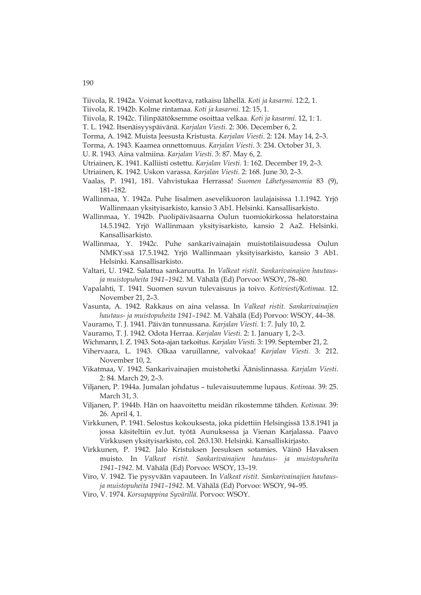- Tiivola, R. 1942a. Voimat koottava, ratkaisu lähellä. *Koti ja kasarmi.* 12:2, 1.
- Tiivola, R. 1942b. Kolme rintamaa. *Koti ja kasarmi.* 12: 15, 1.
- Tiivola, R. 1942c. Tilinpäätöksemme osoittaa velkaa. *Koti ja kasarmi.* 12, 1: 1.
- T. L. 1942. Itsenäisyyspäivänä. *Karjalan Viesti.* 2: 306. December 6, 2.
- Torma, A. 1942. Muista Jeesusta Kristusta. *Karjalan Viesti.* 2: 124. May 14, 2–3.
- Torma, A. 1943. Kaamea onnettomuus. *Karjalan Viesti.* 3: 234. October 31, 3.
- U. R. 1943. Aina valmiina. *Karjalan Viesti.* 3: 87. May 6, 2.
- Utriainen, K. 1941. Kalliisti ostettu. *Karjalan Viesti.* 1: 162. December 19, 2–3.
- Utriainen, K. 1942. Uskon varassa. *Karjalan Viesti.* 2: 168. June 30, 2–3.
- Vaalas, P. 1941, 181. Vahvistukaa Herrassa! *Suomen Lähetyssanomia* 83 (9), 181–182.
- Wallinmaa, Y. 1942a. Puhe Iisalmen asevelikuoron laulajaisissa 1.1.1942. Yrjö Wallinmaan yksityisarkisto, kansio 3 Ab1. Helsinki. Kansallisarkisto.
- Wallinmaa, Y. 1942b. Puolipäiväsaarna Oulun tuomiokirkossa helatorstaina 14.5.1942. Yrjö Wallinmaan yksityisarkisto, kansio 2 Aa2. Helsinki. Kansallisarkisto.
- Wallinmaa, Y. 1942c. Puhe sankarivainajain muistotilaisuudessa Oulun NMKY:ssä 17.5.1942. Yrjö Wallinmaan yksityisarkisto, kansio 3 Ab1. Helsinki. Kansallisarkisto.
- Valtari, U. 1942. Salattua sankaruutta. In *Valkeat ristit. Sankarivainajien hautausja muistopuheita 1941–1942.* M. Vähälä (Ed) Porvoo: WSOY, 78–80.
- Vapalahti, T. 1941. Suomen suvun tulevaisuus ja toivo. *Kotiviesti/Kotimaa.* 12. November 21, 2–3.
- Vasunta, A. 1942. Rakkaus on aina velassa. In *Valkeat ristit. Sankarivainajien hautaus- ja muistopuheita 1941–1942.* M. Vähälä (Ed) Porvoo: WSOY, 44–38.
- Vauramo, T. J. 1941. Päivän tunnussana. *Karjalan Viesti.* 1: 7. July 10, 2.
- Vauramo, T. J. 1942. Odota Herraa. *Karjalan Viesti.* 2: 1. January 1, 2–3.
- Wichmann, I. Z. 1943. Sota-ajan tarkoitus. *Karjalan Viesti.* 3: 199. September 21, 2.
- Vihervaara, L. 1943. Olkaa varuillanne, valvokaa! *Karjalan Viesti.* 3: 212. November 10, 2.
- Vikatmaa, V. 1942. Sankarivainajien muistohetki Äänislinnassa. *Karjalan Viesti.* 2: 84. March 29, 2–3.
- Viljanen, P. 1944a. Jumalan johdatus tulevaisuutemme lupaus. *Kotimaa.* 39: 25. March 31, 3.
- Viljanen, P. 1944b. Hän on haavoitettu meidän rikostemme tähden. *Kotimaa.* 39: 26. April 4, 1.
- Virkkunen, P. 1941. Selostus kokouksesta, joka pidettiin Helsingissä 13.8.1941 ja jossa käsiteltiin ev.lut. työtä Aunuksessa ja Vienan Karjalassa. Paavo Virkkusen yksityisarkisto, col. 263.130. Helsinki. Kansalliskirjasto.
- Virkkunen, P. 1942. Jalo Kristuksen Jeesuksen sotamies. Väinö Havaksen muisto. In *Valkeat ristit. Sankarivainajien hautaus- ja muistopuheita 1941–1942*. M. Vähälä (Ed) Porvoo: WSOY, 13–19.
- Viro, V. 1942. Tie pysyvään vapauteen. In *Valkeat ristit. Sankarivainajien hautausja muistopuheita 1941–1942.* M. Vähälä (Ed) Porvoo: WSOY, 94–95.
- Viro, V. 1974. *Korsupappina Syvärillä.* Porvoo: WSOY.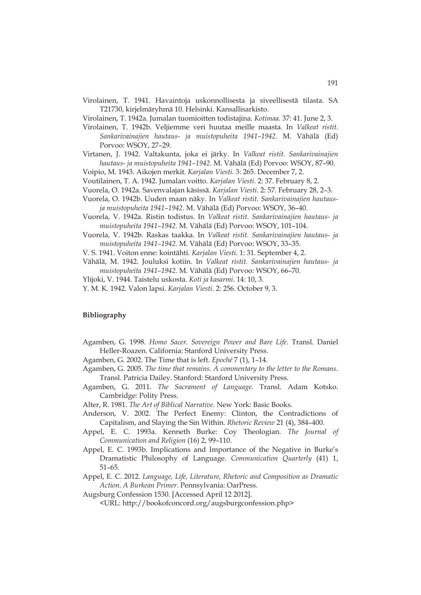- Virolainen, T. 1941. Havaintoja uskonnollisesta ja siveellisestä tilasta. SA T21730, kirjelmäryhmä 10. Helsinki. Kansallisarkisto.
- Virolainen, T. 1942a. Jumalan tuomioitten todistajina. *Kotimaa.* 37: 41. June 2, 3.
- Virolainen, T. 1942b. Veljiemme veri huutaa meille maasta. In *Valkeat ristit. Sankarivainajien hautaus- ja muistopuheita 1941–1942.* M. Vähälä (Ed) Porvoo: WSOY, 27–29.
- Virtanen, J. 1942. Valtakunta, joka ei järky. In *Valkeat ristit. Sankarivainajien hautaus- ja muistopuheita 1941–1942.* M. Vähälä (Ed) Porvoo: WSOY, 87–90.
- Voipio, M. 1943. Aikojen merkit. *Karjalan Viesti.* 3: 265. December 7, 2.
- Voutilainen, T. A. 1942. Jumalan voitto. *Karjalan Viesti.* 2: 37. February 8, 2.
- Vuorela, O. 1942a. Savenvalajan käsissä. *Karjalan Viesti.* 2: 57. February 28, 2–3.
- Vuorela, O. 1942b. Uuden maan näky. In *Valkeat ristit. Sankarivainajien hautausja muistopuheita 1941–1942.* M. Vähälä (Ed) Porvoo: WSOY, 36–40.
- Vuorela, V. 1942a. Ristin todistus. In *Valkeat ristit. Sankarivainajien hautaus- ja muistopuheita 1941–1942.* M. Vähälä (Ed) Porvoo: WSOY, 101–104.
- Vuorela, V. 1942b. Raskas taakka. In *Valkeat ristit. Sankarivainajien hautaus- ja muistopuheita 1941–1942.* M. Vähälä (Ed) Porvoo: WSOY, 33–35.
- V. S. 1941. Voiton enne: kointähti. *Karjalan Viesti*. 1: 31. September 4, 2.
- Vähälä, M. 1942. Jouluksi kotiin. In *Valkeat ristit. Sankarivainajien hautaus- ja muistopuheita 1941–1942.* M. Vähälä (Ed) Porvoo: WSOY, 66–70.
- Ylijoki, V. 1944. Taistelu uskosta. *Koti ja kasarmi*. 14: 10, 3.
- Y. M. K. 1942. Valon lapsi. *Karjalan Viesti*. 2: 256. October 9, 3.

### **Bibliography**

- Agamben, G. 1998. *Homo Sacer. Sovereign Power and Bare Life.* Transl. Daniel Heller-Roazen. California: Stanford University Press.
- Agamben, G. 2002. The Time that is left. *Epoché* 7 (1), 1–14.
- Agamben, G. 2005. *The time that remains. A commentary to the letter to the Romans*. Transl. Patricia Dailey. Stanford: Stanford University Press.
- Agamben, G. 2011. *The Sacrament of Language*. Transl. Adam Kotsko. Cambridge: Polity Press.
- Alter, R. 1981. *The Art of Biblical Narrative.* New York: Basic Books.
- Anderson, V. 2002. The Perfect Enemy: Clinton, the Contradictions of Capitalism, and Slaying the Sin Within. *Rhetoric Review* 21 (4), 384–400.
- Appel, E. C. 1993a. Kenneth Burke: Coy Theologian. *The Journal of Communication and Religion* (16) 2, 99–110.
- Appel, E. C. 1993b. Implications and Importance of the Negative in Burke's Dramatistic Philosophy of Language. *Communication Quarterly* (41) 1, 51–65.
- Appel, E. C. 2012. *Language, Life, Literature, Rhetoric and Composition as Dramatic Action. A Burkean Primer*. Pennsylvania: OarPress.
- Augsburg Confession 1530. [Accessed April 12 2012].

<URL: http://bookofconcord.org/augsburgconfession.php>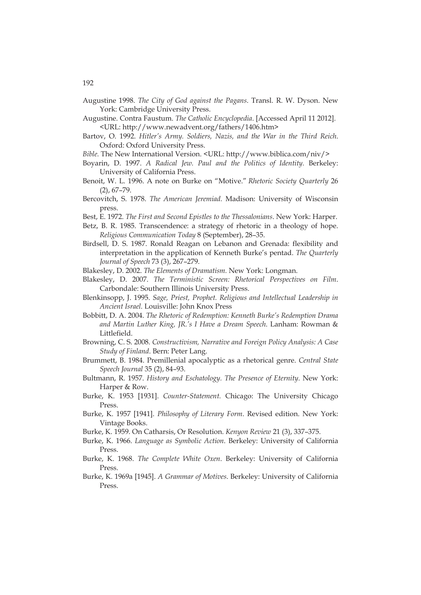- Augustine 1998. *The City of God against the Pagans*. Transl. R. W. Dyson. New York: Cambridge University Press.
- Augustine. Contra Faustum. *The Catholic Encyclopedia*. [Accessed April 11 2012]. <URL: http://www.newadvent.org/fathers/1406.htm>
- Bartov, O. 1992. *Hitler's Army. Soldiers, Nazis, and the War in the Third Reich*. Oxford: Oxford University Press.
- *Bible.* The New International Version. <URL: http://www.biblica.com/niv/>
- Boyarin, D. 1997. *A Radical Jew. Paul and the Politics of Identity.* Berkeley: University of California Press.
- Benoit, W. L. 1996. A note on Burke on "Motive." *Rhetoric Society Quarterly* 26 (2), 67–79.
- Bercovitch, S. 1978. *The American Jeremiad.* Madison: University of Wisconsin press.

Best, E. 1972. *The First and Second Epistles to the Thessalonians*. New York: Harper.

- Betz, B. R. 1985. Transcendence: a strategy of rhetoric in a theology of hope. *Religious Communication Today* 8 (September), 28–35.
- Birdsell, D. S. 1987. Ronald Reagan on Lebanon and Grenada: flexibility and interpretation in the application of Kenneth Burke's pentad. *The Quarterly Journal of Speech* 73 (3), 267–279.
- Blakesley, D. 2002. *The Elements of Dramatism.* New York: Longman.
- Blakesley, D. 2007. *The Terministic Screen: Rhetorical Perspectives on Film*. Carbondale: Southern Illinois University Press.
- Blenkinsopp, J. 1995. *Sage, Priest, Prophet. Religious and Intellectual Leadership in Ancient Israel.* Louisville: John Knox Press
- Bobbitt, D. A. 2004. *The Rhetoric of Redemption: Kenneth Burke's Redemption Drama and Martin Luther King, JR.'s I Have a Dream Speech*. Lanham: Rowman & Littlefield.
- Browning, C. S. 2008. *Constructivism, Narrative and Foreign Policy Analysis: A Case Study of Finland*. Bern: Peter Lang.
- Brummett, B. 1984. Premillenial apocalyptic as a rhetorical genre. *Central State Speech Journal* 35 (2), 84–93.
- Bultmann, R. 1957. *History and Eschatology. The Presence of Eternity*. New York: Harper & Row.
- Burke, K. 1953 [1931]. *Counter-Statement.* Chicago: The University Chicago Press.
- Burke, K. 1957 [1941]. *Philosophy of Literary Form*. Revised edition. New York: Vintage Books.
- Burke, K. 1959. On Catharsis, Or Resolution. *Kenyon Review* 21 (3), 337–375.
- Burke, K. 1966. *Language as Symbolic Action*. Berkeley: University of California Press.
- Burke, K. 1968. *The Complete White Oxen*. Berkeley: University of California Press.
- Burke, K. 1969a [1945]. *A Grammar of Motives*. Berkeley: University of California Press.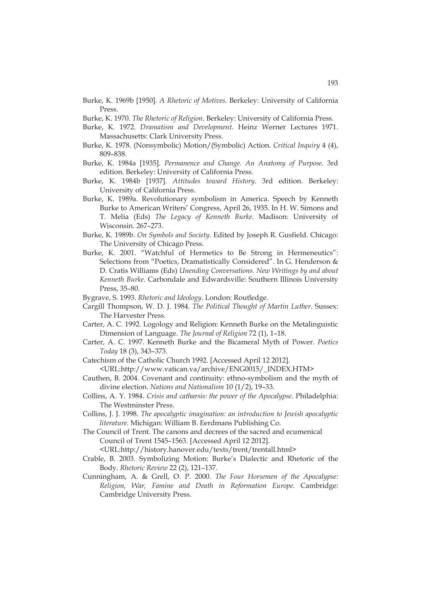- Burke, K. 1969b [1950]. *A Rhetoric of Motives*. Berkeley: University of California Press.
- Burke, K. 1970. *The Rhetoric of Religion*. Berkeley: University of California Press.
- Burke, K. 1972. *Dramatism and Development*. Heinz Werner Lectures 1971. Massachusetts: Clark University Press.
- Burke, K. 1978. (Nonsymbolic) Motion/(Symbolic) Action. *Critical Inquiry* 4 (4), 809–838.
- Burke, K. 1984a [1935]. *Permanence and Change. An Anatomy of Purpose*. 3rd edition. Berkeley: University of California Press.
- Burke, K. 1984b [1937]. *Attitudes toward History*. 3rd edition. Berkeley: University of California Press.
- Burke, K. 1989a. Revolutionary symbolism in America. Speech by Kenneth Burke to American Writers' Congress, April 26, 1935. In H. W. Simons and T. Melia (Eds) *The Legacy of Kenneth Burke*. Madison: University of Wisconsin. 267–273.
- Burke, K. 1989b. *On Symbols and Society*. Edited by Joseph R. Gusfield. Chicago: The University of Chicago Press.
- Burke, K. 2001. "Watchful of Hermetics to Be Strong in Hermeneutics": Selections from "Poetics, Dramatistically Considered". In G. Henderson & D. Cratis Williams (Eds) *Unending Conversations. New Writings by and about Kenneth Burke.* Carbondale and Edwardsville: Southern Illinois University Press, 35–80.
- Bygrave, S. 1993. *Rhetoric and Ideology*. London: Routledge.
- Cargill Thompson, W. D. J. 1984. *The Political Thought of Martin Luther*. Sussex: The Harvester Press.
- Carter, A. C. 1992. Logology and Religion: Kenneth Burke on the Metalinguistic Dimension of Language. *The Journal of Religion* 72 (1), 1–18.
- Carter, A. C. 1997. Kenneth Burke and the Bicameral Myth of Power. *Poetics Today* 18 (3), 343–373.
- Catechism of the Catholic Church 1992. [Accessed April 12 2012]. <URL:http://www.vatican.va/archive/ENG0015/\_INDEX.HTM>
- Cauthen, B. 2004. Covenant and continuity: ethno-symbolism and the myth of divine election. *Nations and Nationalism* 10 (1/2), 19–33.
- Collins, A. Y. 1984. *Crisis and catharsis: the power of the Apocalypse.* Philadelphia: The Westminster Press.
- Collins, J. J. 1998. *The apocalyptic imagination: an introduction to Jewish apocalyptic literature.* Michigan: William B. Eerdmans Publishing Co.
- The Council of Trent. The canons and decrees of the sacred and ecumenical Council of Trent 1545–1563. [Accessed April 12 2012].

<URL:http://history.hanover.edu/texts/trent/trentall.html>

- Crable, B. 2003. Symbolizing Motion: Burke's Dialectic and Rhetoric of the Body. *Rhetoric Review* 22 (2), 121–137.
- Cunningham, A. & Grell, O. P. 2000. *The Four Horsemen of the Apocalypse: Religion, War, Famine and Death in Reformation Europe.* Cambridge: Cambridge University Press.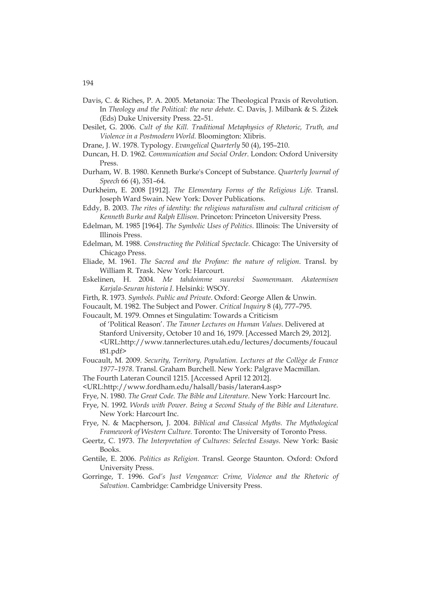- Davis, C. & Riches, P. A. 2005. Metanoia: The Theological Praxis of Revolution. In *Theology and the Political: the new debate.* C. Davis, J. Milbank & S. Žižek (Eds) Duke University Press. 22–51.
- Desilet, G. 2006. *Cult of the Kill. Traditional Metaphysics of Rhetoric, Truth, and Violence in a Postmodern World.* Bloomington: Xlibris.
- Drane, J. W. 1978. Typology. *Evangelical Quarterly* 50 (4), 195–210.
- Duncan, H. D. 1962. *Communication and Social Order*. London: Oxford University Press.
- Durham, W. B. 1980. Kenneth Burke's Concept of Substance. *Quarterly Journal of Speech* 66 (4), 351–64.
- Durkheim, E. 2008 [1912]. *The Elementary Forms of the Religious Life.* Transl. Joseph Ward Swain. New York: Dover Publications.
- Eddy, B. 2003. *The rites of identity: the religious naturalism and cultural criticism of Kenneth Burke and Ralph Ellison*. Princeton: Princeton University Press.
- Edelman, M. 1985 [1964]. *The Symbolic Uses of Politics*. Illinois: The University of Illinois Press.
- Edelman, M. 1988. *Constructing the Political Spectacle*. Chicago: The University of Chicago Press.
- Eliade, M. 1961. *The Sacred and the Profane: the nature of religion*. Transl. by William R. Trask. New York: Harcourt.
- Eskelinen, H. 2004. *Me tahdoimme suureksi Suomenmaan. Akateemisen Karjala-Seuran historia I.* Helsinki: WSOY.
- Firth, R. 1973. *Symbols. Public and Private*. Oxford: George Allen & Unwin.
- Foucault, M. 1982. The Subject and Power. *Critical Inquiry* 8 (4), 777–795.
- Foucault, M. 1979. Omnes et Singulatim: Towards a Criticism
	- of 'Political Reason'. *The Tanner Lectures on Human Values*. Delivered at Stanford University, October 10 and 16, 1979. [Accessed March 29, 2012]. <URL:http://www.tannerlectures.utah.edu/lectures/documents/foucaul t81.pdf>
- Foucault, M. 2009. *Security, Territory, Population. Lectures at the Collège de France 1977–1978*. Transl. Graham Burchell. New York: Palgrave Macmillan.
- The Fourth Lateran Council 1215. [Accessed April 12 2012].
- <URL:http://www.fordham.edu/halsall/basis/lateran4.asp>
- Frye, N. 1980. *The Great Code. The Bible and Literature*. New York: Harcourt Inc.
- Frye, N. 1992. *Words with Power. Being a Second Study of the Bible and Literature*. New York: Harcourt Inc.
- Frye, N. & Macpherson, J. 2004. *Biblical and Classical Myths. The Mythological Framework of Western Culture.* Toronto: The University of Toronto Press.
- Geertz, C. 1973. *The Interpretation of Cultures: Selected Essays*. New York: Basic Books.
- Gentile, E. 2006. *Politics as Religion.* Transl. George Staunton. Oxford: Oxford University Press.
- Gorringe, T. 1996. *God's Just Vengeance: Crime, Violence and the Rhetoric of Salvation.* Cambridge: Cambridge University Press.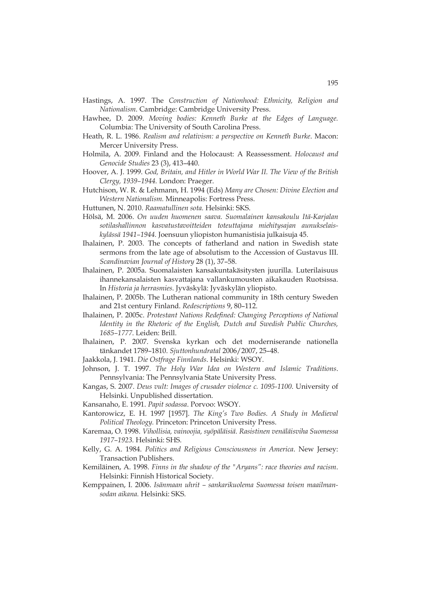- Hastings, A. 1997. The *Construction of Nationhood: Ethnicity, Religion and Nationalism*. Cambridge: Cambridge University Press.
- Hawhee, D. 2009. *Moving bodies: Kenneth Burke at the Edges of Language.* Columbia: The University of South Carolina Press.
- Heath, R. L. 1986. *Realism and relativism: a perspective on Kenneth Burke*. Macon: Mercer University Press.
- Holmila, A. 2009. Finland and the Holocaust: A Reassessment. *Holocaust and Genocide Studies* 23 (3), 413–440.
- Hoover, A. J. 1999. *God, Britain, and Hitler in World War II. The View of the British Clergy, 1939–1944.* London: Praeger.
- Hutchison, W. R. & Lehmann, H. 1994 (Eds) *Many are Chosen: Divine Election and Western Nationalism.* Minneapolis: Fortress Press.
- Huttunen, N. 2010. *Raamatullinen sota.* Helsinki: SKS.
- Hölsä, M. 2006. *On uuden huomenen saava. Suomalainen kansakoulu Itä-Karjalan sotilashallinnon kasvatustavoitteiden toteuttajana miehitysajan aunukselaiskylässä 1941–1944.* Joensuun yliopiston humanistisia julkaisuja 45.
- Ihalainen, P. 2003. The concepts of fatherland and nation in Swedish state sermons from the late age of absolutism to the Accession of Gustavus III. *Scandinavian Journal of History* 28 (1), 37–58.
- Ihalainen, P. 2005a. Suomalaisten kansakuntakäsitysten juurilla. Luterilaisuus ihannekansalaisten kasvattajana vallankumousten aikakauden Ruotsissa. In *Historia ja herrasmies*. Jyväskylä: Jyväskylän yliopisto.
- Ihalainen, P. 2005b. The Lutheran national community in 18th century Sweden and 21st century Finland. *Redescriptions* 9, 80–112.
- Ihalainen, P. 2005c. *Protestant Nations Redefined: Changing Perceptions of National Identity in the Rhetoric of the English, Dutch and Swedish Public Churches, 1685–1777*. Leiden: Brill.
- Ihalainen, P. 2007. Svenska kyrkan och det moderniserande nationella tänkandet 1789–1810. *Sjuttonhundratal* 2006/2007, 25–48.
- Jaakkola, J. 1941. *Die Ostfrage Finnlands*. Helsinki: WSOY.
- Johnson, J. T. 1997. *The Holy War Idea on Western and Islamic Traditions*. Pennsylvania: The Pennsylvania State University Press.
- Kangas, S. 2007. *Deus vult: Images of crusader violence c. 1095-1100*. University of Helsinki. Unpublished dissertation.
- Kansanaho, E. 1991. *Papit sodassa*. Porvoo: WSOY.
- Kantorowicz, E. H. 1997 [1957]. *The King's Two Bodies. A Study in Medieval Political Theology.* Princeton: Princeton University Press.
- Karemaa, O. 1998. *Vihollisia, vainoojia, syöpäläisiä. Rasistinen venäläisviha Suomessa 1917–1923.* Helsinki: SHS.
- Kelly, G. A. 1984. *Politics and Religious Consciousness in America*. New Jersey: Transaction Publishers.
- Kemiläinen, A. 1998. *Finns in the shadow of the "Aryans": race theories and racism*. Helsinki: Finnish Historical Society.
- Kemppainen, I. 2006. *Isänmaan uhrit sankarikuolema Suomessa toisen maailmansodan aikana.* Helsinki: SKS.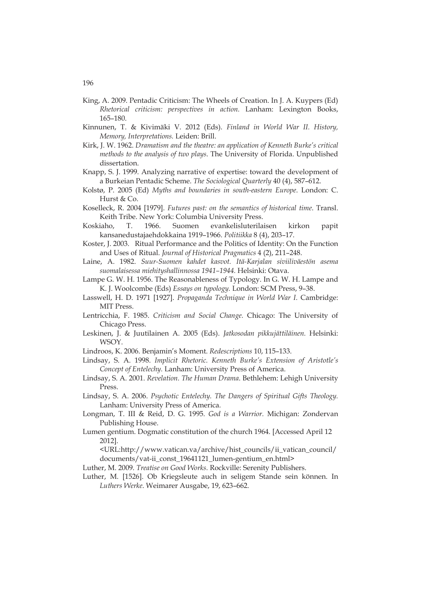- King, A. 2009. Pentadic Criticism: The Wheels of Creation. In J. A. Kuypers (Ed) *Rhetorical criticism: perspectives in action.* Lanham: Lexington Books, 165–180.
- Kinnunen, T. & Kivimäki V. 2012 (Eds). *Finland in World War II. History, Memory, Interpretations.* Leiden: Brill.
- Kirk, J. W. 1962. *Dramatism and the theatre: an application of Kenneth Burke's critical methods to the analysis of two plays*. The University of Florida. Unpublished dissertation.
- Knapp, S. J. 1999. Analyzing narrative of expertise: toward the development of a Burkeian Pentadic Scheme. *The Sociological Quarterly* 40 (4), 587–612.
- Kolstø, P. 2005 (Ed) *Myths and boundaries in south-eastern Europe*. London: C. Hurst & Co.
- Koselleck, R. 2004 [1979]. *Futures past: on the semantics of historical time*. Transl. Keith Tribe. New York: Columbia University Press.
- Koskiaho, T. 1966. Suomen evankelisluterilaisen kirkon papit kansanedustajaehdokkaina 1919–1966. *Politiikka* 8 (4), 203–17.
- Koster, J. 2003. Ritual Performance and the Politics of Identity: On the Function and Uses of Ritual. *Journal of Historical Pragmatics* 4 (2), 211–248.
- Laine, A. 1982. *Suur-Suomen kahdet kasvot. Itä-Karjalan siviiliväestön asema suomalaisessa miehityshallinnossa 1941–1944.* Helsinki: Otava.
- Lampe G. W. H. 1956. The Reasonableness of Typology. In G. W. H. Lampe and K. J. Woolcombe (Eds) *Essays on typology.* London: SCM Press, 9–38.
- Lasswell, H. D. 1971 [1927]. *Propaganda Technique in World War I.* Cambridge: MIT Press.
- Lentricchia, F. 1985. *Criticism and Social Change.* Chicago: The University of Chicago Press.
- Leskinen, J. & Juutilainen A. 2005 (Eds). *Jatkosodan pikkujättiläinen.* Helsinki: WSOY.
- Lindroos, K. 2006. Benjamin's Moment. *Redescriptions* 10, 115–133.
- Lindsay, S. A. 1998. *Implicit Rhetoric. Kenneth Burke's Extension of Aristotle's Concept of Entelechy.* Lanham: University Press of America.
- Lindsay, S. A. 2001. *Revelation. The Human Drama*. Bethlehem: Lehigh University Press.
- Lindsay, S. A. 2006. *Psychotic Entelechy. The Dangers of Spiritual Gifts Theology.* Lanham: University Press of America.
- Longman, T. III & Reid, D. G. 1995. *God is a Warrior.* Michigan: Zondervan Publishing House.
- Lumen gentium. Dogmatic constitution of the church 1964. [Accessed April 12 2012].

<URL:http://www.vatican.va/archive/hist\_councils/ii\_vatican\_council/ documents/vat-ii\_const\_19641121\_lumen-gentium\_en.html>

Luther, M. 2009. *Treatise on Good Works.* Rockville: Serenity Publishers.

Luther, M. [1526]. Ob Kriegsleute auch in seligem Stande sein können. In *Luthers Werke*. Weimarer Ausgabe, 19, 623–662.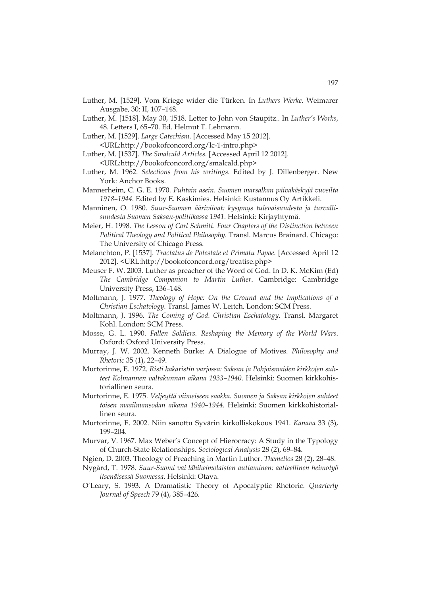- Luther, M. [1529]. Vom Kriege wider die Türken. In *Luthers Werke*. Weimarer Ausgabe, 30: II, 107–148.
- Luther, M. [1518]. May 30, 1518. Letter to John von Staupitz.. In *Luther's Works*, 48. Letters I, 65–70. Ed. Helmut T. Lehmann.
- Luther, M. [1529]. *Large Catechism.* [Accessed May 15 2012]. <URL:http://bookofconcord.org/lc-1-intro.php>
- Luther, M. [1537]. *The Smalcald Articles*. [Accessed April 12 2012]. <URL:http://bookofconcord.org/smalcald.php>
- Luther, M. 1962. *Selections from his writings.* Edited by J. Dillenberger. New York: Anchor Books.
- Mannerheim, C. G. E. 1970. *Puhtain asein. Suomen marsalkan päiväkäskyjä vuosilta 1918–1944.* Edited by E. Kaskimies. Helsinki: Kustannus Oy Artikkeli.
- Manninen, O. 1980. *Suur-Suomen ääriviivat: kysymys tulevaisuudesta ja turvallisuudesta Suomen Saksan-politiikassa 1941*. Helsinki: Kirjayhtymä.
- Meier, H. 1998. *The Lesson of Carl Schmitt. Four Chapters of the Distinction between Political Theology and Political Philosophy.* Transl. Marcus Brainard. Chicago: The University of Chicago Press.
- Melanchton, P. [1537]. *Tractatus de Potestate et Primatu Papae.* [Accessed April 12 2012]. <URL:http://bookofconcord.org/treatise.php>
- Meuser F. W. 2003. Luther as preacher of the Word of God. In D. K. McKim (Ed) *The Cambridge Companion to Martin Luther*. Cambridge: Cambridge University Press, 136–148.
- Moltmann, J. 1977. *Theology of Hope: On the Ground and the Implications of a Christian Eschatology.* Transl. James W. Leitch. London: SCM Press.
- Moltmann, J. 1996. *The Coming of God. Christian Eschatology.* Transl. Margaret Kohl. London: SCM Press.
- Mosse, G. L. 1990. *Fallen Soldiers. Reshaping the Memory of the World Wars*. Oxford: Oxford University Press.
- Murray, J. W. 2002. Kenneth Burke: A Dialogue of Motives. *Philosophy and Rhetoric* 35 (1), 22–49.
- Murtorinne, E. 1972. *Risti hakaristin varjossa: Saksan ja Pohjoismaiden kirkkojen suhteet Kolmannen valtakunnan aikana 1933–1940*. Helsinki: Suomen kirkkohistoriallinen seura.
- Murtorinne, E. 1975. *Veljeyttä viimeiseen saakka. Suomen ja Saksan kirkkojen suhteet toisen maailmansodan aikana 1940–1944.* Helsinki: Suomen kirkkohistoriallinen seura.
- Murtorinne, E. 2002. Niin sanottu Syvärin kirkolliskokous 1941. *Kanava* 33 (3), 199–204.
- Murvar, V. 1967. Max Weber's Concept of Hierocracy: A Study in the Typology of Church-State Relationships. *Sociological Analysis* 28 (2), 69–84.
- Ngien, D. 2003. Theology of Preaching in Martin Luther. *Themelios* 28 (2), 28–48.
- Nygård, T. 1978. *Suur-Suomi vai lähiheimolaisten auttaminen: aatteellinen heimotyö itsenäisessä Suomessa.* Helsinki: Otava.
- O'Leary, S. 1993. A Dramatistic Theory of Apocalyptic Rhetoric. *Quarterly Journal of Speech* 79 (4), 385–426.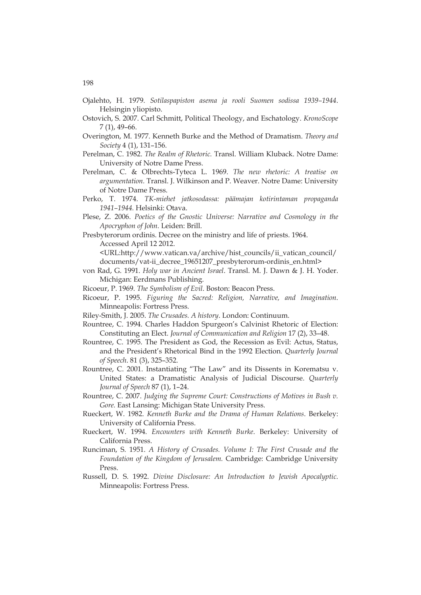- Ojalehto, H. 1979. *Sotilaspapiston asema ja rooli Suomen sodissa 1939–1944*. Helsingin yliopisto.
- Ostovich, S. 2007. Carl Schmitt, Political Theology, and Eschatology. *KronoScope* 7 (1), 49–66.
- Overington, M. 1977. Kenneth Burke and the Method of Dramatism. *Theory and Society* 4 (1), 131–156.
- Perelman, C. 1982. *The Realm of Rhetoric.* Transl. William Kluback. Notre Dame: University of Notre Dame Press.
- Perelman, C. & Olbrechts-Tyteca L. 1969. *The new rhetoric: A treatise on argumentation.* Transl. J. Wilkinson and P. Weaver. Notre Dame: University of Notre Dame Press.
- Perko, T. 1974. *TK-miehet jatkosodassa: päämajan kotirintaman propaganda 1941–1944.* Helsinki: Otava.
- Plese, Z. 2006. *Poetics of the Gnostic Universe: Narrative and Cosmology in the Apocryphon of John.* Leiden: Brill.
- Presbyterorum ordinis. Decree on the ministry and life of priests. 1964. Accessed April 12 2012.

<URL:http://www.vatican.va/archive/hist\_councils/ii\_vatican\_council/ documents/vat-ii\_decree\_19651207\_presbyterorum-ordinis\_en.html>

- von Rad, G. 1991. *Holy war in Ancient Israel*. Transl. M. J. Dawn & J. H. Yoder. Michigan: Eerdmans Publishing.
- Ricoeur, P. 1969. *The Symbolism of Evil*. Boston: Beacon Press.
- Ricoeur, P. 1995. *Figuring the Sacred: Religion, Narrative, and Imagination*. Minneapolis: Fortress Press.
- Riley-Smith, J. 2005. *The Crusades. A history*. London: Continuum.
- Rountree, C. 1994. Charles Haddon Spurgeon's Calvinist Rhetoric of Election: Constituting an Elect. *Journal of Communication and Religion* 17 (2), 33–48.
- Rountree, C. 1995. The President as God, the Recession as Evil: Actus, Status, and the President's Rhetorical Bind in the 1992 Election. *Quarterly Journal of Speech*. 81 (3), 325–352.
- Rountree, C. 2001. Instantiating "The Law" and its Dissents in Korematsu v. United States: a Dramatistic Analysis of Judicial Discourse. *Quarterly Journal of Speech* 87 (1), 1–24.
- Rountree, C. 2007. *Judging the Supreme Court: Constructions of Motives in Bush v. Gore.* East Lansing: Michigan State University Press.
- Rueckert, W. 1982. *Kenneth Burke and the Drama of Human Relations*. Berkeley: University of California Press.
- Rueckert, W. 1994. *Encounters with Kenneth Burke*. Berkeley: University of California Press.
- Runciman, S. 1951. *A History of Crusades. Volume I: The First Crusade and the Foundation of the Kingdom of Jerusalem.* Cambridge: Cambridge University Press.
- Russell, D. S. 1992. *Divine Disclosure: An Introduction to Jewish Apocalyptic*. Minneapolis: Fortress Press.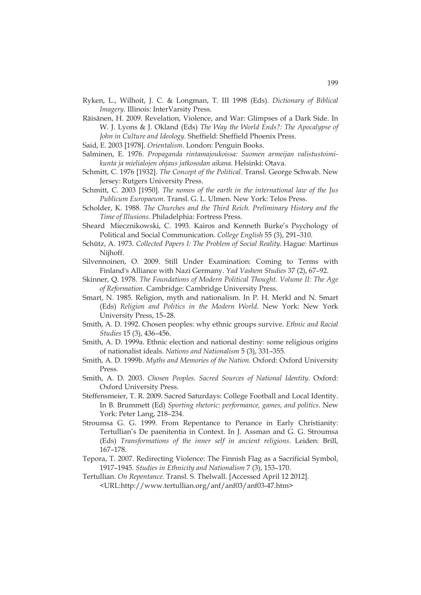- Ryken, L., Wilhoit, J. C. & Longman, T. III 1998 (Eds). *Dictionary of Biblical Imagery.* Illinois: InterVarsity Press.
- Räisänen, H. 2009. Revelation, Violence, and War: Glimpses of a Dark Side. In W. J. Lyons & J. Okland (Eds) *The Way the World Ends?: The Apocalypse of John in Culture and Ideology.* Sheffield: Sheffield Phoenix Press.

Said, E. 2003 [1978]. *Orientalism*. London: Penguin Books.

- Salminen, E. 1976. *Propaganda rintamajoukoissa: Suomen armeijan valistustoimikunta ja mielialojen ohjaus jatkosodan aikana*. Helsinki: Otava.
- Schmitt, C. 1976 [1932]. *The Concept of the Political*. Transl. George Schwab. New Jersey: Rutgers University Press.
- Schmitt, C. 2003 [1950]. *The nomos of the earth in the international law of the Jus Publicum Europaeum*. Transl. G. L. Ulmen. New York: Telos Press.
- Scholder, K. 1988. *The Churches and the Third Reich. Preliminary History and the Time of Illusions.* Philadelphia: Fortress Press.
- Sheard Miecznikowski, C. 1993. Kairos and Kenneth Burke's Psychology of Political and Social Communication. *College English* 55 (3), 291–310.
- Schütz, A. 1973. *Collected Papers I: The Problem of Social Reality*. Hague: Martinus Nijhoff.
- Silvennoinen, O. 2009. Still Under Examination: Coming to Terms with Finland's Alliance with Nazi Germany. *Yad Vashem Studies* 37 (2), 67–92.
- Skinner, Q. 1978. *The Foundations of Modern Political Thought. Volume II: The Age of Reformation.* Cambridge: Cambridge University Press.
- Smart, N. 1985. Religion, myth and nationalism. In P. H. Merkl and N. Smart (Eds) *Religion and Politics in the Modern World*. New York: New York University Press, 15–28.
- Smith, A. D. 1992. Chosen peoples: why ethnic groups survive. *Ethnic and Racial Studies* 15 (3), 436–456.
- Smith, A. D. 1999a. Ethnic election and national destiny: some religious origins of nationalist ideals. *Nations and Nationalism* 5 (3), 331–355.
- Smith, A. D. 1999b. *Myths and Memories of the Nation.* Oxford: Oxford University Press.
- Smith, A. D. 2003. *Chosen Peoples. Sacred Sources of National Identity*. Oxford: Oxford University Press.
- Steffensmeier, T. R. 2009. Sacred Saturdays: College Football and Local Identity. In B. Brummett (Ed) *Sporting rhetoric: performance, games, and politics*. New York: Peter Lang, 218–234.
- Stroumsa G. G. 1999. From Repentance to Penance in Early Christianity: Tertullian's De paenitentia in Context. In J. Assman and G. G. Stroumsa (Eds) *Transformations of the inner self in ancient religions.* Leiden: Brill, 167–178.
- Tepora, T. 2007. Redirecting Violence: The Finnish Flag as a Sacrificial Symbol, 1917–1945. *Studies in Ethnicity and Nationalism* 7 (3), 153–170.
- Tertullian. *On Repentance*. Transl. S. Thelwall. [Accessed April 12 2012]. <URL:http://www.tertullian.org/anf/anf03/anf03-47.htm>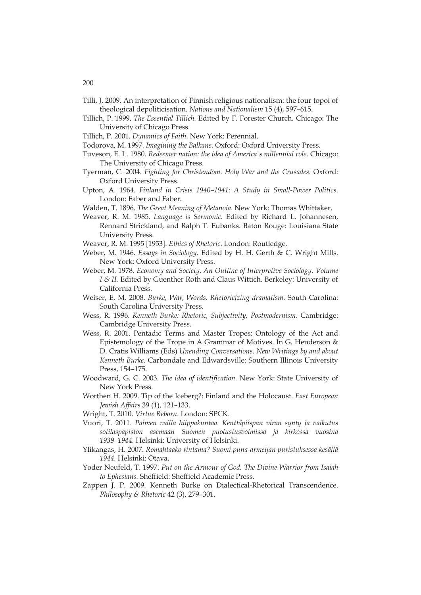- Tilli, J. 2009. An interpretation of Finnish religious nationalism: the four topoi of theological depoliticisation. *Nations and Nationalism* 15 (4), 597–615.
- Tillich, P. 1999. *The Essential Tillich.* Edited by F. Forester Church. Chicago: The University of Chicago Press.
- Tillich, P. 2001. *Dynamics of Faith*. New York: Perennial.
- Todorova, M. 1997. *Imagining the Balkans.* Oxford: Oxford University Press.
- Tuveson, E. L. 1980. *Redeemer nation: the idea of America's millennial role*. Chicago: The University of Chicago Press.
- Tyerman, C. 2004. *Fighting for Christendom. Holy War and the Crusades*. Oxford: Oxford University Press.
- Upton, A. 1964. *Finland in Crisis 1940–1941: A Study in Small-Power Politics*. London: Faber and Faber.
- Walden, T. 1896. *The Great Meaning of Metanoia*. New York: Thomas Whittaker.
- Weaver, R. M. 1985. *Language is Sermonic.* Edited by Richard L. Johannesen, Rennard Strickland, and Ralph T. Eubanks. Baton Rouge: Louisiana State University Press.
- Weaver, R. M. 1995 [1953]. *Ethics of Rhetoric*. London: Routledge.
- Weber, M. 1946. *Essays in Sociology.* Edited by H. H. Gerth & C. Wright Mills. New York: Oxford University Press.
- Weber, M. 1978. *Economy and Society. An Outline of Interpretive Sociology*. *Volume I & II.* Edited by Guenther Roth and Claus Wittich. Berkeley: University of California Press.
- Weiser, E. M. 2008. *Burke, War, Words. Rhetoricizing dramatism*. South Carolina: South Carolina University Press.
- Wess, R. 1996. *Kenneth Burke: Rhetoric, Subjectivity, Postmodernism*. Cambridge: Cambridge University Press.
- Wess, R. 2001. Pentadic Terms and Master Tropes: Ontology of the Act and Epistemology of the Trope in A Grammar of Motives. In G. Henderson & D. Cratis Williams (Eds) *Unending Conversations. New Writings by and about Kenneth Burke.* Carbondale and Edwardsville: Southern Illinois University Press, 154–175.
- Woodward, G. C. 2003. *The idea of identification*. New York: State University of New York Press.
- Worthen H. 2009. Tip of the Iceberg?: Finland and the Holocaust. *East European Jewish Affairs* 39 (1), 121–133.
- Wright, T. 2010. *Virtue Reborn.* London: SPCK.
- Vuori, T. 2011. *Paimen vailla hiippakuntaa. Kenttäpiispan viran synty ja vaikutus sotilaspapiston asemaan Suomen puolustusvoimissa ja kirkossa vuosina 1939–1944.* Helsinki: University of Helsinki.
- Ylikangas, H. 2007. *Romahtaako rintama? Suomi puna-armeijan puristuksessa kesällä 1944.* Helsinki: Otava.
- Yoder Neufeld, T. 1997. *Put on the Armour of God. The Divine Warrior from Isaiah to Ephesians.* Sheffield: Sheffield Academic Press.
- Zappen J. P. 2009. Kenneth Burke on Dialectical-Rhetorical Transcendence. *Philosophy & Rhetoric* 42 (3), 279–301.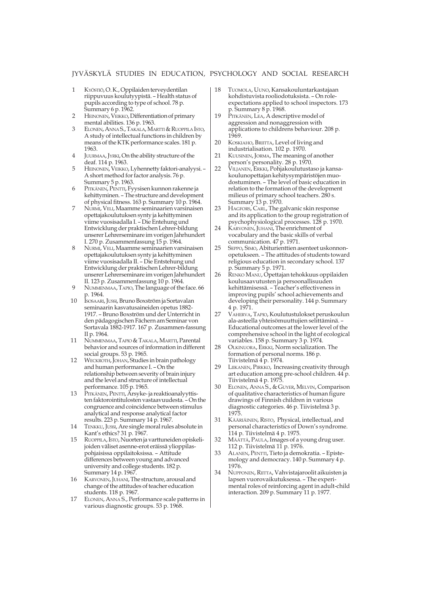- 1 KYÖSTIÖ, O. K., Oppilaiden terveydentilan riippuvuus koulutyypistä. – Health status of pupils according to type of school. 78 p. Summary 6 p. 1962.
- 2 HEINONEN, VEIKKO, Differentiation of primary mental abilities. 136 p. 1963.
- 3ELONEN, ANNA S., TAKALA, MARTTI & RUOPPILA ISTO, A study of intellectual functions in children by means of the KTK performance scales. 181 p. 1963.
- 4 JUURMAA, JYRKI, On the ability structure of the deaf. 114 p. 1963.
- 5 HEINONEN, VEIKKO, Lyhennetty faktori-analyysi. -A short method for factor analysis. 76 p. Summary 5 p. 1963.
- 6PITKÄNEN, PENTTI, Fyysisen kunnon rakenne ja kehittyminen. – The structure and development of physical fitness. 163 p. Summary 10 p. 1964.
- 7NURMI, VELI, Maamme seminaarien varsinaisen opettajakoulutuksen synty ja kehittyminen viime vuosisadalla I. – Die Entehung und Entwicklung der praktischen Lehrer-bildung unserer Lehrerseminare im vorigen Jahrhundert I. 270 p. Zusammenfassung 15 p. 1964.
- 8NURMI, VELI, Maamme seminaarien varsinaisen opettajakoulutuksen synty ja kehittyminen viime vuosisadalla II. – Die Entstehung und Entwicklung der praktischen Lehrer-bildung unserer Lehrerseminare im vorigen Jahrhundert II. 123 p. Zusammenfassung 10 p. 1964.
- 9 NUMMENMAA, TAPIO, The language of the face. 66 p. 1964.
- 10 ISOSAARI, JUSSI, Bruno Boxström ja Sortavalan seminaarin kasvatusaineiden opetus 1882- 1917. – Bruno Boxström und der Unterricht in den pädagogischen Fächern am Seminar von Sortavala 1882-1917. 167 p. Zusammen-fassung II p. 1964.
- 11 NUMMENMAA, TAPIO & TAKALA, MARTTI, Parental behavior and sources of information in different social groups. 53 p. 1965.
- 12 WECKROTH, JOHAN, Studies in brain pathology and human performance I. – On the relationship between severity of brain injury and the level and structure of intellectual performance. 105 p. 1965.
- 13 PITKÄNEN, PENTTI, Ärsyke- ja reaktioanalyyttisten faktorointitulosten vastaavuudesta. – On the congruence and coincidence between stimulus analytical and response analytical factor results. 223 p. Summary 14 p. 1967.
- 14 TENKKU, JUSSI, Are single moral rules absolute in Kant's ethics? 31 p. 1967.
- 15 RUOPPILA, ISTO, Nuorten ja varttuneiden opiskelijoiden väliset asenne-erot eräissä ylioppilaspohjaisissa oppilaitoksissa. – Attitude differences between young and advanced university and college students. 182 p. Summary 14 p. 1967.
- 16 KARVONEN, JUHANI, The structure, arousal and change of the attitudes of teacher education students. 118 p. 1967.
- 17 ELONEN, ANNA S., Performance scale patterns in various diagnostic groups. 53 p. 1968.
- 18 TUOMOLA, UUNO, Kansakouluntarkastajaan kohdistuvista rooliodotuksista. – On roleexpectations applied to school inspectors. 173 p. Summary 8 p. 1968.
- 19 PITKÄNEN, LEA, A descriptive model of aggression and nonaggression with applications to childrens behaviour. 208 p. 1969.
- 20 KOSKIAHO, BRIITTA, Level of living and industrialisation. 102 p. 1970.
- 21 KUUSINEN, JORMA, The meaning of another person's personality. 28 p. 1970.
- 22 VILJANEN, ERKKI, Pohjakoulutustaso ja kansakoulunopettajan kehitysympäristöjen muodostuminen. – The level of basic education in relation to the formation of the development milieus of primary school teachers. 280 s. Summary 13 p. 1970.
- 23 HAGFORS, CARL, The galvanic skin response and its application to the group registration of psychophysiological processes. 128 p. 1970.
- 24 KARVONEN, JUHANI, The enrichment of vocabulary and the basic skills of verbal communication. 47 p. 1971.
- 25 SEPPO, SIMO, Abiturienttien asenteet uskonnonopetukseen. – The attitudes of students toward religious education in secondary school. 137 p. Summary 5 p. 1971.
- 26 RENKO MANU, Opettajan tehokkuus oppilaiden koulusaavutusten ja persoonallisuuden kehittämisessä. – Teacher's effectiveness in improving pupils' school achievements and developing their personality. 144 p. Summary 4 p. 1971.
- 27 VAHERVA, TAPIO, Koulutustulokset peruskoulun ala-asteella yhteisömuuttujien selittäminä. – Educational outcomes at the lower level of the comprehensive school in the light of ecological variables. 158 p. Summary 3 p. 1974.
- 28 OLKINUORA, ERKKI, Norm socialization. The formation of personal norms. 186 p. Tiivistelmä 4 p. 1974.
- 29 LIIKANEN, PIRKKO, Increasing creativity through art education among pre-school children. 44 p. Tiivistelmä 4 p. 1975.
- 30 ELONEN, ANNA S., & GUYER, MELVIN, Comparison of qualitative characteristics of human figure drawings of Finnish children in various diagnostic categories. 46 p. Tiivistelmä 3 p. 1975.
- 31 KÄÄRIÄINEN, RISTO, Physical, intellectual, and personal characteristics of Down's syndrome. 114 p. Tiivistelmä 4 p. 1975.
- 32 MÄÄTTÄ, PAULA, Images of a young drug user. 112 p. Tiivistelmä 11 p. 1976.
- 33 ALANEN, PENTTI, Tieto ja demokratia. Epistemology and democracy. 140 p. Summary 4 p. 1976.
- 34 NUPPONEN, RIITTA, Vahvistajaroolit aikuisten ja lapsen vuorovaikutuksessa. – The experimental roles of reinforcing agent in adult-child interaction. 209 p. Summary 11 p. 1977.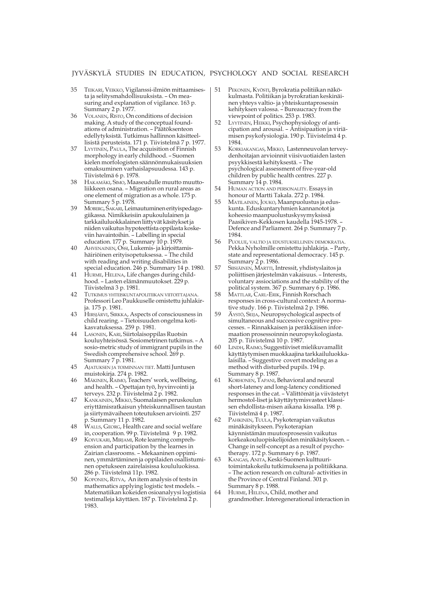- 35 TEIKARI, VEIKKO, Vigilanssi-ilmiön mittaamisesta ja selitysmahdollisuuksista. – On measuring and explanation of vigilance. 163 p. Summary 2 p. 1977.
- 36 VOLANEN, RISTO, On conditions of decision making. A study of the conceptual foundations of administration. – Päätöksenteon edellytyksistä. Tutkimus hallinnon käsitteellisistä perusteista. 171 p. Tiivistelmä 7 p. 1977.
- 37 LYYTINEN, PAULA, The acquisition of Finnish morphology in early childhood. – Suomen kielen morfologisten säännönmukaisuuksien omaksuminen varhaislapsuudessa. 143 p. Tiivistelmä 6 p. 1978.
- 38 HAKAMÄKI, SIMO, Maaseudulle muutto muuttoliikkeen osana. – Migration on rural areas as one element of migration as a whole. 175 p. Summary 5 p. 1978.
- 39 MOBERG, SAKARI, Leimautuminen erityispedagogiikassa. Nimikkeisiin apukoululainen ja tarkkailuluokkalainen liittyvät käsitykset ja niiden vaikutus hypoteettista oppilasta koskeviin havaintoihin. – Labelling in special education. 177 p. Summary 10 p. 1979.
- 40 AHVENAINEN, OSSI, Lukemis- ja kirjoittamishäiriöinen erityisopetuksessa. – The child with reading and writing disabilities in special education. 246 p. Summary 14 p. 1980.
- 41 HURME, HELENA, Life changes during childhood. – Lasten elämänmuutokset. 229 p. Tiivistelmä 3 p. 1981.
- 42 TUTKIMUS YHTEISKUNTAPOLITIIKAN VIITOITTAJANA. Professori Leo Paukkuselle omistettu juhlakirja. 175 p. 1981.
- 43 HIRSJÄRVI, SIRKKA, Aspects of consciousness in child rearing. – Tietoisuuden ongelma kotikasvatuksessa. 259 p. 1981.
- 44 LASONEN, KARI, Siirtolaisoppilas Ruotsin kouluyhteisössä. Sosiometrinen tutkimus. – A sosio-metric study of immigrant pupils in the Swedish comprehensive school. 269 p. Summary 7 p. 1981.
- 45 AJATUKSEN JA TOIMINNAN TIET. Matti Juntusen muistokirja. 274 p. 1982.
- 46 MÄKINEN, RAIMO, Teachers' work, wellbeing, and health. – Opettajan työ, hyvinvointi ja terveys. 232 p. Tiivistelmä 2 p. 1982.
- 47 KANKAINEN, MIKKO, Suomalaisen peruskoulun eriyttämisratkaisun yhteiskunnallisen taustan ja siirtymävaiheen toteutuksen arviointi. 257 p. Summary 11 p. 1982.
- 48 WALLS, GEORG, Health care and social welfare in, cooperation. 99 p. Tiivistelmä 9 p. 1982.
- 49 KOIVUKARI, MIRJAMI, Rote learning comprehension and participation by the learnes in Zairian classrooms. – Mekaaninen oppiminen, ymmärtäminen ja oppilaiden osallistuminen opetukseen zairelaisissa koululuokissa. 286 p. Tiivistelmä 11p. 1982.
- 50 KOPONEN, RITVA, An item analysis of tests in mathematics applying logistic test models. – Matematiikan kokeiden osioanalyysi logistisia testimalleja käyttäen. 187 p. Tiivistelmä 2 p. 1983.
- 51 PEKONEN, KYÖSTI, Byrokratia politiikan näkökulmasta. Politiikan ja byrokratian keskinäinen yhteys valtio- ja yhteiskuntaprosessin kehityksen valossa. – Bureaucracy from the viewpoint of politics. 253 p. 1983.
- 52 LYYTINEN, HEIKKI, Psychophysiology of anticipation and arousal. – Antisipaation ja viriämisen psykofysiologia. 190 p. Tiivistelmä 4 p. 1984.
- 53 KORKIAKANGAS, MIKKO, Lastenneuvolan terveydenhoitajan arvioinnit viisivuotiaiden lasten psyykkisestä kehityksestä. – The psychological assessment of five-year-old children by public health centres. 227 p. Summary 14 p. 1984.
- 54 HUMAN ACTION AND PERSONALITY. Essays in honour of Martti Takala. 272 p. 1984.
- 55 MATILAINEN, JOUKO, Maanpuolustus ja eduskunta. Eduskuntaryhmien kannanotot ja koheesio maanpuolustuskysymyksissä Paasikiven-Kekkosen kaudella 1945-1978. – Defence and Parliament. 264 p. Summary 7 p. 1984.
- 56 PUOLUE, VALTIO JA EDUSTUKSELLINEN DEMOKRATIA. Pekka Nyholmille omistettu juhlakirja. – Party, state and representational democracy. 145 p. Summary 2 p. 1986.
- 57 SIISIÄINEN, MARTTI, Intressit, yhdistyslaitos ja poliittisen järjestelmän vakaisuus. – Interests, voluntary assiociations and the stability of the political system. 367 p. Summary 6 p. 1986.
- 58 MATTLAR, CARL-ERIK, Finnish Rorschach responses in cross-cultural context: A normative study. 166 p. Tiivistelmä 2 p. 1986.
- 59 ÄYSTÖ, SEIJA, Neuropsychological aspects of simultaneous and successive cognitive processes. – Rinnakkaisen ja peräkkäisen informaation prosessoinnin neuropsykologiasta. 205 p. Tiivistelmä 10 p. 1987.
- 60 LINDH, RAIMO, Suggestiiviset mielikuvamallit käyttäytymisen muokkaajina tarkkailuluokkalaisilla. – Suggestive covert modeling as a method with disturbed pupils. 194 p. Summary 8 p. 1987.
- 61 KORHONEN, TAPANI, Behavioral and neural short-lateney and long-latency conditioned responses in the cat. – Välittömät ja viivästetyt hermostol-liset ja käyttäytymisvasteet klassisen ehdollista-misen aikana kissalla. 198 p. Tiivistelmä 4 p. 1987.
- 62 PAHKINEN, TUULA, Psykoterapian vaikutus minäkäsitykseen. Psykoterapian käynnistämän muutosprosessin vaikutus korkeakouluopiskelijoiden minäkäsitykseen. – Change in self-concept as a result of psychotherapy. 172 p. Summary 6 p. 1987.
- 63 KANGAS, ANITA, Keski-Suomen kulttuuritoimintakokeilu tutkimuksena ja politiikkana. – The action research on cultural- activities in the Province of Central Finland. 301 p. Summary 8 p. 1988.
- 64 HURME, HELENA, Child, mother and grandmother. Interegenerational interaction in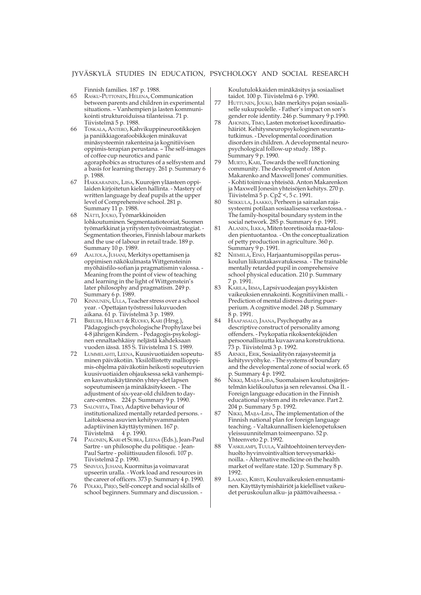Finnish families. 187 p. 1988.

- 65 RASKU-PUTTONEN, HELENA, Communication between parents and children in experimental situations. – Vanhempien ja lasten kommunikointi strukturoiduissa tilanteissa. 71 p. Tiivistelmä 5 p. 1988.
- 66 TOSKALA, ANTERO, Kahvikuppineurootikkojen ja paniikkiagorafoobikkojen minäkuvat minäsysteemin rakenteina ja kognitiivisen oppimis-terapian perustana. – The self-images of coffee cup neurotics and panic agoraphobics as structures of a selfsystem and a basis for learning therapy. 261 p. Summary 6 p. 1988.
- 67 HAKKARAINEN, LIISA, Kuurojen yläasteen oppilaiden kirjoitetun kielen hallinta. - Mastery of written language by deaf pupils at the upper level of Comprehensive school. 281 p. Summary 11 p. 1988.
- 68 NÄTTI, JOUKO, Työmarkkinoiden lohkoutuminen. Segmentaatioteoriat, Suomen työmarkkinat ja yritysten työvoimastrategiat. - Segmentation theories, Finnish labour markets and the use of labour in retail trade. 189 p. Summary 10 p. 1989.
- 69 AALTOLA, JUHANI, Merkitys opettamisen ja oppimisen näkökulmasta Wittgensteinin myöhäisfilo-sofian ja pragmatismin valossa. - Meaning from the point of view of teaching and learning in the light of Wittgenstein's later philosophy and pragmatism. 249 p. Summary 6 p. 1989.
- 70 KINNUNEN, ULLA, Teacher stress over a school year. - Opettajan työstressi lukuvuoden aikana. 61 p. Tiivistelmä 3 p. 1989.
- 71 BREUER, HELMUT & RUOHO, KARI (Hrsg.), Pädagogisch-psychologische Prophylaxe bei 4-8 jährigen Kindern. - Pedagogis-psykologinen ennaltaehkäisy neljästä kahdeksaan vuoden iässä. 185 S. Tiivistelmä 1 S. 1989.
- 72 LUMMELAHTI, LEENA, Kuusivuotiaiden sopeutuminen päiväkotiin. Yksilöllistetty mallioppimis-ohjelma päiväkotiin heikosti sopeutuvien kuusivuotiaiden ohjauksessa sekä vanhempien kasvatuskäytännön yhtey-det lapsen sopeutumiseen ja minäkäsitykseen. - The adjustment of six-year-old children to daycare-centres. 224 p. Summary 9 p. 1990.
- SALOVIITA, TIMO, Adaptive behaviour of institutionalized mentally retarded persons. - Laitoksessa asuvien kehitysvammaisten adaptiivinen käyttäytyminen. 167 p. Tiivistelmä 4 p. 1990.
- 74 PALONEN, KARI et SUBRA, LEENA (Eds.), Jean-Paul Sartre - un philosophe du politique. - Jean-Paul Sartre - poliittisuuden filosofi. 107 p. Tiivistelmä 2 p. 1990.
- 75 SINIVUO, JUHANI, Kuormitus ja voimavarat upseerin uralla. - Work load and resources in the career of officers. 373 p. Summary 4 p. 1990.
- 76 PÖLKKI, PIRJO, Self-concept and social skills of school beginners. Summary and discussion. -

Koulutulokkaiden minäkäsitys ja sosiaaliset taidot. 100 p. Tiivistelmä 6 p. 1990.

- 77 HUTTUNEN, JOUKO, Isän merkitys pojan sosiaaliselle sukupuolelle. - Father's impact on son's gender role identity. 246 p. Summary 9 p.1990.
- 78 AHONEN, TIMO, Lasten motoriset koordinaatiohäiriöt. Kehitysneuropsykologinen seurantatutkimus. - Developmental coordination disorders in children. A developmental neuropsychological follow-up study. 188 p. Summary 9 p. 1990.
- 79 MURTO, KARI, Towards the well functioning community. The development of Anton Makarenko and Maxwell Jones' communities. - Kohti toimivaa yhteisöä. Anton Makarenkon ja Maxwell Jonesin yhteisöjen kehitys. 270 p. Tiivistelmä 5 p. Cp2`<, 5 c. 1991.
- 80 SEIKKULA, JAAKKO, Perheen ja sairaalan rajasysteemi potilaan sosiaalisessa verkostossa. - The family-hospital boundary system in the social network. 285 p. Summary 6 p. 1991.
- 81 ALANEN, ILKKA, Miten teoretisoida maa-talouden pientuotantoa. - On the conceptualization of petty production in agriculture. 360 p. Summary 9 p. 1991.
- 82 NIEMELÄ, EINO, Harjaantumisoppilas peruskoulun liikuntakasvatuksessa. - The trainable mentally retarded pupil in comprehensive school physical education. 210 p. Summary 7 p. 1991.
- 83 KARILA, IRMA, Lapsivuodeajan psyykkisten vaikeuksien ennakointi. Kognitiivinen malli. - Prediction of mental distress during puerperium. A cognitive model. 248 p. Summary 8 p. 1991.
- 84 HAAPASALO, JAANA, Psychopathy as a descriptive construct of personality among offenders. - Psykopatia rikoksentekijöiden persoonallisuutta kuvaavana konstruktiona. 73 p. Tiivistelmä 3 p. 1992.
- 85 ARNKIL, ERIK, Sosiaalityön rajasysteemit ja kehitysvyöhyke. - The systems of boundary and the developmental zone of social work. 65 p. Summary 4 p. 1992.
- 86 NIKKI, MAIJA-LIISA, Suomalaisen koulutusjärjestelmän kielikoulutus ja sen relevanssi. Osa II. - Foreign language education in the Finnish educational system and its relevance. Part 2. 204 p. Summary 5 p. 1992.
- 87 NIKKI, MAIJA-LIISA, The implementation of the Finnish national plan for foreign language teaching. - Valtakunnallisen kielenopetuksen yleissuunnitelman toimeenpano. 52 p. Yhteenveto 2 p. 1992.
- 88 VASKILAMPI, TUULA, Vaihtoehtoinen terveydenhuolto hyvinvointivaltion terveysmarkkinoilla. - Alternative medicine on the health market of welfare state. 120 p. Summary 8 p. 1992.
- 89 LAAKSO, KIRSTI, Kouluvaikeuksien ennustaminen. Käyttäytymishäiriöt ja kielelliset vaikeudet peruskoulun alku- ja päättövaiheessa. -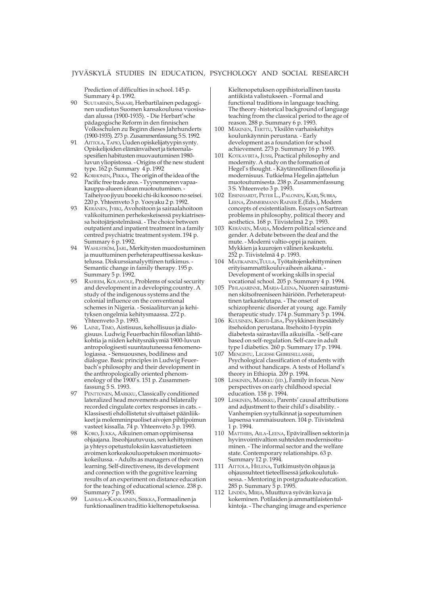Prediction of difficulties in school. 145 p. Summary 4 p. 1992.

- 90 SUUTARINEN, SAKARI, Herbartilainen pedagoginen uudistus Suomen kansakoulussa vuosisadan alussa (1900-1935). - Die Herbart'sche pädagogische Reform in den finnischen Volksschulen zu Beginn dieses Jahrhunderts (1900-1935). 273 p. Zusammenfassung 5 S. 1992.
- 91 AITTOLA, TAPIO, Uuden opiskelijatyypin synty. Opiskelijoiden elämänvaiheet ja tieteenalaspesifien habitusten muovautuminen 1980 luvun yliopistossa. - Origins of the new student type. 162 p. Summary 4 p. 1992
- 92 KORHONEN, PEKKA, The origin of the idea of the Pacific free trade area. - Tyynenmeren vapaakauppa-alueen idean muotoutuminen. - Taiheiyoo jiyuu booeki chi-iki koosoo no seisei. 220 p. Yhteenveto 3 p. Yooyaku 2 p. 1992.
- 93 KERÄNEN, JYRKI, Avohoitoon ja sairaalahoitoon valikoituminen perhekeskeisessä psykiatrisessa hoitojärjestelmässä. - The choice between outpatient and inpatient treatment in a family centred psychiatric treatment system. 194 p. Summary 6 p. 1992.
- WAHLSTRÖM, JARL, Merkitysten muodostuminen ja muuttuminen perheterapeuttisessa keskustelussa. Diskurssianalyyttinen tutkimus. - Semantic change in family therapy. 195 p. Summary 5 p. 1992.
- 95 RAHEEM, KOLAWOLE, Problems of social security and development in a developing country. A study of the indigenous systems and the colonial influence on the conventional schemes in Nigeria. - Sosiaaliturvan ja kehityksen ongelmia kehitysmaassa. 272 p. Yhteenveto 3 p. 1993.
- 96 LAINE, TIMO, Aistisuus, kehollisuus ja dialogisuus. Ludwig Feuerbachin filosofian lähtökohtia ja niiden kehitysnäkymiä 1900-luvun antropologisesti suuntautuneessa fenomenologiassa. - Sensuousnes, bodiliness and dialogue. Basic principles in Ludwig Feuerbach's philosophy and their development in the anthropologically oriented phenomenology of the 1900's. 151 p. Zusammenfassung 5 S. 1993.
- 97 PENTTONEN, MARKKU, Classically conditioned lateralized head movements and bilaterally recorded cingulate cortex responses in cats. - Klassisesti ehdollistetut sivuttaiset päänliikkeet ja molemminpuoliset aivojen pihtipoimun vasteet kissalla. 74 p. Yhteenveto 3 p. 1993.
- 98 KORO, JUKKA, Aikuinen oman oppimisensa ohjaajana. Itseohjautuvuus, sen kehittyminen ja yhteys opetustuloksiin kasvatustieteen avoimen korkeakouluopetuksen monimuotokokeilussa. - Adults as managers of their own learning. Self-directiveness, its development and connection with the gognitive learning results of an experiment on distance education for the teaching of educational science. 238 p. Summary 7 p. 1993.
- 99 LAIHIALA-KANKAINEN, SIRKKA, Formaalinen ja funktionaalinen traditio kieltenopetuksessa.

Kieltenopetuksen oppihistoriallinen tausta antiikista valistukseen. - Formal and functional traditions in language teaching. The theory -historical background of language teaching from the classical period to the age of reason. 288 p. Summary 6 p. 1993.

- 100 MÄKINEN, TERTTU, Yksilön varhaiskehitys koulunkäynnin perustana. - Early development as a foundation for school achievement. 273 p. Summary 16 p. 1993.
- 101 KOTKAVIRTA, JUSSI, Practical philosophy and modernity. A study on the formation of Hegel's thought. - Käytännöllinen filosofia ja modernisuus. Tutkielma Hegelin ajattelun muotoutumisesta. 238 p. Zusammenfassung 3 S. Yhteenveto 3 p. 1993.
- 102 EISENHARDT, PETER L., PALONEN, KARI, SUBRA, LEENA, ZIMMERMANN RAINER E.(Eds.), Modern concepts of existentialism. Essays on Sartrean problems in philosophy, political theory and aesthetics. 168 p. Tiivistelmä 2 p. 1993.
- 103 KERÄNEN, MARJA, Modern political science and gender. A debate between the deaf and the mute. - Moderni valtio-oppi ja nainen. Mykkien ja kuurojen välinen keskustelu. 252 p. Tiivistelmä 4 p. 1993.
- 104 MATIKAINEN,TUULA, Työtaitojenkehittyminen erityisammattikouluvaiheen aikana. - Development of working skills in special vocational school. 205 p. Summary 4 p. 1994.
- 105 PIHLAJARINNE, MARJA-LEENA, Nuoren sairastuminen skitsofreeniseen häiriöön. Perheterapeuttinen tarkastelutapa. - The onset of schizophrenic disorder at young age. Family therapeutic study. 174 p. Summary 5 p. 1994.
- 106 KUUSINEN, KIRSTI-LIISA, Psyykkinen itsesäätely itsehoidon perustana. Itsehoito I-tyypin diabetesta sairastavilla aikuisilla. - Self-care based on self-regulation. Self-care in adult type I diabetics. 260 p. Summary 17 p. 1994.
- 107 MENGISTU, LEGESSE GEBRESELLASSIE, Psychological classification of students with and without handicaps. A tests of Holland's theory in Ethiopia. 209 p. 1994.
- 108 LESKINEN, MARKKU (ED.), Family in focus. New perspectives on early childhood special education. 158 p. 1994.
- 109 LESKINEN, MARKKU, Parents' causal attributions and adjustment to their child's disability. - Vanhempien syytulkinnat ja sopeutuminen lapsensa vammaisuuteen. 104 p. Tiivistelmä 1 p. 1994.
- 110 MATTHIES, AILA-LEENA, Epävirallisen sektorin ja hyvinvointivaltion suhteiden modernisoituminen. - The informal sector and the welfare state. Contemporary relationships. 63 p. Summary 12 p. 1994.
- 111 AITTOLA, HELENA, Tutkimustyön ohjaus ja ohjaussuhteet tieteellisessä jatkokoulutuksessa. - Mentoring in postgraduate education. 285 p. Summary 5 p. 1995.
- 112 LINDÉN, MIRJA, Muuttuva syövän kuva ja kokeminen. Potilaiden ja ammattilaistentulkintoja. - The changing image and experience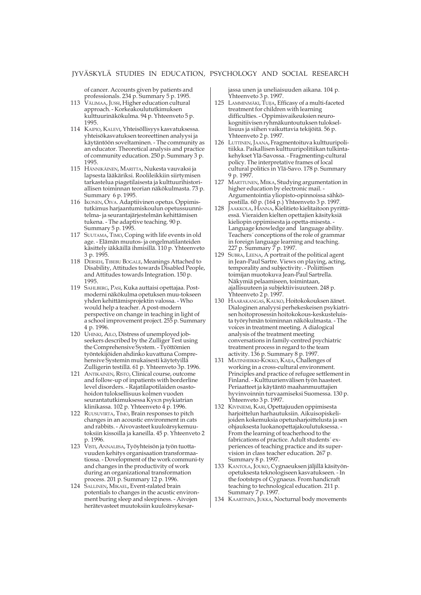of cancer. Accounts given by patients and professionals. 234 p. Summary 5 p. 1995.

- 113 VÄLIMAA, JUSSI, Higher education cultural approach. - Korkeakoulututkimuksen kulttuurinäkökulma. 94 p. Yhteenveto 5 p. 1995.
- 114 KAIPIO, KALEVI, Yhteisöllisyys kasvatuksessa. yhteisökasvatuksen teoreettinen analyysi ja käytäntöön soveltaminen. - The community as an educator. Theoretical analysis and practice of community education. 250 p. Summary 3 p. 1995.
- 115 HÄNNIKÄINEN, MARITTA, Nukesta vauvaksi ja lapsesta lääkäriksi. Roolileikkiin siirtymisen tarkastelua piagetilaisesta ja kulttuurihistoriallisen toiminnan teorian näkökulmasta. 73 p. Summary 6 p. 1995.
- 116 IKONEN, OIVA. Adaptiivinen opetus. Oppimistutkimus harjaantumiskoulun opetussuunnitelma- ja seurantajärjestelmän kehittämisen tukena. - The adaptive teaching. 90 p. Summary 5 p. 1995.
- 117 SUUTAMA, TIMO, Coping with life events in old age. - Elämän muutos- ja ongelmatilanteiden käsittely iäkkäillä ihmisillä. 110 p. Yhteenveto 3 p. 1995.
- 118 DERSEH, TIBEBU BOGALE, Meanings Attached to Disability, Attitudes towards Disabled People, and Attitudes towards Integration. 150 p. 1995.
- 119 SAHLBERG, PASI, Kuka auttaisi opettajaa. Postmoderni näkökulma opetuksen muu-tokseen yhden kehittämisprojektin valossa. - Who would help a teacher. A post-modern perspective on change in teaching in light of a school improvement project. 255 p. Summary 4 p. 1996.
- 120 UHINKI, AILO, Distress of unemployed jobseekers described by the Zulliger Test using the Comprehensive System. - Työttömien työntekijöiden ahdinko kuvattuna Comprehensive Systemin mukaisesti käytetyillä Zulligerin testillä. 61 p. Yhteenveto 3p. 1996.
- 121 ANTIKAINEN, RISTO, Clinical course, outcome and follow-up of inpatients with borderline level disorders. - Rajatilapotilaiden osastohoidon tuloksellisuus kolmen vuoden seurantatutkimuksessa Kys:n psykiatrian klinikassa. 102 p. Yhteenveto 4 p. 1996.
- 122 RUUSUVIRTA, TIMO, Brain responses to pitch changes in an acoustic environment in cats and rabbits. - Aivovasteet kuuloärsykemuutoksiin kissoilla ja kaneilla. 45 p. Yhteenveto 2 p. 1996.
- 123 VISTI, ANNALIISA, Työyhteisön ja työn tuottavuuden kehitys organisaation transformaatiossa. - Dovelopment of the work communi-ty and changes in the productivity of work during an organizational transformation process. 201 p. Summary 12 p. 1996.
- 124 SALLINEN, MIKAEL, Event-ralated brain potentials to changes in the acustic environment buring sleep and sleepiness. - Aivojen herätevasteet muutoksiin kuuloärsykesar-

jassa unen ja uneliaisuuden aikana. 104 p. Yhteenveto 3 p. 1997.

- 125 LAMMINMÄKI, TUIJA, Efficasy of a multi-faceted treatment for children with learning difficulties. - Oppimisvaikeuksien neurokognitiivisen ryhmäkuntoutuksen tuloksellisuus ja siihen vaikuttavia tekijöitä. 56 p. Yhteenveto 2 p. 1997.
- 126 LUTTINEN, JAANA, Fragmentoituva kulttuuripolitiikka. Paikallisen kulttuuripolitiikan tulkintakehykset Ylä-Savossa. - Fragmenting-cultural policy. The interpretative frames of local cultural politics in Ylä-Savo. 178 p. Summary 9 p. 1997.
- 127 MARTTUNEN, MIIKA, Studying argumentation in higher education by electronic mail. - Argumentointia yliopisto-opinnoissa sähköpostilla. 60 p. (164 p.) Yhteenveto 3 p. 1997.
- 128 JAAKKOLA, HANNA, Kielitieto kielitaitoon pyrittäessä. Vieraiden kielten opettajien käsityksiä kieliopin oppimisesta ja opetta-misesta. - Language knowledge and language ability. Teachers´ conceptions of the role of grammar in foreign language learning and teaching. 227 p. Summary 7 p. 1997.
- 129 SUBRA, LEENA, A portrait of the political agent in Jean-Paul Sartre. Views on playing, acting, temporality and subjectivity. - Poliittisen toimijan muotokuva Jean-Paul Sartrella. Näkymiä pelaamiseen, toimintaan, ajallisuuteen ja subjektiivisuuteen. 248 p. Yhteenveto 2 p. 1997.
- 130 HAARAKANGAS, KAUKO, Hoitokokouksen äänet. Dialoginen analyysi perhekeskeisen psykiatrisen hoitoprosessin hoitokokous-keskusteluista työryhmän toiminnan näkökulmasta. - The voices in treatment meeting. A dialogical analysis of the treatment meeting conversations in family-centred psychiatric treatment process in regard to the team activity. 136 p. Summary 8 p. 1997.
- 131 MATINHEIKKI-KOKKO, KAIJA, Challenges of working in a cross-cultural environment. Principles and practice of refugee settlement in Finland. - Kulttuurienvälisen työn haasteet. Periaatteet ja käytäntö maahanmuuttajien hyvinvoinnin turvaamiseksi Suomessa. 130 p. Yhteenveto 3 p. 1997.
- 132 KIVINIEMI, KARI, Opettajuuden oppimisesta harjoittelun harhautuksiin. Aikuisopiskelijoiden kokemuksia opetusharjoittelusta ja sen ohjauksesta luokanopettajakoulutuksessa. - From the learning of teacherhood to the fabrications of practice. Adult students´ experiences of teaching practice and its supervision in class teacher education. 267 p. Summary 8 p. 1997.
- 133 KANTOLA, JOUKO, Cygnaeuksen jäljillä käsityönopetuksesta teknologiseen kasvatukseen. - In the footsteps of Cygnaeus. From handicraft teaching to technological education. 211 p. Summary 7 p. 1997.
- 134 KAARTINEN, JUKKA, Nocturnal body movements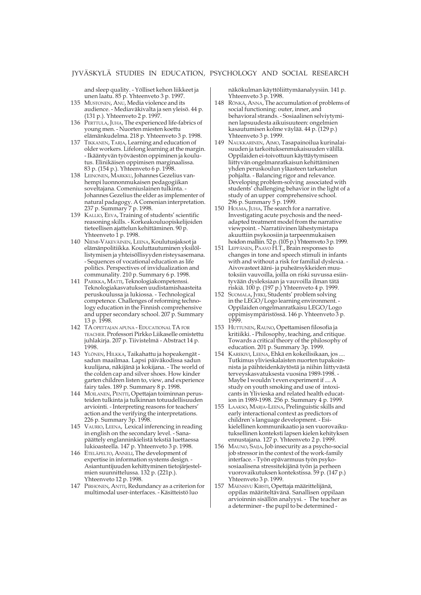and sleep quality. - Yölliset kehon liikkeet ja unen laatu. 85 p. Yhteenveto 3 p. 1997.

- 135 MUSTONEN, ANU, Media violence and its audience. - Mediaväkivalta ja sen yleisö. 44 p. (131 p.). Yhteenveto 2 p. 1997.
- 136 PERTTULA, JUHA, The experienced life-fabrics of young men. - Nuorten miesten koettu elämänkudelma. 218 p. Yhteenveto 3 p. 1998.
- 137 TIKKANEN, TARJA, Learning and education of older workers. Lifelong learning at the margin. - Ikääntyvän työväestön oppiminen ja koulutus. Elinikäisen oppimisen marginaalissa. 83 p. (154 p.). Yhteenveto 6 p. 1998.
- 138 LEINONEN, MARKKU, Johannes Gezelius vanhempi luonnonmukaisen pedagogiikan soveltajana. Comeniuslainen tulkinta. - Johannes Gezelius the elder as implementer of natural padagogy. A Comenian interpretation. 237 p. Summary 7 p. 1998.
- 139 KALLIO, EEVA, Training of students' scientific reasoning skills. - Korkeakouluopiskelijoiden tieteellisen ajattelun kehittäminen. 90 p. Yhteenveto 1 p. 1998.
- 140 NIEMI-VÄKEVÄINEN, LEENA, Koulutusjaksot ja elämänpolitiikka. Kouluttautuminen yksilöllistymisen ja yhteisöllisyyden risteysasemana. - Sequences of vocational education as life politics. Perspectives of invidualization and communality. 210 p. Summary 6 p. 1998.
- 141 PARIKKA, MATTI, Teknologiakompetenssi. Teknologiakasvatuksen uudistamishaasteita peruskoulussa ja lukiossa. - Technological competence. Challenges of reforming technology education in the Finnish comprehensive and upper secondary school. 207 p. Summary 13 p. 1998.
- 142 TA OPETTAJAN APUNA EDUCATIONAL TA FOR TEACHER. Professori Pirkko Liikaselle omistettu juhlakirja. 207 p. Tiivistelmä - Abstract 14 p. 1998.
- 143 YLÖNEN, HILKKA, Taikahattu ja hopeakengät sadun maailmaa. Lapsi päiväkodissa sadun kuulijana, näkijänä ja kokijana. - The world of the colden cap and silver shoes. How kinder garten children listen to, view, and experience fairy tales. 189 p. Summary 8 p. 1998.
- 144 MOILANEN, PENTTI, Opettajan toiminnan perusteiden tulkinta ja tulkinnan totuudellisuuden arviointi. - Interpreting reasons for teachers' action and the verifying the interpretations. 226 p. Summary 3p. 1998.
- 145 VAURIO, LEENA, Lexical inferencing in reading in english on the secondary level. - Sanapäättely englanninkielistä tekstiä luettaessa lukioasteella. 147 p. Yhteenveto 3 p. 1998.
- 146 ETELÄPELTO, ANNELI, The development of expertise in information systems design. - Asiantuntijuuden kehittyminen tietojärjestelmien suunnittelussa. 132 p. (221p.). Yhteenveto 12 p. 1998.
- 147 PIRHONEN, ANTTI, Redundancy as a criterion for multimodal user-interfaces. - Käsitteistö luo

näkökulman käyttöliittymäanalyysiin. 141 p. Yhteenveto 3 p. 1998.

- 148 RÖNKÄ, ANNA, The accumulation of problems of social functioning: outer, inner, and behavioral strands. - Sosiaalinen selviytyminen lapsuudesta aikuisuuteen: ongelmien kasautumisen kolme väylää. 44 p. (129 p.) Yhteenveto 3 p. 1999.
- 149 NAUKKARINEN, AIMO, Tasapainoilua kurinalaisuuden ja tarkoituksenmukaisuuden välillä. Oppilaiden ei-toivottuun käyttäytymiseen liittyvän ongelmanratkaisun kehittäminen yhden peruskoulun yläasteen tarkastelun pohjalta. - Balancing rigor and relevance. Developing problem-solving associated with students' challenging behavior in the light of a study of an upper comprehensive school. 296 p. Summary 5 p. 1999.
- 150 HOLMA, JUHA, The search for a narrative. Investigating acute psychosis and the needadapted treatment model from the narrative viewpoint. - Narratiivinen lähestymistapa akuuttiin psykoosiin ja tarpeenmukaisen hoidon malliin. 52 p. (105 p.) Yhteenveto 3 p. 1999.
- 151 LEPPÄNEN, PAAVO H.T., Brain responses to changes in tone and speech stimuli in infants with and without a risk for familial dyslexia. Aivovasteet ääni- ja puheärsykkeiden muutoksiin vauvoilla, joilla on riski suvussa esiintyvään dysleksiaan ja vauvoilla ilman tätä riskiä. 100 p. (197 p.) Yhteenveto 4 p. 1999.
- 152 SUOMALA, JYRKI, Students' problem solving in the LEGO/Logo learning environment. - Oppilaiden ongelmanratkaisu LEGO/Logo oppimisympäristössä. 146 p. Yhteenveto 3 p. 1999.
- 153 HUTTUNEN, RAUNO, Opettamisen filosofia ja kritiikki. - Philosophy, teaching, and critique. Towards a critical theory of the philosophy of education. 201 p. Summary 3p. 1999.
- 154 KAREKIVI, LEENA, Ehkä en kokeilisikaan, jos .... Tutkimus ylivieskalaisten nuorten tupakoinnista ja päihteidenkäytöstä ja niihin liittyvästä terveyskasvatuksesta vuosina 1989-1998. - Maybe I wouldn´t even experiment if .... A study on youth smoking and use of intoxicants in Ylivieska and related health education in 1989-1998. 256 p. Summary 4 p. 1999.
- 155 LAAKSO, MARJA-LEENA, Prelinguistic skills and early interactional context as predictors of children´s language development. - Esikielellinen kommunikaatio ja sen vuorovaikutuksellinen konteksti lapsen kielen kehityksen ennustajana. 127 p. Yhteenveto 2 p. 1999.
- 156 MAUNO, SAIJA, Job insecurity as a psycho-social job stressor in the context of the work-family interface. - Työn epävarmuus työn psykososiaalisena stressitekijänä työn ja perheen vuorovaikutuksen kontekstissa. 59 p. (147 p.) Yhteenveto 3 p. 1999.
- 157 MÄENSIVU KIRSTI, Opettaja määrittelijänä, oppilas määriteltävänä. Sanallisen oppilaan arvioinnin sisällön analyysi. - The teacher as a determiner - the pupil to be determined -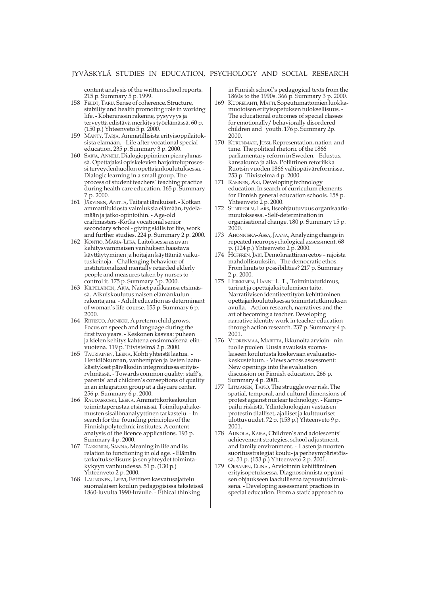content analysis of the written school reports. 215 p. Summary 5 p. 1999.

- 158 FELDT, TARU, Sense of coherence. Structure, stability and health promoting role in working life. - Koherenssin rakenne, pysyvyys ja terveyttä edistävä merkitys työelämässä. 60 p. (150 p.) Yhteenveto 5 p. 2000.
- 159 MÄNTY, TARJA, Ammatillisista erityisoppilaitoksista elämään. - Life after vocational special education. 235 p. Summary 3 p. 2000.
- 160 SARJA, ANNELI, Dialogioppiminen pienryhmässä. Opettajaksi opiskelevien harjoitteluprosessi terveydenhuollon opettajankoulutuksessa. - Dialogic learning in a small group. The process of student teachers´ teaching practice during health care education. 165 p. Summary 7 p. 2000.
- 161 JÄRVINEN, ANITTA, Taitajat iänikuiset. Kotkan ammattilukiosta valmiuksia elämään, työelämään ja jatko-opintoihin. - Age-old craftmasters -Kotka vocational senior secondary school - giving skills for life, work and further studies. 224 p. Summary 2 p. 2000.
- 162 KONTIO, MARJA-LIISA, Laitoksessa asuvan kehitysvammaisen vanhuksen haastava käyttäytyminen ja hoitajan käyttämiä vaikutuskeinoja. - Challenging behaviour of institutionalized mentally retarded elderly people and measures taken by nurses to control it. 175 p. Summary 3 p. 2000.
- 163 KILPELÄINEN, ARJA, Naiset paikkaansa etsimässä. Aikuiskoulutus naisen elämänkulun rakentajana. - Adult education as determinant of woman's life-course. 155 p. Summary 6 p. 2000.
- 164 RIITESUO, ANNIKKI, A preterm child grows. Focus on speech and language during the first two years. - Keskonen kasvaa: puheen ja kielen kehitys kahtena ensimmäisenä elinvuotena. 119 p. Tiivistelmä 2 p. 2000.
- 165 TAURIAINEN, LEENA, Kohti yhteistä laatua. Henkilökunnan, vanhempien ja lasten laatukäsitykset päiväkodin integroidussa erityisryhmässä. - Towards common quality: staff's, parents' and children's conseptions of quality in an integration group at a daycare center. 256 p. Summary 6 p. 2000.
- 166 RAUDASKOSKI, LEENA, Ammattikorkeakoulun toimintaperustaa etsimässä. Toimilupahakemusten sisällönanalyyttinen tarkastelu. - In search for the founding principles of the Finnishpolytechnic institutes. A content analysis of the licence applications. 193 p. Summary 4 p. 2000.
- 167 TAKKINEN, SANNA, Meaning in life and its relation to functioning in old age. - Elämän tarkoituksellisuus ja sen yhteydet toimintakykyyn vanhuudessa. 51 p. (130 p.) Yhteenveto 2 p. 2000.
- 168 LAUNONEN, LEEVI, Eettinen kasvatusajattelu suomalaisen koulun pedagogisissa teksteissä 1860-luvulta 1990-luvulle. - Ethical thinking

in Finnish school's pedagogical texts from the 1860s to the 1990s. 366 p. Summary 3 p. 2000.

- 169 KUORELAHTI, MATTI, Sopeutumattomien luokkamuotoisen erityisopetuksen tuloksellisuus. - The educational outcomes of special classes for emotionally/ behaviorally disordered children and youth. 176 p. Summary 2p. 2000.
- 170 KURUNMÄKI, JUSSI, Representation, nation and time. The political rhetoric of the 1866 parliamentary reform in Sweden. - Edustus, kansakunta ja aika. Poliittinen retoriikka Ruotsin vuoden 1866 valtiopäiväreformissa. 253 p. Tiivistelmä 4 p. 2000.
- 171 RASINEN, AKI, Developing technology education. In search of curriculum elements for Finnish general education schools. 158 p. Yhteenveto 2 p. 2000.
- 172 SUNDHOLM, LARS, Itseohjautuvuus organisaatiomuutoksessa. - Self-determination in organisational change. 180 p. Summary 15 p. 2000.
- 173 AHONNISKA-ASSA, JAANA, Analyzing change in repeated neuropsychological assessment. 68 p. (124 p.) Yhteenveto 2 p. 2000.
- 174 HOFFRÉN, JARI, Demokraattinen eetos rajoista mahdollisuuksiin. - The democratic ethos. From limits to possibilities? 217 p. Summary 2 p. 2000.
- 175 HEIKKINEN, HANNU L. T., Toimintatutkimus, tarinat ja opettajaksi tulemisen taito. Narratiivisen identiteettityön kehittäminen opettajankoulutuksessa toimintatutkimuksen avulla. - Action research, narratives and the art of becoming a teacher. Developing narrative identity work in teacher education through action research. 237 p. Summary 4 p. 2001.
- 176 VUORENMAA, MARITTA, Ikkunoita arvioin- nin tuolle puolen. Uusia avauksia suomalaiseen koulutusta koskevaan evaluaatiokeskusteluun. - Views across assessment: New openings into the evaluation discussion on Finnish education. 266 p. Summary 4 p. 2001.
- 177 LITMANEN, TAPIO, The struggle over risk. The spatial, temporal, and cultural dimensions of protest against nuclear technology. - Kamppailu riskistä. Ydinteknologian vastaisen protestin tilalliset, ajalliset ja kulttuuriset ulottuvuudet. 72 p. (153 p.) Yhteenveto 9 p. 2001.
- 178 AUNOLA, KAISA, Children's and adolescents' achievement strategies, school adjustment, and family environment. - Lasten ja nuorten suoritusstrategiat koulu- ja perheympäristöissä. 51 p. (153 p.) Yhteenveto 2 p. 2001.
- 179 OKSANEN, ELINA , Arvioinnin kehittäminen erityisopetuksessa. Diagnosoinnista oppimisen ohjaukseen laadullisena tapaustutkimuksena. - Developing assessment practices in special education. From a static approach to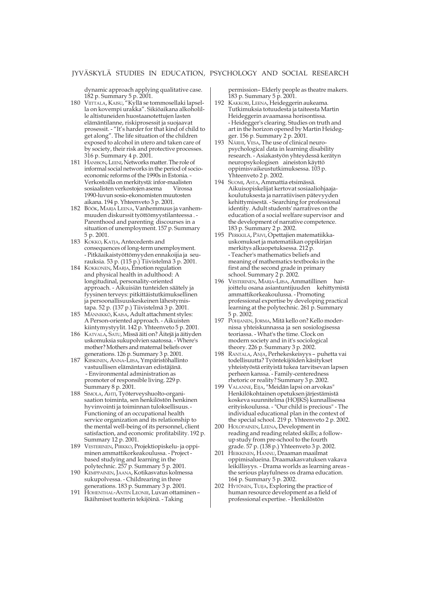dynamic approach applying qualitative case. 182 p. Summary 5 p. 2001.

- 180 VIITTALA, KAISU, "Kyllä se tommosellaki lapsella on kovempi urakka". Sikiöaikana alkoholille altistuneiden huostaanotettujen lasten elämäntilanne, riskiprosessit ja suojaavat prosessit. - "It's harder for that kind of child to get along". The life situation of the children exposed to alcohol in utero and taken care of by society, their risk and protective processes. 316 p. Summary 4 p. 2001.
- 181 HANSSON, LEENI, Networks matter. The role of informal social networks in the period of socioeconomic reforms of the 1990s in Estonia. - Verkostoilla on merkitystä: infor-maalisten sosiaalisten verkostojen asema 1990-luvun sosio-ekonomisten muutosten aikana. 194 p. Yhteenveto 3 p. 2001.
- 182 BÖÖK, MARJA LEENA, Vanhemmuus ja vanhemmuuden diskurssit työttömyystilanteessa . - Parenthood and parenting discourses in a situation of unemployment. 157 p. Summary 5 p. 2001.
- 183 KOKKO, KATJA, Antecedents and consequences of long-term unemployment. - Pitkäaikaistyöttömyyden ennakoijia ja seurauksia. 53 p. (115 p.) Tiivistelmä 3 p. 2001.
- 184 KOKKONEN, MARJA, Emotion regulation and physical health in adulthood: A longitudinal, personality-oriented approach. - Aikuisiän tunteiden säätely ja fyysinen terveys: pitkittäistutkimuksellinen ja persoonallisuuskeskeinen lähestymistapa. 52 p. (137 p.) Tiivistelmä 3 p. 2001.
- 185 MÄNNIKKÖ, KAISA, Adult attachment styles: A Person-oriented approach. - Aikuisten kiintymystyylit. 142 p. Yhteenveto 5 p. 2001.
- 186 KATVALA, SATU, Missä äiti on? Äitejä ja äitiyden uskomuksia sukupolvien saatossa. - Where's mother? Mothers and maternal beliefs over generations. 126 p. Summary 3 p. 2001.
- 187 KIISKINEN, ANNA-LIISA, Ympäristöhallinto vastuullisen elämäntavan edistäjänä. - Environmental administration as promoter of responsible living. 229 p. Summary 8 p. 2001.
- 188 SIMOLA, AHTI, Työterveyshuolto-organisaation toiminta, sen henkilöstön henkinen hyvinvointi ja toiminnan tuloksellisuus.- Functioning of an occupational health service organization and its relationship to the mental well-being of its personnel, client satisfaction, and economic profitability. 192 p. Summary 12 p. 2001.
- 189 VESTERINEN, PIRKKO, Projektiopiskelu- ja oppiminen ammattikorkeakoulussa. - Project based studying and learning in the polytechnic. 257 p. Summary 5 p. 2001.
- 190 KEMPPAINEN, JAANA, Kotikasvatus kolmessa sukupolvessa. - Childrearing in three generations. 183 p. Summary 3 p. 2001.
- 191 HOHENTHAL-ANTIN LEONIE, Luvan ottaminen Ikäihmiset teatterin tekijöinä. - Taking

permission– Elderly people as theatre makers. 183 p. Summary 5 p. 2001.

- 192 KAKKORI, LEENA, Heideggerin aukeama. Tutkimuksia totuudesta ja taiteesta Martin Heideggerin avaamassa horisontissa. - Heidegger's clearing. Studies on truth and art in the horizon opened by Martin Heidegger. 156 p. Summary 2 p. 2001.
- 193 NÄRHI, VESA, The use of clinical neuropsychological data in learning disability research. - Asiakastyön yhteydessä kerätyn neuropsykologisen aineiston käyttö oppimisvaikeustutkimuksessa. 103 p. Yhteenveto 2 p. 2002.
- 194 SUOMI, ASTA, Ammattia etsimässä. Aikuisopiskelijat kertovat sosiaaliohjaajakoulutuksesta ja narratiivisen pätevyyden kehittymisestä. - Searching for professional identity. Adult students' narratives on the education of a social welfare supervisor and the development of narrative competence. 183 p. Summary 2 p. 2002.
- 195 PERKKILÄ, PÄIVI, Opettajien matematiikkauskomukset ja matematiikan oppikirjan merkitys alkuopetuksessa. 212 p. - Teacher's mathematics beliefs and meaning of mathematics textbooks in the first and the second grade in primary school. Summary 2 p. 2002.
- 196 VESTERINEN, MARJA-LIISA, Ammatillinen harjoittelu osana asiantuntijuuden kehittymistä ammattikorkeakoulussa. - Promoting professional expertise by developing practical learning at the polytechnic. 261 p. Summary 5 p. 2002.
- 197 POHJANEN, JORMA, Mitä kello on? Kello modernissa yhteiskunnassa ja sen sosiologisessa teoriassa. - What's the time. Clock on modern society and in it's sociological theory. 226 p. Summary 3 p. 2002.
- 198 RANTALA, ANJA, Perhekeskeisyys puhetta vai todellisuutta? Työntekijöiden käsitykset yhteistyöstä erityistä tukea tarvitsevan lapsen perheen kanssa. - Family-centeredness rhetoric or reality? Summary 3 p. 2002.
- 199 VALANNE, EIJA, "Meidän lapsi on arvokas" Henkilökohtainen opetuksen järjestämistä koskeva suunnitelma (HOJKS) kunnallisessa erityiskoulussa. - "Our child is precious" - The individual educational plan in the context of the special school. 219 p. Yhteenveto 2 p. 2002.
- 200 HOLOPAINEN, LEENA, Development in reading and reading related skills; a followup study from pre-school to the fourth grade. 57 p. (138 p.) Yhteenveto 3 p. 2002.
- 201 HEIKKINEN, HANNU, Draaman maailmat oppimisalueina. Draamakasvatuksen vakava leikillisyys. - Drama worlds as learning areas the serious playfulness os drama education. 164 p. Summary 5 p. 2002.
- 202 HYTÖNEN, TUIJA, Exploring the practice of human resource development as a field of professional expertise. - Henkilöstön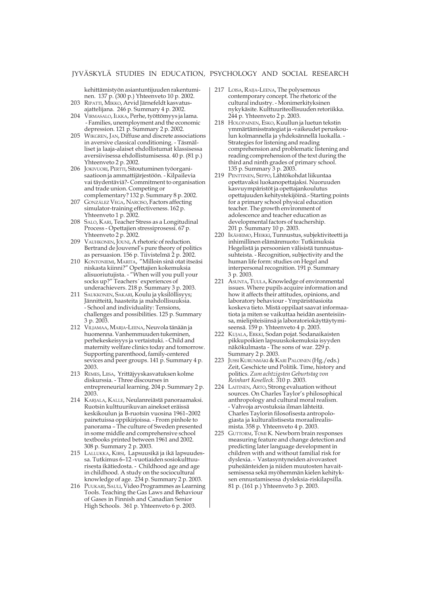kehittämistyön asiantuntijuuden rakentuminen. 137 p. (300 p.) Yhteenveto 10 p. 2002.

- 203 RIPATTI, MIKKO, Arvid Järnefeldt kasvatusajattelijana. 246 p. Summary 4 p. 2002.
- 204 VIRMASALO, ILKKA, Perhe, työttömyys ja lama. - Families, unemployment and the economic depression. 121 p. Summary 2 p. 2002.
- 205 WIKGREN, JAN, Diffuse and discrete associations in aversive classical conditioning. - Täsmälliset ja laaja-alaiset ehdollistumat klassisessa aversiivisessa ehdollistumisessa. 40 p. (81 p.) Yhteenveto 2 p. 2002.
- 206 JOKIVUORI, PERTTI, Sitoutuminen työorganisaatioon ja ammattijärjestöön. - Kilpailevia vai täydentäviä?- Commitment to organisation and trade union. Competing or complementary? 132 p. Summary 8 p. 2002.
- 207 GONZÁLEZ VEGA, NARCISO, Factors affecting simulator-training effectiveness. 162 p. Yhteenveto 1 p. 2002.
- 208 SALO, KARI, Teacher Stress as a Longitudinal Process - Opettajien stressiprosessi. 67 p. Yhteenveto 2 p. 2002.
- 209 VAUHKONEN, JOUNI, A rhetoric of reduction. Bertrand de Jouvenel's pure theory of politics as persuasion. 156 p. Tiivistelmä 2 p. 2002.
- 210 KONTONIEMI, MARITA, "Milloin sinä otat itseäsi niskasta kiinni?" Opettajien kokemuksia alisuoriutujista. - "When will you pull your socks up?" Teachers´ experiences of underachievers. 218 p. Summary 3 p. 2003.
- 211 SAUKKONEN, SAKARI, Koulu ja yksilöllisyys; Jännitteitä, haasteita ja mahdollisuuksia. - School and individuality: Tensions, challenges and possibilities. 125 p. Summary 3 p. 2003.
- 212 VILJAMAA, MARJA-LEENA, Neuvola tänään ja huomenna. Vanhemmuuden tukeminen, perhekeskeisyys ja vertaistuki. - Child and maternity welfare clinics today and tomorrow. Supporting parenthood, family-centered sevices and peer groups. 141 p. Summary 4 p. 2003.
- 213 REMES, LIISA, Yrittäjyyskasvatuksen kolme diskurssia. - Three discourses in entrepreneurial learning. 204 p. Summary 2 p. 2003.
- 214 KARJALA, KALLE, Neulanreiästä panoraamaksi. Ruotsin kulttuurikuvan ainekset eräissä keskikoulun ja B-ruotsin vuosina 1961–2002 painetuissa oppikirjoissa. - From pinhole to panorama – The culture of Sweden presented in some middle and comprehensive school textbooks printed between 1961 and 2002. 308 p. Summary 2 p. 2003.
- 215 LALLUKKA, KIRSI, Lapsuusikä ja ikä lapsuudessa. Tutkimus 6–12 -vuotiaiden sosiokulttuurisesta ikätiedosta. - Childhood age and age in childhood. A study on the sociocultural knowledge of age. 234 p. Summary 2 p. 2003.
- 216 PUUKARI, SAULI, Video Programmes as Learning Tools. Teaching the Gas Laws and Behaviour of Gases in Finnish and Canadian Senior High Schools. 361 p. Yhteenveto 6 p. 2003.
- 217 LOISA, RAIJA-LEENA, The polysemous contemporary concept. The rhetoric of the cultural industry. - Monimerkityksinen nykykäsite. Kulttuuriteollisuuden retoriikka. 244 p. Yhteenveto 2 p. 2003.
- 218 HOLOPAINEN, ESKO, Kuullun ja luetun tekstin ymmärtämisstrategiat ja -vaikeudet peruskoulun kolmannella ja yhdeksännellä luokalla. - Strategies for listening and reading comprehension and problematic listening and reading comprehension of the text during the third and ninth grades of primary school. 135 p. Summary 3 p. 2003.
- 219 PENTTINEN, SEPPO, Lähtökohdat liikuntaa opettavaksi luokanopettajaksi. Nuoruuden kasvuympäristöt ja opettajankoulutus opettajuuden kehitystekijöinä.- Starting points for a primary school physical education teacher. The growth environment of adolescence and teacher education as developmental factors of teachership. 201 p. Summary 10 p. 2003.
- 220 IKÄHEIMO, HEIKKI, Tunnustus, subjektiviteetti ja inhimillinen elämänmuoto: Tutkimuksia Hegelistä ja persoonien välisistä tunnustussuhteista. - Recognition, subjectivity and the human life form: studies on Hegel and interpersonal recognition. 191 p. Summary 3 p. 2003.
- 221 ASUNTA, TUULA, Knowledge of environmental issues. Where pupils acquire information and how it affects their attitudes, opinions, and laboratory behaviour - Ympäristöasioita koskeva tieto. Mistä oppilaat saavat informaatiota ja miten se vaikuttaa heidän asenteisiinsa, mielipiteisiinsä ja laboratoriokäyttäytymiseensä. 159 p. Yhteenveto 4 p. 2003.
- 222 KUJALA, ERKKI, Sodan pojat. Sodanaikaisten pikkupoikien lapsuuskokemuksia isyyden näkökulmasta - The sons of war. 229 p. Summary 2 p. 2003.
- 223 JUSSI KURUNMÄKI & KARI PALOINEN (Hg./eds.) Zeit, Geschicte und Politik. Time, history and politics. *Zum achtzigsten Geburtstag von Reinhart Koselleck*. 310 p. 2003.
- 224 LAITINEN, ARTO, Strong evaluation without sources. On Charles Taylor's philosophical anthropology and cultural moral realism. - Vahvoja arvostuksia ilman lähteitä. Charles Taylorin filosofisesta antropologiasta ja kulturalistisesta moraalirealismista. 358 p. Yhteenveto 4 p. 2003.
- 225 GUTTORM, TOMI K. Newborn brain responses measuring feature and change detection and predicting later language development in children with and without familial risk for dyslexia. - Vastasyntyneiden aivovasteet puheäänteiden ja niiden muutosten havaitsemisessa sekä myöhemmän kielen kehityksen ennustamisessa dysleksia-riskilapsilla. 81 p. (161 p.) Yhteenveto 3 p. 2003.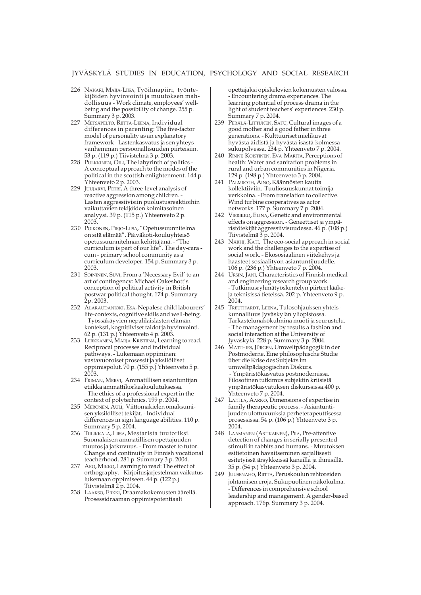- 226 NAKARI, MAIJA-LIISA, Työilmapiiri, työntekijöiden hyvinvointi ja muutoksen mahdollisuus - Work climate, employees' wellbeing and the possibility of change. 255 p. Summary 3 p. 2003.
- 227 METSÄPELTO, RIITTA-LEENA, Individual differences in parenting: The five-factor model of personality as an explanatory framework - Lastenkasvatus ja sen yhteys vanhemman persoonallisuuden piirteisiin. 53 p. (119 p.) Tiivistelmä 3 p. 2003.
- 228 PULKKINEN, OILI, The labyrinth of politics -A conceptual approach to the modes of the political in the scottish enlightenment. 144 p. Yhteenveto 2 p. 2003.
- 229 JUUJÄRVI, PETRI, A three-level analysis of reactive aggression among children. - Lasten aggressiivisiin puolustusreaktioihin vaikuttavien tekijöiden kolmitasoinen analyysi. 39 p. (115 p.) Yhteenveto 2 p. 2003.
- 230 POIKONEN, PIRJO-LIISA, "Opetussuunnitelma on sitä elämää". Päiväkoti-kouluyhteisö opetussuunnitelman kehittäjänä. - "The curriculum is part of our life". The day-cara cum - primary school community as a curriculum developer. 154 p. Summary 3 p. 2003.
- 231 SOININEN, SUVI, From a 'Necessary Evil' to an art of contingency: Michael Oakeshott's conception of political activity in British postwar political thought. 174 p. Summary 2p. 2003.
- 232 ALARAUDANJOKI, ESA, Nepalese child labourers' life-contexts, cognitive skills and well-being. - Työssäkäyvien nepalilaislasten elämänkonteksti, kognitiiviset taidot ja hyvinvointi. 62 p. (131 p.) Yhteenveto 4 p. 2003.
- 233 LERKKANEN, MARJA-KRISTIINA, Learning to read. Reciprocal processes and individual pathways. - Lukemaan oppiminen: vastavuoroiset prosessit ja yksilölliset oppimispolut. 70 p. (155 p.) Yhteenveto 5 p. 2003.
- 234 FRIMAN, MERVI, Ammatillisen asiantuntijan etiikka ammattikorkeakoulutuksessa. - The ethics of a professional expert in the context of polytechnics. 199 p. 2004.
- 235 MERONEN, AULI, Viittomakielen omaksumisen yksilölliset tekijät. - Individual differences in sign language abilities. 110 p. Summary 5 p. 2004.
- 236 TIILIKKALA, LIISA, Mestarista tuutoriksi. Suomalaisen ammatillisen opettajuuden muutos ja jatkuvuus. - From master to tutor. Change and continuity in Finnish vocational teacherhood. 281 p. Summary 3 p. 2004.
- 237 ARO, MIKKO, Learning to read: The effect of orthography. - Kirjoitusjärjestelmän vaikutus lukemaan oppimiseen. 44 p. (122 p.) Tiivistelmä 2 p. 2004.
- 238 LAAKSO, ERKKI, Draamakokemusten äärellä. Prosessidraaman oppimispotentiaali

opettajaksi opiskelevien kokemusten valossa. - Encountering drama experiences. The learning potential of process drama in the light of student teachers' experiences. 230 p. Summary 7 p. 2004.

- 239 PERÄLÄ-LITTUNEN, SATU, Cultural images of a good mother and a good father in three generations. - Kulttuuriset mielikuvat hyvästä äidistä ja hyvästä isästä kolmessa sukupolvessa. 234 p. Yhteenveto 7 p. 2004.
- 240 RINNE-KOISTINEN, EVA-MARITA, Perceptions of health: Water and sanitation problems in rural and urban communities in Nigeria. 129 p. (198 p.) Yhteenveto 3 p. 2004.
- 241 PALMROTH, AINO, Käännösten kautta kollektiiviin. Tuuliosuuskunnat toimijaverkkoina. - From translation to collective. Wind turbine cooperatives as actor networks. 177 p. Summary 7 p. 2004.
- 242 VIERIKKO, ELINA, Genetic and environmental effects on aggression. - Geneettiset ja ympäristötekijät aggressiivisuudessa. 46 p. (108 p.) Tiivistelmä 3 p. 2004.
- 243 NÄRHI, KATI, The eco-social approach in social work and the challenges to the expertise of social work. - Ekososiaalinen viitekehys ja haasteet sosiaalityön asiantuntijuudelle. 106 p. (236 p.) Yhteenveto 7 p. 2004.
- 244 URSIN, JANI, Characteristics of Finnish medical and engineering research group work. - Tutkimusryhmätyöskentelyn piirteet lääkeja teknisissä tieteissä. 202 p. Yhteenveto 9 p. 2004.
- 245 TREUTHARDT, LEENA, Tulosohjauksen yhteiskunnalliuus Jyväskylän yliopistossa. Tarkastelunäkökulmina muoti ja seurustelu. - The management by results a fashion and social interaction at the University of Jyväskylä. 228 p. Summary 3 p. 2004.
- 246 MATTHIES, JÜRGEN, Umweltpädagogik in der Postmoderne. Eine philosophische Studie über die Krise des Subjekts im umweltpädagogischen Diskurs. - Ympäristökasvatus postmodernissa. Filosofinen tutkimus subjektin kriisistä ympäristökasvatuksen diskurssissa.400 p. Yhteenveto 7 p. 2004.
- 247 LAITILA, AARNO, Dimensions of expertise in family therapeutic process. - Asiantuntijuuden ulottuvuuksia perheterapeuttisessa prosessissa. 54 p. (106 p.) Yhteenveto 3 p. 2004.
- 248 LAAMANEN (ASTIKAINEN), PIIA, Pre-attentive detection of changes in serially presented stimuli in rabbits and humans. - Muutoksen esitietoinen havaitseminen sarjallisesti esitetyissä ärsykkeissä kaneilla ja ihmisillä. 35 p. (54 p.) Yhteenveto 3 p. 2004.
- 249 JUUSENAHO, RIITTA, Peruskoulun rehtoreiden johtamisen eroja. Sukupuolinen näkökulma. - Differences in comprehensive school leadership and management. A gender-based approach. 176p. Summary 3 p. 2004.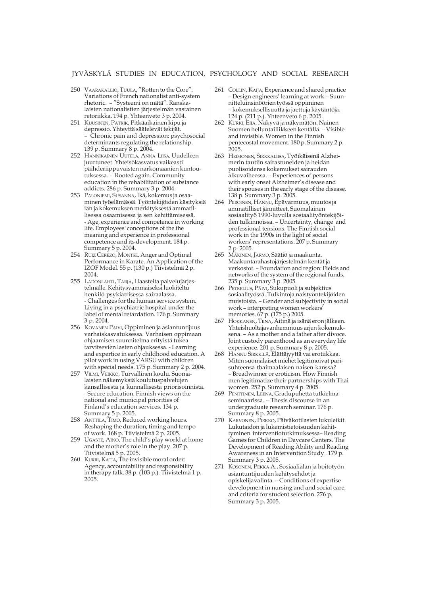- 250 VAARAKALLIO, TUULA, "Rotten to the Core". Variations of French nationalist anti-system rhetoric. – "Systeemi on mätä". Ranskalaisten nationalistien järjestelmän vastainen retoriikka. 194 p. Yhteenveto 3 p. 2004.
- 251 KUUSINEN, PATRIK, Pitkäaikainen kipu ja depressio. Yhteyttä säätelevät tekijät. – Chronic pain and depression: psychosocial determinants regulating the relationship. 139 p. Summary 8 p. 2004.
- 252 HÄNNIKÄINEN-UUTELA, ANNA-LIISA, Uudelleen juurtuneet. Yhteisökasvatus vaikeasti päihderiippuvaisten narkomaanien kuntoutuksessa. – Rooted again. Community education in the rehabilitation of substance addicts. 286 p. Summary 3 p. 2004.
- 253 PALONIEMI, SUSANNA, Ikä, kokemus ja osaaminen työelämässä. Työntekijöiden käsityksiä iän ja kokemuksen merkityksestä ammatillisessa osaamisessa ja sen kehittämisessä. - Age, experience and competence in working life. Employees' conceptions of the the meaning and experience in professional competence and its development. 184 p. Summary 5 p. 2004.
- 254 RUIZ CEREZO, MONTSE, Anger and Optimal Performance in Karate. An Application of the IZOF Model. 55 p. (130 p.) Tiivistelmä 2 p. 2004.
- 255 LADONLAHTI, TARJA, Haasteita palvelujärjestelmälle. Kehitysvammaiseksi luokiteltu henkilö psykiatrisessa sairaalassa. - Challenges for the human service system. Living in a psychiatric hospital under the label of mental retardation. 176 p. Summary 3 p. 2004.
- 256 KOVANEN PÄIVI, Oppiminen ja asiantuntijuus varhaiskasvatuksessa. Varhaisen oppimaan ohjaamisen suunnitelma erityistä tukea tarvitsevien lasten ohjauksessa. - Learning and expertice in early childhood education. A pilot work in using VARSU with children with special needs. 175 p. Summary 2 p. 2004.
- 257 VILMI, VEIKKO, Turvallinen koulu. Suomalaisten näkemyksiä koulutuspalvelujen kansallisesta ja kunnallisesta priorisoinnista. - Secure education. Finnish views on the national and municipal priorities of Finland's education services. 134 p. Summary 5 p. 2005.
- 258 ANTTILA, TIMO, Reduced working hours. Reshaping the duration, timing and tempo of work. 168 p. Tiivistelmä 2 p. 2005.
- 259 UGASTE, AINO, The child's play world at home and the mother's role in the play. 207 p. Tiivistelmä 5 p. 2005.
- 260 KURRI, KATJA, The invisible moral order: Agency, accountability and responsibility in therapy talk. 38 p. (103 p.). Tiivistelmä 1 p. 2005.
- 261 COLLIN, KAIJA, Experience and shared practice – Design engineers' learning at work.– Suunnitteluinsinöörien työssä oppiminen – kokemuksellisuutta ja jaettuja käytäntöjä. 124 p. (211 p.). Yhteenveto 6 p. 2005.
- 262 KURKI, EIJA, Näkyvä ja näkymätön. Nainen Suomen helluntailiikkeen kentällä. – Visible and invisible. Women in the Finnish pentecostal movement. 180 p. Summary 2 p. 2005.
- 263 HEIMONEN, SIRKKALIISA, Työikäisenä Alzheimerin tautiin sairastuneiden ja heidän puolisoidensa kokemukset sairauden alkuvaiheessa. – Experiences of persons with early onset Alzheimer's disease and their spouses in the early stage of the disease. 138 p. Summary 3 p. 2005.
- 264 PIIROINEN, HANNU, Epävarmuus, muutos ja ammatilliset jännitteet. Suomalainen sosiaalityö 1990-luvulla sosiaalityöntekijöiden tulkinnoissa. – Uncertainty, change and professional tensions. The Finnish social work in the 1990s in the light of social workers' representations. 207 p. Summary 2 p. 2005.
- 265 MÄKINEN, JARMO, Säätiö ja maakunta. Maakuntarahastojärjestelmän kentät ja verkostot. – Foundation and region: Fields and networks of the system of the regional funds. 235 p. Summary 3 p. 2005.
- 266 PETRELIUS, PÄIVI, Sukupuoli ja subjektius sosiaalityössä. Tulkintoja naistyöntekijöiden muistoista. – Gender and subjectivity in social work – interpreting women workers' memories. 67 p. (175 p.) 2005.
- 267 HOKKANEN, TIINA, Äitinä ja isänä eron jälkeen. Yhteishuoltajavanhemmuus arjen kokemuksena. – As a mother and a father after divoce. Joint custody parenthood as an everyday life experience. 201 p. Summary 8 p. 2005.
- 268 HANNU SIRKKILÄ, Elättäjyyttä vai erotiikkaa. Miten suomalaiset miehet legitimoivat parisuhteensa thaimaalaisen naisen kanssa? – Breadwinner or eroticism. How Finnish men legitimatize their partnerships with Thai women. 252 p. Summary 4 p. 2005.
- 269 PENTTINEN, LEENA, Gradupuhetta tutkielmaseminaarissa. – Thesis discourse in an undergraduate research seminar. 176 p. Summary 8 p. 2005.
- 270 KARVONEN, PIRKKO, Päiväkotilasten lukuleikit. Lukutaidon ja lukemistietoisuuden kehittyminen interventiotutkimuksessa– Reading Games for Children in Daycare Centers. The Development of Reading Ability and Reading Awareness in an Intervention Study . 179 p. Summary 3 p. 2005.
- 271 KOSONEN, PEKKA A., Sosiaalialan ja hoitotyön asiantuntijuuden kehitysehdot ja opiskelijavalinta. – Conditions of expertise development in nursing and and social care, and criteria for student selection. 276 p. Summary 3 p. 2005.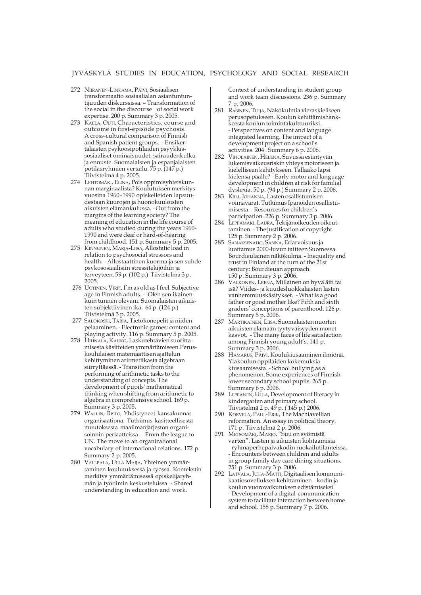- 272 NIIRANEN-LINKAMA, PÄIVI, Sosiaalisen transformaatio sosiaalialan asiantuntuntijuuden diskurssissa. – Transformation of the social in the discourse of social work expertise. 200 p. Summary 3 p. 2005.
- 273 KALLA, OUTI, Characteristics, course and outcome in first-episode psychosis. A cross-cultural comparison of Finnish and Spanish patient groups. – Ensikertalaisten psykoosipotilaiden psyykkissosiaaliset ominaisuudet, sairaudenkulku ja ennuste. Suomalaisten ja espanjalaisten potilasryhmien vertailu. 75 p. (147 p.) Tiivistelmä 4 p. 2005.
- 274 LEHTOMÄKI, ELINA, Pois oppimisyhteiskunnan marginaalista? Koulutuksen merkitys vuosina 1960–1990 opiskelleiden lapsuudestaan kuurojen ja huonokuuloisten aikuisten elämänkulussa. - Out from the margins of the learning society? The meaning of education in the life course of adults who studied during the years 1960- 1990 and were deaf or hard-of-hearing from childhood. 151 p. Summary 5 p. 2005.
- 275 KINNUNEN, MARJA-LIISA, Allostatic load in relation to psychosocial stressors and health. - Allostaattinen kuorma ja sen suhde psykososiaalisiin stressitekijöihin ja terveyteen. 59 p. (102 p.) Tiivistelmä 3 p. 2005.
- 276 UOTINEN, VIRPI, I'm as old as I feel. Subjective age in Finnish adults. - Olen sen ikäinen kuin tunnen olevani. Suomalaisten aikuisten subjektiivinen ikä. 64 p. (124 p.) Tiivistelmä 3 p. 2005.
- 277 SALOKOSKI, TARJA, Tietokonepelit ja niiden pelaaminen. - Electronic games: content and playing activity. 116 p. Summary 5 p. 2005.
- 278 HIHNALA, KAUKO, Laskutehtävien suorittamisesta käsitteiden ymmärtämiseen.Peruskoululaisen matemaattisen ajattelun kehittyminen aritmetiikasta algebraan siirryttäessä. - Transition from the performing of arithmetic tasks to the understanding of concepts. The development of pupils' mathematical thinking when shifting from arithmetic to algebra in comprehensive school. 169 p. Summary 3 p. 2005.
- 279 WALLIN, RISTO, Yhdistyneet kansakunnat organisaationa. Tutkimus käsitteellisestä muutoksesta maailmanjärjestön organisoinnin periaatteissa - From the league to UN. The move to an organizational vocabulary of international relations. 172 p. Summary 2 p. 2005.
- 280 VALLEALA, ULLA MAIJA, Yhteinen ymmärtäminen koulutuksessa ja työssä. Kontekstin merkitys ymmärtämisessä opiskelijaryhmän ja työtiimin keskusteluissa. - Shared understanding in education and work.

Context of understanding in student group and work team discussions. 236 p. Summary 7 p. 2006.

- 281 RASINEN, TUIJA, Näkökulmia vieraskieliseen perusopetukseen. Koulun kehittämishankkeesta koulun toimintakulttuuriksi. - Perspectives on content and language integrated learning. The impact of a development project on a school's activities. 204 . Summary 6 p. 2006.
- 282 VIHOLAINEN, HELENA, Suvussa esiintyvän lukemisvaikeusriskin yhteys motoriseen ja kielelliseen kehitykseen. Tallaako lapsi kielensä päälle? - Early motor and language development in children at risk for familial dyslexia. 50 p. (94 p.) Summary 2 p. 2006.
- 283 KIILI, JOHANNA, Lasten osallistumisen voimavarat. Tutkimus Ipanoiden osallistumisesta. - Resources for children's participation. 226 p. Summary 3 p. 2006.
- 284 LEPPÄMÄKI, LAURA, Tekijänoikeuden oikeuttaminen. - The justification of copyright. 125 p. Summary 2 p. 2006.
- 285 SANAKSENAHO, SANNA, Eriarvoisuus ja luottamus 2000-luvun taitteen Suomessa. Bourdieulainen näkökulma. - Inequality and trust in Finland at the turn of the 21st century: Bourdieuan approach. 150 p. Summary 3 p. 2006.
- 286 VALKONEN, LEENA, Millainen on hyvä äiti tai isä? Viides- ja kuudesluokkalaisten lasten vanhemmuuskäsitykset. - What is a good father or good mother like? Fifth and sixth graders' conceptions of parenthood. 126 p. Summary 5 p. 2006.
- 287 MARTIKAINEN, LIISA, Suomalaisten nuorten aikuisten elämään tyytyväisyyden monet kasvot. - The many faces of life satisfaction among Finnish young adult's. 141 p. Summary 3 p. 2006.
- 288 HAMARUS, PÄIVI, Koulukiusaaminen ilmiönä. Yläkoulun oppilaiden kokemuksia kiusaamisesta. - School bullying as a phenomenon. Some experiences of Finnish lower secondary school pupils. 265 p. Summary 6 p. 2006.
- 289 LEPPÄNEN, ULLA, Development of literacy in kindergarten and primary school. Tiivistelmä 2 p. 49 p. ( 145 p.) 2006.
- 290 KORVELA, PAUL-ERIK, The Machiavellian reformation. An essay in political theory. 171 p. Tiivistelmä 2 p. 2006.
- 291 METSOMÄKI, MARJO, "Suu on syömistä varten". Lasten ja aikuisten kohtaamisia ryhmäperhepäiväkodin ruokailutilanteissa. - Encounters between children and adults in group family day care dining situations. 251 p. Summary 3 p. 2006.
- 292 LATVALA, JUHA-MATTI, Digitaalisen kommunikaatiosovelluksen kehittäminen kodin ja koulun vuorovaikutuksen edistämiseksi. - Development of a digital communication system to facilitate interaction between home and school. 158 p. Summary 7 p. 2006.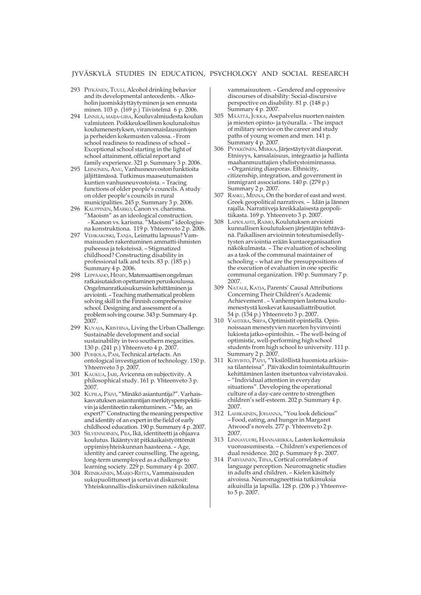- 293 PITKÄNEN, TUULI, Alcohol drinking behavior and its developmental antecedents. - Alkoholin juomiskäyttäytyminen ja sen ennusta minen. 103 p. (169 p.) Tiivistelmä 6 p. 2006.
- 294 LINNILÄ, MAIJA-LIISA, Kouluvalmiudesta koulun valmiuteen. Poikkeuksellinen koulunaloitus koulumenestyksen, viranomaislausuntojen ja perheiden kokemusten valossa. - From school readiness to readiness of school – Exceptional school starting in the light of school attainment, official report and family experience. 321 p. Summary 3 p. 2006.
- 295 LEINONEN, ANU, Vanhusneuvoston funktioita jäljittämässä. Tutkimus maaseutumaisten kuntien vanhusneuvostoista. – Tracing functions of older people's councils. A study on older people's councils in rural municipalities. 245 p. Summary 3 p. 2006.
- 296 KAUPPINEN, MARKO, Canon vs. charisma. "Maoism" as an ideological construction. - Kaanon vs. karisma. "Maoismi" ideologisena konstruktiona. 119 p. Yhteenveto 2 p. 2006.
- 297 VEHKAKOSKI, TANJA, Leimattu lapsuus? Vammaisuuden rakentuminen ammatti-ihmisten puheessa ja teksteissä. – Stigmatized childhood? Constructing disability in professional talk and texts. 83 p. (185 p.) Summary 4 p. 2006.
- 298 LEPPÄAHO, HENRY, Matemaattisen ongelman ratkaisutaidon opettaminen peruskoulussa. Ongelmanratkaisukurssin kehittäminen ja arviointi. – Teaching mathematical problem solving skill in the Finnish comprehensive school. Designing and assessment of a problem solving course. 343 p. Summary 4 p. 2007.
- 299 KUVAJA, KRISTIINA, Living the Urban Challenge. Sustainable development and social sustainability in two southern megacities. 130 p. (241 p.) Yhteenveto 4 p. 2007.
- 300 POHJOLA, PASI, Technical artefacts. An ontological investigation of technology. 150 p. Yhteenveto 3 p. 2007.
- 301 KAUKUA, JARI, Avicenna on subjectivity. A philosophical study. 161 p. Yhteenveto 3 p. 2007.
- 302 KUPILA, PÄIVI, "Minäkö asiantuntija?". Varhaiskasvatuksen asiantuntijan merkitysperspektiivin ja identiteetin rakentuminen. –"Me, an expert?" Constructing the meaning perspective and identity of an expert in the field of early childhood education. 190 p. Summary 4 p. 2007.
- 303 SILVENNOINEN, PIIA, Ikä, identiteetti ja ohjaava koulutus. Ikääntyvät pitkäaikaistyöttömät oppimisyhteiskunnan haasteena. – Age, identity and career counselling. The ageing, long-term unemployed as a challenge to learning society. 229 p. Summary 4 p. 2007.
- 304 REINIKAINEN, MARJO-RIITTA, Vammaisuuden sukupuolittuneet ja sortavat diskurssit: Yhteiskunnallis-diskursiivinen näkökulma

vammaisuuteen. – Gendered and oppressive discourses of disability: Social-discursive perspective on disability. 81 p. (148 p.) Summary 4 p. 2007.

- 305 MÄÄTTÄ, JUKKA, Asepalvelus nuorten naisten ja miesten opinto- ja työuralla. – The impact of military service on the career and study paths of young women and men. 141 p. Summary 4 p. 2007.
- 306 PYYKKÖNEN, MIIKKA, Järjestäytyvät diasporat. Etnisyys, kansalaisuus, integraatio ja hallinta maahanmuuttajien yhdistystoiminnassa. – Organizing diasporas. Ethnicity, citizenship, integration, and government in immigrant associations. 140 p. (279 p.) Summary 2 p. 2007.
- 307 RASKU, MINNA, On the border of east and west. Greek geopolitical narratives. – Idän ja lännen rajalla. Narratiiveja kreikkalaisesta geopolitiikasta. 169 p. Yhteenveto 3 p. 2007.
- 308 LAPIOLAHTI, RAIMO, Koulutuksen arviointi kunnallisen koulutuksen järjestäjän tehtävänä. Paikallisen arvioinnin toteutumisedellytysten arviointia erään kuntaorganisaation näkökulmasta. – The evaluation of schooling as a task of the communal maintainer of schooling – what are the presuppositions of the execution of evaluation in one specific communal organization. 190 p. Summary 7 p. 2007.
- 309 NATALE, KATJA, Parents' Causal Attributions Concerning Their Children's Academic Achievement . – Vanhempien lastensa koulumenestystä koskevat kausaaliattribuutiot. 54 p. (154 p.) Yhteenveto 3 p. 2007.
- 310 VAHTERA, SIRPA, Optimistit opintiellä. Opinnoissaan menestyvien nuorten hyvinvointi lukiosta jatko-opintoihin. – The well-being of optimistic, well-performing high school students from high school to university. 111 p. Summary 2 p. 2007.
- 311 KOIVISTO, PÄIVI, "Yksilöllistä huomiota arkisissa tilanteissa". Päiväkodin toimintakulttuurin kehittäminen lasten itsetuntoa vahvistavaksi. – "Individual attention in everyday situations". Developing the operational culture of a day-care centre to strengthen children's self-esteem. 202 p. Summary 4 p. 2007.
- 312 LAHIKAINEN, JOHANNA, "You look delicious" – Food, eating, and hunger in Margaret Atwood's novels. 277 p. Yhteenveto 2 p. 2007.
- 313 LINNAVUORI, HANNARIIKKA, Lasten kokemuksia vuoroasumisesta. – Children's experiences of dual residence. 202 p. Summary  $\hat{8}$  p. 2007.
- 314 PARVIAINEN, TIINA, Cortical correlates of language perception. Neuromagnetic studies in adults and children. – Kielen käsittely aivoissa. Neuromagneettisia tutkimuksia aikuisilla ja lapsilla. 128 p. (206 p.) Yhteenveto 5 p. 2007.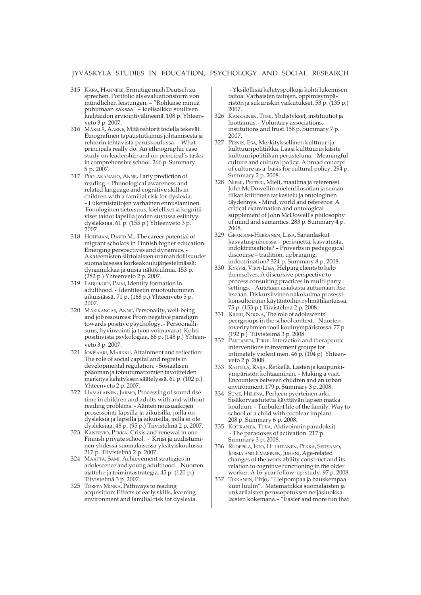- 315 KARA, HANNELE, Ermutige mich Deutsch zu sprechen. Portfolio als evaluationsform von mündlichen leistungen. – "Rohkaise minua puhumaan saksaa" – kielisalkku suullisen kielitaidon arviointivälineenä. 108 p. Yhteenveto 3 p. 2007.
- 316 MÄKELÄ, AARNE, Mitä rehtorit todella tekevät. Etnografinen tapaustutkimus johtamisesta ja rehtorin tehtävistä peruskoulussa. – What principals really do. An ethnographic case study on leadership and on principal's tasks in comprehensive school. 266 p. Summary 5 p. 2007.
- 317 PUOLAKANAHO, ANNE, Early prediction of reading – Phonological awareness and related language and cognitive skills in children with a familial risk for dyslexia. – Lukemistaitojen varhainen ennustaminen. Fonologinen tietoisuus, kielelliset ja kognitiiviset taidot lapsilla joiden suvussa esiintyy dysleksiaa. 61 p. (155 p.) Yhteenveto 3 p. 2007.
- 318 HOFFMAN, DAVID M., The career potential of migrant scholars in Finnish higher education. Emerging perspectives and dynamics. - Akateemisten siirtolaisten uramahdollisuudet suomalaisessa korkeakoulujärjestelmässä: dynamiikkaa ja uusia näkökulmia. 153 p. (282 p.) Yhteenveto 2 p. 2007.
- 319 FADJUKOFF, PÄIVI, Identity formation in adulthood. - Identiteetin muotoutuminen aikuisiässä. 71 p. (168 p.) Yhteenveto 5 p. 2007.
- 320 MÄKIKANGAS, ANNE, Personality, well-being and job resources: From negative paradigm towards positive psychology. - Persoonallisuus, hyvinvointi ja työn voimavarat: Kohti positiivista psykologiaa. 66 p. (148 p.) Yhteenveto 3 p. 2007.
- 321 JOKISAARI, MARKKU, Attainment and reflection: The role of social capital and regrets in developmental regulation. - Sosiaalisen pääoman ja toteutumattomien tavoitteiden merkitys kehityksen säätelyssä. 61 p. (102 p.) Yhteenveto 2 p. 2007.
- 322 HÄMÄLÄINEN, JARMO, Processing of sound rise time in children and adults with and without reading problems. - Äänten nousuaikojen prosessointi lapsilla ja aikuisilla, joilla on dysleksia ja lapsilla ja aikuisilla, joilla ei ole dysleksiaa. 48 p. (95 p.) Tiivistelmä 2 p. 2007.
- 323 KANERVIO, PEKKA, Crisis and renewal in one Finnish private school. - Kriisi ja uudistuminen yhdessä suomalaisessa yksityiskoulussa. 217 p. Tiivistelmä 2 p. 2007.
- 324 MÄÄTTÄ, SAMI, Achievement strategies in adolescence and young adulthood. - Nuorten ajattelu- ja toimintastrategia. 45 p. (120 p.) Tiivistelmä 3 p. 2007.
- 325 TORPPA MINNA, Pathways to reading acquisition: Effects of early skills, learning environment and familial risk for dyslexia.

 - Yksilöllisiä kehityspolkuja kohti lukemisen taitoa: Varhaisten taitojen, oppimisympäristön ja sukuriskin vaikutukset. 53 p. (135 p.) 2007.

- 326 KANKAINEN, TOMI, Yhdistykset, instituutiot ja luottamus. - Voluntary associations, institutions and trust.158 p. Summary 7 p. 2007.
- 327 PIRNES, ESA, Merkityksellinen kulttuuri ja kulttuuripolitiikka. Laaja kulttuurin käsite kulttuuripolitiikan perusteluna. - Meaningful culture and cultural policy. A broad concept of culture as a basis for cultural policy. 294 p. Summary 2 p. 2008.
- 328 NIEMI, PETTERI, Mieli, maailma ja referenssi. John McDowellin mielenfilosofian ja semantiikan kriittinen tarkastelu ja ontologinen täydennys. - Mind, world and reference: A critical examination and ontological supplement of John McDowell's philosophy of mind and semantics. 283 p. Summary 4 p. 2008.
- 329 GRANBOM-HERRANEN, LIISA, Sananlaskut kasvatuspuheessa – perinnettä, kasvatusta, indoktrinaatiota? – Proverbs in pedagogical discourse – tradition, upbringing, indoctrination? 324 p. Summary 8 p. 2008.
- 330 KYKYRI, VIRPI-LIISA, Helping clients to help themselves. A discursive perspective to process consulting practices in multi-party settings. - Autetaan asiakasta auttamaan itse itseään. Diskursiivinen näkökulma prosessikonsultoinnin käytäntöihin ryhmätilanteissa. 75 p. (153 p.) Tiivistelmä 2 p. 2008.
- 331 KIURU, NOONA, The role of adolescents' peergroups in the school context. - Nuortentoveriryhmien rooli kouluympäristössä. 77 p. (192 p.) Tiivistelmä 3 p. 2008.
- 332 PARTANEN, TERHI, Interaction and therapeutic interventions in treatment groups for intimately violent men. 46 p. (104 p) Yhteenveto 2 p. 2008.
- 333 RAITTILA, RAIJA, Retkellä. Lasten ja kaupunkiympäristön kohtaaminen. – Making a visit. Encounters between children and an urban environment. 179 p. Summary 3 p. 2008.
- 334 SUME, HELENA, Perheen pyörteinen arki. Sisäkorvaistutetta käyttävän lapsen matka kouluun. – Turbulent life of the family. Way to school of a child with cochlear implant. 208 p. Summary 6 p. 2008.
- 335 KOTIRANTA, TUIJA, Aktivoinnin paradoksit. - The paradoxes of activation. 217 p. Summary 3 p. 2008.
- 336 RUOPPILA, ISTO, HUUHTANEN, PEKKA, SEITSAMO, JORMA AND ILMARINEN, JUHANI, Age-related changes of the work ability construct and its relation to cognitive functioning in the older worker: A 16-year follow-up study. 97 p. 2008.
- 337 TIKKANEN, Pirjo, "Helpompaa ja hauskempaa kuin luulin". Matematiikka suomalaisten ja unkarilaisten perusopetuksen neljäsluokkalaisten kokemana.– "Easier and more fun that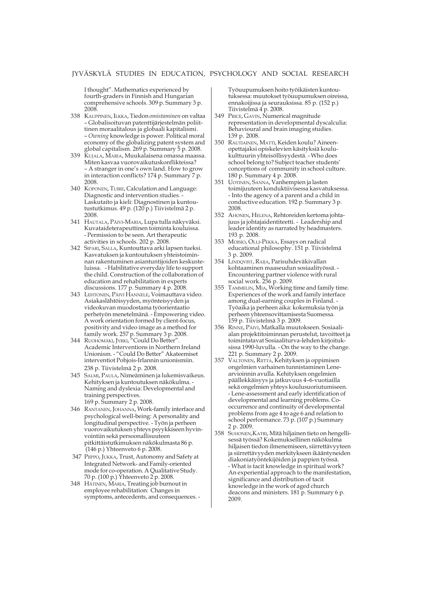I thought". Mathematics experienced by fourth-graders in Finnish and Hungarian comprehensive schools. 309 p. Summary 3 p. 2008.

- 338 KAUPPINEN, ILKKA, Tiedon *omistaminen* on valtaa – Globalisoituvan patenttijärjestelmän poliittinen moraalitalous ja globaali kapitalismi. – *Owning* knowledge is power. Political moral economy of the globalizing patent system and global capitalism. 269 p. Summary 5 p. 2008.
- 339 KUJALA, MARIA, Muukalaisena omassa maassa. Miten kasvaa vuorovaikutuskonflikteissa? – A stranger in one's own land. How to grow in interaction conflicts? 174 p. Summary 7 p. 2008.
- 340 KOPONEN, TUIRE, Calculation and Language: Diagnostic and intervention studies. - Laskutaito ja kieli: Diagnostinen ja kuntoutustutkimus. 49 p. (120 p.) Tiivistelmä 2 p. 2008.
- 341 HAUTALA, PÄIVI-MARIA, Lupa tulla näkyväksi. Kuvataideterapeuttinen toiminta kouluissa. - Permission to be seen. Art therapeutic activities in schools. 202 p. 2008.
- 342 SIPARI, SALLA, Kuntouttava arki lapsen tueksi. Kasvatuksen ja kuntoutuksen yhteistoiminnan rakentuminen asiantuntijoiden keskusteluissa. - Habilitative everyday life to support the child. Construction of the collaboration of education and rehabilitation in experts discussions. 177 p. Summary 4 p. 2008.
- 343 LEHTONEN, PÄIVI HANNELE, Voimauttava video. Asiakaslähtöisyyden, myönteisyyden ja videokuvan muodostama työorientaatio perhetyön menetelmänä. - Empowering video. A work orientation formed by client-focus, positivity and video image as a method for family work. 257 p. Summary 3 p. 2008.
- 344 RUOHOMÄKI, JYRKI, "Could Do Better" Academic Interventions in Northern Ireland Unionism. - "Could Do Better" Akateemiset interventiot Pohjois-Irlannin unionismiin. 238 p. Tiivistelmä 2 p. 2008.
- 345 SALMI, PAULA, Nimeäminen ja lukemisvaikeus. Kehityksen ja kuntoutuksen näkökulma. - Naming and dyslexia: Developmental and training perspectives. 169 p. Summary 2 p. 2008.
- 346 RANTANEN, JOHANNA, Work-family interface and psychological well-being: A personality and longitudinal perspective. - Työn ja perheen vuorovaikutuksen yhteys psyykkiseen hyvinvointiin sekä persoonallisuuteen pitkittäistutkimuksen näkökulmasta 86 p. (146 p.) Yhteenveto 6 p. 2008.
- 347 PIIPPO, JUKKA, Trust, Autonomy and Safety at Integrated Network- and Family-oriented mode for co-operation. A Qualitative Study. 70 p. (100 p.) Yhteenveto 2 p. 2008.
- 348 HÄTINEN, MARJA, Treating job burnout in employee rehabilitation: Changes in symptoms, antecedents, and consequences. -

Työuupumuksen hoito työikäisten kuntoutuksessa: muutokset työuupumuksen oireissa, ennakoijissa ja seurauksissa. 85 p. (152 p.) Tiivistelmä 4 p. 2008.

- 349 PRICE, GAVIN, Numerical magnitude representation in developmental dyscalculia: Behavioural and brain imaging studies. 139 p. 2008.
- 350 RAUTIAINEN, MATTI, Keiden koulu? Aineenopettajaksi opiskelevien käsityksiä koulukulttuurin yhteisöllisyydestä. - Who does school belong to? Subject teacher students' conceptions of community in school culture. 180 p. Summary 4 p. 2008.
- 351 UOTINEN, SANNA, Vanhempien ja lasten toimijuuteen konduktiivisessa kasvatuksessa. - Into the agency of a parent and a child in conductive education. 192 p. Summary 3 p. 2008.
- 352 AHONEN, HELENA, Rehtoreiden kertoma johtajuus ja johtajaidentiteetti. - Leadership and leader identity as narrated by headmasters. 193 p. 2008.
- 353 MOISIO, OLLI-PEKKA, Essays on radical educational philosophy. 151 p. Tiivistelmä 3 p. 2009.
- 354 LINDQVIST, RAIJA, Parisuhdeväkivallan kohtaaminen maaseudun sosiaalityössä. - Encountering partner violence with rural social work. 256 p. 2009.
- 355 TAMMELIN, MIA, Working time and family time. Experiences of the work and family interface among dual-earning couples in Finland. - Työaika ja perheen aika: kokemuksia työn ja perheen yhteensovittamisesta Suomessa. 159 p. Tiivistelmä 3 p. 2009.
- 356 RINNE, PÄIVI, Matkalla muutokseen. Sosiaalialan projektitoiminnan perustelut, tavoitteet ja toimintatavat Sosiaaliturva-lehden kirjoituksissa 1990-luvulla. - On the way to the change. 221 p. Summary 2 p. 2009.
- 357 VALTONEN, RIITTA, Kehityksen ja oppimisen ongelmien varhainen tunnistaminen Lenearvioinnin avulla. Kehityksen ongelmien päällekkäisyys ja jatkuvuus 4–6-vuotiailla sekä ongelmien yhteys koulusuoriutumiseen. - Lene-assessment and early identification of developmental and learning problems. Cooccurrence and continuity of developmental problems from age 4 to age 6 and relation to school performance. 73 p. (107 p.) Summary 2 p. 2009.
- 358 SUHONEN,KATRI, Mitä hiljainen tieto on hengellisessä työssä? Kokemuksellinen näkökulma hiljaisen tiedon ilmenemiseen, siirrettävyyteen ja siirrettävyyden merkitykseen ikääntyneiden diakoniatyöntekijöiden ja pappien työssä. - What is tacit knowledge in spiritual work? An experiential approach to the manifestation, significance and distribution of tacit knowledge in the work of aged church deacons and ministers. 181 p. Summary 6 p. 2009.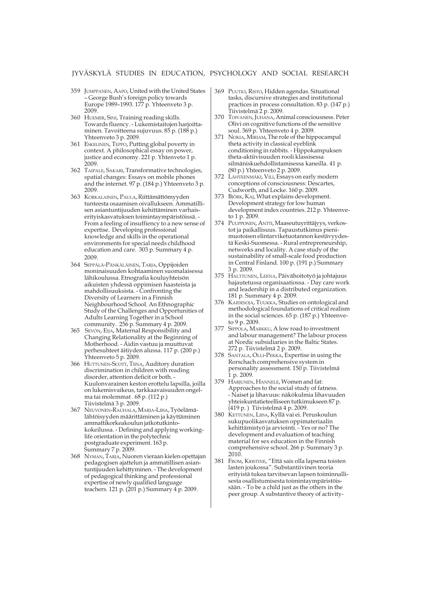- 359 JUMPPANEN, AAPO, United with the United States – George Bush's foreign policy towards Europe 1989–1993. 177 p. Yhteenveto 3 p. 2009.
- 360 HUEMER, SINI, Training reading skills. Towards fluency. - Lukemistaitojen harjoittaminen. Tavoitteena sujuvuus. 85 p. (188 p.) Yhteenveto 3 p. 2009.
- 361 ESKELINEN, TEPPO, Putting global poverty in context. A philosophical essay on power, justice and economy. 221 p. Yhtenveto 1 p. 2009.
- 362 TAIPALE, SAKARI, Transformative technologies, spatial changes: Essays on mobile phones and the internet. 97 p. (184 p.) Yhteenveto 3 p. 2009.
- 363 KORKALAINEN, PAULA, Riittämättömyyden tunteesta osaamisen oivallukseen. Ammatillisen asiantuntijuuden kehittäminen varhaiserityiskasvatuksen toimintaympäristöissä. - From a feeling of insuffiency to a new sense of expertise. Developing professional knowledge and skills in the operational environments for special needs childhood education and care. 303 p. Summary 4 p. 2009.
- 364 SEPPÄLÄ-PÄNKÄLÄINEN, TARJA, Oppijoiden moninaisuuden kohtaaminen suomalaisessa lähikoulussa. Etnografia kouluyhteisön aikuisten yhdessä oppimisen haasteista ja mahdollisuuksista. - Confronting the Diversity of Learners in a Finnish Neighbourhood School. An Ethnographic Study of the Challenges and Opportunities of Adults Learning Together in a School community. 256 p. Summary 4 p. 2009.
- 365 SEVÓN, EIJA, Maternal Responsibility and Changing Relationality at the Beginning of Motherhood. - Äidin vastuu ja muuttuvat perhesuhteet äitiyden alussa. 117 p. (200 p.) Yhteenveto 5 p. 2009.
- 366 HUTTUNEN-SCOTT, TIINA, Auditory duration discrimination in children with reading disorder, attention deficit or both. - Kuulonvarainen keston erottelu lapsilla, joilla on lukemisvaikeus, tarkkaavaisuuden ongelma tai molemmat . 68 p. (112 p.) Tiivistelmä 3 p. 2009.
- 367 NEUVONEN-RAUHALA, MARJA-LIISA, Työelämälähtöisyyden määrittäminen ja käyttäminen ammattikorkeakoulun jatkotutkintokokeilussa. - Defining and applying workinglife orientation in the polytechnic postgraduate experiment. 163 p. Summary 7 p. 2009.
- 368 NYMAN, TARJA, Nuoren vieraan kielen opettajan pedagogisen ajattelun ja ammatillisen asiantuntijuuden kehittyminen. - The development of pedagogical thinking and professional expertise of newly qualified language teachers. 121 p. (201 p.) Summary 4 p. 2009.
- 369 PUUTIO, RISTO, Hidden agendas. Situational tasks, discursive strategies and institutional practices in process consultation. 83 p. (147 p.) .<br>Tiivistelmä 2 p. 2009.
- 370 TOIVANEN, JUHANA, Animal consciousness. Peter Olivi on cognitive functions of the sensitive soul. 369 p. Yhteenveto 4 p. 2009.
- 371 NOKIA, MIRIAM, The role of the hippocampal theta activity in classical eyeblink conditioning in rabbits. - Hippokampuksen theta-aktiivisuuden rooli klassisessa silmäniskuehdollistamisessa kaneilla. 41 p. (80 p.) Yhteenveto 2 p. 2009.
- 372 LÄHTEENMÄKI, VILI, Essays on early modern conceptions of consciousness: Descartes, Cudworth, and Locke. 160 p. 2009.
- 373 BJÖRK, KAJ, What explains development. Development strategy for low human development index countries. 212 p. Yhteenveto 1 p. 2009.
- 374 PUUPPONEN, ANTTI, Maaseutuyrittäjyys, verkostot ja paikallisuus. Tapaustutkimus pienimuotoisen elintarviketuotannon kestävyydestä Keski-Suomessa. - Rural entrepreneurship, networks and locality. A case study of the sustainability of small-scale food production in Central Finland. 100 p. (191 p.) Summary 3 p. 2009.
- 375 HALTTUNEN, LEENA, Päivähoitotyö ja johtajuus hajautetussa organisaatiossa. - Day care work and leadership in a distributed organization. 181 p. Summary 4 p. 2009.
- 376 KAIDESOJA, TUUKKA, Studies on ontological and methodological foundations of critical realism in the social sciences. 65 p. (187 p.) Yhteenveto 9 p. 2009.
- 377 SIPPOLA, MARKKU, A low road to investment and labour management? The labour process at Nordic subsidiaries in the Baltic States. 272 p. Tiivistelmä 2 p. 2009.
- 378 SANTALA, OLLI-PEKKA, Expertise in using the Rorschach comprehensive system in personality assessment. 150 p. Tiivistelmä 1 p. 2009.
- 379 HARJUNEN, HANNELE, Women and fat: Approaches to the social study of fatness. - Naiset ja lihavuus: näkökulmia lihavuuden yhteiskuntatieteelliseen tutkimukseen 87 p. (419 p. ) Tiivistelmä 4 p. 2009.
- 380 KETTUNEN, LIISA, Kyllä vai ei. Peruskoulun sukupuolikasvatuksen oppimateriaalin kehittämistyö ja arviointi. - Yes or no? The development and evaluation of teaching material for sex education in the Finnish comprehensive school. 266 p. Summary 3 p. 2010.
- 381 FROM, KRISTINE, "Että sais olla lapsena toisten lasten joukossa". Substantiivinen teoria erityistä tukea tarvitsevan lapsen toiminnallisesta osallistumisesta toimintaympäristöissään. - To be a child just as the others in the peer group. A substantive theory of activity-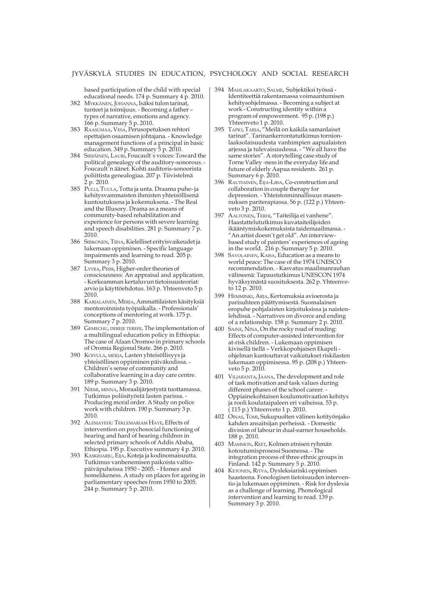based participation of the child with special educational needs. 174 p. Summary 4 p. 2010.

- 382 MYKKÄNEN, JOHANNA, Isäksi tulon tarinat, tunteet ja toimijuus. - Becoming a father – types of narrative, emotions and agency. 166 p. Summary 5 p. 2010.
- 383 RAASUMAA, VESA, Perusopetuksen rehtori opettajien osaamisen johtajana. - Knowledge management functions of a principal in basic education. 349 p. Summary 5 p. 2010.
- 384 SIISIÄINEN, LAURI, Foucault´s voices: Toward the political genealogy of the auditory-sonorous. - Foucault´n äänet. Kohti auditoris-sonoorista poliittista genealogiaa. 207 p. Tiivistelmä 2 p. 2010.
- 385 PULLI, TUULA, Totta ja unta. Draama puhe- ja kehitysvammaisten ihmisten yhteisöllisenä kuntoutuksena ja kokemuksena. - The Real and the Illusory. Drama as a means of community-based rehabilitation and experience for persons with severe learning and speech disabilities. 281 p. Summary 7 p. 2010.
- 386 SIISKONEN, TIINA, Kielelliset erityisvaikeudet ja lukemaan oppiminen. - Specific language impairments and learning to read. 205 p. Summary 3 p. 2010.
- 387 LYYRA, PESSI, Higher-order theories of consciousness: An appraisal and application. - Korkeamman kertaluvun tietoisuusteoriat: arvio ja käyttöehdotus. 163 p. Yhteenveto 5 p. 2010.
- 388 KARJALAINEN, MERJA, Ammattilaisten käsityksiä mentoroinnista työpaikalla. - Professionals' conceptions of mentoring at work. 175 p. Summary 7 p. 2010.
- 389 GEMECHU, DEREJE TEREFE, The implementation of a multilingual education policy in Ethiopia: The case of Afaan Oromoo in primary schools of Oromia Regional State. 266 p. 2010.
- 390 KOIVULA, MERJA, Lasten yhteisöllisyys ja yhteisöllinen oppiminen päiväkodissa. - Children's sense of community and collaborative learning in a day care centre. 189 p. Summary 3 p. 2010.
- 391 NIEMI, MINNA, Moraalijärjestystä tuottamassa. Tutkimus poliisityöstä lasten parissa. - Producing moral order. A Study on police work with children. 190 p. Summary 3 p. 2010.
- 392 ALEMAYEHU TEKLEMARIAM HAYE, Effects of intervention on psychosocial functioning of hearing and hard of hearing children in selected primary schools of Addis Ababa, Ethiopia. 195 p. Executive summary 4 p. 2010.
- 393 KASKIHARJU, EIJA, Koteja ja kodinomaisuutta. Tutkimus vanhenemisen paikoista valtiopäiväpuheissa 1950 - 2005. - Homes and homelikeness. A study on places for ageing in parliamentary speeches from 1950 to 2005. 244 p. Summary 5 p. 2010.
- 394 MAHLAKAARTO, SALME, Subjektiksi työssä Identiteettiä rakentamassa voimaantumisen kehitysohjelmassa. - Becoming a subject at work - Constructing identity within a program of empowerment. 95 p. (198 p.) Yhteenveto 1 p. 2010.
- 395 TAPIO, TARJA, "Meilä on kaikila samanlaiset tarinat". Tarinankerrontatutkimus tornionlaaksolaisuudesta vanhimpien aapualaisten arjessa ja tulevaisuudessa. - "We all have the same stories". A storytelling case study of Torne Valley -ness in the everyday life and future of elderly Aapua residents. 261 p. Summary 6 p. 2010.
- 396 RAUTIAINEN, EIJA-LIISA, Co-construction and collaboration in couple therapy for depression. - Yhteistoiminnallisuus masennuksen pariterapiassa. 56 p. (122 p.) Yhteenveto 3 p. 2010.
- 397 AALTONEN, TERHI, "Taiteilija ei vanhene". Haastattelututkimus kuvataiteilijoiden ikääntymiskokemuksista taidemaailmassa. - "An artist doesn´t get old". An interviewbased study of painters' experiences of ageing in the world. 216 p. Summary 5 p. 2010.
- 398 SAVOLAINEN, KAISA, Education as a means to world peace: The case of the 1974 UNESCO recommendation. - Kasvatus maailmanrauhan välineenä: Tapaustutkimus UNESCON 1974 hyväksymästä suosituksesta. 262 p. Yhteenveto 12 p. 2010.
- 399 HEMMINKI, ARJA, Kertomuksia avioerosta ja parisuhteen päättymisestä. Suomalainen eropuhe pohjalaisten kirjoituksissa ja naistenlehdissä. - Narratives on divorce and ending of a relationship. 158 p. Summary 2 p. 2010.
- 400 SAINE, NINA, On the rocky road of reading: Effects of computer-assisted intervention for at-risk children. - Lukemaan oppimisen kivisellä tiellä – Verkkopohjaisen Ekapeli ohjelman kuntouttavat vaikutukset riskilasten lukemaan oppimisessa. 95 p. (208 p.) Yhteenveto 5 p. 2010.
- 401 VILJARANTA, JAANA, The development and role of task motivation and task values during different phases of the school career. - Oppiainekohtaisen koulumotivaation kehitys ja rooli koulutaipaleen eri vaiheissa. 53 p. ( 115 p.) Yhteenveto 1 p. 2010.
- 402 OINAS, TOMI, Sukupuolten välinen kotityönjako kahden ansaitsijan perheissä. - Domestic division of labour in dual-earner households. 188 p. 2010.
- 403 MAMMON, REET, Kolmen etnisen ryhmän kotoutumisprosessi Suomessa. - The integration process of three ethnic groups in Finland. 142 p. Summary 5 p. 2010.
- 404 KETONEN, RITVA, Dysleksiariski oppimisen haasteena. Fonologisen tietoisuuden interventio ja lukemaan oppiminen. - Risk for dyslexia as a challenge of learning. Phonological intervention and learning to read. 139 p. Summary 3 p. 2010.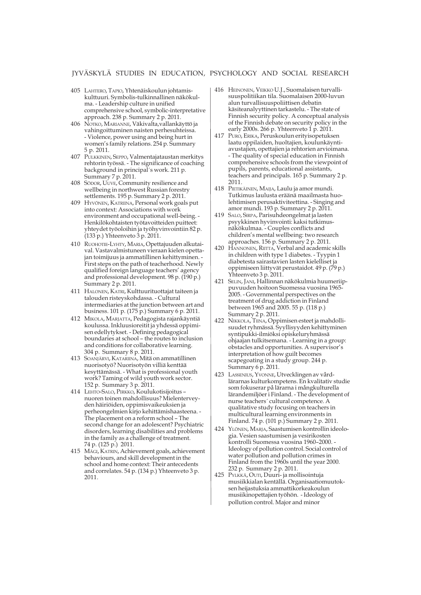- 405 LAHTERO, TAPIO, Yhtenäiskoulun johtamiskulttuuri. Symbolis-tulkinnallinen näkökulma. - Leadership culture in unified comprehensive school, symbolic-interpretative approach. 238 p. Summary 2 p. 2011.
- 406 NOTKO, MARIANNE, Väkivalta,vallankäyttö ja vahingoittuminen naisten perhesuhteissa. - Violence, power using and being hurt in women's family relations. 254 p. Summary 5 p. 2011.
- 407 PULKKINEN, SEPPO, Valmentajataustan merkitys rehtorin työssä. - The significance of coaching background in principal´s work. 211 p. Summary 7 p. 2011.
- 408 SÖDOR, UUVE, Community resilience and wellbeing in northwest Russian forestry settlements. 195 p. Summary 2 p. 2011.
- 409 HYVÖNEN, KATRIINA, Personal work goals put into context: Associations with work environment and occupational well-being. - Henkilökohtaisten työtavoitteiden puitteet: yhteydet työoloihin ja työhyvinvointiin 82 p. (133 p.) Yhteenveto 3 p. 2011.
- 410 RUOHOTIE-LYHTY, MARIA, Opettajuuden alkutaival. Vastavalmistuneen vieraan kielen opettajan toimijuus ja ammatillinen kehittyminen. - First steps on the path of teacherhood. Newly qualified foreign language teachers' agency and professional development. 98 p. (190 p.) Summary 2 p. 2011.
- 411 HALONEN, KATRI, Kulttuurituottajat taiteen ja talouden risteyskohdassa. - Cultural intermediaries at the junction between art and business. 101 p. (175 p.) Summary 6 p. 2011.
- 412 MIKOLA, MARJATTA, Pedagogista rajankäyntiä koulussa. Inkluusioreitit ja yhdessä oppimisen edellytykset. - Defining pedagogical boundaries at school – the routes to inclusion and conditions for collaborative learning. 304 p. Summary 8 p. 2011.
- 413 SOANJÄRVI, KATARIINA, Mitä on ammatillinen nuorisotyö? Nuorisotyön villiä kenttää kesyttämässä. - What is professional youth work? Taming of wild youth work sector. 152 p. Summary 3 p. 2011.
- 414 LEHTO-SALO, PIRKKO, Koulukotisijoitus nuoren toinen mahdollisuus? Mielenterveyden häiriöiden, oppimisvaikeuksien ja perheongelmien kirjo kehittämishaasteena. - The placement on a reform school – The second change for an adolescent? Psychiatric disorders, learning disabilities and problems in the family as a challenge of treatment. 74 p. (125 p.) 2011.
- 415 MÄGI, KATRIN, Achievement goals, achievement behaviours, and skill development in the school and home context: Their antecedents and correlates. 54 p. (134 p.) Yhteenveto 3 p. 2011.
- 416 HEINONEN, VEIKKO U.J., Suomalaisen turvallisuuspolitiikan tila. Suomalaisen 2000-luvun alun turvallisuuspoliittisen debatin käsiteanalyyttinen tarkastelu. - The state of Finnish security policy. A conceptual analysis of the Finnish debate on security policy in the early 2000s. 266 p. Yhteenveto  $1\overline{p}$ . 2011.
- 417 PURO, ERIKA, Peruskoulun erityisopetuksen laatu oppilaiden, huoltajien, koulunkäyntiavustajien, opettajien ja rehtorien arvioimana. - The quality of special education in Finnish comprehensive schools from the viewpoint of pupils, parents, educational assistants, teachers and principals. 165 p. Summary 2 p. 2011.
- 418 PIETIKÄINEN, MAIJA, Laulu ja amor mundi. Tutkimus laulusta eräänä maailmasta huolehtimisen perusaktiviteettina. - Singing and amor mundi. 193 p. Summary 2 p. 2011.
- 419 SALO, SIRPA, Parisuhdeongelmat ja lasten psyykkinen hyvinvointi: kaksi tutkimusnäkökulmaa. - Couples conflicts and children's mental wellbeing: two research approaches. 156 p. Summary 2 p. 2011.
- 420 HANNONEN, RIITTA, Verbal and academic skills in children with type 1 diabetes. - Tyypin 1 diabetesta sairastavien lasten kielelliset ja oppimiseen liittyvät perustaidot. 49 p. (79 p.) Yhteenveto 3 p. 2011.
- 421 SELIN, JANI, Hallinnan näkökulmia huumeriippuvuuden hoitoon Suomessa vuosina 1965- 2005. - Governmental perspectives on the treatment of drug addiction in Finland between 1965 and 2005. 55 p. (118 p.) Summary 2 p. 2011.
- 422 NIKKOLA, TIINA, Oppimisen esteet ja mahdollisuudet ryhmässä. Syyllisyyden kehittyminen syntipukki-ilmiöksi opiskeluryhmässä ohjaajan tulkitsemana. - Learning in a group: obstacles and opportunities. A supervisor's interpretation of how guilt becomes scapegoating in a study group. 244 p. Summary 6 p. 2011.
- 423 LASSENIUS, YVONNE, Utvecklingen av vårdlärarnas kulturkompetens. En kvalitativ studie som fokuserar på lärarna i mångkulturella lärandemiljöer i Finland. - The development of nurse teachers´ cultural competence. A qualitative study focusing on teachers in multicultural learning environments in Finland. 74 p. (101 p.) Summary 2 p. 2011.
- 424 YLÖNEN, MARJA, Saastumisen kontrollin ideologia. Vesien saastumisen ja vesirikosten kontrolli Suomessa vuosina 1960–2000. - Ideology of pollution control. Social control of water pollution and pollution crimes in Finland from the 1960s until the year 2000. 232 p. Summary 2 p. 2011.
- 425 PYLKKÄ, OUTI, Duuri- ja mollisointuja musiikkialan kentällä. Organisaatiomuutoksen heijastuksia ammattikorkeakoulun musiikinopettajien työhön. - Ideology of pollution control. Major and minor